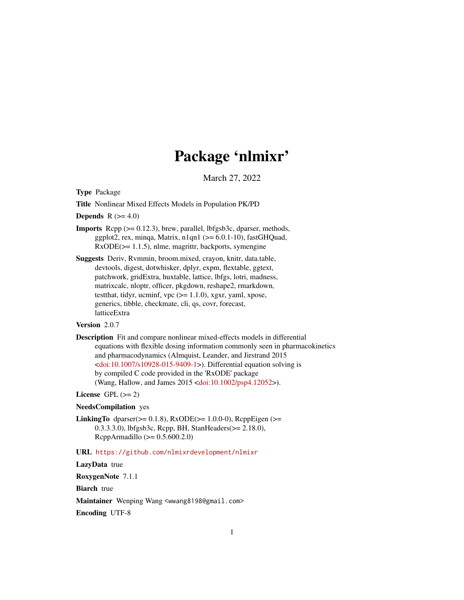# Package 'nlmixr'

March 27, 2022

<span id="page-0-0"></span>Type Package

Title Nonlinear Mixed Effects Models in Population PK/PD

Depends  $R$  ( $>= 4.0$ )

- **Imports** Rcpp  $(>= 0.12.3)$ , brew, parallel, lbfgsb3c, dparser, methods, ggplot2, rex, minqa, Matrix, n1qn1 ( $>= 6.0.1-10$ ), fastGHQuad, RxODE(>= 1.1.5), nlme, magrittr, backports, symengine
- Suggests Deriv, Rvmmin, broom.mixed, crayon, knitr, data.table, devtools, digest, dotwhisker, dplyr, expm, flextable, ggtext, patchwork, gridExtra, huxtable, lattice, lbfgs, lotri, madness, matrixcalc, nloptr, officer, pkgdown, reshape2, rmarkdown, testthat, tidyr, ucminf, vpc  $(>= 1.1.0)$ , xgxr, yaml, xpose, generics, tibble, checkmate, cli, qs, covr, forecast, latticeExtra

# Version 2.0.7

Description Fit and compare nonlinear mixed-effects models in differential equations with flexible dosing information commonly seen in pharmacokinetics and pharmacodynamics (Almquist, Leander, and Jirstrand 2015 [<doi:10.1007/s10928-015-9409-1>](https://doi.org/10.1007/s10928-015-9409-1)). Differential equation solving is by compiled C code provided in the 'RxODE' package (Wang, Hallow, and James 2015 [<doi:10.1002/psp4.12052>](https://doi.org/10.1002/psp4.12052)).

# License GPL  $(>= 2)$

# NeedsCompilation yes

**LinkingTo** dparser( $>= 0.1.8$ ), RxODE( $>= 1.0.0-0$ ), RcppEigen ( $>=$ 0.3.3.3.0), lbfgsb3c, Rcpp, BH, StanHeaders(>= 2.18.0), RcppArmadillo (>= 0.5.600.2.0)

#### URL <https://github.com/nlmixrdevelopment/nlmixr>

# LazyData true

RoxygenNote 7.1.1

**Biarch** true

Maintainer Wenping Wang <wwang8198@gmail.com> Encoding UTF-8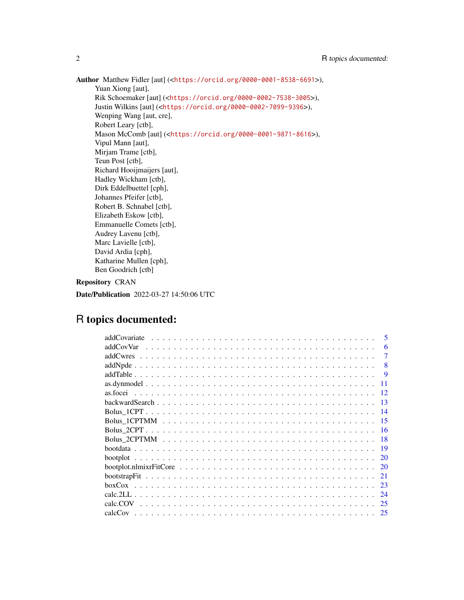Author Matthew Fidler [aut] (<<https://orcid.org/0000-0001-8538-6691>>), Yuan Xiong [aut], Rik Schoemaker [aut] (<<https://orcid.org/0000-0002-7538-3005>>), Justin Wilkins [aut] (<<https://orcid.org/0000-0002-7099-9396>>), Wenping Wang [aut, cre], Robert Leary [ctb], Mason McComb [aut] (<<https://orcid.org/0000-0001-9871-8616>>), Vipul Mann [aut], Mirjam Trame [ctb], Teun Post [ctb], Richard Hooijmaijers [aut], Hadley Wickham [ctb], Dirk Eddelbuettel [cph], Johannes Pfeifer [ctb], Robert B. Schnabel [ctb], Elizabeth Eskow [ctb], Emmanuelle Comets [ctb], Audrey Lavenu [ctb], Marc Lavielle [ctb], David Ardia [cph], Katharine Mullen [cph], Ben Goodrich [ctb]

# Repository CRAN

Date/Publication 2022-03-27 14:50:06 UTC

# R topics documented:

| $\overline{\mathbf{5}}$ |
|-------------------------|
| 6<br>addCovVar          |
|                         |
| 8                       |
| <b>9</b>                |
| 11                      |
| 12                      |
| 13                      |
| 14                      |
| -15                     |
| -16                     |
| -18                     |
| 19                      |
| 20                      |
| 20                      |
| 21                      |
| 23                      |
| 24                      |
| calc.COV<br>25          |
| 25                      |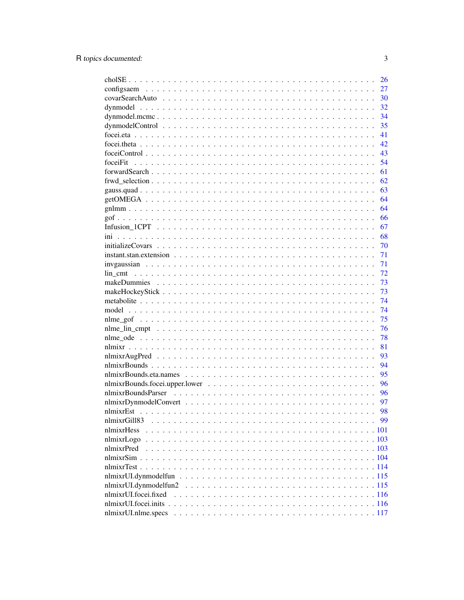|                                                                                                                      | 26 |
|----------------------------------------------------------------------------------------------------------------------|----|
|                                                                                                                      | 27 |
|                                                                                                                      | 30 |
|                                                                                                                      | 32 |
|                                                                                                                      | 34 |
|                                                                                                                      | 35 |
|                                                                                                                      | 41 |
|                                                                                                                      | 42 |
|                                                                                                                      | 43 |
| foceiFit                                                                                                             | 54 |
|                                                                                                                      | 61 |
|                                                                                                                      | 62 |
|                                                                                                                      | 63 |
|                                                                                                                      | 64 |
|                                                                                                                      | 64 |
|                                                                                                                      | 66 |
|                                                                                                                      | 67 |
|                                                                                                                      | 68 |
|                                                                                                                      | 70 |
| $instant. stan. extension \dots \dots \dots \dots \dots \dots \dots \dots \dots \dots \dots \dots \dots \dots \dots$ | 71 |
|                                                                                                                      | 71 |
|                                                                                                                      | 72 |
|                                                                                                                      | 73 |
|                                                                                                                      | 73 |
|                                                                                                                      | 74 |
|                                                                                                                      | 74 |
|                                                                                                                      | 75 |
|                                                                                                                      | 76 |
|                                                                                                                      | 78 |
|                                                                                                                      | 81 |
|                                                                                                                      | 93 |
|                                                                                                                      | 94 |
|                                                                                                                      | 95 |
|                                                                                                                      | 96 |
|                                                                                                                      | 96 |
|                                                                                                                      | 97 |
|                                                                                                                      | 98 |
| nlmixrGill83                                                                                                         | 99 |
| nlmixrHess                                                                                                           |    |
| nlmixrLogo                                                                                                           |    |
| nlmixrPred                                                                                                           |    |
|                                                                                                                      |    |
|                                                                                                                      |    |
|                                                                                                                      |    |
| nlmixrUI.dynmodelfun2                                                                                                |    |
| nlmixrUI.focei.fixed                                                                                                 |    |
|                                                                                                                      |    |
| nlmixrUI.nlme.specs                                                                                                  |    |
|                                                                                                                      |    |

 $\overline{3}$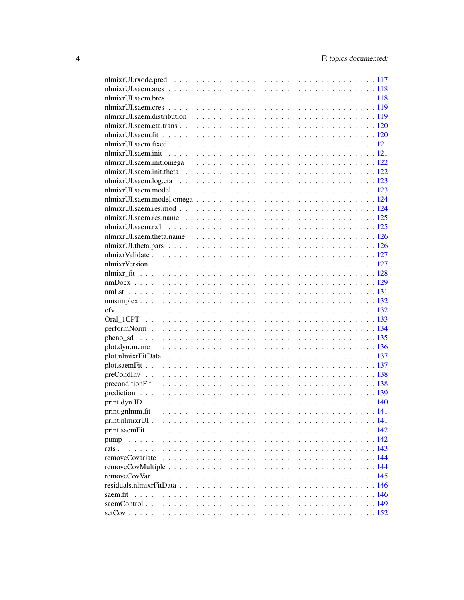| print.saemFit |                  |
|---------------|------------------|
| pump          |                  |
|               |                  |
|               |                  |
|               |                  |
| removeCovVar  |                  |
|               |                  |
| saem.fit      |                  |
|               |                  |
| $setCov$      | $\therefore$ 152 |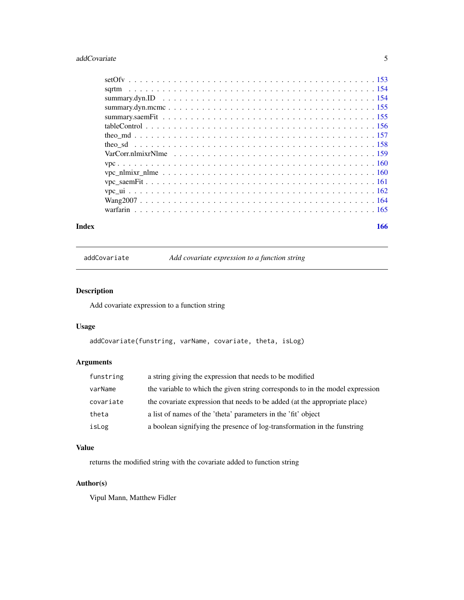# <span id="page-4-0"></span>addCovariate 5

#### **Index** the contract of the contract of the contract of the contract of the contract of the contract of the contract of the contract of the contract of the contract of the contract of the contract of the contract of the co

addCovariate *Add covariate expression to a function string*

# Description

Add covariate expression to a function string

# Usage

```
addCovariate(funstring, varName, covariate, theta, isLog)
```
# Arguments

| funstring | a string giving the expression that needs to be modified                      |
|-----------|-------------------------------------------------------------------------------|
| varName   | the variable to which the given string corresponds to in the model expression |
| covariate | the covariate expression that needs to be added (at the appropriate place)    |
| theta     | a list of names of the 'theta' parameters in the 'fit' object                 |
| isLog     | a boolean signifying the presence of log-transformation in the funstring      |

# Value

returns the modified string with the covariate added to function string

# Author(s)

Vipul Mann, Matthew Fidler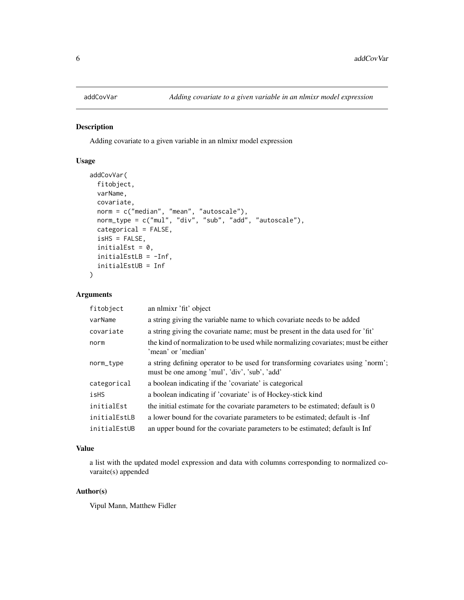<span id="page-5-0"></span>

Adding covariate to a given variable in an nlmixr model expression

#### Usage

```
addCovVar(
  fitobject,
 varName,
  covariate,
 norm = c("median", "mean", "autoscale"),
 norm_type = c("mul", "div", "sub", "add", "autoscale"),
  categorical = FALSE,
  isHS = FALSE,
  initialEst = 0,
  initialEstLB = -Inf,initialEstUB = Inf
)
```
# Arguments

| fitobject    | an nlmixr 'fit' object                                                                                                          |
|--------------|---------------------------------------------------------------------------------------------------------------------------------|
| varName      | a string giving the variable name to which covariate needs to be added                                                          |
| covariate    | a string giving the covariate name; must be present in the data used for 'fit'                                                  |
| norm         | the kind of normalization to be used while normalizing covariates; must be either<br>'mean' or 'median'                         |
| norm_type    | a string defining operator to be used for transforming covariates using 'norm';<br>must be one among 'mul', 'div', 'sub', 'add' |
| categorical  | a boolean indicating if the 'covariate' is categorical                                                                          |
| isHS         | a boolean indicating if 'covariate' is of Hockey-stick kind                                                                     |
| initialEst   | the initial estimate for the covariate parameters to be estimated; default is 0                                                 |
| initialEstLB | a lower bound for the covariate parameters to be estimated; default is -Inf                                                     |
| initialEstUB | an upper bound for the covariate parameters to be estimated; default is Inf                                                     |

# Value

a list with the updated model expression and data with columns corresponding to normalized covaraite(s) appended

# Author(s)

Vipul Mann, Matthew Fidler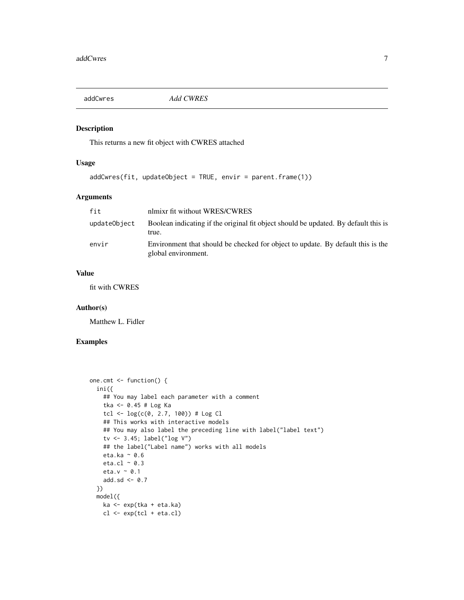<span id="page-6-0"></span>

This returns a new fit object with CWRES attached

# Usage

addCwres(fit, updateObject = TRUE, envir = parent.frame(1))

# Arguments

| fit          | nlmixr fit without WRES/CWRES                                                                          |
|--------------|--------------------------------------------------------------------------------------------------------|
| updateObject | Boolean indicating if the original fit object should be updated. By default this is<br>true.           |
| envir        | Environment that should be checked for object to update. By default this is the<br>global environment. |

# Value

fit with CWRES

# Author(s)

Matthew L. Fidler

# Examples

```
one.cmt <- function() {
  ini({
    ## You may label each parameter with a comment
    tka <- 0.45 # Log Ka
    tcl \leftarrow log(c(0, 2.7, 100)) # Log Cl
    ## This works with interactive models
    ## You may also label the preceding line with label("label text")
    tv <- 3.45; label("log V")
    ## the label("Label name") works with all models
    eta.ka ~ 0.6
    eta.cl \sim 0.3
    eta.v ~ 0.1
    add.sd <- 0.7
  })
  model({
    ka <- exp(tka + eta.ka)
    cl \leftarrow exp(tcl + eta. cl)
```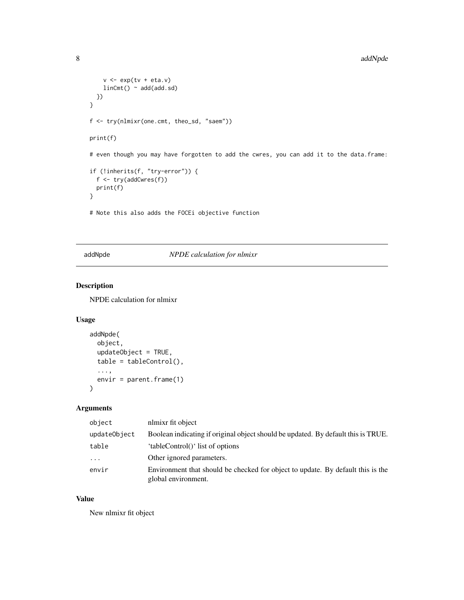```
v \leq -\exp(tv + \text{eta.v})linCmt() ~ ~ add(add.sd)})
}
f <- try(nlmixr(one.cmt, theo_sd, "saem"))
print(f)
# even though you may have forgotten to add the cwres, you can add it to the data.frame:
if (!inherits(f, "try-error")) {
  f <- try(addCwres(f))
  print(f)
}
# Note this also adds the FOCEi objective function
```
# addNpde *NPDE calculation for nlmixr*

# Description

NPDE calculation for nlmixr

#### Usage

```
addNpde(
  object,
  updateObject = TRUE,
  table = tableControl(),
  ...,
  envir = parent.frame(1)
\mathcal{L}
```
# Arguments

| object                  | nlmixr fit object                                                                                      |
|-------------------------|--------------------------------------------------------------------------------------------------------|
| updateObject            | Boolean indicating if original object should be updated. By default this is TRUE.                      |
| table                   | 'tableControl()' list of options                                                                       |
| $\cdot$ $\cdot$ $\cdot$ | Other ignored parameters.                                                                              |
| envir                   | Environment that should be checked for object to update. By default this is the<br>global environment. |

# Value

New nlmixr fit object

<span id="page-7-0"></span>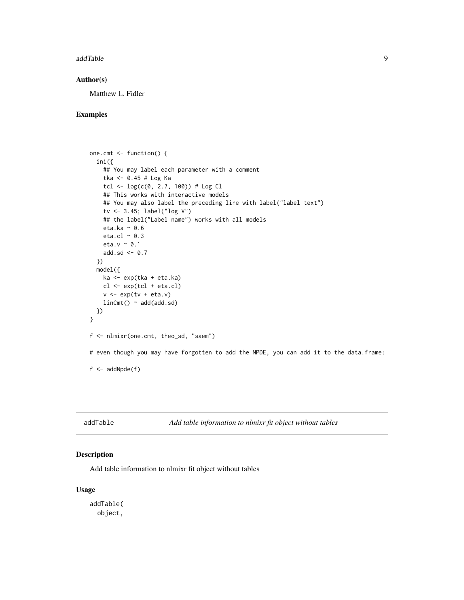<span id="page-8-0"></span>addTable 9

#### Author(s)

Matthew L. Fidler

# Examples

```
one.cmt <- function() {
  ini({
    ## You may label each parameter with a comment
    tka <- 0.45 # Log Ka
    tcl <- log(c(0, 2.7, 100)) # Log Cl
    ## This works with interactive models
    ## You may also label the preceding line with label("label text")
    tv <- 3.45; label("log V")
    ## the label("Label name") works with all models
    eta.ka ~ 0.6
    eta.cl ~ 0.3
    eta.v ~ 0.1
    add.sd \leftarrow \emptyset.7})
  model({
    ka <- exp(tka + eta.ka)
    cl \leftarrow exp(tcl + eta. cl)v \leq -\exp(tv + \text{eta.v})linCmt() ~ ~ add(add.sd)})
}
f <- nlmixr(one.cmt, theo_sd, "saem")
# even though you may have forgotten to add the NPDE, you can add it to the data.frame:
f \leftarrow addNpde(f)
```
addTable *Add table information to nlmixr fit object without tables*

# Description

Add table information to nlmixr fit object without tables

#### Usage

addTable( object,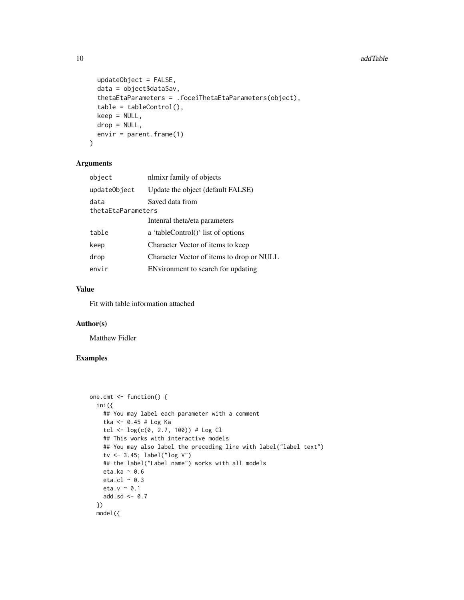```
updateObject = FALSE,data = object$dataSav,
  thetaEtaParameters = .foceiThetaEtaParameters(object),
  table = tableControl(),
  keep = NULL,
 drop = NULL,
 envir = parent.frame(1)
\lambda
```
#### Arguments

| object             | nlmixr family of objects                  |  |
|--------------------|-------------------------------------------|--|
| updateObject       | Update the object (default FALSE)         |  |
| data               | Saved data from                           |  |
| thetaEtaParameters |                                           |  |
|                    | Intenral theta/eta parameters             |  |
| table              | a 'tableControl()' list of options        |  |
| keep               | Character Vector of items to keep         |  |
| drop               | Character Vector of items to drop or NULL |  |
| envir              | ENvironment to search for updating        |  |
|                    |                                           |  |

#### Value

Fit with table information attached

#### Author(s)

Matthew Fidler

# Examples

```
one.cmt <- function() {
  ini({
   ## You may label each parameter with a comment
   tka <- 0.45 # Log Ka
   tcl <- log(c(0, 2.7, 100)) # Log Cl
   ## This works with interactive models
   ## You may also label the preceding line with label("label text")
   tv <- 3.45; label("log V")
   ## the label("Label name") works with all models
   eta.ka ~ 0.6
   eta.cl ~ 0.3
   eta.v ~ 0.1
   add.sd <- 0.7
  })
  model({
```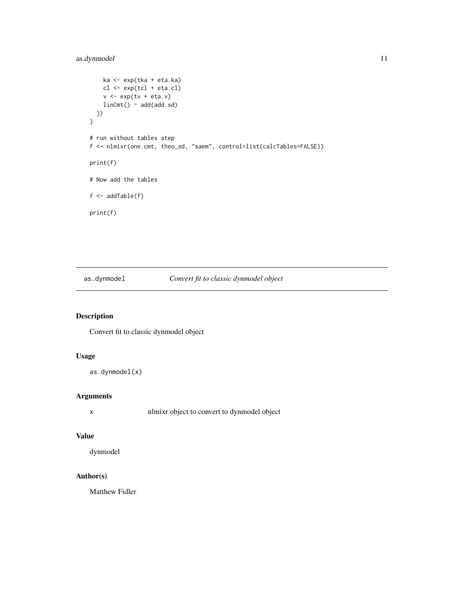# <span id="page-10-0"></span>as.dynmodel 11

```
ka <- exp(tka + eta.ka)
    cl <- exp(tcl + eta.cl)
    v <- exp(tv + eta.v)
    linCmt() ~ ~ add(add.sd)})
}
# run without tables step
f <- nlmixr(one.cmt, theo_sd, "saem", control=list(calcTables=FALSE))
print(f)
# Now add the tables
f \leftarrow addTable(f)print(f)
```
# as.dynmodel *Convert fit to classic dynmodel object*

# Description

Convert fit to classic dynmodel object

# Usage

```
as.dynmodel(x)
```
# Arguments

x nlmixr object to convert to dynmodel object

#### Value

dynmodel

# Author(s)

Matthew Fidler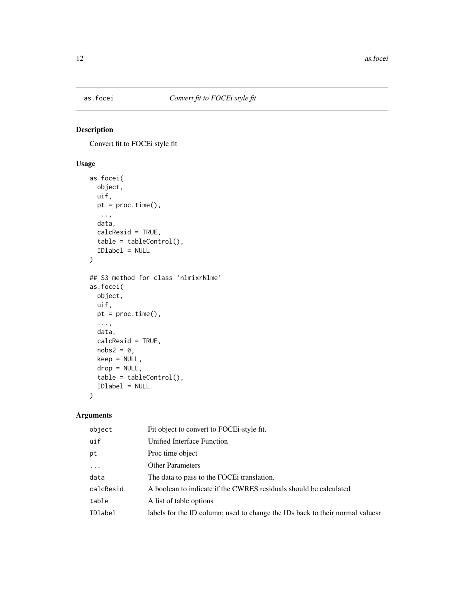<span id="page-11-0"></span>

Convert fit to FOCEi style fit

# Usage

```
as.focei(
 object,
 uif,
 pt = proc.time(),...,
 data,
 calcResid = TRUE,
 table = tableControl(),
 IDlabel = NULL
)
## S3 method for class 'nlmixrNlme'
as.focei(
 object,
 uif,
 pt = proc.time(),
  ...,
 data,
 calcResid = TRUE,
 nobs2 = 0,
 keep = NULL,
 drop = NULL,
  table = tableControl(),
  IDlabel = NULL
\mathcal{L}
```
# Arguments

| object    | Fit object to convert to FOCE i-style fit.                                   |
|-----------|------------------------------------------------------------------------------|
| uif       | Unified Interface Function                                                   |
| pt        | Proc time object                                                             |
| $\ddotsc$ | <b>Other Parameters</b>                                                      |
| data      | The data to pass to the FOCE translation.                                    |
| calcResid | A boolean to indicate if the CWRES residuals should be calculated            |
| table     | A list of table options                                                      |
| IDlabel   | labels for the ID column; used to change the IDs back to their normal values |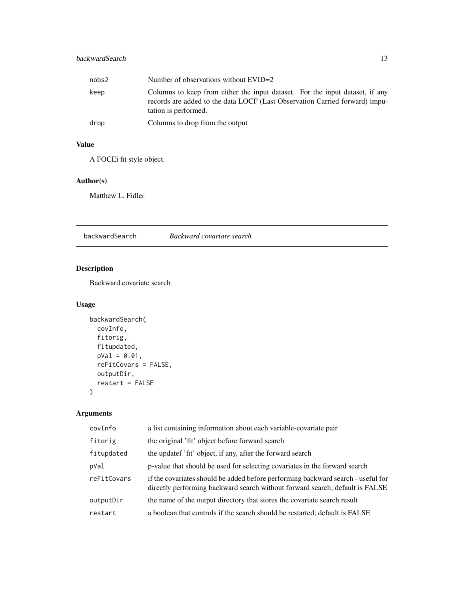# <span id="page-12-0"></span>backwardSearch 13

| nobs2 | Number of observations without EVID=2                                                                                                                                               |
|-------|-------------------------------------------------------------------------------------------------------------------------------------------------------------------------------------|
| keep  | Columns to keep from either the input dataset. For the input dataset, if any<br>records are added to the data LOCF (Last Observation Carried forward) impu-<br>tation is performed. |
| drop  | Columns to drop from the output                                                                                                                                                     |

# Value

A FOCEi fit style object.

# Author(s)

Matthew L. Fidler

backwardSearch *Backward covariate search*

# Description

Backward covariate search

# Usage

```
backwardSearch(
  covInfo,
  fitorig,
  fitupdated,
  pVal = 0.01,
  reFitCovars = FALSE,
  outputDir,
  restart = FALSE
\mathcal{L}
```
# Arguments

| covInfo     | a list containing information about each variable-covariate pair                                                                                                 |
|-------------|------------------------------------------------------------------------------------------------------------------------------------------------------------------|
| fitorig     | the original 'fit' object before forward search                                                                                                                  |
| fitupdated  | the updatef 'fit' object, if any, after the forward search                                                                                                       |
| pVal        | p-value that should be used for selecting covariates in the forward search                                                                                       |
| reFitCovars | if the covariates should be added before performing backward search - useful for<br>directly performing backward search without forward search; default is FALSE |
| outputDir   | the name of the output directory that stores the covariate search result                                                                                         |
| restart     | a boolean that controls if the search should be restarted; default is FALSE                                                                                      |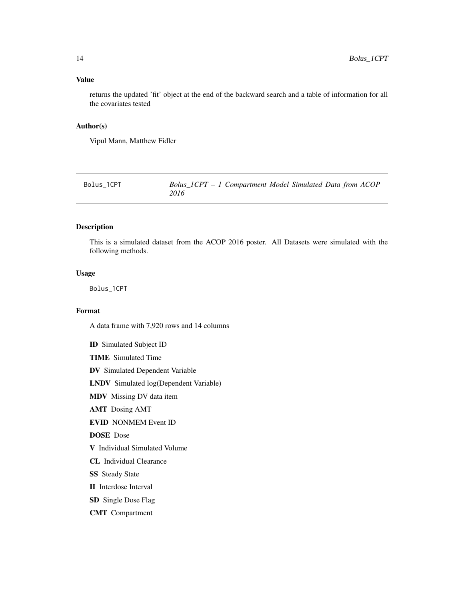#### <span id="page-13-0"></span>Value

returns the updated 'fit' object at the end of the backward search and a table of information for all the covariates tested

# Author(s)

Vipul Mann, Matthew Fidler

<span id="page-13-1"></span>Bolus\_1CPT *Bolus\_1CPT – 1 Compartment Model Simulated Data from ACOP 2016*

#### Description

This is a simulated dataset from the ACOP 2016 poster. All Datasets were simulated with the following methods.

#### Usage

Bolus\_1CPT

#### Format

A data frame with 7,920 rows and 14 columns

ID Simulated Subject ID TIME Simulated Time DV Simulated Dependent Variable LNDV Simulated log(Dependent Variable) MDV Missing DV data item AMT Dosing AMT EVID NONMEM Event ID DOSE Dose V Individual Simulated Volume CL Individual Clearance **SS** Steady State II Interdose Interval SD Single Dose Flag CMT Compartment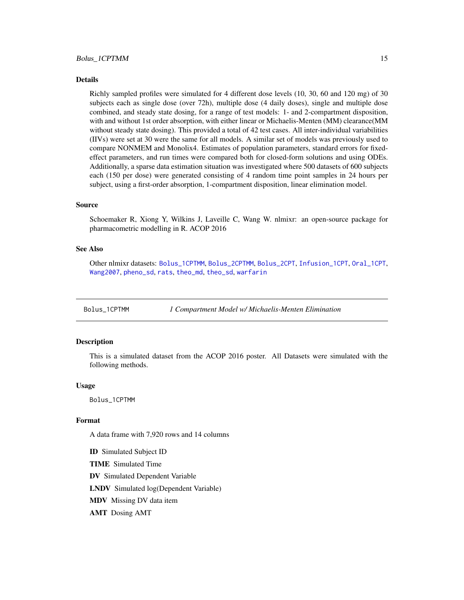#### <span id="page-14-0"></span>Details

Richly sampled profiles were simulated for 4 different dose levels (10, 30, 60 and 120 mg) of 30 subjects each as single dose (over 72h), multiple dose (4 daily doses), single and multiple dose combined, and steady state dosing, for a range of test models: 1- and 2-compartment disposition, with and without 1st order absorption, with either linear or Michaelis-Menten (MM) clearance(MM without steady state dosing). This provided a total of 42 test cases. All inter-individual variabilities (IIVs) were set at 30 were the same for all models. A similar set of models was previously used to compare NONMEM and Monolix4. Estimates of population parameters, standard errors for fixedeffect parameters, and run times were compared both for closed-form solutions and using ODEs. Additionally, a sparse data estimation situation was investigated where 500 datasets of 600 subjects each (150 per dose) were generated consisting of 4 random time point samples in 24 hours per subject, using a first-order absorption, 1-compartment disposition, linear elimination model.

#### Source

Schoemaker R, Xiong Y, Wilkins J, Laveille C, Wang W. nlmixr: an open-source package for pharmacometric modelling in R. ACOP 2016

#### See Also

Other nlmixr datasets: [Bolus\\_1CPTMM](#page-14-1), [Bolus\\_2CPTMM](#page-17-1), [Bolus\\_2CPT](#page-15-1), [Infusion\\_1CPT](#page-66-1), [Oral\\_1CPT](#page-132-1), [Wang2007](#page-163-1), [pheno\\_sd](#page-134-1), [rats](#page-142-1), [theo\\_md](#page-156-1), [theo\\_sd](#page-157-1), [warfarin](#page-164-1)

<span id="page-14-1"></span>Bolus\_1CPTMM *1 Compartment Model w/ Michaelis-Menten Elimination*

#### Description

This is a simulated dataset from the ACOP 2016 poster. All Datasets were simulated with the following methods.

#### Usage

Bolus\_1CPTMM

#### Format

A data frame with 7,920 rows and 14 columns

ID Simulated Subject ID

TIME Simulated Time

DV Simulated Dependent Variable

LNDV Simulated log(Dependent Variable)

MDV Missing DV data item

AMT Dosing AMT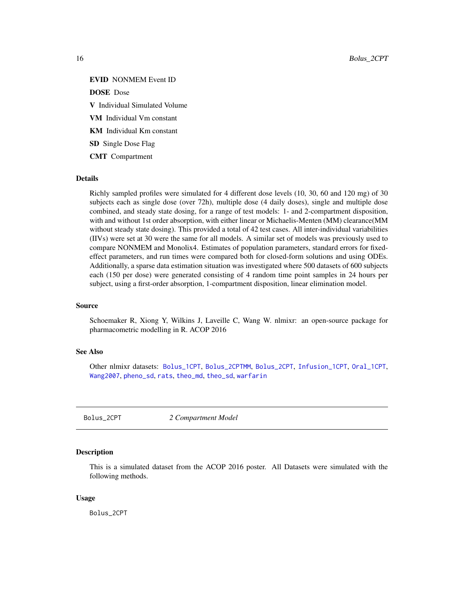<span id="page-15-0"></span>EVID NONMEM Event ID

DOSE Dose

V Individual Simulated Volume

VM Individual Vm constant

KM Individual Km constant

SD Single Dose Flag

CMT Compartment

#### Details

Richly sampled profiles were simulated for 4 different dose levels (10, 30, 60 and 120 mg) of 30 subjects each as single dose (over 72h), multiple dose (4 daily doses), single and multiple dose combined, and steady state dosing, for a range of test models: 1- and 2-compartment disposition, with and without 1st order absorption, with either linear or Michaelis-Menten (MM) clearance(MM without steady state dosing). This provided a total of 42 test cases. All inter-individual variabilities (IIVs) were set at 30 were the same for all models. A similar set of models was previously used to compare NONMEM and Monolix4. Estimates of population parameters, standard errors for fixedeffect parameters, and run times were compared both for closed-form solutions and using ODEs. Additionally, a sparse data estimation situation was investigated where 500 datasets of 600 subjects each (150 per dose) were generated consisting of 4 random time point samples in 24 hours per subject, using a first-order absorption, 1-compartment disposition, linear elimination model.

#### Source

Schoemaker R, Xiong Y, Wilkins J, Laveille C, Wang W. nlmixr: an open-source package for pharmacometric modelling in R. ACOP 2016

#### See Also

Other nlmixr datasets: [Bolus\\_1CPT](#page-13-1), [Bolus\\_2CPTMM](#page-17-1), [Bolus\\_2CPT](#page-15-1), [Infusion\\_1CPT](#page-66-1), [Oral\\_1CPT](#page-132-1), [Wang2007](#page-163-1), [pheno\\_sd](#page-134-1), [rats](#page-142-1), [theo\\_md](#page-156-1), [theo\\_sd](#page-157-1), [warfarin](#page-164-1)

<span id="page-15-1"></span>Bolus\_2CPT *2 Compartment Model*

#### **Description**

This is a simulated dataset from the ACOP 2016 poster. All Datasets were simulated with the following methods.

#### Usage

Bolus\_2CPT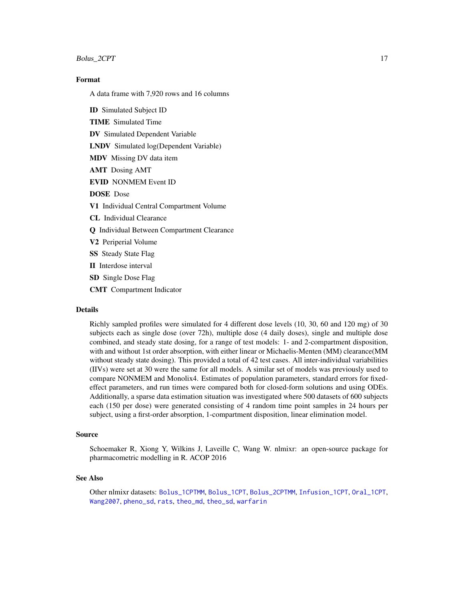#### Bolus\_2CPT 17

# Format

A data frame with 7,920 rows and 16 columns

ID Simulated Subject ID TIME Simulated Time DV Simulated Dependent Variable LNDV Simulated log(Dependent Variable) MDV Missing DV data item AMT Dosing AMT EVID NONMEM Event ID DOSE Dose V1 Individual Central Compartment Volume CL Individual Clearance Q Individual Between Compartment Clearance V2 Periperial Volume SS Steady State Flag II Interdose interval SD Single Dose Flag CMT Compartment Indicator

#### Details

Richly sampled profiles were simulated for 4 different dose levels (10, 30, 60 and 120 mg) of 30 subjects each as single dose (over 72h), multiple dose (4 daily doses), single and multiple dose combined, and steady state dosing, for a range of test models: 1- and 2-compartment disposition, with and without 1st order absorption, with either linear or Michaelis-Menten (MM) clearance(MM without steady state dosing). This provided a total of 42 test cases. All inter-individual variabilities (IIVs) were set at 30 were the same for all models. A similar set of models was previously used to compare NONMEM and Monolix4. Estimates of population parameters, standard errors for fixedeffect parameters, and run times were compared both for closed-form solutions and using ODEs. Additionally, a sparse data estimation situation was investigated where 500 datasets of 600 subjects each (150 per dose) were generated consisting of 4 random time point samples in 24 hours per subject, using a first-order absorption, 1-compartment disposition, linear elimination model.

#### Source

Schoemaker R, Xiong Y, Wilkins J, Laveille C, Wang W. nlmixr: an open-source package for pharmacometric modelling in R. ACOP 2016

#### See Also

Other nlmixr datasets: [Bolus\\_1CPTMM](#page-14-1), [Bolus\\_1CPT](#page-13-1), [Bolus\\_2CPTMM](#page-17-1), [Infusion\\_1CPT](#page-66-1), [Oral\\_1CPT](#page-132-1), [Wang2007](#page-163-1), [pheno\\_sd](#page-134-1), [rats](#page-142-1), [theo\\_md](#page-156-1), [theo\\_sd](#page-157-1), [warfarin](#page-164-1)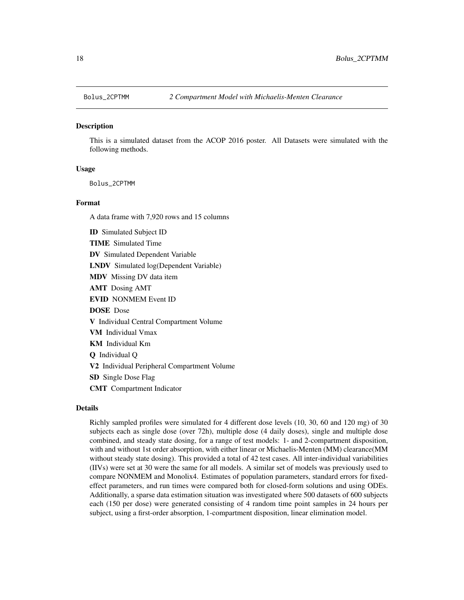<span id="page-17-1"></span><span id="page-17-0"></span>

This is a simulated dataset from the ACOP 2016 poster. All Datasets were simulated with the following methods.

#### Usage

Bolus\_2CPTMM

#### Format

A data frame with 7,920 rows and 15 columns

ID Simulated Subject ID TIME Simulated Time DV Simulated Dependent Variable LNDV Simulated log(Dependent Variable) MDV Missing DV data item AMT Dosing AMT EVID NONMEM Event ID DOSE Dose V Individual Central Compartment Volume VM Individual Vmax KM Individual Km Q Individual Q V2 Individual Peripheral Compartment Volume SD Single Dose Flag CMT Compartment Indicator

# Details

Richly sampled profiles were simulated for 4 different dose levels (10, 30, 60 and 120 mg) of 30 subjects each as single dose (over 72h), multiple dose (4 daily doses), single and multiple dose combined, and steady state dosing, for a range of test models: 1- and 2-compartment disposition, with and without 1st order absorption, with either linear or Michaelis-Menten (MM) clearance(MM without steady state dosing). This provided a total of 42 test cases. All inter-individual variabilities (IIVs) were set at 30 were the same for all models. A similar set of models was previously used to compare NONMEM and Monolix4. Estimates of population parameters, standard errors for fixedeffect parameters, and run times were compared both for closed-form solutions and using ODEs. Additionally, a sparse data estimation situation was investigated where 500 datasets of 600 subjects each (150 per dose) were generated consisting of 4 random time point samples in 24 hours per subject, using a first-order absorption, 1-compartment disposition, linear elimination model.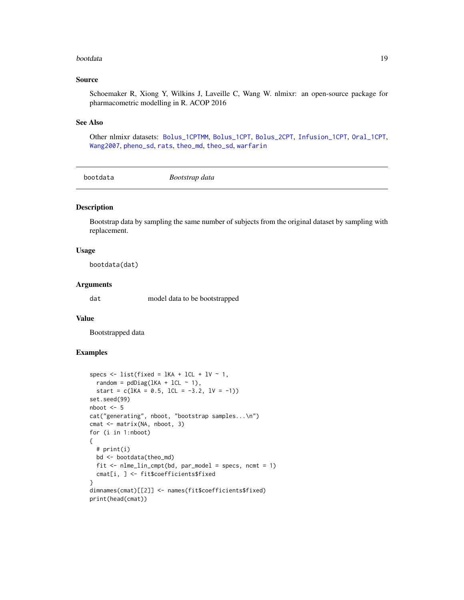#### <span id="page-18-0"></span>bootdata 19

#### Source

Schoemaker R, Xiong Y, Wilkins J, Laveille C, Wang W. nlmixr: an open-source package for pharmacometric modelling in R. ACOP 2016

#### See Also

Other nlmixr datasets: [Bolus\\_1CPTMM](#page-14-1), [Bolus\\_1CPT](#page-13-1), [Bolus\\_2CPT](#page-15-1), [Infusion\\_1CPT](#page-66-1), [Oral\\_1CPT](#page-132-1), [Wang2007](#page-163-1), [pheno\\_sd](#page-134-1), [rats](#page-142-1), [theo\\_md](#page-156-1), [theo\\_sd](#page-157-1), [warfarin](#page-164-1)

bootdata *Bootstrap data*

# Description

Bootstrap data by sampling the same number of subjects from the original dataset by sampling with replacement.

#### Usage

bootdata(dat)

#### Arguments

dat model data to be bootstrapped

# Value

Bootstrapped data

# Examples

```
specs \le list(fixed = lKA + lCL + lV \sim 1,
 random = pdDiag(lKA + lCL \sim 1),
 start = c(lKA = 0.5, lCL = -3.2, lV = -1))set.seed(99)
nboot <- 5
cat("generating", nboot, "bootstrap samples...\n")
cmat <- matrix(NA, nboot, 3)
for (i in 1:nboot)
{
 # print(i)
 bd <- bootdata(theo_md)
 fit \le - nlme_lin_cmpt(bd, par_model = specs, ncmt = 1)
 cmat[i, ] <- fit$coefficients$fixed
}
dimnames(cmat)[[2]] <- names(fit$coefficients$fixed)
print(head(cmat))
```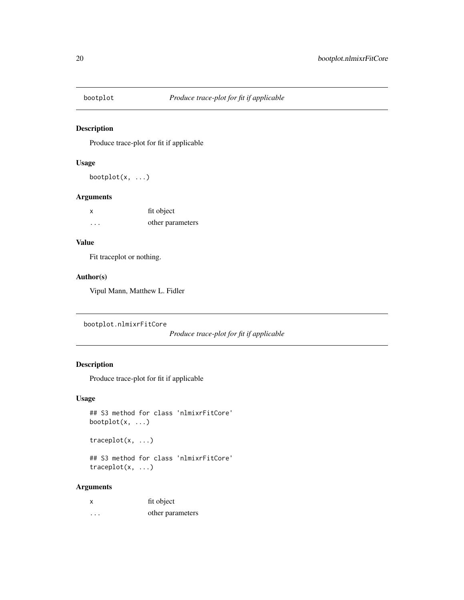<span id="page-19-0"></span>

Produce trace-plot for fit if applicable

# Usage

bootplot $(x, \ldots)$ 

#### Arguments

| X        | fit object       |
|----------|------------------|
| $\cdots$ | other parameters |

# Value

Fit traceplot or nothing.

### Author(s)

Vipul Mann, Matthew L. Fidler

bootplot.nlmixrFitCore

*Produce trace-plot for fit if applicable*

# Description

Produce trace-plot for fit if applicable

# Usage

```
## S3 method for class 'nlmixrFitCore'
bootplot(x, ...)
```
traceplot(x, ...)

## S3 method for class 'nlmixrFitCore' traceplot(x, ...)

# Arguments

| X                       | fit object       |
|-------------------------|------------------|
| $\cdot$ $\cdot$ $\cdot$ | other parameters |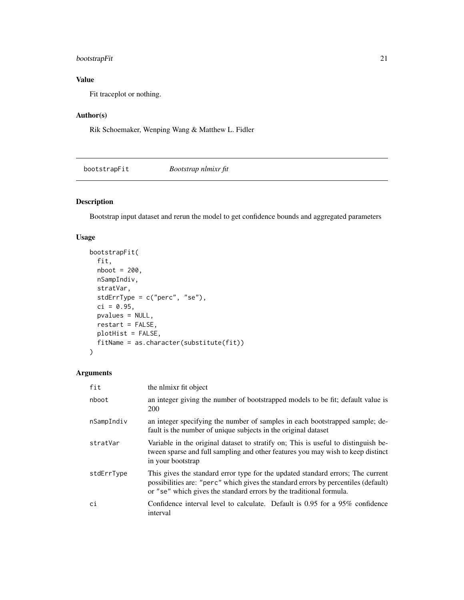# <span id="page-20-0"></span>bootstrapFit 21

# Value

Fit traceplot or nothing.

# Author(s)

Rik Schoemaker, Wenping Wang & Matthew L. Fidler

bootstrapFit *Bootstrap nlmixr fit*

# Description

Bootstrap input dataset and rerun the model to get confidence bounds and aggregated parameters

# Usage

```
bootstrapFit(
  fit,
 nboot = 200,nSampIndiv,
 stratVar,
  stdErrType = c("perc", "se"),
 ci = 0.95,pvalues = NULL,
 restart = FALSE,
 plotHist = FALSE,
 fitName = as.character(substitute(fit))
\mathcal{L}
```
# Arguments

| fit        | the nimixr fit object                                                                                                                                                                                                                        |
|------------|----------------------------------------------------------------------------------------------------------------------------------------------------------------------------------------------------------------------------------------------|
| nboot      | an integer giving the number of bootstrapped models to be fit; default value is<br>200                                                                                                                                                       |
| nSampIndiv | an integer specifying the number of samples in each bootstrapped sample; de-<br>fault is the number of unique subjects in the original dataset                                                                                               |
| stratVar   | Variable in the original dataset to stratify on; This is useful to distinguish be-<br>tween sparse and full sampling and other features you may wish to keep distinct<br>in your bootstrap                                                   |
| stdErrType | This gives the standard error type for the updated standard errors; The current<br>possibilities are: "perc" which gives the standard errors by percentiles (default)<br>or "se" which gives the standard errors by the traditional formula. |
| ci         | Confidence interval level to calculate. Default is $0.95$ for a $95\%$ confidence<br>interval                                                                                                                                                |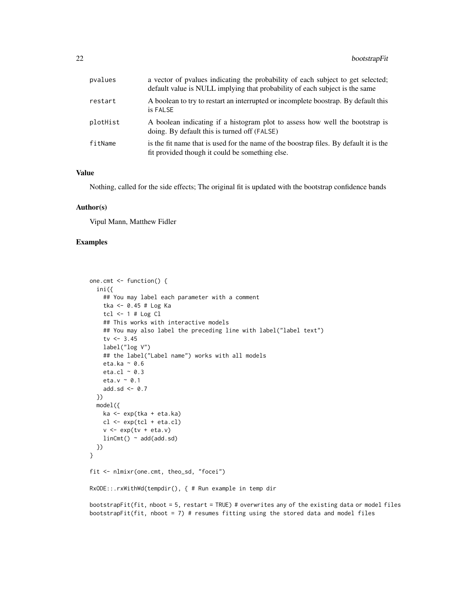| pvalues  | a vector of pvalues indicating the probability of each subject to get selected;<br>default value is NULL implying that probability of each subject is the same |
|----------|----------------------------------------------------------------------------------------------------------------------------------------------------------------|
| restart  | A boolean to try to restart an interrupted or incomplete boostrap. By default this<br>is FALSE                                                                 |
| plotHist | A boolean indicating if a histogram plot to assess how well the bootstrap is<br>doing. By default this is turned off (FALSE)                                   |
| fitName  | is the fit name that is used for the name of the boostrap files. By default it is the<br>fit provided though it could be something else.                       |

#### Value

Nothing, called for the side effects; The original fit is updated with the bootstrap confidence bands

#### Author(s)

Vipul Mann, Matthew Fidler

#### Examples

```
one.cmt <- function() {
  ini({
    ## You may label each parameter with a comment
    tka <- 0.45 # Log Ka
    tcl <-1 # Log Cl
    ## This works with interactive models
    ## You may also label the preceding line with label("label text")
    tv <-3.45label("log V")
    ## the label("Label name") works with all models
    eta.ka ~ 0.6
    eta.cl ~ 0.3
    eta.v \sim 0.1
    add.sd \leftarrow 0.7
  })
  model({
    ka <- exp(tka + eta.ka)
    cl \leftarrow exp(tcl + eta.cl)v \leq -\exp(tv + \text{eta.v})linCmt() ~ ~ add(add.sd)})
}
fit <- nlmixr(one.cmt, theo_sd, "focei")
RxODE::.rxWithWd(tempdir(), { # Run example in temp dir
bootstrapFit(fit, nboot = 5, restart = TRUE) # overwrites any of the existing data or model files
bootstrapFit(fit, nboot = 7) # resumes fitting using the stored data and model files
```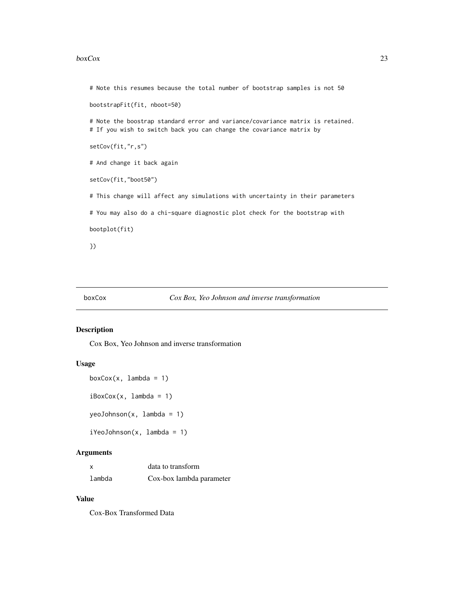#### <span id="page-22-0"></span> $boxCox$  23

```
# Note this resumes because the total number of bootstrap samples is not 50
bootstrapFit(fit, nboot=50)
# Note the boostrap standard error and variance/covariance matrix is retained.
# If you wish to switch back you can change the covariance matrix by
setCov(fit,"r,s")
# And change it back again
setCov(fit,"boot50")
# This change will affect any simulations with uncertainty in their parameters
# You may also do a chi-square diagnostic plot check for the bootstrap with
bootplot(fit)
})
```
#### boxCox *Cox Box, Yeo Johnson and inverse transformation*

#### Description

Cox Box, Yeo Johnson and inverse transformation

#### Usage

```
boxCox(x, lambda = 1)iBoxCox(x, lambda = 1)yeoJohnson(x, lambda = 1)
iYeoJohnson(x, lambda = 1)
```
#### Arguments

| x      | data to transform        |
|--------|--------------------------|
| lambda | Cox-box lambda parameter |

#### Value

Cox-Box Transformed Data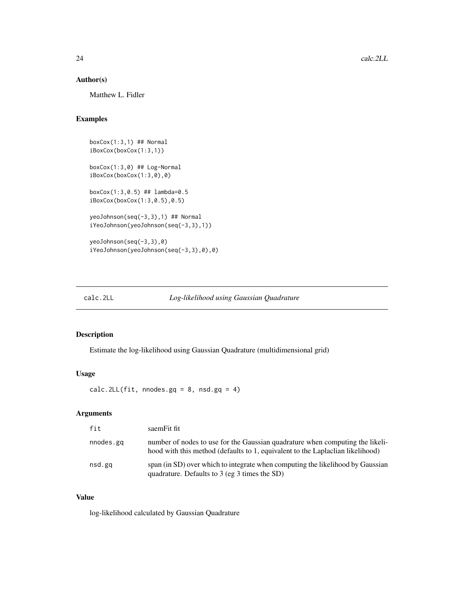#### <span id="page-23-0"></span>Author(s)

Matthew L. Fidler

# Examples

```
boxCox(1:3,1) ## Normal
iBoxCox(boxCox(1:3,1))
boxCox(1:3,0) ## Log-Normal
iBoxCox(boxCox(1:3,0),0)
boxCox(1:3,0.5) ## lambda=0.5
iBoxCox(boxCox(1:3,0.5),0.5)
yeoJohnson(seq(-3,3),1) ## Normal
iYeoJohnson(yeoJohnson(seq(-3,3),1))
yeoJohnson(seq(-3,3),0)
iYeoJohnson(yeoJohnson(seq(-3,3),0),0)
```

| calc.2LL |  | Log-likelihood using Gaussian Quadrature |
|----------|--|------------------------------------------|
|----------|--|------------------------------------------|

#### Description

Estimate the log-likelihood using Gaussian Quadrature (multidimensional grid)

# Usage

calc.2LL(fit, nnodes.gq =  $8$ , nsd.gq =  $4$ )

# Arguments

| fit       | saemFit fit                                                                                                                                                     |
|-----------|-----------------------------------------------------------------------------------------------------------------------------------------------------------------|
| nnodes.gg | number of nodes to use for the Gaussian quadrature when computing the likeli-<br>hood with this method (defaults to 1, equivalent to the Laplaclian likelihood) |
| nsd.gq    | span (in SD) over which to integrate when computing the likelihood by Gaussian<br>quadrature. Defaults to $3$ (eg $3$ times the SD)                             |

#### Value

log-likelihood calculated by Gaussian Quadrature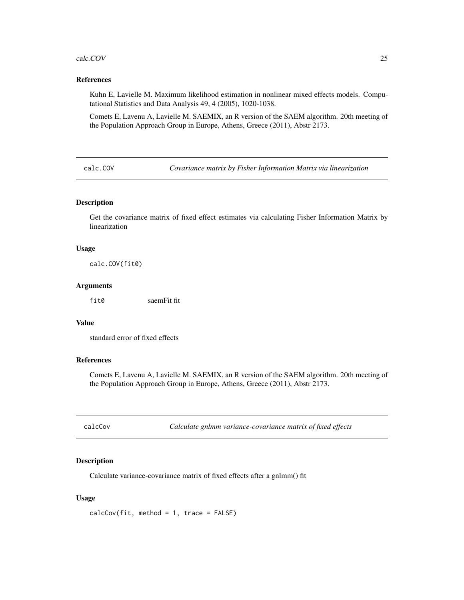#### <span id="page-24-0"></span>calc.COV 25

#### References

Kuhn E, Lavielle M. Maximum likelihood estimation in nonlinear mixed effects models. Computational Statistics and Data Analysis 49, 4 (2005), 1020-1038.

Comets E, Lavenu A, Lavielle M. SAEMIX, an R version of the SAEM algorithm. 20th meeting of the Population Approach Group in Europe, Athens, Greece (2011), Abstr 2173.

calc.COV *Covariance matrix by Fisher Information Matrix via linearization*

#### Description

Get the covariance matrix of fixed effect estimates via calculating Fisher Information Matrix by linearization

#### Usage

calc.COV(fit0)

#### Arguments

fit0 saemFit fit

# Value

standard error of fixed effects

#### References

Comets E, Lavenu A, Lavielle M. SAEMIX, an R version of the SAEM algorithm. 20th meeting of the Population Approach Group in Europe, Athens, Greece (2011), Abstr 2173.

calcCov *Calculate gnlmm variance-covariance matrix of fixed effects*

#### Description

Calculate variance-covariance matrix of fixed effects after a gnlmm() fit

#### Usage

 $calcCov(fit, method = 1, trace = FALSE)$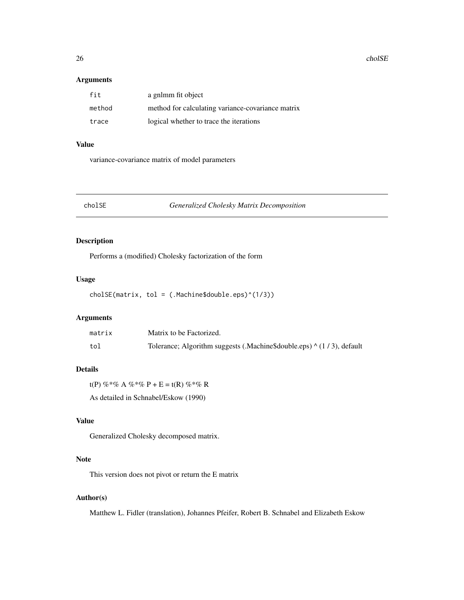<span id="page-25-0"></span>26 cholSE

#### Arguments

| fit    | a gnlmm fit object                                |
|--------|---------------------------------------------------|
| method | method for calculating variance-covariance matrix |
| trace  | logical whether to trace the iterations           |

#### Value

variance-covariance matrix of model parameters

#### cholSE *Generalized Cholesky Matrix Decomposition*

# Description

Performs a (modified) Cholesky factorization of the form

# Usage

cholSE(matrix, tol = (.Machine\$double.eps)^(1/3))

# Arguments

| matrix | Matrix to be Factorized.                                                     |
|--------|------------------------------------------------------------------------------|
| tol    | Tolerance; Algorithm suggests (.Machine\$double.eps) $\wedge$ (1/3), default |

#### Details

t(P) %\*% A %\*% P + E = t(R) %\*% R As detailed in Schnabel/Eskow (1990)

# Value

Generalized Cholesky decomposed matrix.

# Note

This version does not pivot or return the E matrix

# Author(s)

Matthew L. Fidler (translation), Johannes Pfeifer, Robert B. Schnabel and Elizabeth Eskow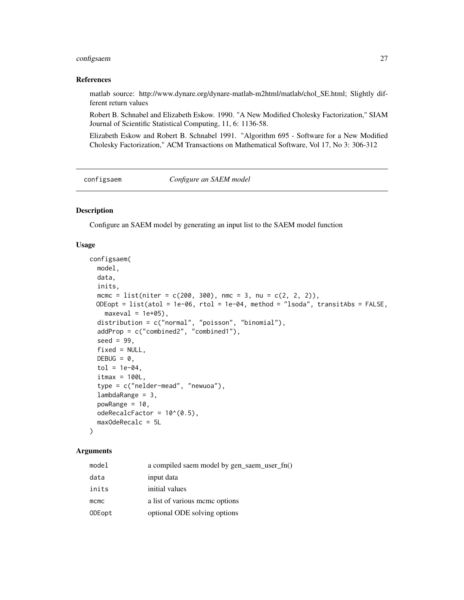# <span id="page-26-0"></span>configsaem 27

#### References

matlab source: http://www.dynare.org/dynare-matlab-m2html/matlab/chol\_SE.html; Slightly different return values

Robert B. Schnabel and Elizabeth Eskow. 1990. "A New Modified Cholesky Factorization," SIAM Journal of Scientific Statistical Computing, 11, 6: 1136-58.

Elizabeth Eskow and Robert B. Schnabel 1991. "Algorithm 695 - Software for a New Modified Cholesky Factorization," ACM Transactions on Mathematical Software, Vol 17, No 3: 306-312

configsaem *Configure an SAEM model*

#### Description

Configure an SAEM model by generating an input list to the SAEM model function

#### Usage

```
configsaem(
 model,
 data,
  inits,
 mcmc = list(niter = c(200, 300), nmc = 3, nu = c(2, 2, 2)),
 ODEopt = list(atol = 1e-06, rtol = 1e-04, method = "lsoda", transitAbs = FALSE,
   maxeval = 1e+05,
  distribution = c("normal", "poisson", "binomial"),
  addProp = c("combined2", "combined1"),
  seed = 99,
  fixed = NULL,DEBUG = \theta,
  tol = 1e-04.
  itmax = 100L,type = c("nelder-mead", "newuoa"),
  lambdaRange = 3,powRange = 10,
 odeRecalcFactor = 10^{\circ}(0.5),
 maxOdeRecalc = 5L
\lambda
```
#### Arguments

| model  | a compiled saem model by gen_saem_user_fn() |
|--------|---------------------------------------------|
| data   | input data                                  |
| inits  | initial values                              |
| mcmc   | a list of various meme options              |
| ODEopt | optional ODE solving options                |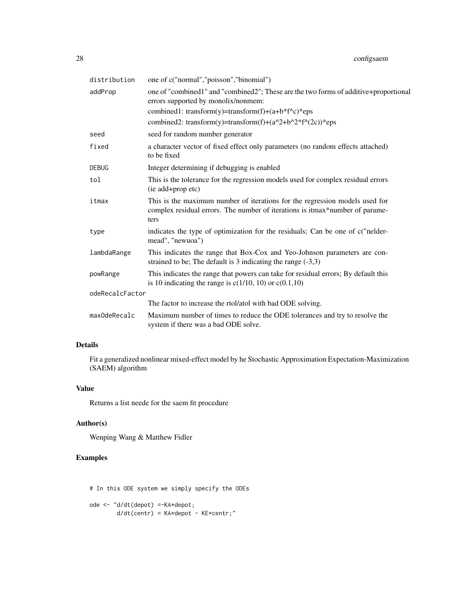| distribution    | one of c("normal","poisson","binomial")                                                                                                                             |
|-----------------|---------------------------------------------------------------------------------------------------------------------------------------------------------------------|
| addProp         | one of "combined1" and "combined2"; These are the two forms of additive+proportional<br>errors supported by monolix/nonmem:                                         |
|                 | combined1: transform(y)=transform(f)+(a+b*f^c)*eps                                                                                                                  |
|                 | combined2: transform(y)=transform(f)+(a^2+b^2*f^(2c))*eps                                                                                                           |
| seed            | seed for random number generator                                                                                                                                    |
| fixed           | a character vector of fixed effect only parameters (no random effects attached)<br>to be fixed                                                                      |
| DEBUG           | Integer determining if debugging is enabled                                                                                                                         |
| tol             | This is the tolerance for the regression models used for complex residual errors<br>(ie add+prop etc)                                                               |
| itmax           | This is the maximum number of iterations for the regression models used for<br>complex residual errors. The number of iterations is itmax*number of parame-<br>ters |
| type            | indicates the type of optimization for the residuals; Can be one of c("nelder-<br>mead", "newuoa")                                                                  |
| lambdaRange     | This indicates the range that Box-Cox and Yeo-Johnson parameters are con-<br>strained to be; The default is 3 indicating the range $(-3,3)$                         |
| powRange        | This indicates the range that powers can take for residual errors; By default this<br>is 10 indicating the range is $c(1/10, 10)$ or $c(0.1, 10)$                   |
| odeRecalcFactor |                                                                                                                                                                     |
|                 | The factor to increase the rtol/atol with bad ODE solving.                                                                                                          |
| maxOdeRecalc    | Maximum number of times to reduce the ODE tolerances and try to resolve the<br>system if there was a bad ODE solve.                                                 |

# Details

Fit a generalized nonlinear mixed-effect model by he Stochastic Approximation Expectation-Maximization (SAEM) algorithm

# Value

Returns a list neede for the saem fit procedure

# Author(s)

Wenping Wang & Matthew Fidler

# Examples

# In this ODE system we simply specify the ODEs ode <- "d/dt(depot) =-KA\*depot;

 $d/dt$ (centr) = KA\*depot - KE\*centr;"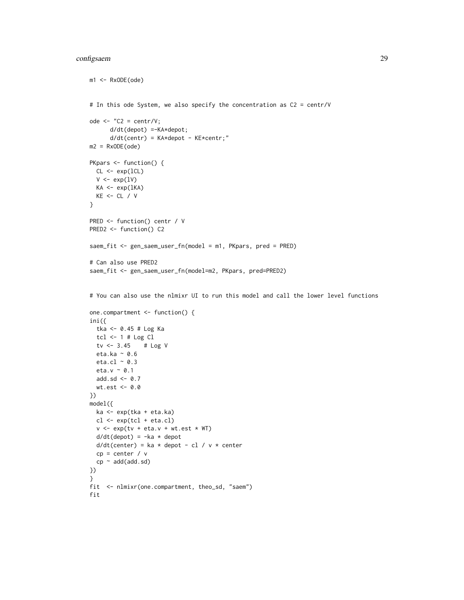# configsaem 29

```
m1 <- RxODE(ode)
# In this ode System, we also specify the concentration as C2 = centr/V
ode \leq - "C2 = centr/V;
      d/dt(depot) =-KA*depot;
      d/dt(centr) = KA*depot - KE*centr;"
m2 = RxODE(ode)PKpars <- function() {
  CL <- exp(lCL)
  V \leftarrow \exp(1V)KA \leftarrow exp(1KA)KE < - CL / V}
PRED <- function() centr / V
PRED2 <- function() C2
saem_fit <- gen_saem_user_fn(model = m1, PKpars, pred = PRED)
# Can also use PRED2
saem_fit <- gen_saem_user_fn(model=m2, PKpars, pred=PRED2)
# You can also use the nlmixr UI to run this model and call the lower level functions
one.compartment <- function() {
ini({
 tka <- 0.45 # Log Ka
 tcl <-1 # Log Cl
  tv <- 3.45 # Log V
  eta.ka ~ 0.6
  eta.cl \sim 0.3
  eta.v \sim 0.1
  add.sd <- 0.7
  wt.est <- 0.0
})
model({
  ka <- exp(tka + eta.ka)
  cl <- exp(tcl + eta.cl)
  v \leq -\exp(tv + eta.v + wt.est * WT)d/dt(depot) = -ka * depotd/dt(center) = ka * depot - cl / v * center
  cp = center / vcp \sim add(add,sd)})
}
fit <- nlmixr(one.compartment, theo_sd, "saem")
fit
```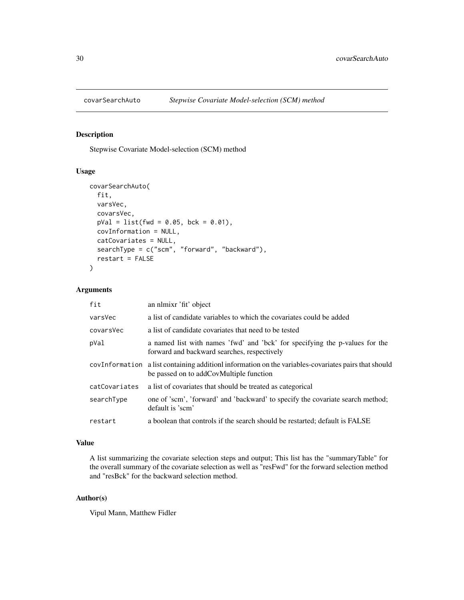<span id="page-29-0"></span>

Stepwise Covariate Model-selection (SCM) method

#### Usage

```
covarSearchAuto(
  fit,
  varsVec,
  covarsVec,
 pVal = list(fwd = 0.05, bck = 0.01),covInformation = NULL,
  catCovariates = NULL,
  searchType = c("scm", "forward", "backward"),
  restart = FALSE
\mathcal{L}
```
#### Arguments

| fit           | an nlmixr 'fit' object                                                                                                                         |
|---------------|------------------------------------------------------------------------------------------------------------------------------------------------|
| varsVec       | a list of candidate variables to which the covariates could be added                                                                           |
| covarsVec     | a list of candidate covariates that need to be tested                                                                                          |
| pVal          | a named list with names 'fwd' and 'bck' for specifying the p-values for the<br>forward and backward searches, respectively                     |
|               | covInformation a list containing addition information on the variables-covariates pairs that should<br>be passed on to addCovMultiple function |
| catCovariates | a list of covariates that should be treated as categorical                                                                                     |
| searchType    | one of 'scm', 'forward' and 'backward' to specify the covariate search method;<br>default is 'scm'                                             |
| restart       | a boolean that controls if the search should be restarted; default is FALSE                                                                    |

# Value

A list summarizing the covariate selection steps and output; This list has the "summaryTable" for the overall summary of the covariate selection as well as "resFwd" for the forward selection method and "resBck" for the backward selection method.

#### Author(s)

Vipul Mann, Matthew Fidler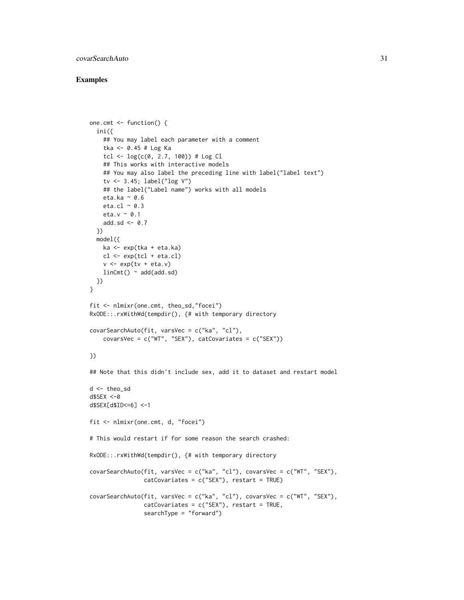# covarSearchAuto 31

#### Examples

```
one.cmt <- function() {
  ini({
   ## You may label each parameter with a comment
   tka <- 0.45 # Log Ka
   tcl <- log(c(0, 2.7, 100)) # Log Cl
   ## This works with interactive models
   ## You may also label the preceding line with label("label text")
   tv <- 3.45; label("log V")
   ## the label("Label name") works with all models
   eta.ka ~ 0.6
   eta.cl \sim 0.3
   eta.v \sim 0.1
   add.sd <- 0.7
  })
  model({
   ka <- exp(tka + eta.ka)
   cl <- exp(tcl + eta.cl)
    v \leq -\exp(tv + \epsilon t a.v)linCmt() ~ ~ add(add.sd)})
}
fit <- nlmixr(one.cmt, theo_sd,"focei")
RxODE::.rxWithWd(tempdir(), {# with temporary directory
covarSearchAuto(fit, varsVec = c("ka", "cl"),
    covarsVec = c("WT", "SEX"), catCovariates = c("SEX")})
## Note that this didn't include sex, add it to dataset and restart model
d <- theo_sd
d$SEX <-0
d$SEX[d$ID<=6] <-1
fit <- nlmixr(one.cmt, d, "focei")
# This would restart if for some reason the search crashed:
RxODE::.rxWithWd(tempdir(), {# with temporary directory
covarSearchAuto(fit, varsVec = c("ka", "cl"), covarsVec = c("WT", "SEX"),
                catCovariates = c("SEX"), restart = TRUE)
covarSearchAuto(fit, varsVec = c("ka", "cl"), covarsVec = c("WT", "SEX"),
                catCovariates = c("SEX"), restart = TRUE,
                searchType = "forward")
```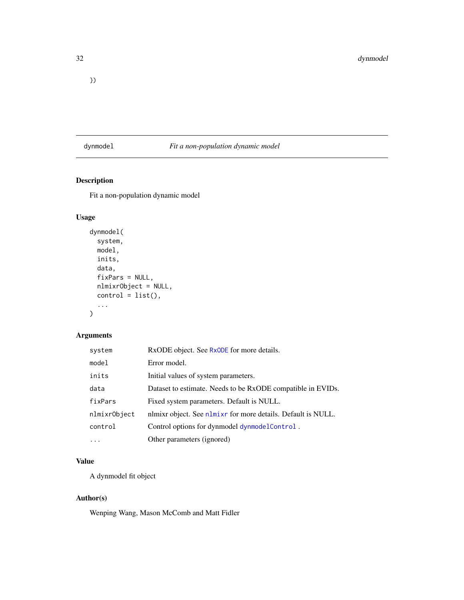# <span id="page-31-0"></span>dynmodel *Fit a non-population dynamic model*

# Description

Fit a non-population dynamic model

# Usage

```
dynmodel(
 system,
 model,
  inits,
 data,
  fixPars = NULL,
 nlmixrObject = NULL,
  control = list(),...
)
```
# Arguments

| system       | RxODE object. See RxODE for more details.                    |
|--------------|--------------------------------------------------------------|
| model        | Error model.                                                 |
| inits        | Initial values of system parameters.                         |
| data         | Dataset to estimate. Needs to be RxODE compatible in EVIDs.  |
| fixPars      | Fixed system parameters. Default is NULL.                    |
| nlmixr0bject | nlmixr object. See nlmixr for more details. Default is NULL. |
| control      | Control options for dynmodel dynmodel Control.               |
|              | Other parameters (ignored)                                   |

# Value

A dynmodel fit object

# Author(s)

Wenping Wang, Mason McComb and Matt Fidler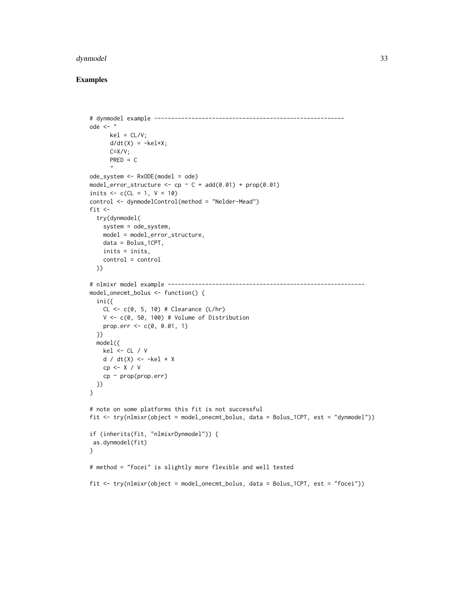#### dynmodel 33

#### Examples

```
# dynmodel example --------------------------------------------------------
ode \leq - "
      kel = CL/V;d/dt(X) = -kel*X;C=X/V;PRED = C"ode_system <- RxODE(model = ode)
model_error_structure <- cp -C + add(0.01) + prop(0.01)inits <-c (CL = 1, V = 10)
control <- dynmodelControl(method = "Nelder-Mead")
fit <-
  try(dynmodel(
   system = ode_system,
   model = model_error_structure,
   data = Bolus_1CPT,
   inits = inits,
   control = control
  ))
# nlmixr model example ----------------------------------------------------------
model_onecmt_bolus <- function() {
  ini({
   CL \leq -c(0, 5, 10) # Clearance (L/hr)
   V <- c(0, 50, 100) # Volume of Distribution
   prop.err <- c(0, 0.01, 1)
  })
  model({
   kel <- CL / V
   d / dt(X) <- -kel * X
   cp <- X / V
    cp \sim prop(prop.err)})
}
# note on some platforms this fit is not successful
fit <- try(nlmixr(object = model_onecmt_bolus, data = Bolus_1CPT, est = "dynmodel"))
if (inherits(fit, "nlmixrDynmodel")) {
as.dynmodel(fit)
}
# method = "focei" is slightly more flexible and well tested
fit <- try(nlmixr(object = model_onecmt_bolus, data = Bolus_1CPT, est = "focei"))
```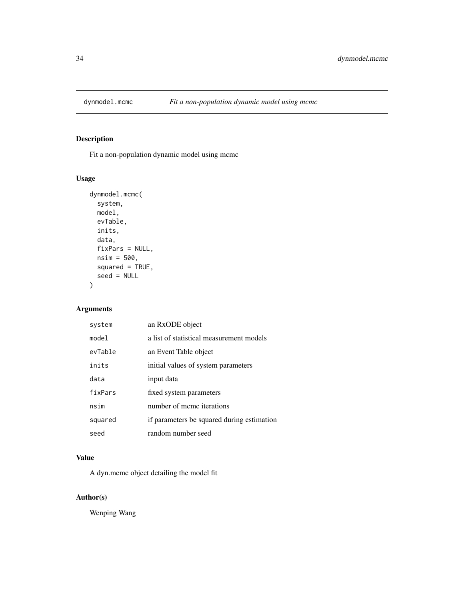<span id="page-33-0"></span>

Fit a non-population dynamic model using mcmc

# Usage

```
dynmodel.mcmc(
  system,
 model,
 evTable,
 inits,
  data,
  fixPars = NULL,
 nsim = 500,
  squared = TRUE,
  seed = NULL
)
```
# Arguments

| system  | an RxODE object                            |
|---------|--------------------------------------------|
| mode1   | a list of statistical measurement models   |
| evTable | an Event Table object                      |
| inits   | initial values of system parameters        |
| data    | input data                                 |
| fixPars | fixed system parameters                    |
| nsim    | number of meme iterations                  |
| squared | if parameters be squared during estimation |
| seed    | random number seed                         |

# Value

A dyn.mcmc object detailing the model fit

# Author(s)

Wenping Wang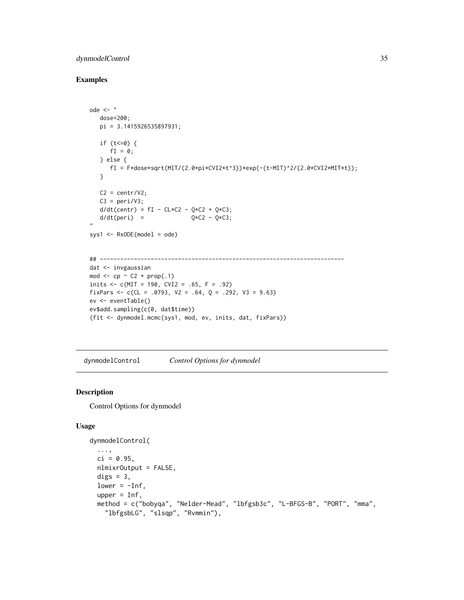# <span id="page-34-0"></span>dynmodelControl 35

# Examples

```
ode <- "
  dose=200;
  pi = 3.1415926535897931;
  if (t<=0) {
     fI = 0;} else {
     fI = F*dose*sqrt(MIT/(2.0*pi*CVI2*t^3))*exp(-(t-MIT)^2/(2.0*CVI2*MIT*t));}
  C2 = centr/V2;C3 = peri/V3;d/dt(centr) = fI - CL*C2 - Q*C2 + Q*C3;
  d/dt(peri) = Q*C2 - Q*C3;,,
sys1 \leq RxODE(model = ode)
## ------------------------------------------------------------------------
dat <- invgaussian
mod \leq - cp \sim C2 + prop(.1)
inits <-c(MIT = 190, CVI2 = .65, F = .92)fixPars <- c(CL = .0793, V2 = .64, Q = .292, V3 = 9.63)
ev <- eventTable()
ev$add.sampling(c(0, dat$time))
(fit <- dynmodel.mcmc(sys1, mod, ev, inits, dat, fixPars))
```
<span id="page-34-1"></span>dynmodelControl *Control Options for dynmodel*

# Description

Control Options for dynmodel

#### Usage

```
dynmodelControl(
  ...,
 ci = 0.95,nlmixrOutput = FALSE,
 digs = 3,
 lower = -Inf,upper = Inf,
 method = c("bobyqa", "Nelder-Mead", "lbfgsb3c", "L-BFGS-B", "PORT", "mma",
    "lbfgsbLG", "slsqp", "Rvmmin"),
```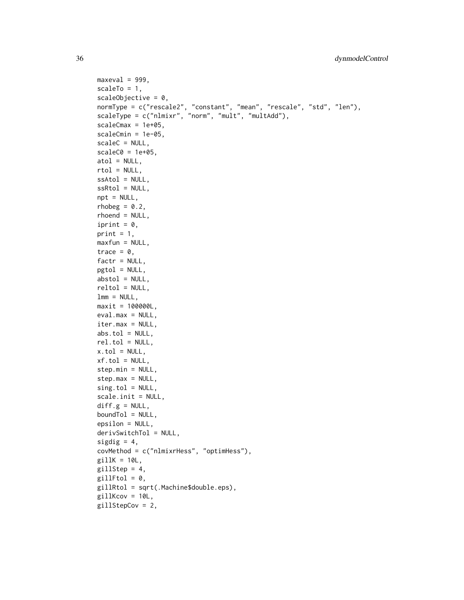```
maxeval = 999,
scaleTo = 1,
scaleObjective = 0,
normType = c("rescale2", "constant", "mean", "rescale", "std", "len"),
scaleType = c("nlmixr", "norm", "mult", "multAdd"),
scaleCmax = 1e+05,
scaleCmin = 1e-05,
scaleC = NULL,
scaleC0 = 1e+05,
atol = NULL,rtol = NULL,ssAtol = NULL,
ssRtol = NULL,npt = NULL,rhobeg = 0.2,
rhoend = NULL,
iprint = 0,
print = 1,
maxfun = NULL,trace = 0,
factor = NULL,pgtol = NULL,abstol = NULL,reltol = NULL,
lmm = NULL,maxit = 100000L,eval.max = NULL,iter.max = NULL,
abs.tol = NULL,rel.tol = NULL,
x.tol = NULL,xf.tol = NULL,step.min = NULL,
step.max = NULL,
sing.tol = NULL,
scale.init = NULL,
diff.g = NULL,boundTol = NULL,epsilon = NULL,
derivSwitchTol = NULL,
sigdig = 4,
covMethod = c("nlmixrHess", "optimHess"),
gillK = 10L,gillStep = 4,
gillFtol = 0,gillRtol = sqrt(.Machine$double.eps),
gillKcov = 10L,gillStepCov = 2,
```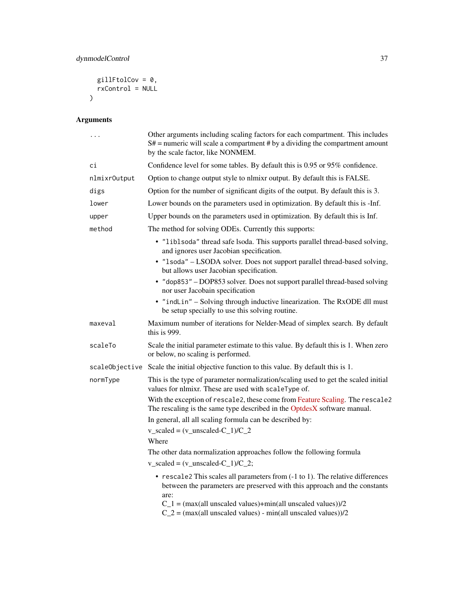```
gillFtolCov = 0,
   rxControl = NULL
\mathcal{L}
```
# Arguments

| $\cdots$     | Other arguments including scaling factors for each compartment. This includes<br>$S#$ = numeric will scale a compartment # by a dividing the compartment amount<br>by the scale factor, like NONMEM.                                                                                                    |
|--------------|---------------------------------------------------------------------------------------------------------------------------------------------------------------------------------------------------------------------------------------------------------------------------------------------------------|
| сi           | Confidence level for some tables. By default this is 0.95 or 95% confidence.                                                                                                                                                                                                                            |
| nlmixr0utput | Option to change output style to nlmixr output. By default this is FALSE.                                                                                                                                                                                                                               |
| digs         | Option for the number of significant digits of the output. By default this is 3.                                                                                                                                                                                                                        |
| lower        | Lower bounds on the parameters used in optimization. By default this is -Inf.                                                                                                                                                                                                                           |
| upper        | Upper bounds on the parameters used in optimization. By default this is Inf.                                                                                                                                                                                                                            |
| method       | The method for solving ODEs. Currently this supports:                                                                                                                                                                                                                                                   |
|              | • "liblsoda" thread safe lsoda. This supports parallel thread-based solving,<br>and ignores user Jacobian specification.                                                                                                                                                                                |
|              | · "1soda" - LSODA solver. Does not support parallel thread-based solving,<br>but allows user Jacobian specification.                                                                                                                                                                                    |
|              | • "dop853" - DOP853 solver. Does not support parallel thread-based solving<br>nor user Jacobain specification                                                                                                                                                                                           |
|              | • "indLin" - Solving through inductive linearization. The RxODE dll must<br>be setup specially to use this solving routine.                                                                                                                                                                             |
| maxeval      | Maximum number of iterations for Nelder-Mead of simplex search. By default<br>this is $999$ .                                                                                                                                                                                                           |
| scaleTo      | Scale the initial parameter estimate to this value. By default this is 1. When zero<br>or below, no scaling is performed.                                                                                                                                                                               |
|              | scaleObjective Scale the initial objective function to this value. By default this is 1.                                                                                                                                                                                                                |
| normType     | This is the type of parameter normalization/scaling used to get the scaled initial<br>values for nlmixr. These are used with scaleType of.                                                                                                                                                              |
|              | With the exception of rescale2, these come from Feature Scaling. The rescale2<br>The rescaling is the same type described in the OptdesX software manual.                                                                                                                                               |
|              | In general, all all scaling formula can be described by:                                                                                                                                                                                                                                                |
|              | $v$ _scaled = $(v$ _unscaled-C_1)/C_2                                                                                                                                                                                                                                                                   |
|              | Where                                                                                                                                                                                                                                                                                                   |
|              | The other data normalization approaches follow the following formula<br>$v$ _scaled = $(v$ _unscaled-C_1)/C_2;                                                                                                                                                                                          |
|              | • rescale2 This scales all parameters from (-1 to 1). The relative differences<br>between the parameters are preserved with this approach and the constants<br>are:<br>$C_1$ = (max(all unscaled values)+min(all unscaled values))/2<br>$C_2$ = (max(all unscaled values) - min(all unscaled values))/2 |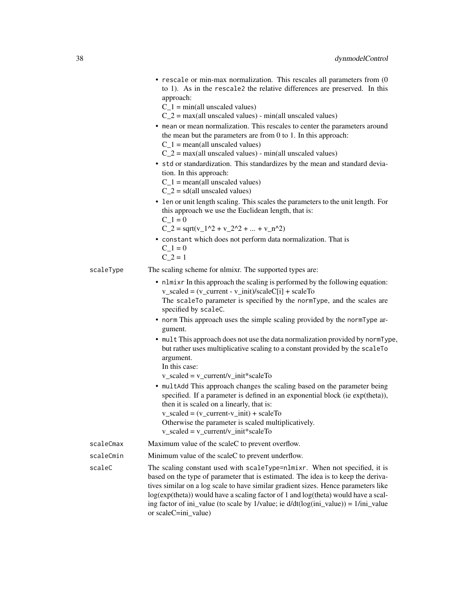- rescale or min-max normalization. This rescales all parameters from (0 to 1). As in the rescale2 the relative differences are preserved. In this approach:
	- $C_1$  = min(all unscaled values)
	- $C_2$  = max(all unscaled values) min(all unscaled values)
- mean or mean normalization. This rescales to center the parameters around the mean but the parameters are from 0 to 1. In this approach:  $C_1$  = mean(all unscaled values)
	- $C_2$  = max(all unscaled values) min(all unscaled values)
- std or standardization. This standardizes by the mean and standard deviation. In this approach:
	- $C_1$  = mean(all unscaled values)
	- $C_2$  = sd(all unscaled values)
- len or unit length scaling. This scales the parameters to the unit length. For this approach we use the Euclidean length, that is:
	- $C_1 = 0$
	- $C_2 = \sqrt{(v_1^2 + v_2^2 + ... + v_n^2)^2}$
- constant which does not perform data normalization. That is  $C_1 = 0$ 
	- $C_2 = 1$
- scaleType The scaling scheme for nlmixr. The supported types are:
	- nlmixr In this approach the scaling is performed by the following equation:  $v$ \_scaled =  $(v$ \_current -  $v$ \_init)/scaleC[i] + scaleTo The scaleTo parameter is specified by the normType, and the scales are specified by scaleC.
	- norm This approach uses the simple scaling provided by the normType argument.
	- mult This approach does not use the data normalization provided by normType, but rather uses multiplicative scaling to a constant provided by the scaleTo argument.
		- In this case:

 $v$ \_scaled =  $v$ \_current/ $v$ \_init\*scaleTo

- multAdd This approach changes the scaling based on the parameter being specified. If a parameter is defined in an exponential block (ie exp(theta)), then it is scaled on a linearly, that is: v\_scaled = (v\_current-v\_init) + scaleTo
- Otherwise the parameter is scaled multiplicatively.
- $v$ \_scaled =  $v$ \_current/ $v$ \_init\*scaleTo

| scaleCmax     | Maximum value of the scale to prevent overflow.                                                                                                                                     |
|---------------|-------------------------------------------------------------------------------------------------------------------------------------------------------------------------------------|
| scaleCmin     | Minimum value of the scaleC to prevent underflow.                                                                                                                                   |
| $- - - 1 - C$ | $\text{TH}_{\text{max}}$ and $\text{TH}_{\text{max}}$ are about the $\text{TH}_{\text{max}}$ and $\text{TH}_{\text{max}}$ and $\text{TH}_{\text{max}}$ and $\text{TH}_{\text{max}}$ |

scaleC The scaling constant used with scaleType=nlmixr. When not specified, it is based on the type of parameter that is estimated. The idea is to keep the derivatives similar on a log scale to have similar gradient sizes. Hence parameters like log(exp(theta)) would have a scaling factor of 1 and log(theta) would have a scaling factor of ini\_value (to scale by 1/value; ie d/dt(log(ini\_value)) = 1/ini\_value or scaleC=ini\_value)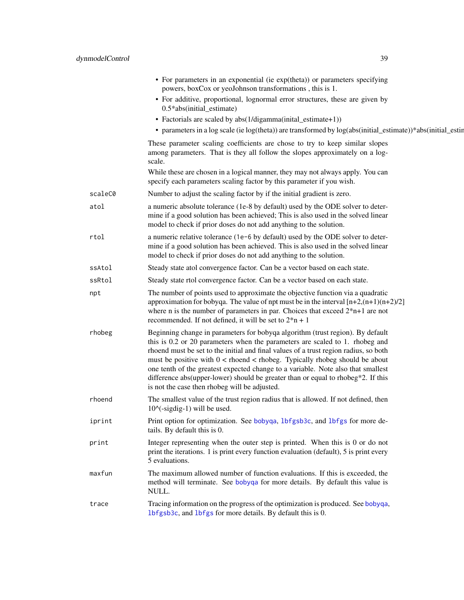|         | • For parameters in an exponential (ie exp(theta)) or parameters specifying<br>powers, boxCox or yeoJohnson transformations, this is 1.                                                                                                                                                                                                                                                                                                                                                                                                                            |
|---------|--------------------------------------------------------------------------------------------------------------------------------------------------------------------------------------------------------------------------------------------------------------------------------------------------------------------------------------------------------------------------------------------------------------------------------------------------------------------------------------------------------------------------------------------------------------------|
|         | • For additive, proportional, lognormal error structures, these are given by<br>0.5*abs(initial_estimate)                                                                                                                                                                                                                                                                                                                                                                                                                                                          |
|         | • Factorials are scaled by abs(1/digamma(inital_estimate+1))                                                                                                                                                                                                                                                                                                                                                                                                                                                                                                       |
|         | • parameters in a log scale (ie log(theta)) are transformed by log(abs(initial_estimate))*abs(initial_estin                                                                                                                                                                                                                                                                                                                                                                                                                                                        |
|         | These parameter scaling coefficients are chose to try to keep similar slopes<br>among parameters. That is they all follow the slopes approximately on a log-<br>scale.                                                                                                                                                                                                                                                                                                                                                                                             |
|         | While these are chosen in a logical manner, they may not always apply. You can<br>specify each parameters scaling factor by this parameter if you wish.                                                                                                                                                                                                                                                                                                                                                                                                            |
| scaleC0 | Number to adjust the scaling factor by if the initial gradient is zero.                                                                                                                                                                                                                                                                                                                                                                                                                                                                                            |
| atol    | a numeric absolute tolerance (1e-8 by default) used by the ODE solver to deter-<br>mine if a good solution has been achieved; This is also used in the solved linear<br>model to check if prior doses do not add anything to the solution.                                                                                                                                                                                                                                                                                                                         |
| rtol    | a numeric relative tolerance (1e-6 by default) used by the ODE solver to deter-<br>mine if a good solution has been achieved. This is also used in the solved linear<br>model to check if prior doses do not add anything to the solution.                                                                                                                                                                                                                                                                                                                         |
| ssAtol  | Steady state atol convergence factor. Can be a vector based on each state.                                                                                                                                                                                                                                                                                                                                                                                                                                                                                         |
| ssRtol  | Steady state rtol convergence factor. Can be a vector based on each state.                                                                                                                                                                                                                                                                                                                                                                                                                                                                                         |
| npt     | The number of points used to approximate the objective function via a quadratic<br>approximation for bobyqa. The value of npt must be in the interval $[n+2,(n+1)(n+2)/2]$<br>where n is the number of parameters in par. Choices that exceed $2*n+1$ are not<br>recommended. If not defined, it will be set to $2*n + 1$                                                                                                                                                                                                                                          |
| rhobeg  | Beginning change in parameters for bobyqa algorithm (trust region). By default<br>this is 0.2 or 20 parameters when the parameters are scaled to 1. rhobeg and<br>rhoend must be set to the initial and final values of a trust region radius, so both<br>must be positive with $0 <$ rhoend $<$ rhobeg. Typically rhobeg should be about<br>one tenth of the greatest expected change to a variable. Note also that smallest<br>difference abs(upper-lower) should be greater than or equal to rhobeg*2. If this<br>is not the case then rhobeg will be adjusted. |
| rhoend  | The smallest value of the trust region radius that is allowed. If not defined, then<br>$10^{\circ}$ (-sigdig-1) will be used.                                                                                                                                                                                                                                                                                                                                                                                                                                      |
| iprint  | Print option for optimization. See bobyqa, 1bfgsb3c, and 1bfgs for more de-<br>tails. By default this is 0.                                                                                                                                                                                                                                                                                                                                                                                                                                                        |
| print   | Integer representing when the outer step is printed. When this is 0 or do not<br>print the iterations. 1 is print every function evaluation (default), 5 is print every<br>5 evaluations.                                                                                                                                                                                                                                                                                                                                                                          |
| maxfun  | The maximum allowed number of function evaluations. If this is exceeded, the<br>method will terminate. See bobyqa for more details. By default this value is<br>NULL.                                                                                                                                                                                                                                                                                                                                                                                              |
| trace   | Tracing information on the progress of the optimization is produced. See bobyqa,<br>lbfgsb3c, and lbfgs for more details. By default this is 0.                                                                                                                                                                                                                                                                                                                                                                                                                    |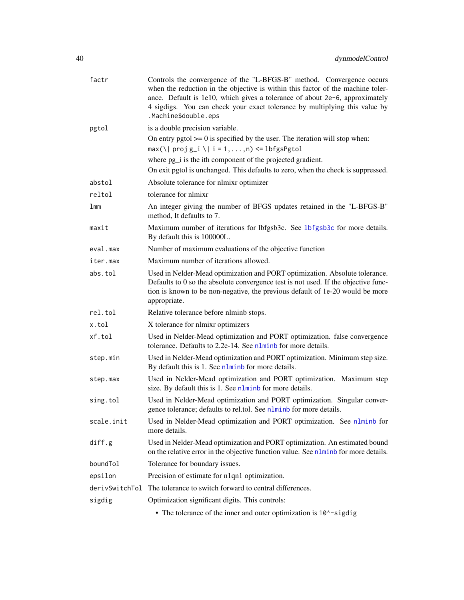| factr           | Controls the convergence of the "L-BFGS-B" method. Convergence occurs<br>when the reduction in the objective is within this factor of the machine toler-<br>ance. Default is 1e10, which gives a tolerance of about 2e-6, approximately<br>4 sigdigs. You can check your exact tolerance by multiplying this value by<br>.Machine\$double.eps |
|-----------------|-----------------------------------------------------------------------------------------------------------------------------------------------------------------------------------------------------------------------------------------------------------------------------------------------------------------------------------------------|
| pgtol           | is a double precision variable.                                                                                                                                                                                                                                                                                                               |
|                 | On entry pgtol $\geq 0$ is specified by the user. The iteration will stop when:                                                                                                                                                                                                                                                               |
|                 | $max(\lceil \text{proj } g_i \rceil \rceil   i = 1, , n) \leq \lfloor \frac{\text{obj}}{2} \rfloor$                                                                                                                                                                                                                                           |
|                 | where pg_i is the ith component of the projected gradient.                                                                                                                                                                                                                                                                                    |
|                 | On exit pgtol is unchanged. This defaults to zero, when the check is suppressed.                                                                                                                                                                                                                                                              |
| abstol          | Absolute tolerance for nlmixr optimizer                                                                                                                                                                                                                                                                                                       |
| reltol          | tolerance for nlmixr                                                                                                                                                                                                                                                                                                                          |
| 1 <sub>mm</sub> | An integer giving the number of BFGS updates retained in the "L-BFGS-B"<br>method, It defaults to 7.                                                                                                                                                                                                                                          |
| maxit           | Maximum number of iterations for lbfgsb3c. See 1bfgsb3c for more details.<br>By default this is 100000L.                                                                                                                                                                                                                                      |
| eval.max        | Number of maximum evaluations of the objective function                                                                                                                                                                                                                                                                                       |
| iter.max        | Maximum number of iterations allowed.                                                                                                                                                                                                                                                                                                         |
| abs.tol         | Used in Nelder-Mead optimization and PORT optimization. Absolute tolerance.<br>Defaults to 0 so the absolute convergence test is not used. If the objective func-<br>tion is known to be non-negative, the previous default of 1e-20 would be more<br>appropriate.                                                                            |
| rel.tol         | Relative tolerance before nlminb stops.                                                                                                                                                                                                                                                                                                       |
| x.tol           | X tolerance for nlmixr optimizers                                                                                                                                                                                                                                                                                                             |
| xf.tol          | Used in Nelder-Mead optimization and PORT optimization. false convergence<br>tolerance. Defaults to 2.2e-14. See nlminb for more details.                                                                                                                                                                                                     |
| step.min        | Used in Nelder-Mead optimization and PORT optimization. Minimum step size.<br>By default this is 1. See nlminb for more details.                                                                                                                                                                                                              |
| step.max        | Used in Nelder-Mead optimization and PORT optimization. Maximum step<br>size. By default this is 1. See nlminb for more details.                                                                                                                                                                                                              |
| sing.tol        | Used in Nelder-Mead optimization and PORT optimization. Singular conver-<br>gence tolerance; defaults to rel.tol. See nlminb for more details.                                                                                                                                                                                                |
| scale.init      | Used in Nelder-Mead optimization and PORT optimization. See nlminb for<br>more details.                                                                                                                                                                                                                                                       |
| diff.g          | Used in Nelder-Mead optimization and PORT optimization. An estimated bound<br>on the relative error in the objective function value. See nlminb for more details.                                                                                                                                                                             |
| boundTol        | Tolerance for boundary issues.                                                                                                                                                                                                                                                                                                                |
| epsilon         | Precision of estimate for n1qn1 optimization.                                                                                                                                                                                                                                                                                                 |
| derivSwitchTol  | The tolerance to switch forward to central differences.                                                                                                                                                                                                                                                                                       |
| sigdig          | Optimization significant digits. This controls:                                                                                                                                                                                                                                                                                               |
|                 | • The tolerance of the inner and outer optimization is 10 <sup><math>\sim</math></sup> -sigdig                                                                                                                                                                                                                                                |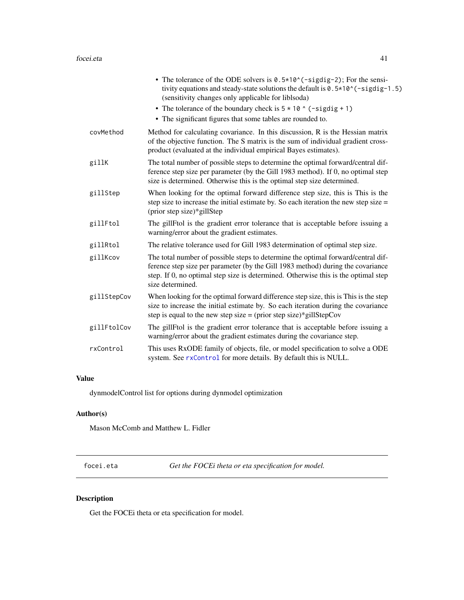|             | • The tolerance of the ODE solvers is $0.5*10^(-{\rm sigdig-2})$ ; For the sensi-<br>tivity equations and steady-state solutions the default is 0.5 * 10 ^ (-sigdig-1.5)<br>(sensitivity changes only applicable for liblsoda)<br>• The tolerance of the boundary check is $5 \times 10$ $\circ$ (-sigdig + 1)<br>• The significant figures that some tables are rounded to. |
|-------------|------------------------------------------------------------------------------------------------------------------------------------------------------------------------------------------------------------------------------------------------------------------------------------------------------------------------------------------------------------------------------|
| covMethod   | Method for calculating covariance. In this discussion, R is the Hessian matrix<br>of the objective function. The S matrix is the sum of individual gradient cross-<br>product (evaluated at the individual empirical Bayes estimates).                                                                                                                                       |
| gillK       | The total number of possible steps to determine the optimal forward/central dif-<br>ference step size per parameter (by the Gill 1983 method). If 0, no optimal step<br>size is determined. Otherwise this is the optimal step size determined.                                                                                                                              |
| gillStep    | When looking for the optimal forward difference step size, this is This is the<br>step size to increase the initial estimate by. So each iteration the new step size $=$<br>(prior step size)*gillStep                                                                                                                                                                       |
| gillFtol    | The gillFtol is the gradient error tolerance that is acceptable before issuing a<br>warning/error about the gradient estimates.                                                                                                                                                                                                                                              |
| gillRtol    | The relative tolerance used for Gill 1983 determination of optimal step size.                                                                                                                                                                                                                                                                                                |
| gillKcov    | The total number of possible steps to determine the optimal forward/central dif-<br>ference step size per parameter (by the Gill 1983 method) during the covariance<br>step. If 0, no optimal step size is determined. Otherwise this is the optimal step<br>size determined.                                                                                                |
| gillStepCov | When looking for the optimal forward difference step size, this is This is the step<br>size to increase the initial estimate by. So each iteration during the covariance<br>step is equal to the new step size = $(prior step size)*gillStepCov$                                                                                                                             |
| gillFtolCov | The gillFtol is the gradient error tolerance that is acceptable before issuing a<br>warning/error about the gradient estimates during the covariance step.                                                                                                                                                                                                                   |
| rxControl   | This uses RxODE family of objects, file, or model specification to solve a ODE<br>system. See rxControl for more details. By default this is NULL.                                                                                                                                                                                                                           |

# Value

dynmodelControl list for options during dynmodel optimization

# Author(s)

Mason McComb and Matthew L. Fidler

focei.eta *Get the FOCEi theta or eta specification for model.*

# Description

Get the FOCEi theta or eta specification for model.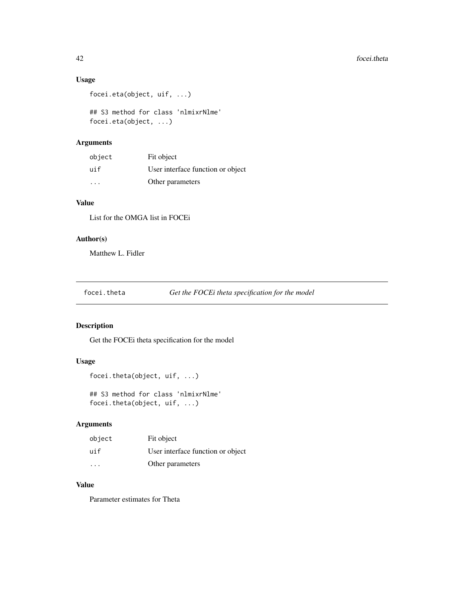# Usage

```
focei.eta(object, uif, ...)
```
## S3 method for class 'nlmixrNlme' focei.eta(object, ...)

# Arguments

| object | Fit object                        |
|--------|-----------------------------------|
| uif    | User interface function or object |
| .      | Other parameters                  |

# Value

List for the OMGA list in FOCEi

# Author(s)

Matthew L. Fidler

focei.theta *Get the FOCEi theta specification for the model*

# Description

Get the FOCEi theta specification for the model

# Usage

```
focei.theta(object, uif, ...)
```
## S3 method for class 'nlmixrNlme' focei.theta(object, uif, ...)

# Arguments

| object                  | Fit object                        |
|-------------------------|-----------------------------------|
| uif                     | User interface function or object |
| $\cdot$ $\cdot$ $\cdot$ | Other parameters                  |

# Value

Parameter estimates for Theta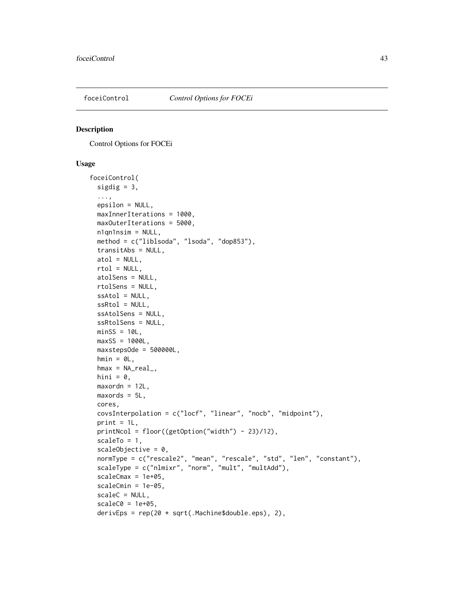<span id="page-42-0"></span>

## Description

Control Options for FOCEi

## Usage

```
foceiControl(
  sigdig = 3,
  ...,
 epsilon = NULL,
 maxInnerIterations = 1000,
 maxOuterIterations = 5000,
 n1qn1nsim = NULL,
 method = c("liblsoda", "lsoda", "dop853"),
  transitAbs = NULL,
  atol = NULL,
  rtol = NULL,atolSens = NULL,
  rtolSens = NULL,
  ssAtol = NULL,
 ssRtol = NULL,
 ssAtolSens = NULL,
  ssRtolSens = NULL,
 minsS = 10L,maxSS = 1000L,maxstepsOde = 500000L,
 hmin = 0L,
  hmax = NA<sub>real</sub>,
 hini = \theta,
 maxordn = 12L,
 maxords = 5L,
 cores,
  covsInterpolation = c("locf", "linear", "nocb", "midpoint"),
 print = 1L,
 printNcol = floor((getOption("width") - 23)/12),
  scaleTo = 1,
  scaleObjective = 0,
  normType = c("rescale2", "mean", "rescale", "std", "len", "constant"),
  scaleType = c("nlmixr", "norm", "mult", "multAdd"),
  scaleCmax = 1e+05,
  scaleCmin = 1e-05,
  scaleC = NULL,
  scaleC0 = 1e+05,
 derivEps = rep(20 * sqrt(.Machine$double.eps), 2),
```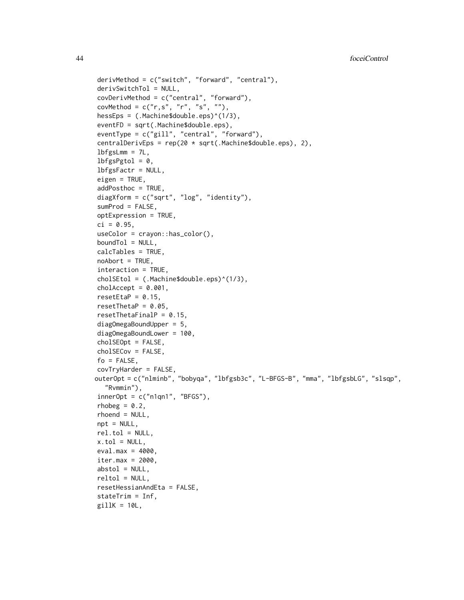```
derivMethod = c("switch", "forward", "central"),
derivSwitchTol = NULL,
covDerivMethod = c("central", "forward"),
covMethod = c("r,s", "r", "s", ""),
hessEps = (.Machine$double.eps)^(1/3),
eventFD = sqrt(.Machine$double.eps),
eventType = c("gill", "central", "forward"),
centralDerivEps = rep(20 * sqrt(.Machine$double.eps), 2),
lbfgslmm = 7L,
lbfgsPgtol = 0,
lbfgsFactr = NULL,
eigen = TRUE,
addPosthoc = TRUE,
diagXform = c("sqrt", "log", "identity"),
sumProd = FALSE,
optExpression = TRUE,
ci = 0.95,useColor = crayon::has_color(),
boundTol = NULL,
calcTables = TRUE,
noAbort = TRUE,interaction = TRUE,
cholSEtol = (.Machine$double.eps)^(1/3),
cholAccept = 0.001,
resetEtaP = 0.15,
resetThetaP = 0.05,
resetThetaFinalP = 0.15,
diagOmegaBoundUpper = 5,
diagOmegaBoundLower = 100,
cholSEOpt = FALSE,cholSECov = FALSE,
fo = FALSE,covTryHarder = FALSE,
outerOpt = c("nlminb", "bobyqa", "lbfgsb3c", "L-BFGS-B", "mma", "lbfgsbLG", "slsqp",
  "Rvmmin"),
innerOpt = c("n1qn1", "BFGS"),rhobeg = 0.2,
rhoend = NULL,
npt = NULL,rel.tol = NULL,x.tol = NULL,eval.max = 4000,
iter.max = 2000,abstol = NULL,reltol = NULL,resetHessianAndEta = FALSE,
stateTrim = Inf,
gillK = 10L,
```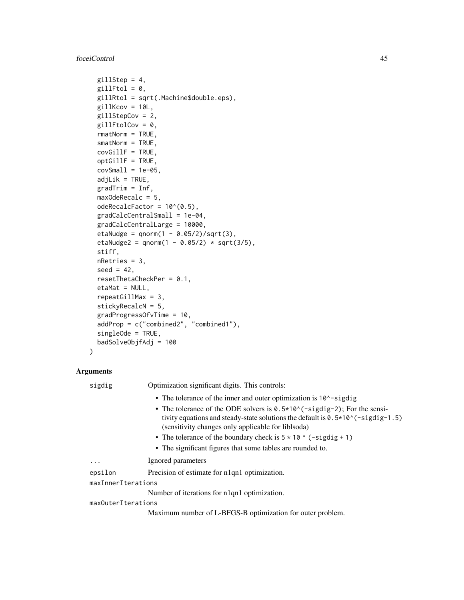## foceiControl 45

```
gillStep = 4,
gillFtol = 0,
gillRtol = sqrt(.Machine$double.eps),
gillKcov = 10L,
gillStepCov = 2,
gillFtolCov = 0,rmatNorm = TRUE,
smatNorm = TRUE,
covGillF = TRUE,
optGillF = TRUE,
covSmall = 1e-05,
adjList = TRUE,gradient = Inf,maxOdeRecalc = 5,
odeRecalcFactor = 10^{\circ}(0.5),
gradCalcCentralSmall = 1e-04,
gradCalcCentralLarge = 10000,
etaNudge = qnorm(1 - 0.05/2)/sqrt(3),
etaNudge2 = qnorm(1 - 0.05/2) * sqrt(3/5),
stiff,
nRetries = 3,
seed = 42,
resetThetaCheckPer = 0.1,
etaMat = NULL,repeatedillMax = 3,
stickyRecalcN = 5,
gradProgressOfvTime = 10,
addProp = c("combined2", "combined1"),
singleOde = TRUE,
badSolveObjfAdj = 100
```

```
)
```
# Arguments

sigdig Optimization significant digits. This controls: • The tolerance of the inner and outer optimization is 10^-sigdig • The tolerance of the ODE solvers is  $0.5*10^{\circ}$  (-sigdig-2); For the sensitivity equations and steady-state solutions the default is  $0.5*10^(-signal)$ .5) (sensitivity changes only applicable for liblsoda) • The tolerance of the boundary check is  $5 \times 10$   $\degree$  (-sigdig + 1) • The significant figures that some tables are rounded to. ... Ignored parameters epsilon Precision of estimate for n1qn1 optimization. maxInnerIterations Number of iterations for n1qn1 optimization. maxOuterIterations

Maximum number of L-BFGS-B optimization for outer problem.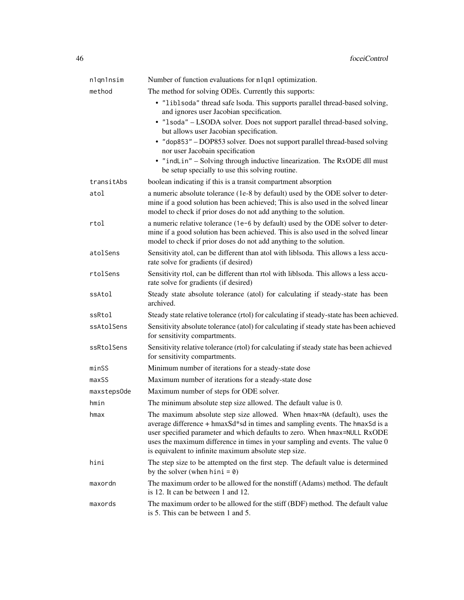| n1qn1nsim   | Number of function evaluations for n1qn1 optimization.                                                                                                                                                                                                                                                                                                                          |
|-------------|---------------------------------------------------------------------------------------------------------------------------------------------------------------------------------------------------------------------------------------------------------------------------------------------------------------------------------------------------------------------------------|
| method      | The method for solving ODEs. Currently this supports:                                                                                                                                                                                                                                                                                                                           |
|             | • "liblsoda" thread safe lsoda. This supports parallel thread-based solving,<br>and ignores user Jacobian specification.                                                                                                                                                                                                                                                        |
|             | · "1soda" - LSODA solver. Does not support parallel thread-based solving,<br>but allows user Jacobian specification.                                                                                                                                                                                                                                                            |
|             | • "dop853" - DOP853 solver. Does not support parallel thread-based solving<br>nor user Jacobain specification                                                                                                                                                                                                                                                                   |
|             | • "indLin" – Solving through inductive linearization. The RxODE dll must<br>be setup specially to use this solving routine.                                                                                                                                                                                                                                                     |
| transitAbs  | boolean indicating if this is a transit compartment absorption                                                                                                                                                                                                                                                                                                                  |
| atol        | a numeric absolute tolerance (1e-8 by default) used by the ODE solver to deter-<br>mine if a good solution has been achieved; This is also used in the solved linear<br>model to check if prior doses do not add anything to the solution.                                                                                                                                      |
| rtol        | a numeric relative tolerance (1e-6 by default) used by the ODE solver to deter-<br>mine if a good solution has been achieved. This is also used in the solved linear<br>model to check if prior doses do not add anything to the solution.                                                                                                                                      |
| atolSens    | Sensitivity atol, can be different than atol with liblsoda. This allows a less accu-<br>rate solve for gradients (if desired)                                                                                                                                                                                                                                                   |
| rtolSens    | Sensitivity rtol, can be different than rtol with liblsoda. This allows a less accu-<br>rate solve for gradients (if desired)                                                                                                                                                                                                                                                   |
| ssAtol      | Steady state absolute tolerance (atol) for calculating if steady-state has been<br>archived.                                                                                                                                                                                                                                                                                    |
| ssRtol      | Steady state relative tolerance (rtol) for calculating if steady-state has been achieved.                                                                                                                                                                                                                                                                                       |
| ssAtolSens  | Sensitivity absolute tolerance (atol) for calculating if steady state has been achieved<br>for sensitivity compartments.                                                                                                                                                                                                                                                        |
| ssRtolSens  | Sensitivity relative tolerance (rtol) for calculating if steady state has been achieved<br>for sensitivity compartments.                                                                                                                                                                                                                                                        |
| minSS       | Minimum number of iterations for a steady-state dose                                                                                                                                                                                                                                                                                                                            |
| maxSS       | Maximum number of iterations for a steady-state dose                                                                                                                                                                                                                                                                                                                            |
| maxsteps0de | Maximum number of steps for ODE solver.                                                                                                                                                                                                                                                                                                                                         |
| hmin        | The minimum absolute step size allowed. The default value is 0.                                                                                                                                                                                                                                                                                                                 |
| hmax        | The maximum absolute step size allowed. When hmax=NA (default), uses the<br>average difference + hmaxSd*sd in times and sampling events. The hmaxSd is a<br>user specified parameter and which defaults to zero. When hmax=NULL RxODE<br>uses the maximum difference in times in your sampling and events. The value 0<br>is equivalent to infinite maximum absolute step size. |
| hini        | The step size to be attempted on the first step. The default value is determined<br>by the solver (when hini $= 0$ )                                                                                                                                                                                                                                                            |
| maxordn     | The maximum order to be allowed for the nonstiff (Adams) method. The default<br>is 12. It can be between 1 and 12.                                                                                                                                                                                                                                                              |
| maxords     | The maximum order to be allowed for the stiff (BDF) method. The default value<br>is 5. This can be between 1 and 5.                                                                                                                                                                                                                                                             |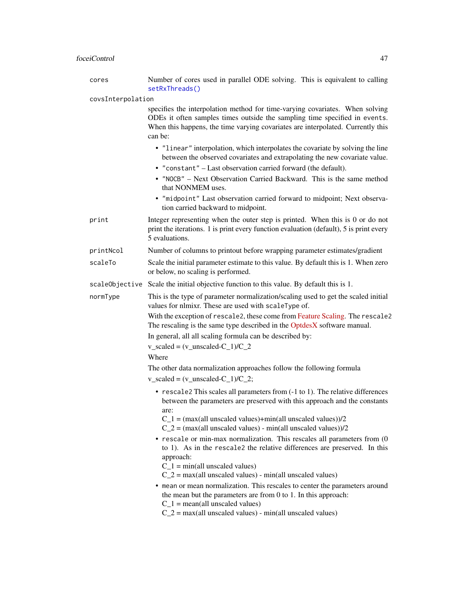# foceiControl 47

| cores             | Number of cores used in parallel ODE solving. This is equivalent to calling<br>setRxThreads()                                                                                                                                                                                                                                                                                                                                                  |  |
|-------------------|------------------------------------------------------------------------------------------------------------------------------------------------------------------------------------------------------------------------------------------------------------------------------------------------------------------------------------------------------------------------------------------------------------------------------------------------|--|
| covsInterpolation |                                                                                                                                                                                                                                                                                                                                                                                                                                                |  |
|                   | specifies the interpolation method for time-varying covariates. When solving<br>ODEs it often samples times outside the sampling time specified in events.<br>When this happens, the time varying covariates are interpolated. Currently this<br>can be:                                                                                                                                                                                       |  |
|                   | • "linear" interpolation, which interpolates the covariate by solving the line<br>between the observed covariates and extrapolating the new covariate value.<br>• "constant" - Last observation carried forward (the default).<br>• "NOCB" - Next Observation Carried Backward. This is the same method<br>that NONMEM uses.<br>· "midpoint" Last observation carried forward to midpoint; Next observa-<br>tion carried backward to midpoint. |  |
| print             | Integer representing when the outer step is printed. When this is 0 or do not<br>print the iterations. 1 is print every function evaluation (default), 5 is print every<br>5 evaluations.                                                                                                                                                                                                                                                      |  |
| printNcol         | Number of columns to printout before wrapping parameter estimates/gradient                                                                                                                                                                                                                                                                                                                                                                     |  |
| scaleTo           | Scale the initial parameter estimate to this value. By default this is 1. When zero<br>or below, no scaling is performed.                                                                                                                                                                                                                                                                                                                      |  |
|                   | scaleObjective Scale the initial objective function to this value. By default this is 1.                                                                                                                                                                                                                                                                                                                                                       |  |
| normType          | This is the type of parameter normalization/scaling used to get the scaled initial<br>values for nlmixr. These are used with scaleType of.                                                                                                                                                                                                                                                                                                     |  |
|                   | With the exception of rescale2, these come from Feature Scaling. The rescale2<br>The rescaling is the same type described in the OptdesX software manual.<br>In general, all all scaling formula can be described by:                                                                                                                                                                                                                          |  |
|                   | $v$ _scaled = $(v$ _unscaled-C_1)/C_2<br>Where                                                                                                                                                                                                                                                                                                                                                                                                 |  |
|                   | The other data normalization approaches follow the following formula                                                                                                                                                                                                                                                                                                                                                                           |  |
|                   | $v$ _scaled = $(v$ _unscaled-C_1)/C_2;                                                                                                                                                                                                                                                                                                                                                                                                         |  |
|                   | • rescale2 This scales all parameters from (-1 to 1). The relative differences<br>between the parameters are preserved with this approach and the constants<br>are:                                                                                                                                                                                                                                                                            |  |
|                   | $C_1$ = (max(all unscaled values)+min(all unscaled values))/2<br>$C_2$ = (max(all unscaled values) - min(all unscaled values))/2<br>• rescale or min-max normalization. This rescales all parameters from (0)                                                                                                                                                                                                                                  |  |
|                   | to 1). As in the rescale2 the relative differences are preserved. In this<br>approach:<br>$C_1$ = min(all unscaled values)<br>$C_2$ = max(all unscaled values) - min(all unscaled values)                                                                                                                                                                                                                                                      |  |
|                   | • mean or mean normalization. This rescales to center the parameters around<br>the mean but the parameters are from $0$ to $1$ . In this approach:<br>$C_1$ = mean(all unscaled values)                                                                                                                                                                                                                                                        |  |
|                   | $C_2$ = max(all unscaled values) - min(all unscaled values)                                                                                                                                                                                                                                                                                                                                                                                    |  |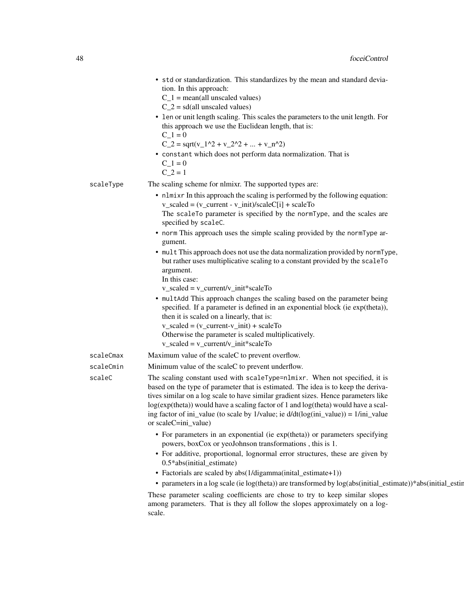|           | • std or standardization. This standardizes by the mean and standard devia-<br>tion. In this approach:<br>$C_1$ = mean(all unscaled values)<br>$C_2$ = sd(all unscaled values)<br>• len or unit length scaling. This scales the parameters to the unit length. For<br>this approach we use the Euclidean length, that is:<br>$C_1 = 0$<br>$C_2 = \sqrt{(v_1^2 + v_2^2 + \dots + v_n^2)^2}$<br>• constant which does not perform data normalization. That is<br>$C_1 = 0$<br>$C_2 = 1$                                                                                                                                                                                                                                                                                                                                                                                                                                                                 |
|-----------|-------------------------------------------------------------------------------------------------------------------------------------------------------------------------------------------------------------------------------------------------------------------------------------------------------------------------------------------------------------------------------------------------------------------------------------------------------------------------------------------------------------------------------------------------------------------------------------------------------------------------------------------------------------------------------------------------------------------------------------------------------------------------------------------------------------------------------------------------------------------------------------------------------------------------------------------------------|
| scaleType | The scaling scheme for nlmixr. The supported types are:                                                                                                                                                                                                                                                                                                                                                                                                                                                                                                                                                                                                                                                                                                                                                                                                                                                                                               |
|           | • nlmixr In this approach the scaling is performed by the following equation:<br>$v_scaled = (v_current - v_iinit)/scaleC[i] + scaleTo$<br>The scaleTo parameter is specified by the normType, and the scales are<br>specified by scaleC.<br>• norm This approach uses the simple scaling provided by the normType ar-<br>gument.<br>• mult This approach does not use the data normalization provided by normType,<br>but rather uses multiplicative scaling to a constant provided by the scaleTo<br>argument.<br>In this case:<br>$v$ _scaled = $v$ _current/v_init*scaleTo<br>• multAdd This approach changes the scaling based on the parameter being<br>specified. If a parameter is defined in an exponential block (ie exp(theta)),<br>then it is scaled on a linearly, that is:<br>$v$ _scaled = $(v$ _current- $v$ _init) + scaleTo<br>Otherwise the parameter is scaled multiplicatively.<br>$v$ _scaled = $v$ _current/ $v$ _init*scaleTo |
| scaleCmax | Maximum value of the scaleC to prevent overflow.                                                                                                                                                                                                                                                                                                                                                                                                                                                                                                                                                                                                                                                                                                                                                                                                                                                                                                      |
| scaleCmin | Minimum value of the scaleC to prevent underflow.                                                                                                                                                                                                                                                                                                                                                                                                                                                                                                                                                                                                                                                                                                                                                                                                                                                                                                     |
| scaleC    | The scaling constant used with scaleType=nlmixr. When not specified, it is<br>based on the type of parameter that is estimated. The idea is to keep the deriva-<br>tives similar on a log scale to have similar gradient sizes. Hence parameters like<br>log(exp(theta)) would have a scaling factor of 1 and log(theta) would have a scal-<br>ing factor of ini_value (to scale by 1/value; ie $d/dt(log(ini_value)) = 1/ini_value$<br>or scaleC=ini_value)                                                                                                                                                                                                                                                                                                                                                                                                                                                                                          |
|           | • For parameters in an exponential (ie exp(theta)) or parameters specifying<br>powers, boxCox or yeoJohnson transformations, this is 1.<br>• For additive, proportional, lognormal error structures, these are given by<br>0.5*abs(initial_estimate)<br>• Factorials are scaled by abs(1/digamma(inital_estimate+1))<br>• parameters in a log scale (ie log(theta)) are transformed by log(abs(initial_estimate))*abs(initial_estin<br>These parameter scaling coefficients are chose to try to keep similar slopes                                                                                                                                                                                                                                                                                                                                                                                                                                   |
|           | among parameters. That is they all follow the slopes approximately on a log-<br>scale.                                                                                                                                                                                                                                                                                                                                                                                                                                                                                                                                                                                                                                                                                                                                                                                                                                                                |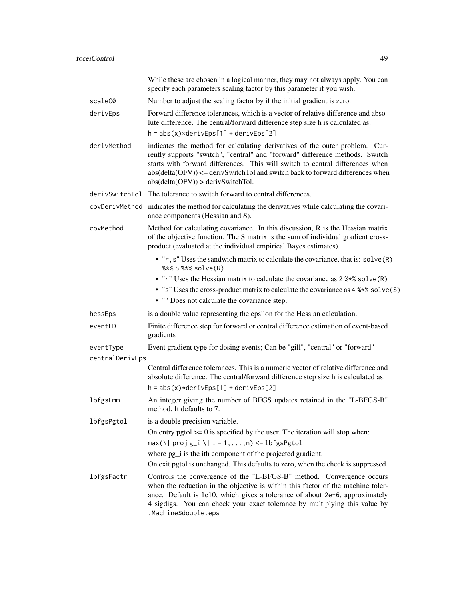|                              | While these are chosen in a logical manner, they may not always apply. You can<br>specify each parameters scaling factor by this parameter if you wish.                                                                                                                                                                                                                |
|------------------------------|------------------------------------------------------------------------------------------------------------------------------------------------------------------------------------------------------------------------------------------------------------------------------------------------------------------------------------------------------------------------|
| scaleC0                      | Number to adjust the scaling factor by if the initial gradient is zero.                                                                                                                                                                                                                                                                                                |
| derivEps                     | Forward difference tolerances, which is a vector of relative difference and abso-<br>lute difference. The central/forward difference step size h is calculated as:<br>$h = abs(x)*derivEps[1] + derivEps[2]$                                                                                                                                                           |
| derivMethod                  | indicates the method for calculating derivatives of the outer problem. Cur-<br>rently supports "switch", "central" and "forward" difference methods. Switch<br>starts with forward differences. This will switch to central differences when<br>$abs(detta(OFV)) \leq -derivSwitchTo$ and switch back to forward differences when<br>abs(detta(OFV)) > derivSwitchTol. |
| derivSwitchTol               | The tolerance to switch forward to central differences.                                                                                                                                                                                                                                                                                                                |
|                              | covDerivMethod indicates the method for calculating the derivatives while calculating the covari-<br>ance components (Hessian and S).                                                                                                                                                                                                                                  |
| covMethod                    | Method for calculating covariance. In this discussion, R is the Hessian matrix<br>of the objective function. The S matrix is the sum of individual gradient cross-<br>product (evaluated at the individual empirical Bayes estimates).                                                                                                                                 |
|                              | • "r, s" Uses the sandwich matrix to calculate the covariance, that is: solve (R)<br>%*% S %*% solve(R)                                                                                                                                                                                                                                                                |
|                              | • "r" Uses the Hessian matrix to calculate the covariance as 2 %*% solve (R)<br>• "s" Uses the cross-product matrix to calculate the covariance as 4 %*% solve (S)<br>• "" Does not calculate the covariance step.                                                                                                                                                     |
| hessEps                      | is a double value representing the epsilon for the Hessian calculation.                                                                                                                                                                                                                                                                                                |
| eventFD                      | Finite difference step for forward or central difference estimation of event-based<br>gradients                                                                                                                                                                                                                                                                        |
| eventType<br>centralDerivEps | Event gradient type for dosing events; Can be "gill", "central" or "forward"                                                                                                                                                                                                                                                                                           |
|                              | Central difference tolerances. This is a numeric vector of relative difference and<br>absolute difference. The central/forward difference step size h is calculated as:<br>$h = abs(x)*derivEps[1] + derivEps[2]$                                                                                                                                                      |
| lbfgsLmm                     | An integer giving the number of BFGS updates retained in the "L-BFGS-B"<br>method, It defaults to 7.                                                                                                                                                                                                                                                                   |
| lbfgsPgtol                   | is a double precision variable.                                                                                                                                                                                                                                                                                                                                        |
|                              | On entry pgtol $\geq 0$ is specified by the user. The iteration will stop when:                                                                                                                                                                                                                                                                                        |
|                              | $max(\lceil \text{proj } g_i \rceil \lceil i = 1, , n \rceil \leq \lfloor \text{hfgsPgtol} \rfloor$                                                                                                                                                                                                                                                                    |
|                              | where pg_i is the ith component of the projected gradient.                                                                                                                                                                                                                                                                                                             |
|                              | On exit pgtol is unchanged. This defaults to zero, when the check is suppressed.                                                                                                                                                                                                                                                                                       |
| lbfgsFactr                   | Controls the convergence of the "L-BFGS-B" method. Convergence occurs<br>when the reduction in the objective is within this factor of the machine toler-<br>ance. Default is 1e10, which gives a tolerance of about 2e-6, approximately<br>4 sigdigs. You can check your exact tolerance by multiplying this value by<br>.Machine\$double.eps                          |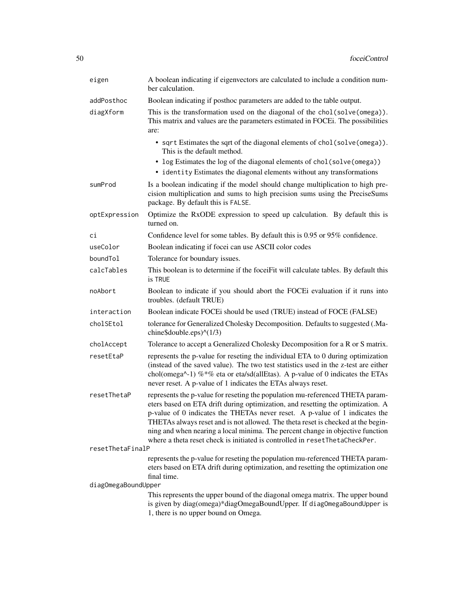| eigen               | A boolean indicating if eigenvectors are calculated to include a condition num-<br>ber calculation.                                                                                                                                                                                                                                                                                                                                                                                                  |
|---------------------|------------------------------------------------------------------------------------------------------------------------------------------------------------------------------------------------------------------------------------------------------------------------------------------------------------------------------------------------------------------------------------------------------------------------------------------------------------------------------------------------------|
| addPosthoc          | Boolean indicating if posthoc parameters are added to the table output.                                                                                                                                                                                                                                                                                                                                                                                                                              |
| diagXform           | This is the transformation used on the diagonal of the chol(solve(omega)).<br>This matrix and values are the parameters estimated in FOCEi. The possibilities<br>are:                                                                                                                                                                                                                                                                                                                                |
|                     | • sqrt Estimates the sqrt of the diagonal elements of chol(solve(omega)).<br>This is the default method.                                                                                                                                                                                                                                                                                                                                                                                             |
|                     | • log Estimates the log of the diagonal elements of chol(solve(omega))<br>• identity Estimates the diagonal elements without any transformations                                                                                                                                                                                                                                                                                                                                                     |
| sumProd             | Is a boolean indicating if the model should change multiplication to high pre-<br>cision multiplication and sums to high precision sums using the PreciseSums<br>package. By default this is FALSE.                                                                                                                                                                                                                                                                                                  |
| optExpression       | Optimize the RxODE expression to speed up calculation. By default this is<br>turned on.                                                                                                                                                                                                                                                                                                                                                                                                              |
| сi                  | Confidence level for some tables. By default this is 0.95 or 95% confidence.                                                                                                                                                                                                                                                                                                                                                                                                                         |
| useColor            | Boolean indicating if focei can use ASCII color codes                                                                                                                                                                                                                                                                                                                                                                                                                                                |
| boundTol            | Tolerance for boundary issues.                                                                                                                                                                                                                                                                                                                                                                                                                                                                       |
| calcTables          | This boolean is to determine if the foceiFit will calculate tables. By default this<br>is TRUE                                                                                                                                                                                                                                                                                                                                                                                                       |
| noAbort             | Boolean to indicate if you should abort the FOCEi evaluation if it runs into<br>troubles. (default TRUE)                                                                                                                                                                                                                                                                                                                                                                                             |
| interaction         | Boolean indicate FOCEi should be used (TRUE) instead of FOCE (FALSE)                                                                                                                                                                                                                                                                                                                                                                                                                                 |
| cholSEtol           | tolerance for Generalized Cholesky Decomposition. Defaults to suggested (.Ma-<br>chine\$double.eps $(1/3)$                                                                                                                                                                                                                                                                                                                                                                                           |
| cholAccept          | Tolerance to accept a Generalized Cholesky Decomposition for a R or S matrix.                                                                                                                                                                                                                                                                                                                                                                                                                        |
| resetEtaP           | represents the p-value for reseting the individual ETA to 0 during optimization<br>(instead of the saved value). The two test statistics used in the z-test are either<br>chol(omega^-1) %*% eta or eta/sd(allEtas). A p-value of 0 indicates the ETAs<br>never reset. A p-value of 1 indicates the ETAs always reset.                                                                                                                                                                               |
| resetThetaP         | represents the p-value for reseting the population mu-referenced THETA param-<br>eters based on ETA drift during optimization, and resetting the optimization. A<br>p-value of 0 indicates the THETAs never reset. A p-value of 1 indicates the<br>THETAs always reset and is not allowed. The theta reset is checked at the begin-<br>ning and when nearing a local minima. The percent change in objective function<br>where a theta reset check is initiated is controlled in resetThetaCheckPer. |
| resetThetaFinalP    |                                                                                                                                                                                                                                                                                                                                                                                                                                                                                                      |
|                     | represents the p-value for reseting the population mu-referenced THETA param-<br>eters based on ETA drift during optimization, and resetting the optimization one<br>final time.                                                                                                                                                                                                                                                                                                                     |
| diagOmegaBoundUpper |                                                                                                                                                                                                                                                                                                                                                                                                                                                                                                      |
|                     | This represents the upper bound of the diagonal omega matrix. The upper bound<br>is given by diag(omega)*diagOmegaBoundUpper. If diagOmegaBoundUpper is<br>1, there is no upper bound on Omega.                                                                                                                                                                                                                                                                                                      |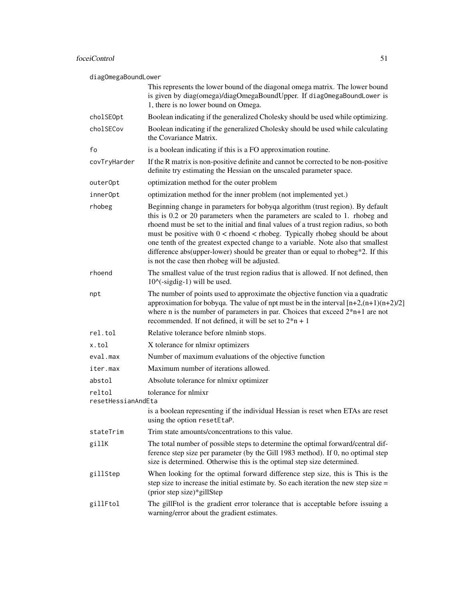# foceiControl 51

diagOmegaBoundLower

| uiagomcgabounuLowci          |                                                                                                                                                                                                                                                                                                                                                                                                                                                                                                                                                                    |
|------------------------------|--------------------------------------------------------------------------------------------------------------------------------------------------------------------------------------------------------------------------------------------------------------------------------------------------------------------------------------------------------------------------------------------------------------------------------------------------------------------------------------------------------------------------------------------------------------------|
|                              | This represents the lower bound of the diagonal omega matrix. The lower bound<br>is given by diag(omega)/diagOmegaBoundUpper. If diagOmegaBoundLower is<br>1, there is no lower bound on Omega.                                                                                                                                                                                                                                                                                                                                                                    |
| cholSEOpt                    | Boolean indicating if the generalized Cholesky should be used while optimizing.                                                                                                                                                                                                                                                                                                                                                                                                                                                                                    |
| cholSECov                    | Boolean indicating if the generalized Cholesky should be used while calculating<br>the Covariance Matrix.                                                                                                                                                                                                                                                                                                                                                                                                                                                          |
| fo                           | is a boolean indicating if this is a FO approximation routine.                                                                                                                                                                                                                                                                                                                                                                                                                                                                                                     |
| covTryHarder                 | If the R matrix is non-positive definite and cannot be corrected to be non-positive<br>definite try estimating the Hessian on the unscaled parameter space.                                                                                                                                                                                                                                                                                                                                                                                                        |
| outerOpt                     | optimization method for the outer problem                                                                                                                                                                                                                                                                                                                                                                                                                                                                                                                          |
| innerOpt                     | optimization method for the inner problem (not implemented yet.)                                                                                                                                                                                                                                                                                                                                                                                                                                                                                                   |
| rhobeg                       | Beginning change in parameters for bobyqa algorithm (trust region). By default<br>this is 0.2 or 20 parameters when the parameters are scaled to 1. rhobeg and<br>rhoend must be set to the initial and final values of a trust region radius, so both<br>must be positive with $0 <$ rhoend $<$ rhobeg. Typically rhobeg should be about<br>one tenth of the greatest expected change to a variable. Note also that smallest<br>difference abs(upper-lower) should be greater than or equal to rhobeg*2. If this<br>is not the case then rhobeg will be adjusted. |
| rhoend                       | The smallest value of the trust region radius that is allowed. If not defined, then<br>$10^{\circ}$ (-sigdig-1) will be used.                                                                                                                                                                                                                                                                                                                                                                                                                                      |
| npt                          | The number of points used to approximate the objective function via a quadratic<br>approximation for bobyqa. The value of npt must be in the interval $[n+2,(n+1)(n+2)/2]$<br>where n is the number of parameters in par. Choices that exceed $2*n+1$ are not<br>recommended. If not defined, it will be set to $2^*n + 1$                                                                                                                                                                                                                                         |
| rel.tol                      | Relative tolerance before nlminb stops.                                                                                                                                                                                                                                                                                                                                                                                                                                                                                                                            |
| x.tol                        | X tolerance for nlmixr optimizers                                                                                                                                                                                                                                                                                                                                                                                                                                                                                                                                  |
| eval.max                     | Number of maximum evaluations of the objective function                                                                                                                                                                                                                                                                                                                                                                                                                                                                                                            |
| iter.max                     | Maximum number of iterations allowed.                                                                                                                                                                                                                                                                                                                                                                                                                                                                                                                              |
| abstol                       | Absolute tolerance for nlmixr optimizer                                                                                                                                                                                                                                                                                                                                                                                                                                                                                                                            |
| reltol<br>resetHessianAndEta | tolerance for nlmixr                                                                                                                                                                                                                                                                                                                                                                                                                                                                                                                                               |
|                              | is a boolean representing if the individual Hessian is reset when ETAs are reset<br>using the option resetEtaP.                                                                                                                                                                                                                                                                                                                                                                                                                                                    |
| stateTrim                    | Trim state amounts/concentrations to this value.                                                                                                                                                                                                                                                                                                                                                                                                                                                                                                                   |
| gillK                        | The total number of possible steps to determine the optimal forward/central dif-<br>ference step size per parameter (by the Gill 1983 method). If 0, no optimal step<br>size is determined. Otherwise this is the optimal step size determined.                                                                                                                                                                                                                                                                                                                    |
| gillStep                     | When looking for the optimal forward difference step size, this is This is the<br>step size to increase the initial estimate by. So each iteration the new step size $=$<br>(prior step size)*gillStep                                                                                                                                                                                                                                                                                                                                                             |
| gillFtol                     | The gillFtol is the gradient error tolerance that is acceptable before issuing a<br>warning/error about the gradient estimates.                                                                                                                                                                                                                                                                                                                                                                                                                                    |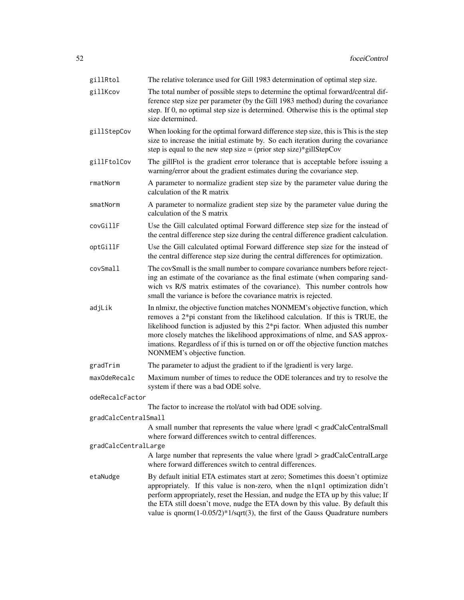| gillRtol             | The relative tolerance used for Gill 1983 determination of optimal step size.                                                                                                                                                                                                                                                                                                                                                                              |
|----------------------|------------------------------------------------------------------------------------------------------------------------------------------------------------------------------------------------------------------------------------------------------------------------------------------------------------------------------------------------------------------------------------------------------------------------------------------------------------|
| gillKcov             | The total number of possible steps to determine the optimal forward/central dif-<br>ference step size per parameter (by the Gill 1983 method) during the covariance<br>step. If 0, no optimal step size is determined. Otherwise this is the optimal step<br>size determined.                                                                                                                                                                              |
| gillStepCov          | When looking for the optimal forward difference step size, this is This is the step<br>size to increase the initial estimate by. So each iteration during the covariance<br>step is equal to the new step size = (prior step size)*gillStepCov                                                                                                                                                                                                             |
| gillFtolCov          | The gillFtol is the gradient error tolerance that is acceptable before issuing a<br>warning/error about the gradient estimates during the covariance step.                                                                                                                                                                                                                                                                                                 |
| rmatNorm             | A parameter to normalize gradient step size by the parameter value during the<br>calculation of the R matrix                                                                                                                                                                                                                                                                                                                                               |
| smatNorm             | A parameter to normalize gradient step size by the parameter value during the<br>calculation of the S matrix                                                                                                                                                                                                                                                                                                                                               |
| covGillF             | Use the Gill calculated optimal Forward difference step size for the instead of<br>the central difference step size during the central difference gradient calculation.                                                                                                                                                                                                                                                                                    |
| optGillF             | Use the Gill calculated optimal Forward difference step size for the instead of<br>the central difference step size during the central differences for optimization.                                                                                                                                                                                                                                                                                       |
| covSmall             | The covSmall is the small number to compare covariance numbers before reject-<br>ing an estimate of the covariance as the final estimate (when comparing sand-<br>wich vs R/S matrix estimates of the covariance). This number controls how<br>small the variance is before the covariance matrix is rejected.                                                                                                                                             |
| adjLik               | In nimixr, the objective function matches NONMEM's objective function, which<br>removes a $2 * pi$ constant from the likelihood calculation. If this is TRUE, the<br>likelihood function is adjusted by this $2*pi$ factor. When adjusted this number<br>more closely matches the likelihood approximations of nlme, and SAS approx-<br>imations. Regardless of if this is turned on or off the objective function matches<br>NONMEM's objective function. |
| gradTrim             | The parameter to adjust the gradient to if the Igradientl is very large.                                                                                                                                                                                                                                                                                                                                                                                   |
| maxOdeRecalc         | Maximum number of times to reduce the ODE tolerances and try to resolve the<br>system if there was a bad ODE solve.                                                                                                                                                                                                                                                                                                                                        |
| odeRecalcFactor      |                                                                                                                                                                                                                                                                                                                                                                                                                                                            |
|                      | The factor to increase the rtol/atol with bad ODE solving.                                                                                                                                                                                                                                                                                                                                                                                                 |
| gradCalcCentralSmall | A small number that represents the value where $ grad  < gradCalcCentralSmall$                                                                                                                                                                                                                                                                                                                                                                             |
|                      | where forward differences switch to central differences.                                                                                                                                                                                                                                                                                                                                                                                                   |
| gradCalcCentralLarge |                                                                                                                                                                                                                                                                                                                                                                                                                                                            |
|                      | A large number that represents the value where lgradl > gradCalcCentralLarge<br>where forward differences switch to central differences.                                                                                                                                                                                                                                                                                                                   |
| etaNudge             | By default initial ETA estimates start at zero; Sometimes this doesn't optimize<br>appropriately. If this value is non-zero, when the n1qn1 optimization didn't<br>perform appropriately, reset the Hessian, and nudge the ETA up by this value; If<br>the ETA still doesn't move, nudge the ETA down by this value. By default this<br>value is $qnorm(1-0.05/2)*1/sqrt(3)$ , the first of the Gauss Quadrature numbers                                   |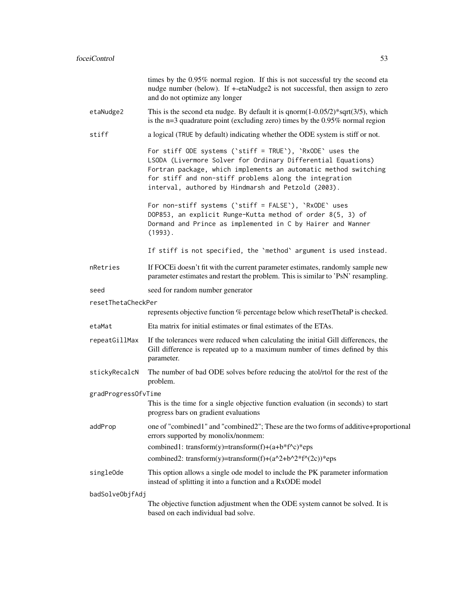|                     | times by the 0.95% normal region. If this is not successful try the second eta<br>nudge number (below). If +-etaNudge2 is not successful, then assign to zero<br>and do not optimize any longer                                                                                                              |
|---------------------|--------------------------------------------------------------------------------------------------------------------------------------------------------------------------------------------------------------------------------------------------------------------------------------------------------------|
| etaNudge2           | This is the second eta nudge. By default it is $qnorm(1-0.05/2)*sqrt(3/5)$ , which<br>is the $n=3$ quadrature point (excluding zero) times by the $0.95\%$ normal region                                                                                                                                     |
| stiff               | a logical (TRUE by default) indicating whether the ODE system is stiff or not.                                                                                                                                                                                                                               |
|                     | For stiff ODE systems ('stiff = TRUE'), 'RxODE' uses the<br>LSODA (Livermore Solver for Ordinary Differential Equations)<br>Fortran package, which implements an automatic method switching<br>for stiff and non-stiff problems along the integration<br>interval, authored by Hindmarsh and Petzold (2003). |
|                     | For non-stiff systems ('stiff = FALSE'), 'RxODE' uses<br>DOP853, an explicit Runge-Kutta method of order 8(5, 3) of<br>Dormand and Prince as implemented in C by Hairer and Wanner<br>$(1993)$ .                                                                                                             |
|                     | If stiff is not specified, the 'method' argument is used instead.                                                                                                                                                                                                                                            |
| nRetries            | If FOCEi doesn't fit with the current parameter estimates, randomly sample new<br>parameter estimates and restart the problem. This is similar to 'PsN' resampling.                                                                                                                                          |
| seed                | seed for random number generator                                                                                                                                                                                                                                                                             |
| resetThetaCheckPer  |                                                                                                                                                                                                                                                                                                              |
|                     | represents objective function % percentage below which resetThetaP is checked.                                                                                                                                                                                                                               |
| etaMat              | Eta matrix for initial estimates or final estimates of the ETAs.                                                                                                                                                                                                                                             |
| repeatGillMax       | If the tolerances were reduced when calculating the initial Gill differences, the<br>Gill difference is repeated up to a maximum number of times defined by this<br>parameter.                                                                                                                               |
| stickyRecalcN       | The number of bad ODE solves before reducing the atol/rtol for the rest of the<br>problem.                                                                                                                                                                                                                   |
| gradProgressOfvTime |                                                                                                                                                                                                                                                                                                              |
|                     | This is the time for a single objective function evaluation (in seconds) to start<br>progress bars on gradient evaluations                                                                                                                                                                                   |
| addProp             | one of "combined1" and "combined2"; These are the two forms of additive+proportional<br>errors supported by monolix/nonmem:                                                                                                                                                                                  |
|                     | combined1: transform(y)=transform(f)+(a+b*f^c)*eps                                                                                                                                                                                                                                                           |
|                     | combined2: transform(y)=transform(f)+(a^2+b^2*f^(2c))*eps                                                                                                                                                                                                                                                    |
| singleOde           | This option allows a single ode model to include the PK parameter information<br>instead of splitting it into a function and a RxODE model                                                                                                                                                                   |
| badSolveObjfAdj     |                                                                                                                                                                                                                                                                                                              |
|                     | The objective function adjustment when the ODE system cannot be solved. It is<br>based on each individual bad solve.                                                                                                                                                                                         |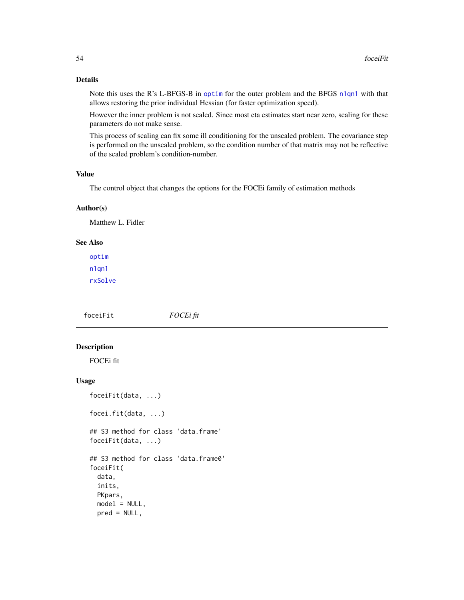# Details

Note this uses the R's L-BFGS-B in [optim](#page-0-0) for the outer problem and the BFGS [n1qn1](#page-0-0) with that allows restoring the prior individual Hessian (for faster optimization speed).

However the inner problem is not scaled. Since most eta estimates start near zero, scaling for these parameters do not make sense.

This process of scaling can fix some ill conditioning for the unscaled problem. The covariance step is performed on the unscaled problem, so the condition number of that matrix may not be reflective of the scaled problem's condition-number.

## Value

The control object that changes the options for the FOCEi family of estimation methods

## Author(s)

Matthew L. Fidler

# See Also

[optim](#page-0-0) [n1qn1](#page-0-0) [rxSolve](#page-0-0)

foceiFit *FOCEi fit*

## Description

FOCEi fit

## Usage

```
foceiFit(data, ...)
focei.fit(data, ...)
## S3 method for class 'data.frame'
foceiFit(data, ...)
## S3 method for class 'data.frame0'
foceiFit(
  data,
  inits,
 PKpars,
 model = NULL,pred = NULL,
```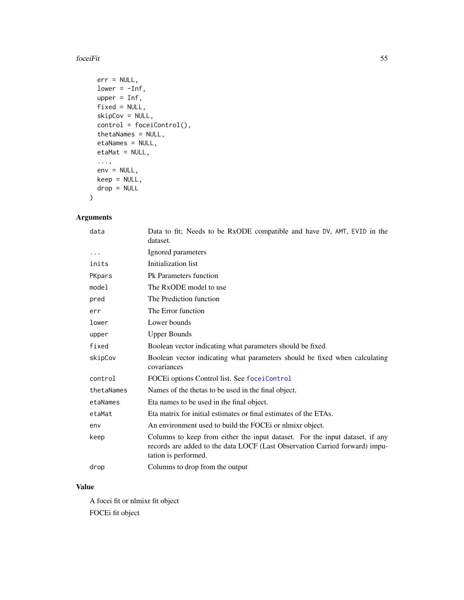## foceiFit 55

```
err = NULL,
 lower = -Inf,upper = Inf,
 fixed = NULL,
 skipCov = NULL,
 control = foceiControl(),
  thetaNames = NULL,
 etaNames = NULL,
 etaMat = NULL,
 ...,
 env = NULL,keep = NULL,
 drop = NULL
)
```
# Arguments

| data       | Data to fit; Needs to be RxODE compatible and have DV, AMT, EVID in the<br>dataset.                                                                                                 |
|------------|-------------------------------------------------------------------------------------------------------------------------------------------------------------------------------------|
| $\cdots$   | Ignored parameters                                                                                                                                                                  |
| inits      | Initialization list                                                                                                                                                                 |
| PKpars     | Pk Parameters function                                                                                                                                                              |
| model      | The RxODE model to use                                                                                                                                                              |
| pred       | The Prediction function                                                                                                                                                             |
| err        | The Error function                                                                                                                                                                  |
| lower      | Lower bounds                                                                                                                                                                        |
| upper      | <b>Upper Bounds</b>                                                                                                                                                                 |
| fixed      | Boolean vector indicating what parameters should be fixed.                                                                                                                          |
| skipCov    | Boolean vector indicating what parameters should be fixed when calculating<br>covariances                                                                                           |
| control    | FOCEi options Control list. See foceiControl                                                                                                                                        |
| thetaNames | Names of the thetas to be used in the final object.                                                                                                                                 |
| etaNames   | Eta names to be used in the final object.                                                                                                                                           |
| etaMat     | Eta matrix for initial estimates or final estimates of the ETAs.                                                                                                                    |
| env        | An environment used to build the FOCE or nlmixr object.                                                                                                                             |
| keep       | Columns to keep from either the input dataset. For the input dataset, if any<br>records are added to the data LOCF (Last Observation Carried forward) impu-<br>tation is performed. |
| drop       | Columns to drop from the output                                                                                                                                                     |

# Value

A focei fit or nlmixr fit object FOCEi fit object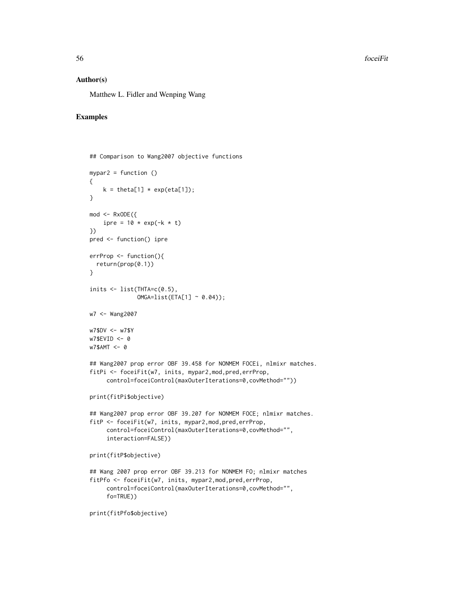56 foceiFit

## Author(s)

Matthew L. Fidler and Wenping Wang

# Examples

```
## Comparison to Wang2007 objective functions
mypar2 = function ()
{
   k = \text{theta}[1] * \exp(\text{eta}[1]);}
mod < - RxODE({
    ipre = 10 * exp(-k * t)})
pred <- function() ipre
errProp <- function(){
 return(prop(0.1))
}
inits \leq list(THTA=c(0.5),
              OMGA=list(ETA[1] ~ 0.04));w7 <- Wang2007
w7$DV <- w7$Y
w7$EVID <- 0
w7$AMT <- 0
## Wang2007 prop error OBF 39.458 for NONMEM FOCEi, nlmixr matches.
fitPi <- foceiFit(w7, inits, mypar2,mod,pred,errProp,
     control=foceiControl(maxOuterIterations=0,covMethod=""))
print(fitPi$objective)
## Wang2007 prop error OBF 39.207 for NONMEM FOCE; nlmixr matches.
fitP <- foceiFit(w7, inits, mypar2,mod,pred,errProp,
     control=foceiControl(maxOuterIterations=0,covMethod="",
     interaction=FALSE))
print(fitP$objective)
## Wang 2007 prop error OBF 39.213 for NONMEM FO; nlmixr matches
fitPfo <- foceiFit(w7, inits, mypar2,mod,pred,errProp,
     control=foceiControl(maxOuterIterations=0,covMethod="",
     fo=TRUE))
print(fitPfo$objective)
```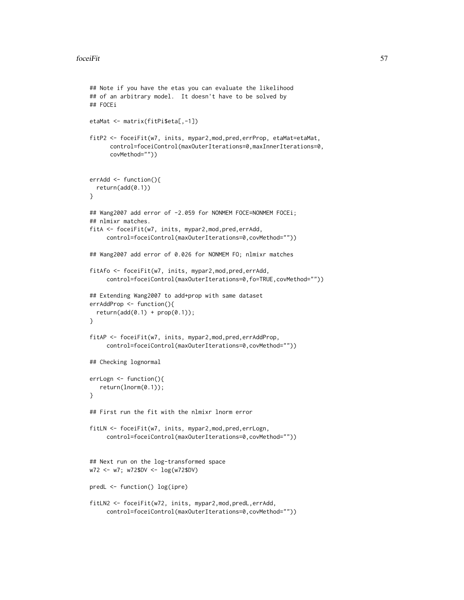```
## Note if you have the etas you can evaluate the likelihood
## of an arbitrary model. It doesn't have to be solved by
## FOCEi
etaMat <- matrix(fitPi$eta[,-1])
fitP2 <- foceiFit(w7, inits, mypar2,mod,pred,errProp, etaMat=etaMat,
      control=foceiControl(maxOuterIterations=0,maxInnerIterations=0,
      covMethod=""))
errAdd <- function(){
  return(add(0.1))
}
## Wang2007 add error of -2.059 for NONMEM FOCE=NONMEM FOCEi;
## nlmixr matches.
fitA <- foceiFit(w7, inits, mypar2,mod,pred,errAdd,
     control=foceiControl(maxOuterIterations=0,covMethod=""))
## Wang2007 add error of 0.026 for NONMEM FO; nlmixr matches
fitAfo <- foceiFit(w7, inits, mypar2,mod,pred,errAdd,
     control=foceiControl(maxOuterIterations=0,fo=TRUE,covMethod=""))
## Extending Wang2007 to add+prop with same dataset
errAddProp <- function(){
  return(add(0.1) + prop(0.1));}
fitAP <- foceiFit(w7, inits, mypar2,mod,pred,errAddProp,
     control=foceiControl(maxOuterIterations=0,covMethod=""))
## Checking lognormal
errLogn <- function(){
   return(lnorm(0.1));
}
## First run the fit with the nlmixr lnorm error
fitLN <- foceiFit(w7, inits, mypar2,mod,pred,errLogn,
     control=foceiControl(maxOuterIterations=0,covMethod=""))
## Next run on the log-transformed space
w72 <- w7; w72$DV <- log(w72$DV)
predL <- function() log(ipre)
fitLN2 <- foceiFit(w72, inits, mypar2,mod,predL,errAdd,
     control=foceiControl(maxOuterIterations=0,covMethod=""))
```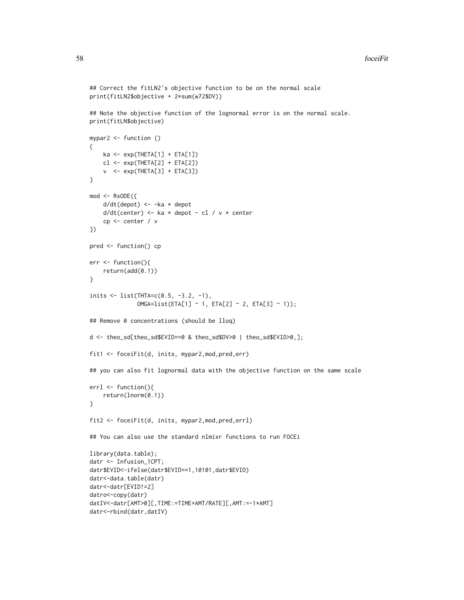```
## Correct the fitLN2's objective function to be on the normal scale
print(fitLN2$objective + 2*sum(w72$DV))
## Note the objective function of the lognormal error is on the normal scale.
print(fitLN$objective)
mypar2 <- function ()
{
    ka \leftarrow exp(THETA[1] + ETA[1])cl <- exp(THETA[2] + ETA[2])
    v \leq - \exp(\text{THETA}[3] + \text{ETA}[3])}
mod < - RxODE({
    d/dt(depot) <- -ka * depot
    d/dt(center) <- ka * depot - cl / v * center
    cp <- center / v
})
pred <- function() cp
err <- function(){
    return(add(0.1))
}
inits \le list(THTA=c(0.5, -3.2, -1),
              OMGA=list(ETA[1] ~ ~ 1, ETA[2] ~ ~ 2, ETA[3] ~ ~ 1));## Remove 0 concentrations (should be lloq)
d <- theo_sd[theo_sd$EVID==0 & theo_sd$DV>0 | theo_sd$EVID>0,];
fit1 <- foceiFit(d, inits, mypar2,mod,pred,err)
## you can also fit lognormal data with the objective function on the same scale
errl <- function(){
    return(lnorm(0.1))
}
fit2 <- foceiFit(d, inits, mypar2,mod,pred,errl)
## You can also use the standard nlmixr functions to run FOCEi
library(data.table);
datr <- Infusion_1CPT;
datr$EVID<-ifelse(datr$EVID==1,10101,datr$EVID)
datr<-data.table(datr)
datr<-datr[EVID!=2]
datro<-copy(datr)
datIV<-datr[AMT>0][,TIME:=TIME+AMT/RATE][,AMT:=-1*AMT]
datr<-rbind(datr,datIV)
```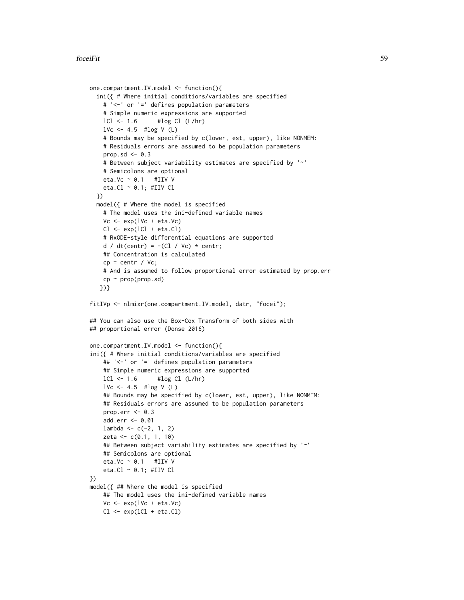## foceiFit 59

```
one.compartment.IV.model <- function(){
 ini({ # Where initial conditions/variables are specified
   # '<-' or '=' defines population parameters
    # Simple numeric expressions are supported
   lCl \leftarrow 1.6 #log Cl (L/hr)1Vc <- 4.5 #log V(L)# Bounds may be specified by c(lower, est, upper), like NONMEM:
    # Residuals errors are assumed to be population parameters
   prop.sd \leq -0.3# Between subject variability estimates are specified by '~'
    # Semicolons are optional
   eta.Vc ~ 0.1 #IIV V
   eta.Cl \sim 0.1; #IIV Cl
 })
 model({ # Where the model is specified
   # The model uses the ini-defined variable names
   Vc \leftarrow \exp(lVc + eta.Vc)Cl \leftarrow exp(1Cl + eta.C1)# RxODE-style differential equations are supported
   d / dt(centr) = -(C1 / Vc) * centr;
   ## Concentration is calculated
   cp = centr / Vc;# And is assumed to follow proportional error estimated by prop.err
   cp \sim prop(prop.sd)})}
fitIVp <- nlmixr(one.compartment.IV.model, datr, "focei");
## You can also use the Box-Cox Transform of both sides with
## proportional error (Donse 2016)
one.compartment.IV.model <- function(){
ini({ # Where initial conditions/variables are specified
    ## '<-' or '=' defines population parameters
   ## Simple numeric expressions are supported
   lCl \leftarrow 1.6 #log Cl (L/hr)1Vc <- 4.5 #log V(L)## Bounds may be specified by c(lower, est, upper), like NONMEM:
    ## Residuals errors are assumed to be population parameters
   prop.err <-0.3add.err <- 0.01
   lambda < -c(-2, 1, 2)zeta <- c(0.1, 1, 10)
    ## Between subject variability estimates are specified by '~'
   ## Semicolons are optional
   eta.Vc \sim 0.1 #IIV V
   eta.Cl \sim 0.1; #IIV Cl
})
model({ ## Where the model is specified
    ## The model uses the ini-defined variable names
    Vc \leftarrow exp(1Vc + eta.Vc)Cl \leftarrow \exp(1Cl + eta.C1)
```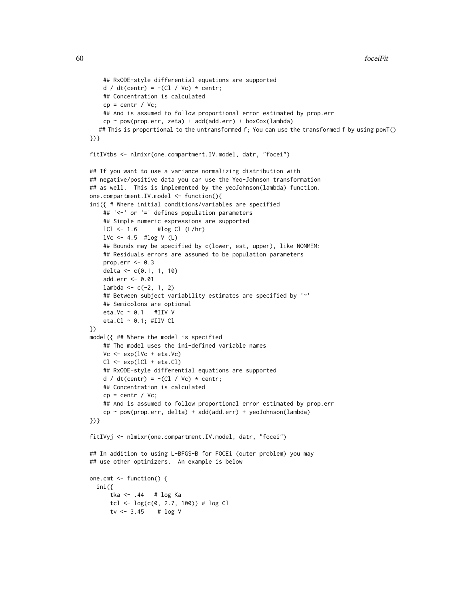```
## RxODE-style differential equations are supported
   d / dt(centr) = -(C1 / Vc) * centr;
   ## Concentration is calculated
   cp = centr / Vc;
   ## And is assumed to follow proportional error estimated by prop.err
    cp ~ pow(prop.err, zeta) + add(add.err) + boxCox(lambda)
  ## This is proportional to the untransformed f; You can use the transformed f by using powT()
})}
fitIVtbs <- nlmixr(one.compartment.IV.model, datr, "focei")
## If you want to use a variance normalizing distribution with
## negative/positive data you can use the Yeo-Johnson transformation
## as well. This is implemented by the yeoJohnson(lambda) function.
one.compartment.IV.model <- function(){
ini({ # Where initial conditions/variables are specified
    ## '<-' or '=' defines population parameters
    ## Simple numeric expressions are supported
   lCl \leftarrow 1.6 #log Cl (L/hr)1Vc <- 4.5 #log V (L)## Bounds may be specified by c(lower, est, upper), like NONMEM:
    ## Residuals errors are assumed to be population parameters
   prop.err <-0.3delta <- c(0.1, 1, 10)
   add.err <- 0.01
    lambda < -c(-2, 1, 2)## Between subject variability estimates are specified by '~'
    ## Semicolons are optional
   eta.Vc ~ 0.1 #IIV V
   eta.Cl ~ 0.1; #IIV Cl
})
model({ ## Where the model is specified
   ## The model uses the ini-defined variable names
   Vc \leq -\exp(1Vc + \text{eta.Vc})Cl \leftarrow \exp(1Cl + eta.C1)## RxODE-style differential equations are supported
   d / dt(centr) = -(C1 / Vc) * centr;
   ## Concentration is calculated
    cp = centr / Vc;
    ## And is assumed to follow proportional error estimated by prop.err
    cp ~ pow(prop.err, delta) + add(add.err) + yeoJohnson(lambda)
})}
fitIVyj <- nlmixr(one.compartment.IV.model, datr, "focei")
## In addition to using L-BFGS-B for FOCEi (outer problem) you may
## use other optimizers. An example is below
one.cmt <- function() {
 ini({
     tka <- .44 # log Ka
     tcl <- log(c(0, 2.7, 100)) # log Cl
      tv <- 3.45 # \log V
```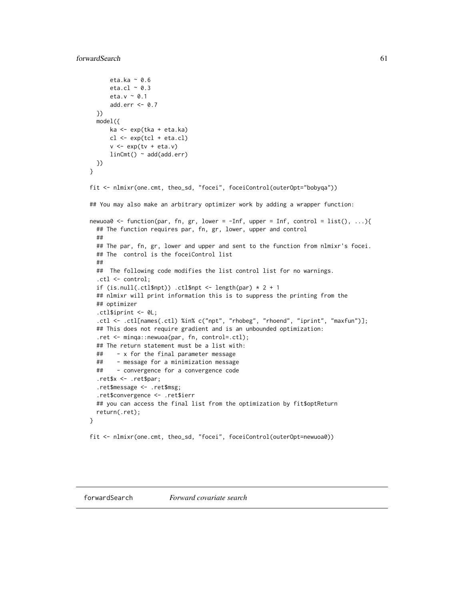# forwardSearch 61

```
eta.ka ~ 0.6
     eta.cl \sim 0.3
     eta.v ~ 0.1
     add.err <-0.7})
 model({
     ka <- exp(tka + eta.ka)
     cl \leftarrow exp(tcl + eta. cl)v \leq -\exp(tv + \epsilon t a.v)linCmt() ~ ~ add(add.err)})
}
fit <- nlmixr(one.cmt, theo_sd, "focei", foceiControl(outerOpt="bobyqa"))
## You may also make an arbitrary optimizer work by adding a wrapper function:
newuoa0 <- function(par, fn, gr, lower = -Inf, upper = Inf, control = list(), ...){
 ## The function requires par, fn, gr, lower, upper and control
 ##
 ## The par, fn, gr, lower and upper and sent to the function from nlmixr's focei.
 ## The control is the foceiControl list
 ##
 ## The following code modifies the list control list for no warnings.
  .ctl <- control;
 if (is.null(.ctl$npt)) .ctl$npt <- length(par) * 2 + 1
 ## nlmixr will print information this is to suppress the printing from the
 ## optimizer
 .ctl$iprint <- 0L;
  .ctl <- .ctl[names(.ctl) %in% c("npt", "rhobeg", "rhoend", "iprint", "maxfun")];
 ## This does not require gradient and is an unbounded optimization:
  .ret <- minqa::newuoa(par, fn, control=.ctl);
 ## The return statement must be a list with:
 ## - x for the final parameter message
 ## - message for a minimization message
 ## - convergence for a convergence code
 .ret$x <- .ret$par;
  .ret$message <- .ret$msg;
  .ret$convergence <- .ret$ierr
 ## you can access the final list from the optimization by fit$optReturn
 return(.ret);
}
fit <- nlmixr(one.cmt, theo_sd, "focei", foceiControl(outerOpt=newuoa0))
```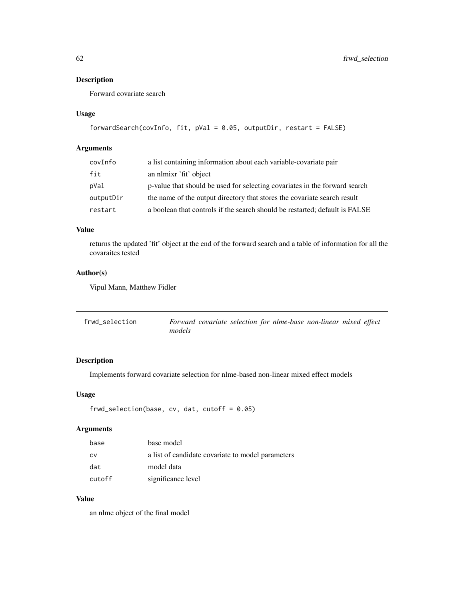# Description

Forward covariate search

## Usage

```
forwardSearch(covInfo, fit, pVal = 0.05, outputDir, restart = FALSE)
```
# Arguments

| covInfo   | a list containing information about each variable-covariate pair            |
|-----------|-----------------------------------------------------------------------------|
| fit       | an nlmixr 'fit' object                                                      |
| pVal      | p-value that should be used for selecting covariates in the forward search  |
| outputDir | the name of the output directory that stores the covariate search result    |
| restart   | a boolean that controls if the search should be restarted; default is FALSE |

# Value

returns the updated 'fit' object at the end of the forward search and a table of information for all the covaraites tested

# Author(s)

Vipul Mann, Matthew Fidler

| frwd selection | Forward covariate selection for nlme-base non-linear mixed effect |
|----------------|-------------------------------------------------------------------|
|                | models                                                            |

# Description

Implements forward covariate selection for nlme-based non-linear mixed effect models

## Usage

```
frwd_selection(base, cv, dat, cutoff = 0.05)
```
# Arguments

| base      | base model                                        |
|-----------|---------------------------------------------------|
| <b>CV</b> | a list of candidate covariate to model parameters |
| dat       | model data                                        |
| cutoff    | significance level                                |

# Value

an nlme object of the final model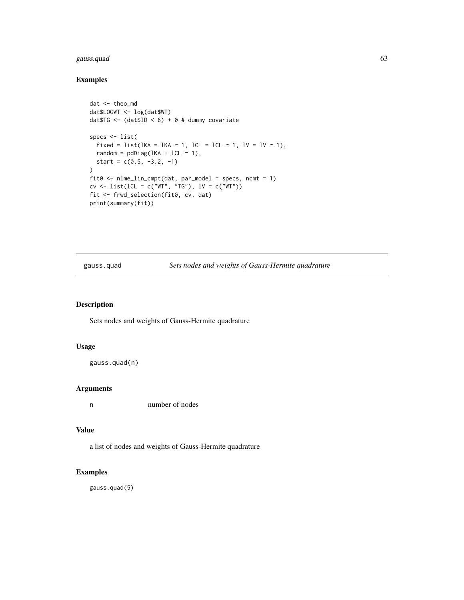# gauss.quad 63

# Examples

```
dat <- theo_md
dat$LOGWT <- log(dat$WT)
datTG \leftarrow (dat$ID \leftarrow 6) + 0 # dummy covariatespecs <- list(
  fixed = list(lKA = lKA \sim 1, lCL = lCL \sim 1, lV = lV \sim 1),
  random = pdDiag(LKA + lCL ~ 1),start = c(0.5, -3.2, -1)\lambdafit0 <- nlme_lin_cmpt(dat, par_model = specs, ncmt = 1)
cv \leq 1ist(lCL = c("WT", "TG"), IV = c("WT"))fit <- frwd_selection(fit0, cv, dat)
print(summary(fit))
```
gauss.quad *Sets nodes and weights of Gauss-Hermite quadrature*

## Description

Sets nodes and weights of Gauss-Hermite quadrature

## Usage

```
gauss.quad(n)
```
# Arguments

n number of nodes

## Value

a list of nodes and weights of Gauss-Hermite quadrature

## Examples

gauss.quad(5)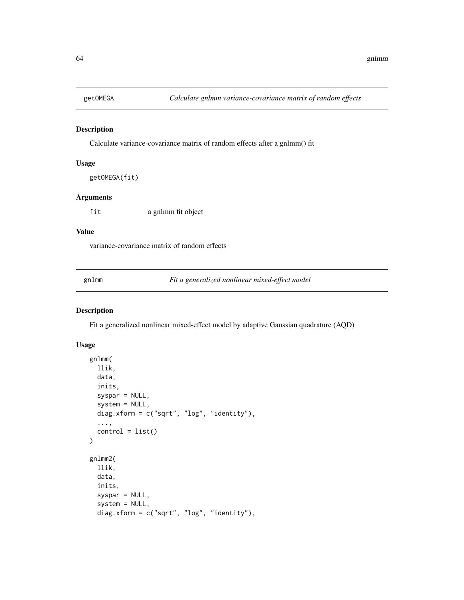# Description

Calculate variance-covariance matrix of random effects after a gnlmm() fit

## Usage

getOMEGA(fit)

## Arguments

fit a gnlmm fit object

## Value

variance-covariance matrix of random effects

gnlmm *Fit a generalized nonlinear mixed-effect model*

# Description

Fit a generalized nonlinear mixed-effect model by adaptive Gaussian quadrature (AQD)

## Usage

```
gnlmm(
  llik,
  data,
  inits,
  syspar = NULL,
  system = NULL,
  diag.xform = c("sqrt", "log", "identity"),
  ...,
  control = list())
gnlmm2(
  llik,
  data,
  inits,
  syspar = NULL,
  system = NULL,
  diag.xform = c("sqrt", "log", "identity"),
```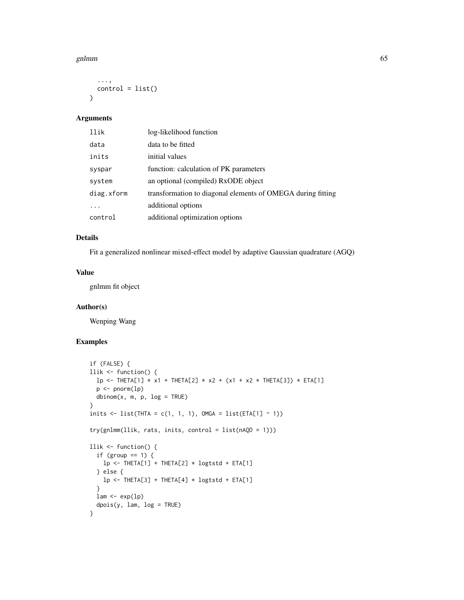## gnlmm 65

```
...,
  control = list()\lambda
```
## Arguments

| llik       | log-likelihood function                                     |
|------------|-------------------------------------------------------------|
| data       | data to be fitted                                           |
| inits      | initial values                                              |
| syspar     | function: calculation of PK parameters                      |
| system     | an optional (compiled) RxODE object                         |
| diag.xform | transformation to diagonal elements of OMEGA during fitting |
| .          | additional options                                          |
| control    | additional optimization options                             |

# Details

Fit a generalized nonlinear mixed-effect model by adaptive Gaussian quadrature (AGQ)

# Value

gnlmm fit object

## Author(s)

Wenping Wang

# Examples

```
if (FALSE) {
llik <- function() {
  lp \leftarrow \text{THETA}[1] * x1 + \text{THETA}[2] * x2 + (x1 + x2 * \text{THETA}[3]) * \text{ETA}[1]p <- pnorm(lp)
  dbinom(x, m, p, log = TRUE)}
inits \le list(THTA = c(1, 1, 1), OMGA = list(ETA[1] \sim 1))
try(gnlmm(llik, rats, inits, control = list(nAQD = 1)))
llik <- function() {
  if (group == 1) {
    lp \leftarrow \text{THETA}[1] + \text{THETA}[2] \times \text{logtstd} + \text{ETA}[1]} else {
     lp \leftarrow \text{THETA}[3] + \text{THETA}[4] \times \text{logtstd} + \text{ETA}[1]}
  lam \leftarrow exp(lp)dpois(y, lam, log = TRUE)
}
```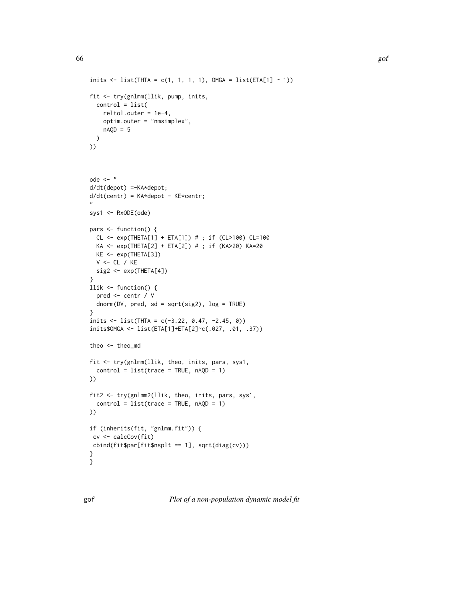```
inits \le list(THTA = c(1, 1, 1, 1), OMGA = list(ETA[1] \sim 1))
fit <- try(gnlmm(llik, pump, inits,
 control = list(
   reltol.outer = 1e-4,
   optim.outer = "nmsimplex",
   nAQD = 5)
))
ode <- "
d/dt(depot) =-KA*depot;
d/dt(centr) = KA*depot - KE*centr;
"
sys1 <- RxODE(ode)
pars <- function() {
  CL <- exp(THETA[1] + ETA[1]) # ; if (CL>100) CL=100
  KA <- exp(THETA[2] + ETA[2]) # ; if (KA>20) KA=20
  KE <- exp(THETA[3])
  V <- CL / KE
  sig2 <- exp(THETA[4])
}
llik <- function() {
  pred <- centr / V
  dnorm(DV, pred, sd = sqrt(sig2), log = TRUE)
}
inits <- list(THTA = c(-3.22, 0.47, -2.45, 0))
inits$OMGA <- list(ETA[1]+ETA[2]~c(.027, .01, .37))
theo <- theo_md
fit <- try(gnlmm(llik, theo, inits, pars, sys1,
  control = list(true = TRUE, nAQD = 1)))
fit2 <- try(gnlmm2(llik, theo, inits, pars, sys1,
  control = list(true = TRUE, nAQD = 1)))
if (inherits(fit, "gnlmm.fit")) {
cv <- calcCov(fit)
cbind(fit$par[fit$nsplt == 1], sqrt(diag(cv)))
}
}
```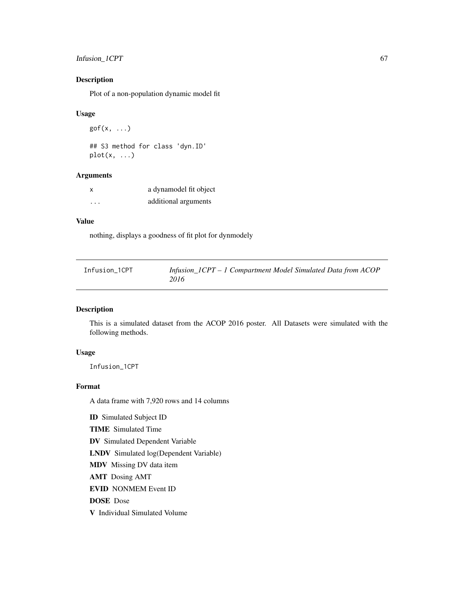# Infusion\_1CPT 67

# Description

Plot of a non-population dynamic model fit

## Usage

 $gof(x, \ldots)$ ## S3 method for class 'dyn.ID'  $plot(x, \ldots)$ 

# Arguments

| X       | a dynamodel fit object |
|---------|------------------------|
| $\cdot$ | additional arguments   |

# Value

nothing, displays a goodness of fit plot for dynmodely

| Infusion_1CPT | Infusion_ICPT - 1 Compartment Model Simulated Data from ACOP |
|---------------|--------------------------------------------------------------|
|               | 2016                                                         |

# Description

This is a simulated dataset from the ACOP 2016 poster. All Datasets were simulated with the following methods.

## Usage

Infusion\_1CPT

# Format

A data frame with 7,920 rows and 14 columns

ID Simulated Subject ID TIME Simulated Time DV Simulated Dependent Variable LNDV Simulated log(Dependent Variable) MDV Missing DV data item AMT Dosing AMT EVID NONMEM Event ID DOSE Dose V Individual Simulated Volume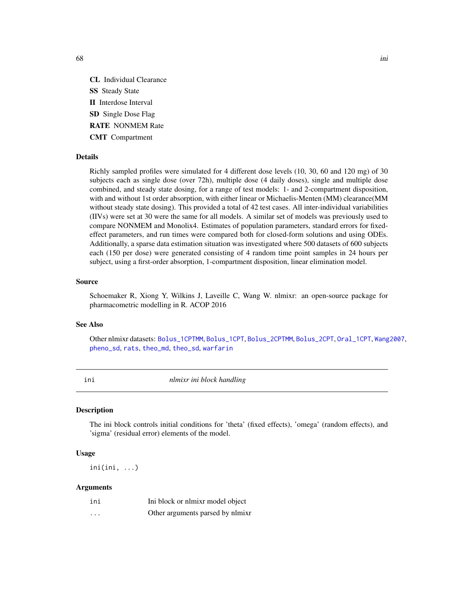CL Individual Clearance SS Steady State II Interdose Interval SD Single Dose Flag RATE NONMEM Rate CMT Compartment

## Details

Richly sampled profiles were simulated for 4 different dose levels (10, 30, 60 and 120 mg) of 30 subjects each as single dose (over 72h), multiple dose (4 daily doses), single and multiple dose combined, and steady state dosing, for a range of test models: 1- and 2-compartment disposition, with and without 1st order absorption, with either linear or Michaelis-Menten (MM) clearance(MM without steady state dosing). This provided a total of 42 test cases. All inter-individual variabilities (IIVs) were set at 30 were the same for all models. A similar set of models was previously used to compare NONMEM and Monolix4. Estimates of population parameters, standard errors for fixedeffect parameters, and run times were compared both for closed-form solutions and using ODEs. Additionally, a sparse data estimation situation was investigated where 500 datasets of 600 subjects each (150 per dose) were generated consisting of 4 random time point samples in 24 hours per subject, using a first-order absorption, 1-compartment disposition, linear elimination model.

### Source

Schoemaker R, Xiong Y, Wilkins J, Laveille C, Wang W. nlmixr: an open-source package for pharmacometric modelling in R. ACOP 2016

# See Also

Other nlmixr datasets: [Bolus\\_1CPTMM](#page-14-0), [Bolus\\_1CPT](#page-13-0), [Bolus\\_2CPTMM](#page-17-0), [Bolus\\_2CPT](#page-15-0), [Oral\\_1CPT](#page-132-0), [Wang2007](#page-163-0), [pheno\\_sd](#page-134-0), [rats](#page-142-0), [theo\\_md](#page-156-0), [theo\\_sd](#page-157-0), [warfarin](#page-164-0)

ini *nlmixr ini block handling*

## Description

The ini block controls initial conditions for 'theta' (fixed effects), 'omega' (random effects), and 'sigma' (residual error) elements of the model.

# Usage

ini(ini, ...)

## Arguments

| ini      | Ini block or nlmixr model object |
|----------|----------------------------------|
| $\cdots$ | Other arguments parsed by nlmixr |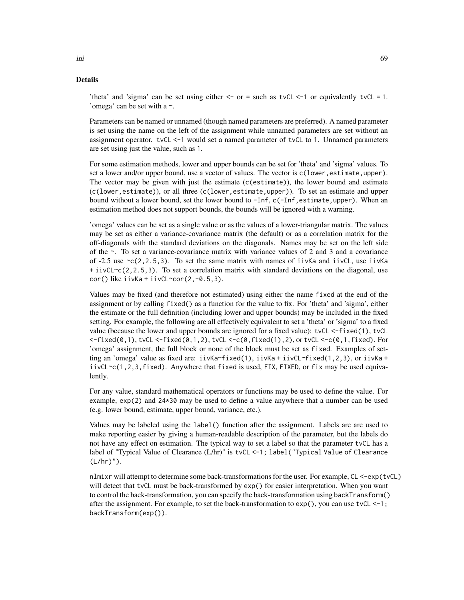## Details

'theta' and 'sigma' can be set using either  $\leq$ - or = such as tvCL  $\leq$ -1 or equivalently tvCL = 1. 'omega' can be set with a ~.

Parameters can be named or unnamed (though named parameters are preferred). A named parameter is set using the name on the left of the assignment while unnamed parameters are set without an assignment operator. tvCL <-1 would set a named parameter of tvCL to 1. Unnamed parameters are set using just the value, such as 1.

For some estimation methods, lower and upper bounds can be set for 'theta' and 'sigma' values. To set a lower and/or upper bound, use a vector of values. The vector is  $c$  (lower, estimate, upper). The vector may be given with just the estimate (c(estimate)), the lower bound and estimate (c(lower,estimate)), or all three (c(lower,estimate,upper)). To set an estimate and upper bound without a lower bound, set the lower bound to -Inf, c(-Inf,estimate,upper). When an estimation method does not support bounds, the bounds will be ignored with a warning.

'omega' values can be set as a single value or as the values of a lower-triangular matrix. The values may be set as either a variance-covariance matrix (the default) or as a correlation matrix for the off-diagonals with the standard deviations on the diagonals. Names may be set on the left side of the ~. To set a variance-covariance matrix with variance values of 2 and 3 and a covariance of -2.5 use  $\sim$  (2,2.5,3). To set the same matrix with names of iivKa and iivCL, use iivKa  $+$  iivCL $\sim$ c(2,2.5,3). To set a correlation matrix with standard deviations on the diagonal, use  $cor()$  like iivKa + iivCL~cor(2,-0.5,3).

Values may be fixed (and therefore not estimated) using either the name fixed at the end of the assignment or by calling fixed() as a function for the value to fix. For 'theta' and 'sigma', either the estimate or the full definition (including lower and upper bounds) may be included in the fixed setting. For example, the following are all effectively equivalent to set a 'theta' or 'sigma' to a fixed value (because the lower and upper bounds are ignored for a fixed value): tvCL <-fixed(1), tvCL  $\leq$ -fixed(0,1), tvCL  $\leq$ -fixed(0,1,2), tvCL  $\leq$ -c(0,fixed(1),2), or tvCL  $\leq$ -c(0,1,fixed). For 'omega' assignment, the full block or none of the block must be set as fixed. Examples of setting an 'omega' value as fixed are: iivKa~fixed(1), iivKa + iivCL~fixed(1,2,3), or iivKa +  $iivCL \sim c(1,2,3,fixed)$ . Anywhere that fixed is used, FIX, FIXED, or fix may be used equivalently.

For any value, standard mathematical operators or functions may be used to define the value. For example, exp(2) and 24\*30 may be used to define a value anywhere that a number can be used (e.g. lower bound, estimate, upper bound, variance, etc.).

Values may be labeled using the label() function after the assignment. Labels are are used to make reporting easier by giving a human-readable description of the parameter, but the labels do not have any effect on estimation. The typical way to set a label so that the parameter tvCL has a label of "Typical Value of Clearance (L/hr)" is tvCL <-1; label("Typical Value of Clearance  $(L/hr)$ ").

nlmixr will attempt to determine some back-transformations for the user. For example, CL <-exp(tvCL) will detect that tvCL must be back-transformed by  $exp()$  for easier interpretation. When you want to control the back-transformation, you can specify the back-transformation using backTransform() after the assignment. For example, to set the back-transformation to  $exp()$ , you can use  $tvCL < -1$ ; backTransform(exp()).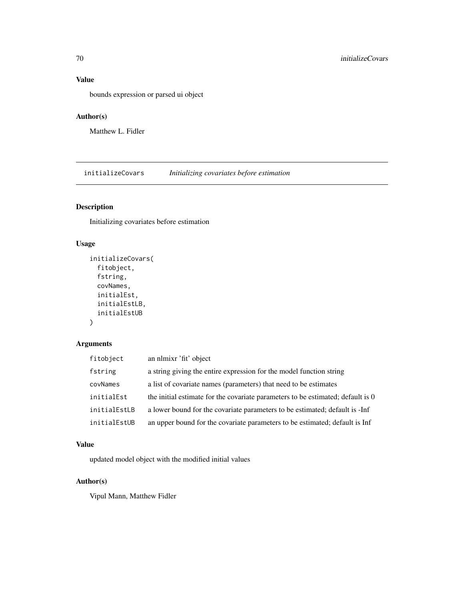# Value

bounds expression or parsed ui object

# Author(s)

Matthew L. Fidler

initializeCovars *Initializing covariates before estimation*

# Description

Initializing covariates before estimation

# Usage

```
initializeCovars(
  fitobject,
  fstring,
  covNames,
  initialEst,
  initialEstLB,
  initialEstUB
\mathcal{L}
```
# Arguments

| fitobject    | an nlmixr 'fit' object                                                          |
|--------------|---------------------------------------------------------------------------------|
| fstring      | a string giving the entire expression for the model function string             |
| covNames     | a list of covariate names (parameters) that need to be estimates                |
| initialEst   | the initial estimate for the covariate parameters to be estimated; default is 0 |
| initialEstLB | a lower bound for the covariate parameters to be estimated; default is -Inf     |
| initialEstUB | an upper bound for the covariate parameters to be estimated; default is Inf     |

# Value

updated model object with the modified initial values

# Author(s)

Vipul Mann, Matthew Fidler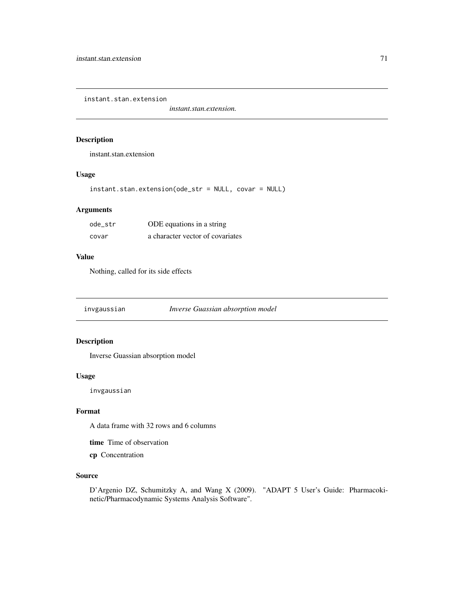instant.stan.extension

*instant.stan.extension.*

# Description

instant.stan.extension

# Usage

instant.stan.extension(ode\_str = NULL, covar = NULL)

## Arguments

| ode str | ODE equations in a string        |
|---------|----------------------------------|
| covar   | a character vector of covariates |

# Value

Nothing, called for its side effects

invgaussian *Inverse Guassian absorption model*

# Description

Inverse Guassian absorption model

## Usage

invgaussian

# Format

A data frame with 32 rows and 6 columns

time Time of observation

cp Concentration

# Source

D'Argenio DZ, Schumitzky A, and Wang X (2009). "ADAPT 5 User's Guide: Pharmacokinetic/Pharmacodynamic Systems Analysis Software".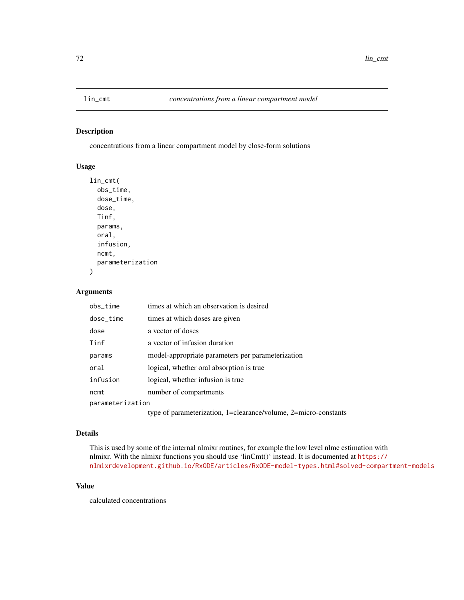# Description

concentrations from a linear compartment model by close-form solutions

# Usage

```
lin_cmt(
 obs_time,
  dose_time,
  dose,
  Tinf,
 params,
 oral,
  infusion,
  ncmt,
 parameterization
)
```
# Arguments

| obs_time         | times at which an observation is desired                        |
|------------------|-----------------------------------------------------------------|
| dose_time        | times at which doses are given                                  |
| dose             | a vector of doses                                               |
| Tinf             | a vector of infusion duration                                   |
| params           | model-appropriate parameters per parameterization               |
| oral             | logical, whether oral absorption is true.                       |
| infusion         | logical, whether infusion is true                               |
| ncmt             | number of compartments                                          |
| parameterization |                                                                 |
|                  | type of parameterization, 1=clearance/volume, 2=micro-constants |

# Details

This is used by some of the internal nlmixr routines, for example the low level nlme estimation with nlmixr. With the nlmixr functions you should use 'linCmt()' instead. It is documented at [https://](https://nlmixrdevelopment.github.io/RxODE/articles/RxODE-model-types.html#solved-compartment-models) [nlmixrdevelopment.github.io/RxODE/articles/RxODE-model-types.html#solved-compartment-models](https://nlmixrdevelopment.github.io/RxODE/articles/RxODE-model-types.html#solved-compartment-models)

## Value

calculated concentrations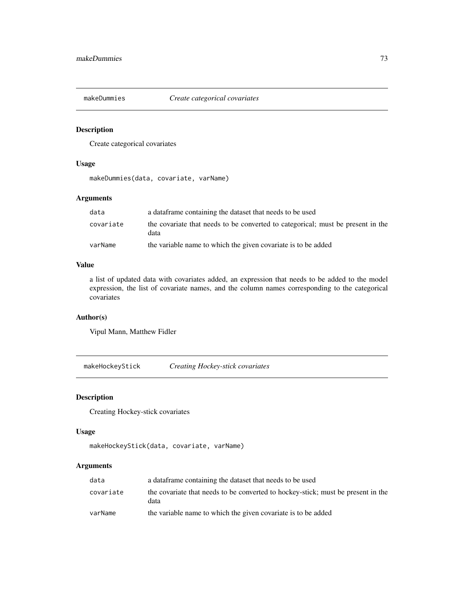# Description

Create categorical covariates

### Usage

makeDummies(data, covariate, varName)

# Arguments

| data      | a data frame containing the dataset that needs to be used                               |
|-----------|-----------------------------------------------------------------------------------------|
| covariate | the covariate that needs to be converted to categorical; must be present in the<br>data |
| varName   | the variable name to which the given covariate is to be added                           |

# Value

a list of updated data with covariates added, an expression that needs to be added to the model expression, the list of covariate names, and the column names corresponding to the categorical covariates

# Author(s)

Vipul Mann, Matthew Fidler

makeHockeyStick *Creating Hockey-stick covariates*

### Description

Creating Hockey-stick covariates

### Usage

```
makeHockeyStick(data, covariate, varName)
```
### Arguments

| data      | a data frame containing the dataset that needs to be used                                |
|-----------|------------------------------------------------------------------------------------------|
| covariate | the covariate that needs to be converted to hockey-stick; must be present in the<br>data |
| varName   | the variable name to which the given covariate is to be added                            |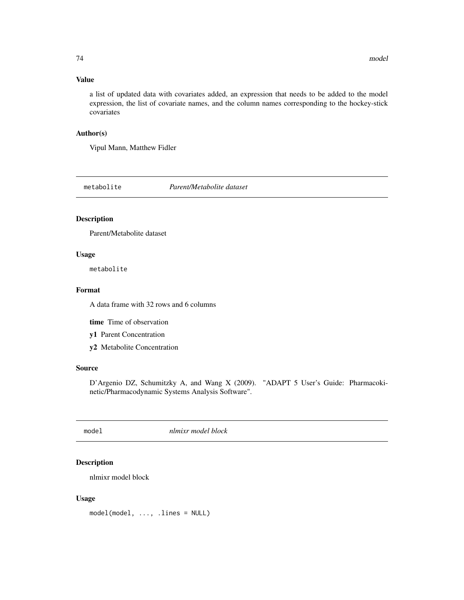### Value

a list of updated data with covariates added, an expression that needs to be added to the model expression, the list of covariate names, and the column names corresponding to the hockey-stick covariates

# Author(s)

Vipul Mann, Matthew Fidler

metabolite *Parent/Metabolite dataset*

# Description

Parent/Metabolite dataset

### Usage

metabolite

### Format

A data frame with 32 rows and 6 columns

time Time of observation

- y1 Parent Concentration
- y2 Metabolite Concentration

### Source

D'Argenio DZ, Schumitzky A, and Wang X (2009). "ADAPT 5 User's Guide: Pharmacokinetic/Pharmacodynamic Systems Analysis Software".

model *nlmixr model block*

# Description

nlmixr model block

### Usage

model(model, ..., .lines = NULL)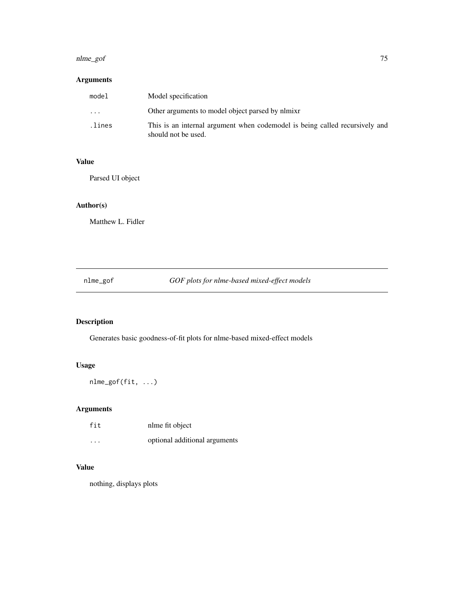### nlme\_gof 75

# Arguments

| model     | Model specification                                                                                |
|-----------|----------------------------------------------------------------------------------------------------|
| $\ddotsc$ | Other arguments to model object parsed by nlmixr                                                   |
| .lines    | This is an internal argument when codemodel is being called recursively and<br>should not be used. |

### Value

Parsed UI object

# Author(s)

Matthew L. Fidler

nlme\_gof *GOF plots for nlme-based mixed-effect models*

# Description

Generates basic goodness-of-fit plots for nlme-based mixed-effect models

# Usage

nlme\_gof(fit, ...)

# Arguments

| fit      | nlme fit object               |
|----------|-------------------------------|
| $\cdots$ | optional additional arguments |

# Value

nothing, displays plots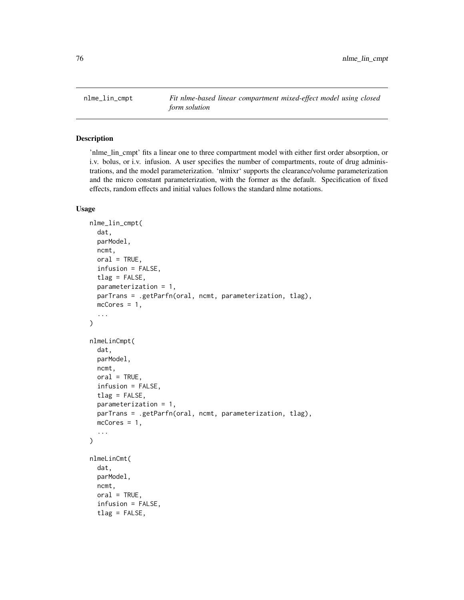nlme\_lin\_cmpt *Fit nlme-based linear compartment mixed-effect model using closed form solution*

# Description

'nlme\_lin\_cmpt' fits a linear one to three compartment model with either first order absorption, or i.v. bolus, or i.v. infusion. A user specifies the number of compartments, route of drug administrations, and the model parameterization. 'nlmixr' supports the clearance/volume parameterization and the micro constant parameterization, with the former as the default. Specification of fixed effects, random effects and initial values follows the standard nlme notations.

```
nlme_lin_cmpt(
  dat,
  parModel,
 ncmt,
  oral = TRUE,
  infusion = FALSE,
  tlag = FALSE,parameterization = 1,
 parTrans = .getParfn(oral, ncmt, parameterization, tlag),
 mcCores = 1,
  ...
\mathcal{L}nlmeLinCmpt(
  dat,
 parModel,
  ncmt,
 oral = TRUE,infusion = FALSE,
  tlag = FALSE,parameterization = 1,
 parTrans = .getParfn(oral, ncmt, parameterization, tlag),
 mcCores = 1,
  ...
)
nlmeLinCmt(
  dat,
 parModel,
  ncmt,
 oral = TRUE,infusion = FALSE,
  tlag = FALSE,
```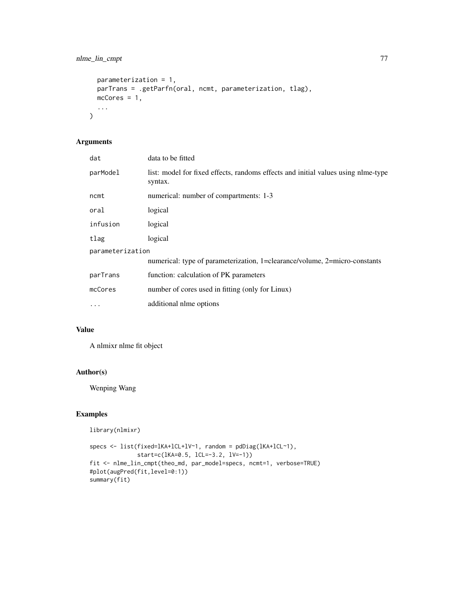```
parameterization = 1,
 parTrans = .getParfn(oral, ncmt, parameterization, tlag),
 mcCores = 1,
  ...
)
```
# Arguments

| dat              | data to be fitted                                                                            |  |
|------------------|----------------------------------------------------------------------------------------------|--|
| parModel         | list: model for fixed effects, randoms effects and initial values using nlme-type<br>syntax. |  |
| ncmt             | numerical: number of compartments: 1-3                                                       |  |
| oral             | logical                                                                                      |  |
| infusion         | logical                                                                                      |  |
| tlag             | logical                                                                                      |  |
| parameterization |                                                                                              |  |
|                  | numerical: type of parameterization, 1=clearance/volume, 2=micro-constants                   |  |
| parTrans         | function: calculation of PK parameters                                                       |  |
| mcCores          | number of cores used in fitting (only for Linux)                                             |  |
| $\ddotsc$        | additional nlme options                                                                      |  |

# Value

A nlmixr nlme fit object

# Author(s)

Wenping Wang

# Examples

```
library(nlmixr)
```

```
specs <- list(fixed=lKA+lCL+lV~1, random = pdDiag(lKA+lCL~1),
             start=c(lKA=0.5, lCL=-3.2, lV=-1))
fit <- nlme_lin_cmpt(theo_md, par_model=specs, ncmt=1, verbose=TRUE)
#plot(augPred(fit,level=0:1))
summary(fit)
```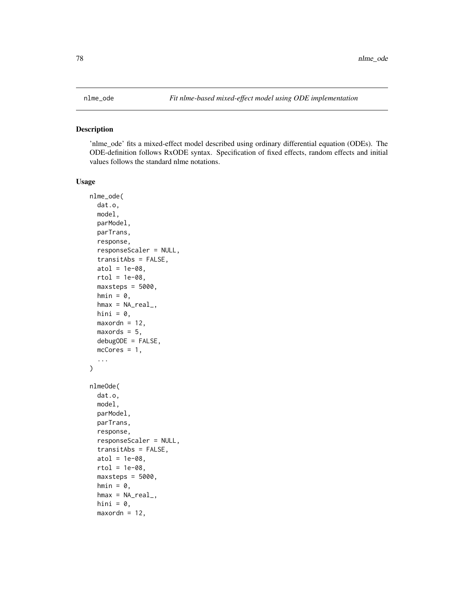### Description

'nlme\_ode' fits a mixed-effect model described using ordinary differential equation (ODEs). The ODE-definition follows RxODE syntax. Specification of fixed effects, random effects and initial values follows the standard nlme notations.

```
nlme_ode(
  dat.o,
 model,
 parModel,
  parTrans,
  response,
  responseScaler = NULL,
  transitAbs = FALSE,
  atol = 1e-08,
  rtol = 1e-08,
  maxsteps = 5000,
  hmin = 0,
  hmax = NA_{real_hini = 0,
 maxordn = 12,
 maxords = 5,
 debugODE = FALSE,
 mcCores = 1,
  ...
)
nlmeOde(
  dat.o,
 model,
 parModel,
 parTrans,
  response,
  responseScaler = NULL,
  transitAbs = FALSE,
  atol = 1e-08,
  rtol = 1e-08.
 maxsteps = 5000,hmin = 0,
  hmax = NA_{real_hini = 0,
 maxordn = 12,
```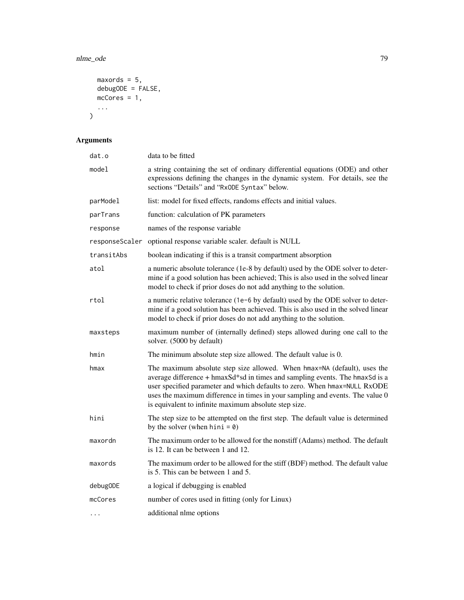### nlme\_ode 79

```
maxords = 5,debugODE = FALSE,mcCores = 1,
 ...
)
```
# Arguments

| dat.o          | data to be fitted                                                                                                                                                                                                                                                                                                                                                               |
|----------------|---------------------------------------------------------------------------------------------------------------------------------------------------------------------------------------------------------------------------------------------------------------------------------------------------------------------------------------------------------------------------------|
| model          | a string containing the set of ordinary differential equations (ODE) and other<br>expressions defining the changes in the dynamic system. For details, see the<br>sections "Details" and "RxODE Syntax" below.                                                                                                                                                                  |
| parModel       | list: model for fixed effects, randoms effects and initial values.                                                                                                                                                                                                                                                                                                              |
| parTrans       | function: calculation of PK parameters                                                                                                                                                                                                                                                                                                                                          |
| response       | names of the response variable                                                                                                                                                                                                                                                                                                                                                  |
| responseScaler | optional response variable scaler. default is NULL                                                                                                                                                                                                                                                                                                                              |
| transitAbs     | boolean indicating if this is a transit compartment absorption                                                                                                                                                                                                                                                                                                                  |
| atol           | a numeric absolute tolerance (1e-8 by default) used by the ODE solver to deter-<br>mine if a good solution has been achieved; This is also used in the solved linear<br>model to check if prior doses do not add anything to the solution.                                                                                                                                      |
| rtol           | a numeric relative tolerance (1e-6 by default) used by the ODE solver to deter-<br>mine if a good solution has been achieved. This is also used in the solved linear<br>model to check if prior doses do not add anything to the solution.                                                                                                                                      |
| maxsteps       | maximum number of (internally defined) steps allowed during one call to the<br>solver. (5000 by default)                                                                                                                                                                                                                                                                        |
| hmin           | The minimum absolute step size allowed. The default value is 0.                                                                                                                                                                                                                                                                                                                 |
| hmax           | The maximum absolute step size allowed. When hmax=NA (default), uses the<br>average difference + hmaxSd*sd in times and sampling events. The hmaxSd is a<br>user specified parameter and which defaults to zero. When hmax=NULL RxODE<br>uses the maximum difference in times in your sampling and events. The value 0<br>is equivalent to infinite maximum absolute step size. |
| hini           | The step size to be attempted on the first step. The default value is determined<br>by the solver (when hini = $\theta$ )                                                                                                                                                                                                                                                       |
| maxordn        | The maximum order to be allowed for the nonstiff (Adams) method. The default<br>is 12. It can be between 1 and 12.                                                                                                                                                                                                                                                              |
| maxords        | The maximum order to be allowed for the stiff (BDF) method. The default value<br>is 5. This can be between 1 and 5.                                                                                                                                                                                                                                                             |
| debugODE       | a logical if debugging is enabled                                                                                                                                                                                                                                                                                                                                               |
| mcCores        | number of cores used in fitting (only for Linux)                                                                                                                                                                                                                                                                                                                                |
| $\cdots$       | additional nlme options                                                                                                                                                                                                                                                                                                                                                         |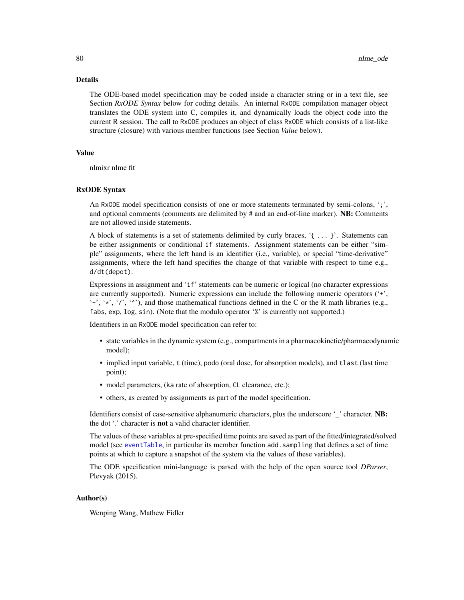### Details

The ODE-based model specification may be coded inside a character string or in a text file, see Section *RxODE Syntax* below for coding details. An internal RxODE compilation manager object translates the ODE system into C, compiles it, and dynamically loads the object code into the current R session. The call to RxODE produces an object of class RxODE which consists of a list-like structure (closure) with various member functions (see Section *Value* below).

### Value

nlmixr nlme fit

### RxODE Syntax

An RxODE model specification consists of one or more statements terminated by semi-colons, ';', and optional comments (comments are delimited by  $\#$  and an end-of-line marker). **NB:** Comments are not allowed inside statements.

A block of statements is a set of statements delimited by curly braces, '{ ... }'. Statements can be either assignments or conditional if statements. Assignment statements can be either "simple" assignments, where the left hand is an identifier (i.e., variable), or special "time-derivative" assignments, where the left hand specifies the change of that variable with respect to time e.g., d/dt(depot).

Expressions in assignment and 'if' statements can be numeric or logical (no character expressions are currently supported). Numeric expressions can include the following numeric operators ('+', '-', '\*', '/', '^'), and those mathematical functions defined in the C or the R math libraries (e.g., fabs, exp, log, sin). (Note that the modulo operator '%' is currently not supported.)

Identifiers in an RxODE model specification can refer to:

- state variables in the dynamic system (e.g., compartments in a pharmacokinetic/pharmacodynamic model);
- implied input variable, t (time), podo (oral dose, for absorption models), and tlast (last time point);
- model parameters, (ka rate of absorption, CL clearance, etc.);
- others, as created by assignments as part of the model specification.

Identifiers consist of case-sensitive alphanumeric characters, plus the underscore ' 'character. NB: the dot '.' character is not a valid character identifier.

The values of these variables at pre-specified time points are saved as part of the fitted/integrated/solved model (see [eventTable](#page-0-0), in particular its member function add.sampling that defines a set of time points at which to capture a snapshot of the system via the values of these variables).

The ODE specification mini-language is parsed with the help of the open source tool *DParser*, Plevyak (2015).

### Author(s)

Wenping Wang, Mathew Fidler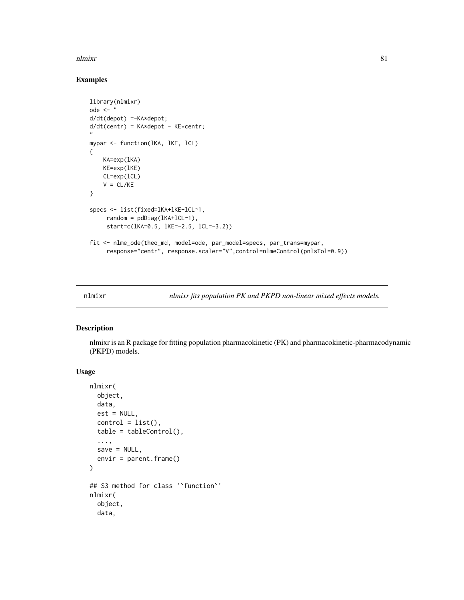### Examples

```
library(nlmixr)
ode \leq - "
d/dt(depot) =-KA*depot;
d/dt(centr) = KA*depot - KE*centr;
"
mypar <- function(lKA, lKE, lCL)
{
   KA=exp(lKA)
   KE=exp(lKE)
   CL=exp(lCL)
   V = CL/KE}
specs <- list(fixed=lKA+lKE+lCL~1,
     random = pdDiag(lKA+lCL~1),
     start=c(lKA=0.5, lKE=-2.5, lCL=-3.2))
fit <- nlme_ode(theo_md, model=ode, par_model=specs, par_trans=mypar,
     response="centr", response.scaler="V",control=nlmeControl(pnlsTol=0.9))
```
nlmixr *nlmixr fits population PK and PKPD non-linear mixed effects models.*

### Description

nlmixr is an R package for fitting population pharmacokinetic (PK) and pharmacokinetic-pharmacodynamic (PKPD) models.

```
nlmixr(
  object,
  data,
  est = NULL,control = list(),table = tableControl(),...,
  save = NULL,
  envir = parent.frame()
)
## S3 method for class '`function`'
nlmixr(
  object,
  data,
```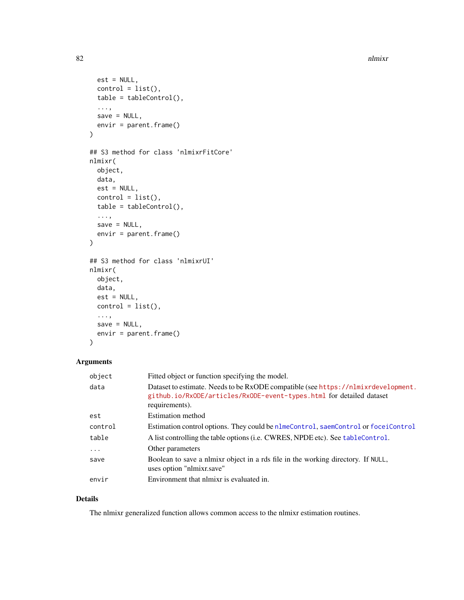```
est = NULL,control = list(),table = tableControl(),
  ...,
 save = NULL,
 envir = parent.frame()
)
## S3 method for class 'nlmixrFitCore'
nlmixr(
 object,
 data,
 est = NULL,control = list(),table = tableControl(),
  ...,
 save = NULL,envir = parent.frame()
\mathcal{L}## S3 method for class 'nlmixrUI'
nlmixr(
 object,
 data,
 est = NULL,control = list(),...,
 save = NULL,envir = parent.frame()
```

```
\mathcal{L}
```
# Arguments

| object   | Fitted object or function specifying the model.                                                                                                                             |
|----------|-----------------------------------------------------------------------------------------------------------------------------------------------------------------------------|
| data     | Dataset to estimate. Needs to be RxODE compatible (see https://nlmixrdevelopment.<br>github.io/RxODE/articles/RxODE-event-types.html for detailed dataset<br>requirements). |
| est      | Estimation method                                                                                                                                                           |
| control  | Estimation control options. They could be nlmeControl, saemControl or foceiControl                                                                                          |
| table    | A list controlling the table options (i.e. CWRES, NPDE etc). See tableControl.                                                                                              |
| $\ddots$ | Other parameters                                                                                                                                                            |
| save     | Boolean to save a nimixr object in a rds file in the working directory. If NULL,<br>uses option "nlmixr.save"                                                               |
| envir    | Environment that nlmixr is evaluated in.                                                                                                                                    |

# Details

The nlmixr generalized function allows common access to the nlmixr estimation routines.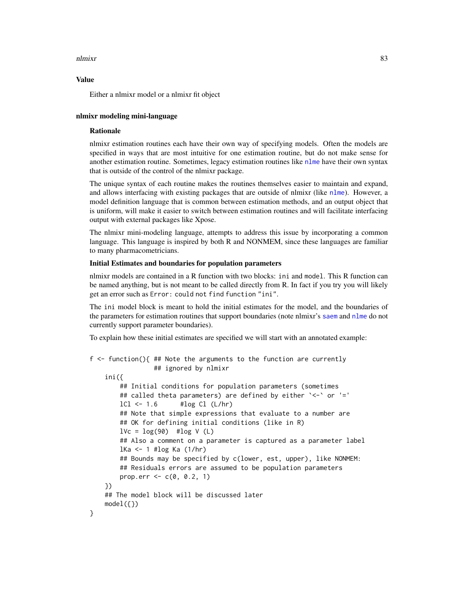### Value

Either a nlmixr model or a nlmixr fit object

# nlmixr modeling mini-language

#### Rationale

nlmixr estimation routines each have their own way of specifying models. Often the models are specified in ways that are most intuitive for one estimation routine, but do not make sense for another estimation routine. Sometimes, legacy estimation routines like [nlme](#page-0-0) have their own syntax that is outside of the control of the nlmixr package.

The unique syntax of each routine makes the routines themselves easier to maintain and expand, and allows interfacing with existing packages that are outside of nlmixr (like [nlme](#page-0-0)). However, a model definition language that is common between estimation methods, and an output object that is uniform, will make it easier to switch between estimation routines and will facilitate interfacing output with external packages like Xpose.

The nlmixr mini-modeling language, attempts to address this issue by incorporating a common language. This language is inspired by both R and NONMEM, since these languages are familiar to many pharmacometricians.

### Initial Estimates and boundaries for population parameters

nlmixr models are contained in a R function with two blocks: ini and model. This R function can be named anything, but is not meant to be called directly from R. In fact if you try you will likely get an error such as Error: could not find function "ini".

The ini model block is meant to hold the initial estimates for the model, and the boundaries of the parameters for estimation routines that support boundaries (note nlmixr's [saem](#page-145-0) and [nlme](#page-0-0) do not currently support parameter boundaries).

To explain how these initial estimates are specified we will start with an annotated example:

```
f <- function(){ ## Note the arguments to the function are currently
                ## ignored by nlmixr
   ini({
       ## Initial conditions for population parameters (sometimes
       ## called theta parameters) are defined by either `<-` or '='
       lCl \leftarrow 1.6 #log Cl (L/hr)## Note that simple expressions that evaluate to a number are
       ## OK for defining initial conditions (like in R)
       lVc = log(90) #log V(L)## Also a comment on a parameter is captured as a parameter label
       lKa <- 1 #log Ka (1/hr)
       ## Bounds may be specified by c(lower, est, upper), like NONMEM:
       ## Residuals errors are assumed to be population parameters
       prop.err <-c(0, 0.2, 1)})
   ## The model block will be discussed later
   model({})}
```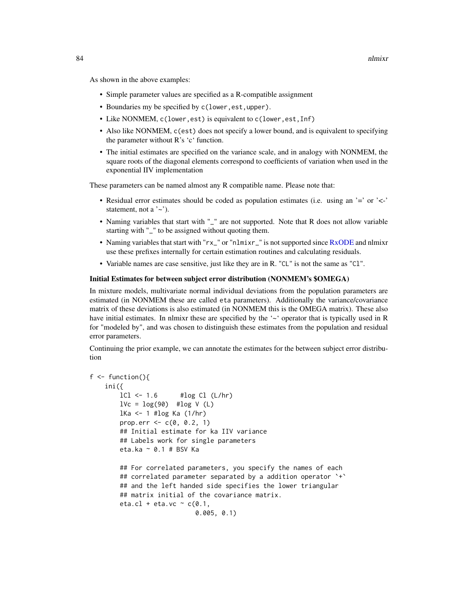As shown in the above examples:

- Simple parameter values are specified as a R-compatible assignment
- Boundaries my be specified by c(lower,est,upper).
- Like NONMEM, c(lower,est) is equivalent to c(lower,est,Inf)
- Also like NONMEM, c(est) does not specify a lower bound, and is equivalent to specifying the parameter without R's 'c' function.
- The initial estimates are specified on the variance scale, and in analogy with NONMEM, the square roots of the diagonal elements correspond to coefficients of variation when used in the exponential IIV implementation

These parameters can be named almost any R compatible name. Please note that:

- Residual error estimates should be coded as population estimates (i.e. using an '=' or '<-' statement, not a  $\sim$ .
- Naming variables that start with "\_" are not supported. Note that R does not allow variable starting with "\_" to be assigned without quoting them.
- Naming variables that start with "rx\_" or "nlmixr\_" is not supported since [RxODE](#page-0-0) and nlmixr use these prefixes internally for certain estimation routines and calculating residuals.
- Variable names are case sensitive, just like they are in R. "CL" is not the same as "Cl".

### Initial Estimates for between subject error distribution (NONMEM's \$OMEGA)

In mixture models, multivariate normal individual deviations from the population parameters are estimated (in NONMEM these are called eta parameters). Additionally the variance/covariance matrix of these deviations is also estimated (in NONMEM this is the OMEGA matrix). These also have initial estimates. In nlmixr these are specified by the '~' operator that is typically used in R for "modeled by", and was chosen to distinguish these estimates from the population and residual error parameters.

Continuing the prior example, we can annotate the estimates for the between subject error distribution

```
f \leftarrow function()ini({
        lCl \leftarrow 1.6 #log Cl (L/hr)lVc = log(90) #log V(L)lKa <- 1 #log Ka (1/hr)
       prop.err <-c(0, 0.2, 1)## Initial estimate for ka IIV variance
       ## Labels work for single parameters
       eta.ka ~ 0.1 # BSV Ka
       ## For correlated parameters, you specify the names of each
       ## correlated parameter separated by a addition operator `+`
       ## and the left handed side specifies the lower triangular
       ## matrix initial of the covariance matrix.
        eta.cl + eta.vc \sim c(0.1,
                            0.005, 0.1)
```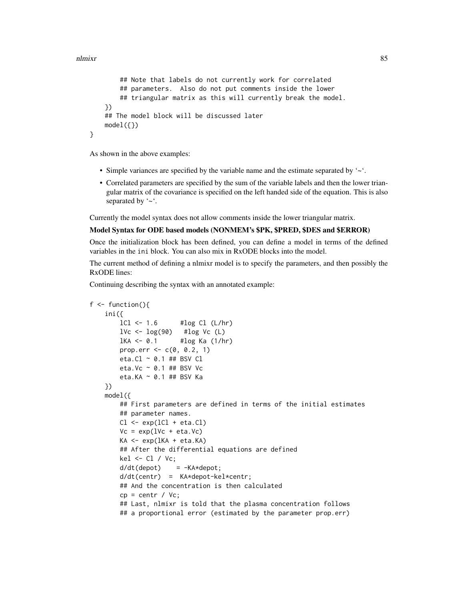}

```
## Note that labels do not currently work for correlated
    ## parameters. Also do not put comments inside the lower
   ## triangular matrix as this will currently break the model.
})
## The model block will be discussed later
model({})
```
As shown in the above examples:

- Simple variances are specified by the variable name and the estimate separated by '~'.
- Correlated parameters are specified by the sum of the variable labels and then the lower triangular matrix of the covariance is specified on the left handed side of the equation. This is also separated by '~'.

Currently the model syntax does not allow comments inside the lower triangular matrix.

### Model Syntax for ODE based models (NONMEM's \$PK, \$PRED, \$DES and \$ERROR)

Once the initialization block has been defined, you can define a model in terms of the defined variables in the ini block. You can also mix in RxODE blocks into the model.

The current method of defining a nlmixr model is to specify the parameters, and then possibly the RxODE lines:

Continuing describing the syntax with an annotated example:

```
f \leftarrow function()\text{ini}(\{\text{L1} < -1.6}\)#log Cl (L/hr)1Vc \leftarrow \log(90) #\log Vc (L)
        1KA <- 0.1 #\log Ka (1/hr)
        prop.err <-c(0, 0.2, 1)eta.Cl ~ 0.1 ## BSV Cl
        eta.Vc ~ 0.1 ## BSV Vc
        eta.KA ~ 0.1 ## BSV Ka
    })
   model({
        ## First parameters are defined in terms of the initial estimates
        ## parameter names.
        Cl \leftarrow \exp(1Cl + eta.C1)Vc = exp(1Vc + eta.Vc)KA <- exp(lKA + eta.KA)
        ## After the differential equations are defined
        kel < - Cl / Vc;
        d/dt(depot) = -KA*depot;
        d/dt(centr) = KA*depot-kel*centr;
        ## And the concentration is then calculated
        cp = centr / Vc;
        ## Last, nlmixr is told that the plasma concentration follows
        ## a proportional error (estimated by the parameter prop.err)
```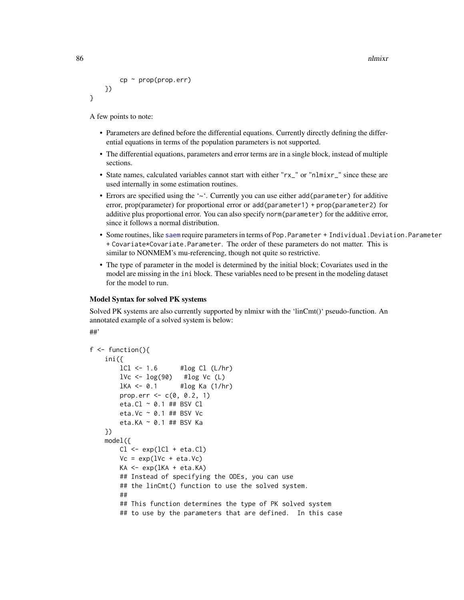```
86 na h-Alban ann an t-Iomraid ann an t-Iomraid ann an t-Iomraid ann an t-Iomraid ann an t-Iomraid ann an t-Iomraid ann an t-Iomraid ann an t-Iomraid ann an t-Iomraid ann an t-Iomraid ann an t-Iomraid ann an t-Iomraid ann
```

```
cp \sim prop(prop.err)})
}
```
A few points to note:

- Parameters are defined before the differential equations. Currently directly defining the differential equations in terms of the population parameters is not supported.
- The differential equations, parameters and error terms are in a single block, instead of multiple sections.
- State names, calculated variables cannot start with either "rx\_" or "nlmixr\_" since these are used internally in some estimation routines.
- Errors are specified using the '~'. Currently you can use either add(parameter) for additive error, prop(parameter) for proportional error or add(parameter1) + prop(parameter2) for additive plus proportional error. You can also specify norm(parameter) for the additive error, since it follows a normal distribution.
- Some routines, like [saem](#page-145-0) require parameters in terms of Pop. Parameter + Individual. Deviation. Parameter + Covariate\*Covariate.Parameter. The order of these parameters do not matter. This is similar to NONMEM's mu-referencing, though not quite so restrictive.
- The type of parameter in the model is determined by the initial block; Covariates used in the model are missing in the ini block. These variables need to be present in the modeling dataset for the model to run.

### Model Syntax for solved PK systems

Solved PK systems are also currently supported by nlmixr with the 'linCmt()' pseudo-function. An annotated example of a solved system is below:

```
##'
```

```
f \leftarrow function()ini({
        lCl \leftarrow 1.6 #log Cl (L/hr)1Vc \leftarrow \log(90) #\log Vc (L)
        1KA <- 0.1 #\log Ka (1/hr)
        prop.err <-c(0, 0.2, 1)eta.Cl ~ 0.1 ## BSV Cl
        eta.Vc \sim 0.1 ## BSV Vc
        eta.KA ~ 0.1 ## BSV Ka
    })
   model({
        Cl \leftarrow exp(1Cl + eta.C1)Vc = exp(1Vc + eta.Vc)KA <- exp(lKA + eta.KA)
        ## Instead of specifying the ODEs, you can use
        ## the linCmt() function to use the solved system.
        ##
        ## This function determines the type of PK solved system
        ## to use by the parameters that are defined. In this case
```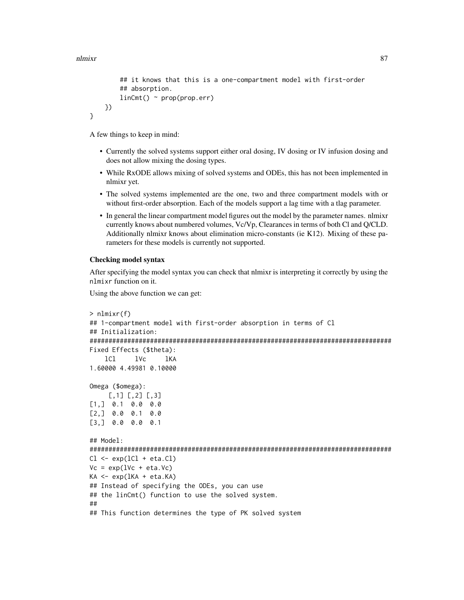}

```
## it knows that this is a one-compartment model with first-order
   ## absorption.
   linCmt() ~ ~ prop(prop.err)
})
```
A few things to keep in mind:

- Currently the solved systems support either oral dosing, IV dosing or IV infusion dosing and does not allow mixing the dosing types.
- While RxODE allows mixing of solved systems and ODEs, this has not been implemented in nlmixr yet.
- The solved systems implemented are the one, two and three compartment models with or without first-order absorption. Each of the models support a lag time with a tlag parameter.
- In general the linear compartment model figures out the model by the parameter names. nlmixr currently knows about numbered volumes, Vc/Vp, Clearances in terms of both Cl and Q/CLD. Additionally nlmixr knows about elimination micro-constants (ie K12). Mixing of these parameters for these models is currently not supported.

### Checking model syntax

After specifying the model syntax you can check that nlmixr is interpreting it correctly by using the nlmixr function on it.

Using the above function we can get:

```
> nlmixr(f)
## 1-compartment model with first-order absorption in terms of Cl
## Initialization:
################################################################################
Fixed Effects ($theta):
   lCl lVc lKA
1.60000 4.49981 0.10000
Omega ($omega):
     [,1] [,2] [,3]
[1,] 0.1 0.0 0.0
[2,] 0.0 0.1 0.0
[3,] 0.0 0.0 0.1
## Model:
################################################################################
Cl \leftarrow exp(1Cl + eta.C1)Vc = exp(1Vc + eta.Vc)KA \leftarrow exp(lKA + eta.KA)## Instead of specifying the ODEs, you can use
## the linCmt() function to use the solved system.
##
## This function determines the type of PK solved system
```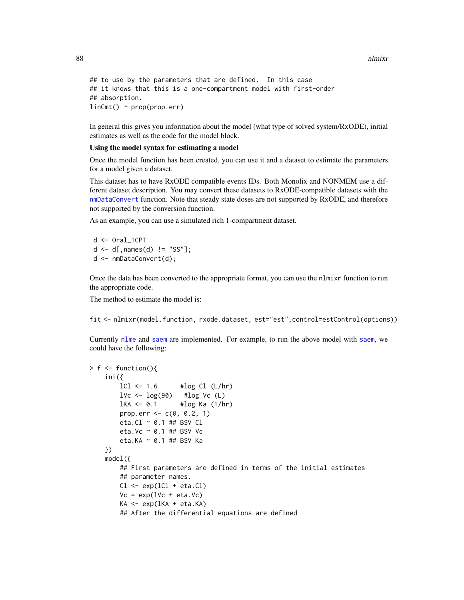88 **nlmixr** and the control of the control of the control of the control of the control of the control of the control of the control of the control of the control of the control of the control of the control of the control

```
## to use by the parameters that are defined. In this case
## it knows that this is a one-compartment model with first-order
## absorption.
linCmt() ~ rprop(prop.err)
```
In general this gives you information about the model (what type of solved system/RxODE), initial estimates as well as the code for the model block.

#### Using the model syntax for estimating a model

Once the model function has been created, you can use it and a dataset to estimate the parameters for a model given a dataset.

This dataset has to have RxODE compatible events IDs. Both Monolix and NONMEM use a different dataset description. You may convert these datasets to RxODE-compatible datasets with the [nmDataConvert](#page-0-0) function. Note that steady state doses are not supported by RxODE, and therefore not supported by the conversion function.

As an example, you can use a simulated rich 1-compartment dataset.

```
d <- Oral_1CPT
d \leq d[, names(d) != "SS"];
d <- nmDataConvert(d);
```
Once the data has been converted to the appropriate format, you can use the nlmixr function to run the appropriate code.

The method to estimate the model is:

fit <- nlmixr(model.function, rxode.dataset, est="est",control=estControl(options))

Currently [nlme](#page-0-0) and [saem](#page-145-0) are implemented. For example, to run the above model with [saem](#page-145-0), we could have the following:

```
> f < - function(){
    ini({
        lCl \leftarrow 1.6 #log Cl (L/hr)1Vc \leftarrow \log(90) #\log Vc (L)
        lKA <- 0.1 #log Ka (1/hr)
        prop.err <-c(0, 0.2, 1)eta.Cl \sim 0.1 ## BSV Cl
        eta.Vc \sim 0.1 ## BSV Vc
        eta.KA ~ 0.1 ## BSV Ka
    })
    model({
        ## First parameters are defined in terms of the initial estimates
        ## parameter names.
        Cl \leftarrow exp(1Cl + eta.C1)Vc = exp(1Vc + eta.Vc)KA <- exp(lKA + eta.KA)
        ## After the differential equations are defined
```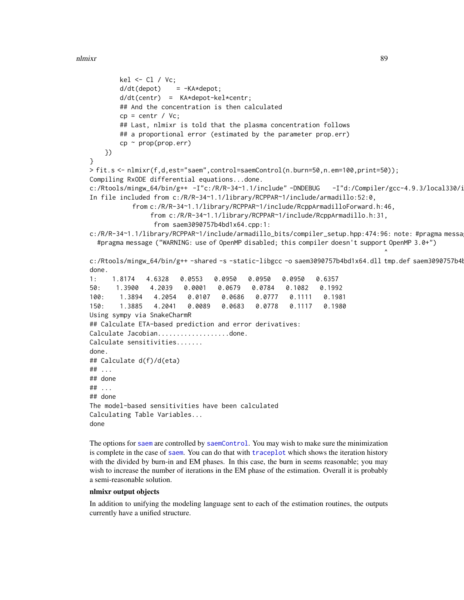```
kel <- Cl / Vc;
       d/dt(depot) = -KA*depot;
       d/dt(centr) = KA*depot-kel*centr;
       ## And the concentration is then calculated
       cp = centr / Vc;
       ## Last, nlmixr is told that the plasma concentration follows
       ## a proportional error (estimated by the parameter prop.err)
       cp \sim prop(prop.err)})
}
> fit.s <- nlmixr(f,d,est="saem",control=saemControl(n.burn=50,n.em=100,print=50));
Compiling RxODE differential equations...done.
c:/Rtools/mingw_64/bin/g++ -I"c:/R/R-34~1.1/include"-DNDEBUG -I"d:/Compiler/gcc-4.9.3/local330/i
In file included from c:/R/R-34~1.1/library/RCPPAR~1/include/armadillo:52:0,
           from c:/R/R-34~1.1/library/RCPPAR~1/include/RcppArmadilloForward.h:46,
                from c:/R/R-34~1.1/library/RCPPAR~1/include/RcppArmadillo.h:31,
                from saem3090757b4bd1x64.cpp:1:
c:/R/R-34~1.1/library/RCPPAR~1/include/armadillo_bits/compiler_setup.hpp:474:96: note: #pragma messa
  #pragma message ("WARNING: use of OpenMP disabled; this compiler doesn't support OpenMP 3.0+")
                                                                             \lambdac:/Rtools/mingw_64/bin/g++ -shared -s -static-libgcc -o saem3090757b4bd1x64.dll tmp.def saem3090757b4
done.
1: 1.8174 4.6328 0.0553 0.0950 0.0950 0.0950 0.6357
50: 1.3900 4.2039 0.0001 0.0679 0.0784 0.1082 0.1992
100: 1.3894 4.2054 0.0107 0.0686 0.0777 0.1111 0.1981
150: 1.3885 4.2041 0.0089 0.0683 0.0778 0.1117 0.1980
Using sympy via SnakeCharmR
## Calculate ETA-based prediction and error derivatives:
Calculate Jacobian...................done.
Calculate sensitivities.......
done.
## Calculate d(f)/d(eta)
## ...
## done
## ...
## done
The model-based sensitivities have been calculated
Calculating Table Variables...
done
```
The options for [saem](#page-145-0) are controlled by [saemControl](#page-148-0). You may wish to make sure the minimization is complete in the case of [saem](#page-145-0). You can do that with [traceplot](#page-19-0) which shows the iteration history with the divided by burn-in and EM phases. In this case, the burn in seems reasonable; you may wish to increase the number of iterations in the EM phase of the estimation. Overall it is probably a semi-reasonable solution.

### nlmixr output objects

In addition to unifying the modeling language sent to each of the estimation routines, the outputs currently have a unified structure.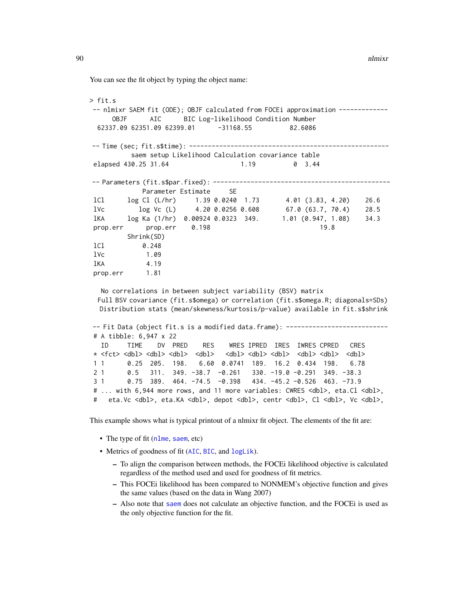You can see the fit object by typing the object name:

```
> fit.s
-- nlmixr SAEM fit (ODE); OBJF calculated from FOCEi approximation ------------
     OBJF AIC BIC Log-likelihood Condition Number
 62337.09 62351.09 62399.01 -31168.55 82.6086
-- Time (sec; fit.s$time): -----------------------------------------------------
         saem setup Likelihood Calculation covariance table
elapsed 430.25 31.64 1.19 0 3.44
-- Parameters (fit.s$par.fixed): -----------------------------------------------
           Parameter Estimate SE
lCl log Cl (L/hr) 1.39 0.0240 1.73 4.01 (3.83, 4.20) 26.6
lVc log Vc (L) 4.20 0.0256 0.608 67.0 (63.7, 70.4) 28.5
lKA log Ka (1/hr) 0.00924 0.0323 349. 1.01 (0.947, 1.08) 34.3
prop.err prop.err 0.198 19.8
        Shrink(SD)
lCl 0.248
lVc 1.09
lKA 4.19
prop.err 1.81
  No correlations in between subject variability (BSV) matrix
 Full BSV covariance (fit.s$omega) or correlation (fit.s$omega.R; diagonals=SDs)
  Distribution stats (mean/skewness/kurtosis/p-value) available in fit.s$shrink
-- Fit Data (object fit.s is a modified data.frame): ---------------------------
# A tibble: 6,947 x 22
  ID TIME DV PRED RES WRES IPRED IRES IWRES CPRED CRES
* <fct> <dbl> <dbl> <dbl> <dbl> <dbl> <dbl> <dbl> <dbl> <dbl> <dbl>
1 1 0.25 205. 198. 6.60 0.0741 189. 16.2 0.434 198. 6.78
2 1 0.5 311. 349. -38.7 -0.261 330. -19.0 -0.291 349. -38.3
```
# ... with 6,944 more rows, and 11 more variables: CWRES <dbl>, eta.Cl <dbl>, # eta.Vc <dbl>, eta.KA <dbl>, depot <dbl>, centr <dbl>, Cl <dbl>, Vc <dbl>,

This example shows what is typical printout of a nlmixr fit object. The elements of the fit are:

3 1 0.75 389. 464. -74.5 -0.398 434. -45.2 -0.526 463. -73.9

- The type of fit ([nlme](#page-0-0), [saem](#page-145-0), etc)
- Metrics of goodness of fit ([AIC](#page-0-0), [BIC](#page-0-0), and [logLik](#page-0-0)).
	- To align the comparison between methods, the FOCEi likelihood objective is calculated regardless of the method used and used for goodness of fit metrics.
	- This FOCEi likelihood has been compared to NONMEM's objective function and gives the same values (based on the data in Wang 2007)
	- Also note that [saem](#page-145-0) does not calculate an objective function, and the FOCEi is used as the only objective function for the fit.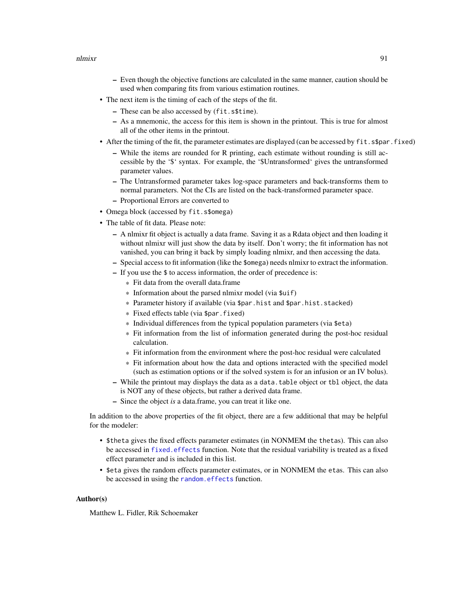- Even though the objective functions are calculated in the same manner, caution should be used when comparing fits from various estimation routines.
- The next item is the timing of each of the steps of the fit.
	- These can be also accessed by (fit.s\$time).
	- As a mnemonic, the access for this item is shown in the printout. This is true for almost all of the other items in the printout.
- After the timing of the fit, the parameter estimates are displayed (can be accessed by fit.s\$par.fixed)
	- While the items are rounded for R printing, each estimate without rounding is still accessible by the '\$' syntax. For example, the '\$Untransformed' gives the untransformed parameter values.
	- The Untransformed parameter takes log-space parameters and back-transforms them to normal parameters. Not the CIs are listed on the back-transformed parameter space.
	- Proportional Errors are converted to
- Omega block (accessed by fit.s\$omega)
- The table of fit data. Please note:
	- A nlmixr fit object is actually a data frame. Saving it as a Rdata object and then loading it without nlmixr will just show the data by itself. Don't worry; the fit information has not vanished, you can bring it back by simply loading nlmixr, and then accessing the data.
	- Special access to fit information (like the \$omega) needs nlmixr to extract the information.
	- If you use the \$ to access information, the order of precedence is:
		- \* Fit data from the overall data.frame
		- \* Information about the parsed nlmixr model (via \$uif)
		- \* Parameter history if available (via \$par.hist and \$par.hist.stacked)
		- \* Fixed effects table (via \$par.fixed)
		- \* Individual differences from the typical population parameters (via \$eta)
		- \* Fit information from the list of information generated during the post-hoc residual calculation.
		- \* Fit information from the environment where the post-hoc residual were calculated
		- \* Fit information about how the data and options interacted with the specified model (such as estimation options or if the solved system is for an infusion or an IV bolus).
	- While the printout may displays the data as a data.table object or tbl object, the data is NOT any of these objects, but rather a derived data frame.
	- Since the object *is* a data.frame, you can treat it like one.

In addition to the above properties of the fit object, there are a few additional that may be helpful for the modeler:

- \$theta gives the fixed effects parameter estimates (in NONMEM the thetas). This can also be accessed in [fixed.effects](#page-0-0) function. Note that the residual variability is treated as a fixed effect parameter and is included in this list.
- \$eta gives the random effects parameter estimates, or in NONMEM the etas. This can also be accessed in using the [random.effects](#page-0-0) function.

### Author(s)

Matthew L. Fidler, Rik Schoemaker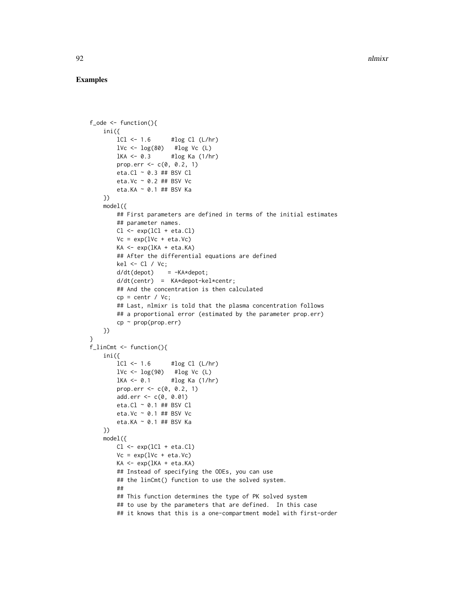### Examples

```
f_ode <- function(){
    ini({
        lCl \leftarrow 1.6 #log Cl (L/hr)lVc \leftarrow \log(80) #log Vc (L)
       lKA <- 0.3 #log Ka (1/hr)
        prop.err <-c(0, 0.2, 1)eta.Cl ~ 0.3 ## BSV Cl
        eta.Vc ~ 0.2 ## BSV Vc
       eta.KA ~ 0.1 ## BSV Ka
   })
    model({
        ## First parameters are defined in terms of the initial estimates
        ## parameter names.
       Cl \leftarrow \exp(1Cl + eta.C1)Vc = exp(1Vc + eta.Vc)KA <- exp(lKA + eta.KA)
        ## After the differential equations are defined
        kel <- Cl / Vc;
        d/dt(depot) = -KA*depot;
        d/dt(centr) = KA*depot-kel*centr;
        ## And the concentration is then calculated
        cp = centr / Vc;## Last, nlmixr is told that the plasma concentration follows
        ## a proportional error (estimated by the parameter prop.err)
       cp \sim prop(prop.err)})
}
f_linCmt <- function(){
    ini({
        lCl \leftarrow 1.6 #log Cl (L/hr)lVc \leftarrow \log(90) #log Vc (L)
       1KA \le 0.1 #log Ka (1/hr)prop.err <- c(0, 0.2, 1)add.err <- c(0, 0.01)
       eta.Cl ~ 0.1 ## BSV Cl
       eta.Vc ~ 0.1 ## BSV Vc
       eta.KA ~ 0.1 ## BSV Ka
   })
   model({
       Cl <- exp(lCl + eta.Cl)
       Vc = exp(1Vc + eta.Vc)KA <- exp(lKA + eta.KA)
        ## Instead of specifying the ODEs, you can use
        ## the linCmt() function to use the solved system.
        ##
        ## This function determines the type of PK solved system
        ## to use by the parameters that are defined. In this case
        ## it knows that this is a one-compartment model with first-order
```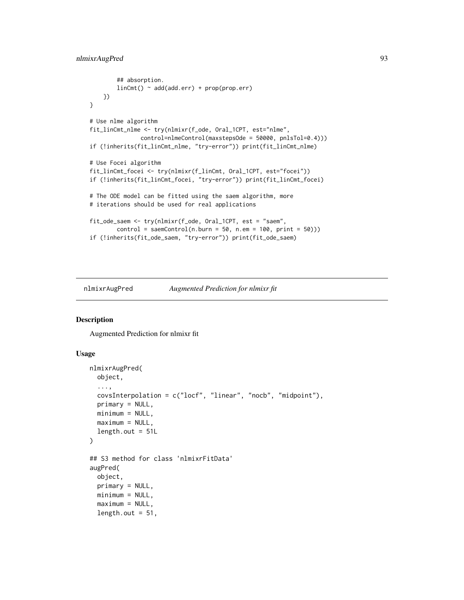# nlmixrAugPred 93

```
## absorption.
       linCmt() ~ add(add.err) + prop(prop.err)
   })
}
# Use nlme algorithm
fit_linCmt_nlme <- try(nlmixr(f_ode, Oral_1CPT, est="nlme",
              control=nlmeControl(maxstepsOde = 50000, pnlsTol=0.4)))
if (!inherits(fit_linCmt_nlme, "try-error")) print(fit_linCmt_nlme)
# Use Focei algorithm
fit_linCmt_focei <- try(nlmixr(f_linCmt, Oral_1CPT, est="focei"))
if (!inherits(fit_linCmt_focei, "try-error")) print(fit_linCmt_focei)
# The ODE model can be fitted using the saem algorithm, more
# iterations should be used for real applications
fit_ode_saem <- try(nlmixr(f_ode, Oral_1CPT, est = "saem",
       control = sameControl(n.burn = 50, n-em = 100, print = 50))if (!inherits(fit_ode_saem, "try-error")) print(fit_ode_saem)
```
nlmixrAugPred *Augmented Prediction for nlmixr fit*

### Description

Augmented Prediction for nlmixr fit

```
nlmixrAugPred(
  object,
  ...,
  covsInterpolation = c("locf", "linear", "nocb", "midpoint"),
  primary = NULL,
 minimum = NULL,
 maximum = NULL,length.out = 51L)
## S3 method for class 'nlmixrFitData'
augPred(
  object,
  primary = NULL,
 minimum = NULL,maximum = NULL,length.out = 51,
```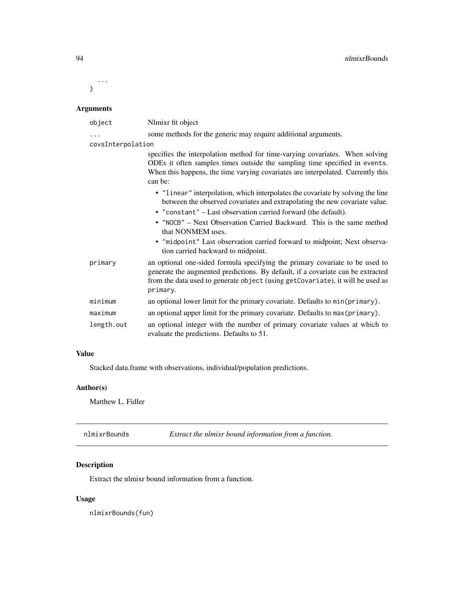...  $\mathcal{L}$ 

# Arguments

| object            | Nlmixr fit object                                                                                                                                                                                                                                             |
|-------------------|---------------------------------------------------------------------------------------------------------------------------------------------------------------------------------------------------------------------------------------------------------------|
| .                 | some methods for the generic may require additional arguments.                                                                                                                                                                                                |
| covsInterpolation |                                                                                                                                                                                                                                                               |
|                   | specifies the interpolation method for time-varying covariates. When solving<br>ODEs it often samples times outside the sampling time specified in events.<br>When this happens, the time varying covariates are interpolated. Currently this<br>can be:      |
|                   | • "linear" interpolation, which interpolates the covariate by solving the line<br>between the observed covariates and extrapolating the new covariate value.                                                                                                  |
|                   | • "constant" – Last observation carried forward (the default).                                                                                                                                                                                                |
|                   | • "NOCB" - Next Observation Carried Backward. This is the same method<br>that NONMEM uses.                                                                                                                                                                    |
|                   | • "midpoint" Last observation carried forward to midpoint; Next observa-<br>tion carried backward to midpoint.                                                                                                                                                |
| primary           | an optional one-sided formula specifying the primary covariate to be used to<br>generate the augmented predictions. By default, if a covariate can be extracted<br>from the data used to generate object (using getCovariate), it will be used as<br>primary. |
| minimum           | an optional lower limit for the primary covariate. Defaults to min(primary).                                                                                                                                                                                  |
| maximum           | an optional upper limit for the primary covariate. Defaults to max (primary).                                                                                                                                                                                 |
| length.out        | an optional integer with the number of primary covariate values at which to<br>evaluate the predictions. Defaults to 51.                                                                                                                                      |

# Value

Stacked data.frame with observations, individual/population predictions.

# Author(s)

Matthew L. Fidler

<span id="page-93-0"></span>nlmixrBounds *Extract the nlmixr bound information from a function.*

# Description

Extract the nlmixr bound information from a function.

# Usage

nlmixrBounds(fun)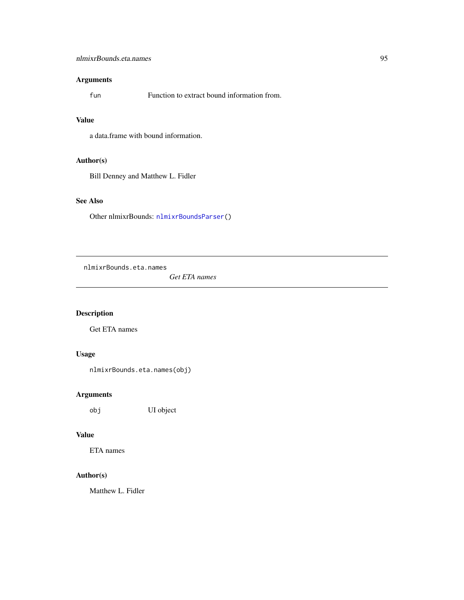# nlmixrBounds.eta.names 95

# Arguments

fun Function to extract bound information from.

### Value

a data.frame with bound information.

# Author(s)

Bill Denney and Matthew L. Fidler

# See Also

Other nlmixrBounds: [nlmixrBoundsParser\(](#page-95-0))

nlmixrBounds.eta.names

*Get ETA names*

# Description

Get ETA names

# Usage

nlmixrBounds.eta.names(obj)

# Arguments

obj UI object

# Value

ETA names

# Author(s)

Matthew L. Fidler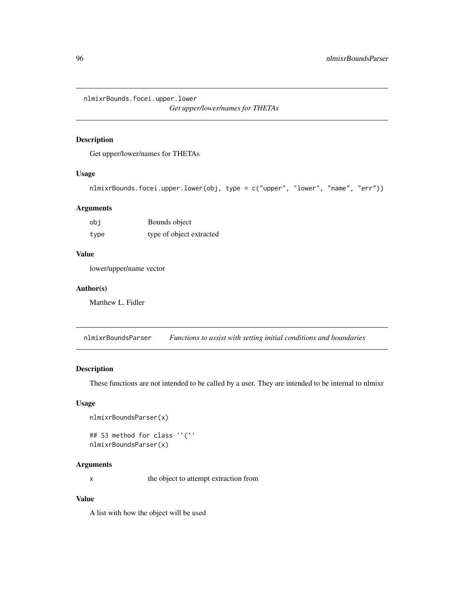nlmixrBounds.focei.upper.lower

*Get upper/lower/names for THETAs*

# Description

Get upper/lower/names for THETAs

### Usage

```
nlmixrBounds.focei.upper.lower(obj, type = c("upper", "lower", "name", "err"))
```
# Arguments

| obi  | Bounds object            |
|------|--------------------------|
| type | type of object extracted |

# Value

lower/upper/name vector

### Author(s)

Matthew L. Fidler

<span id="page-95-0"></span>nlmixrBoundsParser *Functions to assist with setting initial conditions and boundaries*

# Description

These functions are not intended to be called by a user. They are intended to be internal to nlmixr

### Usage

```
nlmixrBoundsParser(x)
```

```
## S3 method for class '`(`'
nlmixrBoundsParser(x)
```
# Arguments

x the object to attempt extraction from

# Value

A list with how the object will be used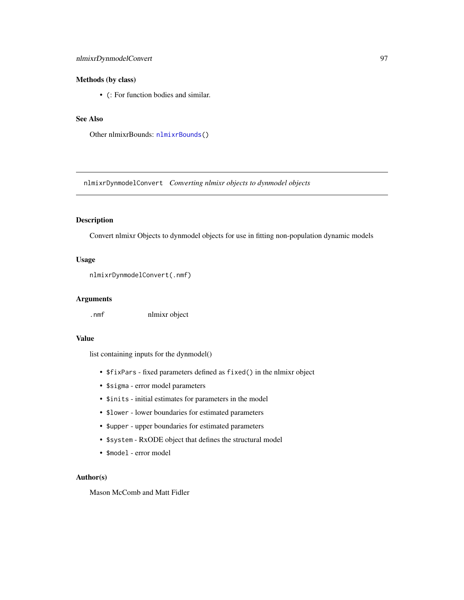# nlmixrDynmodelConvert 97

### Methods (by class)

• (: For function bodies and similar.

# See Also

Other nlmixrBounds: [nlmixrBounds\(](#page-93-0))

nlmixrDynmodelConvert *Converting nlmixr objects to dynmodel objects*

# Description

Convert nlmixr Objects to dynmodel objects for use in fitting non-population dynamic models

### Usage

```
nlmixrDynmodelConvert(.nmf)
```
### Arguments

.nmf nlmixr object

### Value

list containing inputs for the dynmodel()

- \$fixPars fixed parameters defined as fixed() in the nlmixr object
- \$sigma error model parameters
- \$inits initial estimates for parameters in the model
- \$lower lower boundaries for estimated parameters
- \$upper upper boundaries for estimated parameters
- \$system RxODE object that defines the structural model
- \$model error model

### Author(s)

Mason McComb and Matt Fidler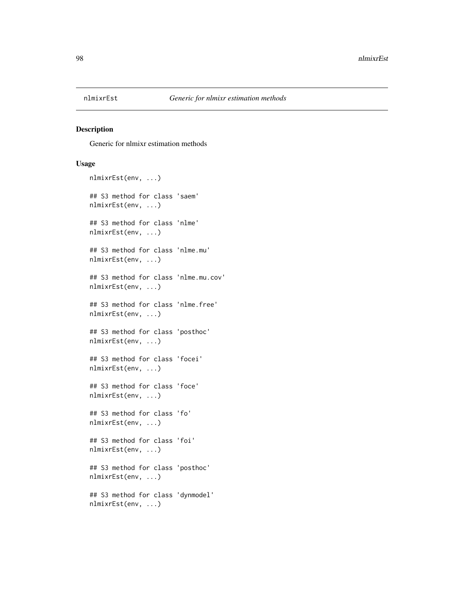### Description

Generic for nlmixr estimation methods

```
nlmixrEst(env, ...)
## S3 method for class 'saem'
nlmixrEst(env, ...)
## S3 method for class 'nlme'
nlmixrEst(env, ...)
## S3 method for class 'nlme.mu'
nlmixrEst(env, ...)
## S3 method for class 'nlme.mu.cov'
nlmixrEst(env, ...)
## S3 method for class 'nlme.free'
nlmixrEst(env, ...)
## S3 method for class 'posthoc'
nlmixrEst(env, ...)
## S3 method for class 'focei'
nlmixrEst(env, ...)
## S3 method for class 'foce'
nlmixrEst(env, ...)
## S3 method for class 'fo'
nlmixrEst(env, ...)
## S3 method for class 'foi'
nlmixrEst(env, ...)
## S3 method for class 'posthoc'
nlmixrEst(env, ...)
## S3 method for class 'dynmodel'
nlmixrEst(env, ...)
```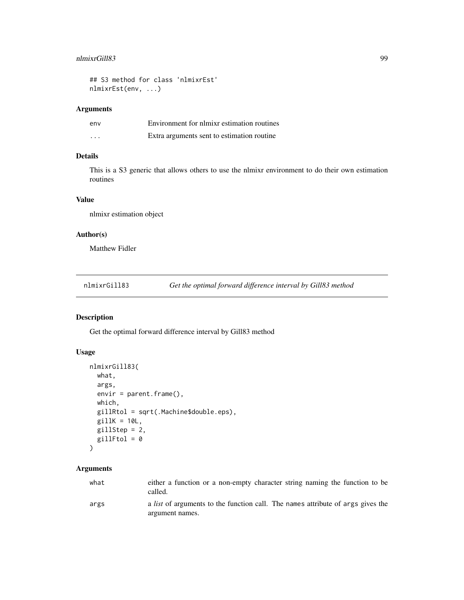### nlmixrGill83 99

## S3 method for class 'nlmixrEst' nlmixrEst(env, ...)

### Arguments

| env      | Environment for nlmixr estimation routines |
|----------|--------------------------------------------|
| $\cdots$ | Extra arguments sent to estimation routine |

# Details

This is a S3 generic that allows others to use the nlmixr environment to do their own estimation routines

# Value

nlmixr estimation object

# Author(s)

Matthew Fidler

<span id="page-98-0"></span>nlmixrGill83 *Get the optimal forward difference interval by Gill83 method*

# Description

Get the optimal forward difference interval by Gill83 method

### Usage

```
nlmixrGill83(
 what,
 args,
 envir = parent.frame(),
 which,
 gillRtol = sqrt(.Machine$double.eps),
 gillK = 10L,gillStep = 2,
 gillFtol = 0
```
)

# Arguments

| what | either a function or a non-empty character string naming the function to be<br>called.                    |
|------|-----------------------------------------------------------------------------------------------------------|
| args | a <i>list</i> of arguments to the function call. The names attribute of args gives the<br>argument names. |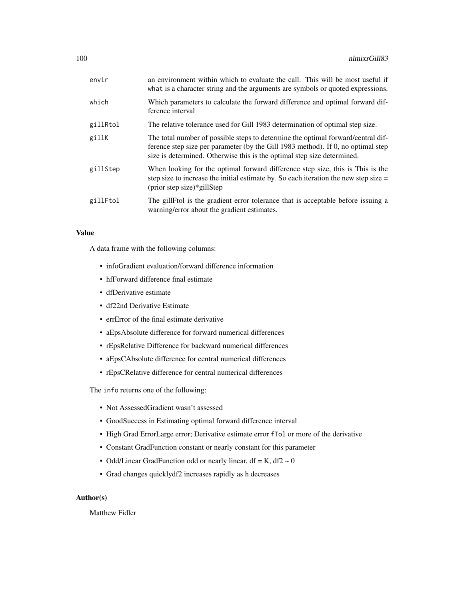| envir    | an environment within which to evaluate the call. This will be most useful if<br>what is a character string and the arguments are symbols or quoted expressions.                                                                                |
|----------|-------------------------------------------------------------------------------------------------------------------------------------------------------------------------------------------------------------------------------------------------|
| which    | Which parameters to calculate the forward difference and optimal forward dif-<br>ference interval                                                                                                                                               |
| gillRtol | The relative tolerance used for Gill 1983 determination of optimal step size.                                                                                                                                                                   |
| gillK    | The total number of possible steps to determine the optimal forward/central dif-<br>ference step size per parameter (by the Gill 1983 method). If 0, no optimal step<br>size is determined. Otherwise this is the optimal step size determined. |
| gillStep | When looking for the optimal forward difference step size, this is This is the<br>step size to increase the initial estimate by. So each iteration the new step size $=$<br>$(\text{prior step size})$ gillStep                                 |
| gillFtol | The gillFtol is the gradient error tolerance that is acceptable before issuing a<br>warning/error about the gradient estimates.                                                                                                                 |

### Value

A data frame with the following columns:

- infoGradient evaluation/forward difference information
- hfForward difference final estimate
- dfDerivative estimate
- df22nd Derivative Estimate
- errError of the final estimate derivative
- aEpsAbsolute difference for forward numerical differences
- rEpsRelative Difference for backward numerical differences
- aEpsCAbsolute difference for central numerical differences
- rEpsCRelative difference for central numerical differences

The info returns one of the following:

- Not AssessedGradient wasn't assessed
- GoodSuccess in Estimating optimal forward difference interval
- High Grad ErrorLarge error; Derivative estimate error fTol or more of the derivative
- Constant GradFunction constant or nearly constant for this parameter
- Odd/Linear GradFunction odd or nearly linear, df = K, df2  $\sim$  0
- Grad changes quicklydf2 increases rapidly as h decreases

### Author(s)

Matthew Fidler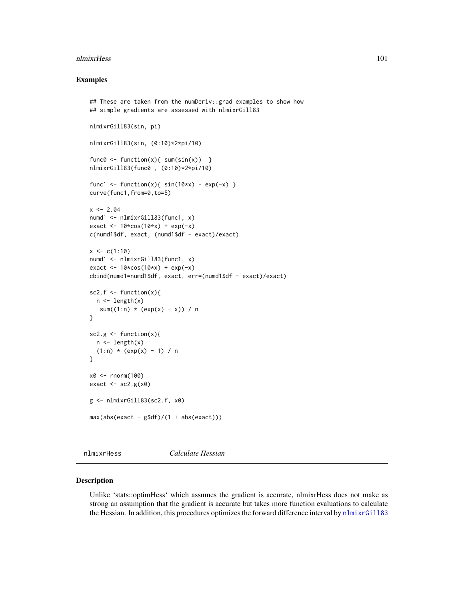### nlmixrHess 101

### Examples

```
## These are taken from the numDeriv::grad examples to show how
## simple gradients are assessed with nlmixrGill83
nlmixrGill83(sin, pi)
nlmixrGill83(sin, (0:10)*2*pi/10)
func0 \leq f function(x){ sum(sin(x)) }
nlmixrGill83(func0 , (0:10)*2*pi/10)
func1 <- function(x){ sin(10*x) - exp(-x) }
curve(func1,from=0,to=5)
x \le -2.04numd1 <- nlmixrGill83(func1, x)
exact \leq -10 \times \cos(10 \times x) + \exp(-x)c(numd1$df, exact, (numd1$df - exact)/exact)
x \leq -c(1:10)numd1 <- nlmixrGill83(func1, x)
exact <- 10*cos(10*x) + exp(-x)cbind(numd1=numd1$df, exact, err=(numd1$df - exact)/exact)
sc2.f \leftarrow function(x){
  n \leftarrow length(x)sum((1:n) * (exp(x) - x)) / n
}
sc2.g \le function(x){
  n \leftarrow length(x)(1:n) * (exp(x) - 1) / n}
x0 <- rnorm(100)
exact \leq sc2.g(x0)
g <- nlmixrGill83(sc2.f, x0)
max(abs(exact - g$df)/(1 + abs(exact)))
```
nlmixrHess *Calculate Hessian*

### Description

Unlike 'stats::optimHess' which assumes the gradient is accurate, nlmixrHess does not make as strong an assumption that the gradient is accurate but takes more function evaluations to calculate the Hessian. In addition, this procedures optimizes the forward difference interval by [nlmixrGill83](#page-98-0)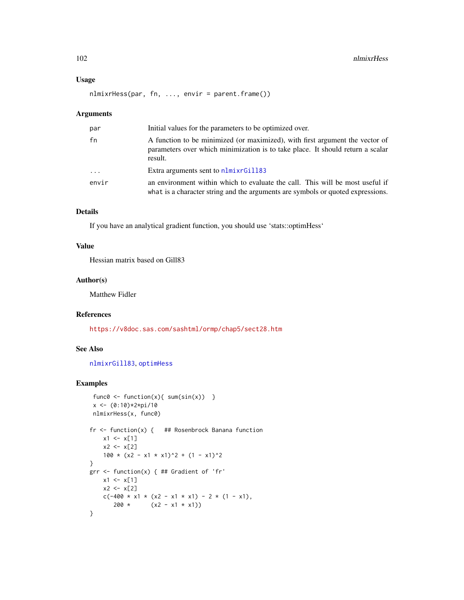### Usage

nlmixrHess(par, fn, ..., envir = parent.frame())

### Arguments

| par                     | Initial values for the parameters to be optimized over.                                                                                                                   |
|-------------------------|---------------------------------------------------------------------------------------------------------------------------------------------------------------------------|
| fn                      | A function to be minimized (or maximized), with first argument the vector of<br>parameters over which minimization is to take place. It should return a scalar<br>result. |
| $\cdot$ $\cdot$ $\cdot$ | Extra arguments sent to nlmixrGill83                                                                                                                                      |
| envir                   | an environment within which to evaluate the call. This will be most useful if<br>what is a character string and the arguments are symbols or quoted expressions.          |

### Details

If you have an analytical gradient function, you should use 'stats::optimHess'

### Value

Hessian matrix based on Gill83

### Author(s)

Matthew Fidler

# References

<https://v8doc.sas.com/sashtml/ormp/chap5/sect28.htm>

# See Also

[nlmixrGill83](#page-98-0), [optimHess](#page-0-0)

# Examples

```
func0 \le function(x){ sum(sin(x)) }
 x \leftarrow (0:10)*2*pi/10nlmixrHess(x, func0)
fr <- function(x) { ## Rosenbrock Banana function
    x1 \leftarrow x[1]x2 < - x[2]100 * (x2 - x1 * x1)^2 + (1 - x1)^2
}
grr <- function(x) { ## Gradient of 'fr'
    x1 \leftarrow x[1]x2 < - x[2]c(-400 * x1 * (x2 - x1 * x1) - 2 * (1 - x1),
       200 * (x2 - x1 * x1))}
```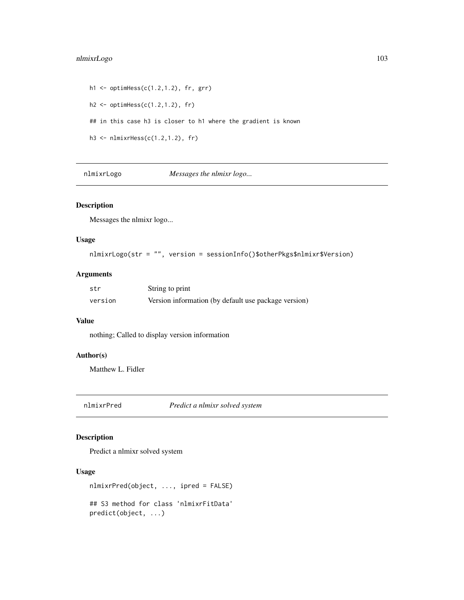# nlmixrLogo 103

```
h1 <- optimHess(c(1.2,1.2), fr, grr)
h2 \leq optimHess(c(1.2,1.2), fr)
## in this case h3 is closer to h1 where the gradient is known
h3 <- nlmixrHess(c(1.2,1.2), fr)
```
nlmixrLogo *Messages the nlmixr logo...*

# Description

Messages the nlmixr logo...

### Usage

```
nlmixrLogo(str = "", version = sessionInfo()$otherPkgs$nlmixr$Version)
```
# Arguments

| str     | String to print                                      |
|---------|------------------------------------------------------|
| version | Version information (by default use package version) |

# Value

nothing; Called to display version information

# Author(s)

Matthew L. Fidler

nlmixrPred *Predict a nlmixr solved system*

# Description

Predict a nlmixr solved system

```
nlmixrPred(object, ..., ipred = FALSE)
## S3 method for class 'nlmixrFitData'
predict(object, ...)
```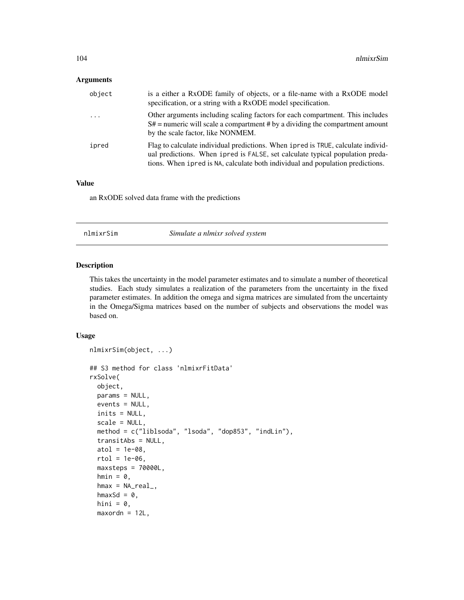# Arguments

| object   | is a either a RxODE family of objects, or a file-name with a RxODE model<br>specification, or a string with a RxODE model specification.                                                                                                            |
|----------|-----------------------------------------------------------------------------------------------------------------------------------------------------------------------------------------------------------------------------------------------------|
| $\ddots$ | Other arguments including scaling factors for each compartment. This includes<br>$S#$ = numeric will scale a compartment # by a dividing the compartment amount<br>by the scale factor, like NONMEM.                                                |
| ipred    | Flag to calculate individual predictions. When ipred is TRUE, calculate individ-<br>ual predictions. When ipred is FALSE, set calculate typical population preda-<br>tions. When ipred is NA, calculate both individual and population predictions. |

# Value

an RxODE solved data frame with the predictions

| nlmixrSim | Simulate a nlmixr solved system |  |
|-----------|---------------------------------|--|
|-----------|---------------------------------|--|

# Description

This takes the uncertainty in the model parameter estimates and to simulate a number of theoretical studies. Each study simulates a realization of the parameters from the uncertainty in the fixed parameter estimates. In addition the omega and sigma matrices are simulated from the uncertainty in the Omega/Sigma matrices based on the number of subjects and observations the model was based on.

```
nlmixrSim(object, ...)
## S3 method for class 'nlmixrFitData'
rxSolve(
 object,
 params = NULL,
 events = NULL,
  inits = NULL,
  scale = NULL,
 method = c("liblsoda", "lsoda", "dop853", "indLin"),
  transitAbs = NULL,
  atol = 1e-08,
  rtol = 1e-06,
 maxsteps = 70000L,
  hmin = 0,
  hmax = NA\_real_,
  hmaxSd = 0,
  hini = 0,
 maxordn = 12L,
```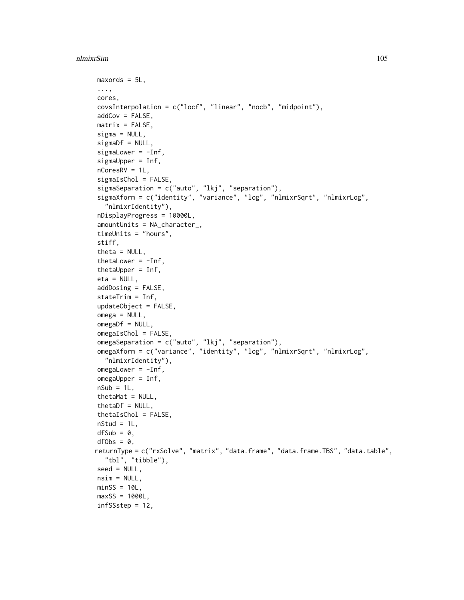```
maxords = 5L,
...,
cores,
covsInterpolation = c("locf", "linear", "nocb", "midpoint"),
addCov = FALSE,matrix = FALSE,signa = NULL,signaDf = NULL,sigmaLower = -Inf,
sigmaUpper = Inf,
nCoresRV = 1L,
sigmaIsChol = FALSE,
sigmaSeparation = c("auto", "lkj", "separation"),
sigmaXform = c("identity", "variance", "log", "nlmixrSqrt", "nlmixrLog",
  "nlmixrIdentity"),
nDisplayProgress = 10000L,
amountUnits = NA_character_,
timeUnits = "hours",
stiff,
theta = NULL,
thetaLower = -Inf,
thetaUpper = Inf,
eta = NULL,
addDosing = FALSE,
stateTrim = Inf,
updateObject = FALSE,omega = NULL,omegaDf = NULL,
omegaIsChol = FALSE,
omegaSeparation = c("auto", "lkj", "separation"),
omegaXform = c("variance", "identity", "log", "nlmixrSqrt", "nlmixrLog",
  "nlmixrIdentity"),
omegaer = -Inf,omegaUpper = Inf,
nSub = 1L,
thetaMat = NULL,
thetaDf = NULL,
thetaIsChol = FALSE,
nStud = 1L,
dfSub = 0,
dfObs = 0,
returnType = c("rxSolve", "matrix", "data.frame", "data.frame.TBS", "data.table",
  "tbl", "tibble"),
seed = NULL,
nsim = NULL,minsS = 10L,maxSS = 1000L,
infSSstep = 12,
```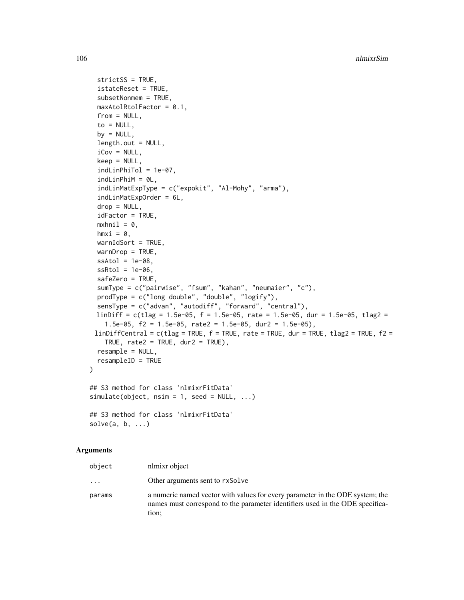```
strictSS = TRUE,
  istateReset = TRUE,
  subsetNonmem = TRUE,
 maxAtolRtolFactor = 0.1,
  from = NULL,
  to = NULL,
 by = NULL,
  length.out = NULL,
  iCov = NULL,keep = NULL,
  indLinPhiTol = 1e-07,
  indLinPhiM = 0L,indLinMatExpType = c("expokit", "Al-Mohy", "arma"),
  indLinMatExpOrder = 6L,
  drop = NULL,idFactor = TRUE,
 mxhni1 = 0,
 hmxi = \theta,
 warnIdSort = TRUE,
 warnDrop = TRUE,ssAtol = 1e-08,
  ssRtol = 1e-06,
  safeZero = TRUE,
  sumType = c("pairwise", "fsum", "kahan", "neumaier", "c"),
 prodType = c("long double", "double", "logify"),
  sensType = c("advan", "autodiff", "forward", "central"),
 linDiff = c(tlag = 1.5e-05, f = 1.5e-05, rate = 1.5e-05, dur = 1.5e-05, tlag2 =
    1.5e-05, f2 = 1.5e-05, rate2 = 1.5e-05, dur2 = 1.5e-05),
 linDiffCentral = c(tlag = TRUE, f = TRUE, rate = TRUE, dur = TRUE, flag2 = TRUE, f2 =TRUE, rate2 = TRUE, dur2 = TRUE),
 resample = NULL,
 resampleID = TRUE
\mathcal{L}## S3 method for class 'nlmixrFitData'
simulate(object, nsim = 1, seed = NULL, ...)## S3 method for class 'nlmixrFitData'
solve(a, b, \ldots)
```
### Arguments

| object | nlmixr object                                                                                                                                                           |
|--------|-------------------------------------------------------------------------------------------------------------------------------------------------------------------------|
| .      | Other arguments sent to rxSolve                                                                                                                                         |
| params | a numeric named vector with values for every parameter in the ODE system; the<br>names must correspond to the parameter identifiers used in the ODE specifica-<br>tion: |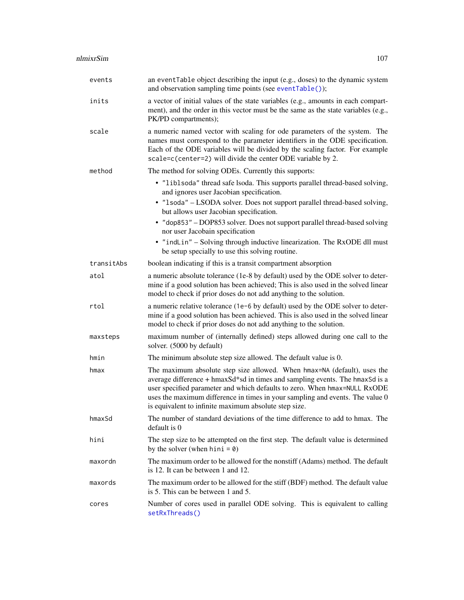| events     | an eventTable object describing the input (e.g., doses) to the dynamic system<br>and observation sampling time points (see eventTable());                                                                                                                                                                                                                                       |
|------------|---------------------------------------------------------------------------------------------------------------------------------------------------------------------------------------------------------------------------------------------------------------------------------------------------------------------------------------------------------------------------------|
| inits      | a vector of initial values of the state variables (e.g., amounts in each compart-<br>ment), and the order in this vector must be the same as the state variables (e.g.,<br>PK/PD compartments);                                                                                                                                                                                 |
| scale      | a numeric named vector with scaling for ode parameters of the system. The<br>names must correspond to the parameter identifiers in the ODE specification.<br>Each of the ODE variables will be divided by the scaling factor. For example<br>scale=c(center=2) will divide the center ODE variable by 2.                                                                        |
| method     | The method for solving ODEs. Currently this supports:                                                                                                                                                                                                                                                                                                                           |
|            | • "liblsoda" thread safe lsoda. This supports parallel thread-based solving,<br>and ignores user Jacobian specification.                                                                                                                                                                                                                                                        |
|            | • "1soda" - LSODA solver. Does not support parallel thread-based solving,<br>but allows user Jacobian specification.                                                                                                                                                                                                                                                            |
|            | • "dop853" - DOP853 solver. Does not support parallel thread-based solving<br>nor user Jacobain specification                                                                                                                                                                                                                                                                   |
|            | • "indLin" - Solving through inductive linearization. The RxODE dll must<br>be setup specially to use this solving routine.                                                                                                                                                                                                                                                     |
| transitAbs | boolean indicating if this is a transit compartment absorption                                                                                                                                                                                                                                                                                                                  |
| atol       | a numeric absolute tolerance (1e-8 by default) used by the ODE solver to deter-<br>mine if a good solution has been achieved; This is also used in the solved linear<br>model to check if prior doses do not add anything to the solution.                                                                                                                                      |
| rtol       | a numeric relative tolerance (1e-6 by default) used by the ODE solver to deter-<br>mine if a good solution has been achieved. This is also used in the solved linear<br>model to check if prior doses do not add anything to the solution.                                                                                                                                      |
| maxsteps   | maximum number of (internally defined) steps allowed during one call to the<br>solver. (5000 by default)                                                                                                                                                                                                                                                                        |
| hmin       | The minimum absolute step size allowed. The default value is 0.                                                                                                                                                                                                                                                                                                                 |
| hmax       | The maximum absolute step size allowed. When hmax=NA (default), uses the<br>average difference + hmaxSd*sd in times and sampling events. The hmaxSd is a<br>user specified parameter and which defaults to zero. When hmax=NULL RxODE<br>uses the maximum difference in times in your sampling and events. The value 0<br>is equivalent to infinite maximum absolute step size. |
| hmaxSd     | The number of standard deviations of the time difference to add to hmax. The<br>default is 0                                                                                                                                                                                                                                                                                    |
| hini       | The step size to be attempted on the first step. The default value is determined<br>by the solver (when hini = $\theta$ )                                                                                                                                                                                                                                                       |
| maxordn    | The maximum order to be allowed for the nonstiff (Adams) method. The default<br>is 12. It can be between 1 and 12.                                                                                                                                                                                                                                                              |
| maxords    | The maximum order to be allowed for the stiff (BDF) method. The default value<br>is 5. This can be between 1 and 5.                                                                                                                                                                                                                                                             |
| cores      | Number of cores used in parallel ODE solving. This is equivalent to calling<br>setRxThreads()                                                                                                                                                                                                                                                                                   |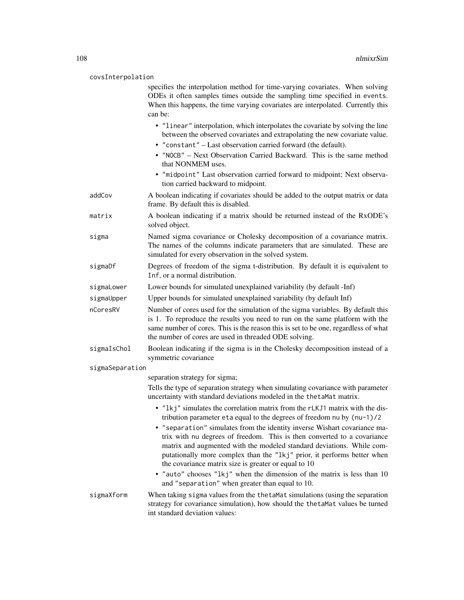#### covsInterpolation

specifies the interpolation method for time-varying covariates. When solving ODEs it often samples times outside the sampling time specified in events. When this happens, the time varying covariates are interpolated. Currently this can be:

- "linear" interpolation, which interpolates the covariate by solving the line between the observed covariates and extrapolating the new covariate value.
- "constant" Last observation carried forward (the default).
- "NOCB" Next Observation Carried Backward. This is the same method that NONMEM uses.
- "midpoint" Last observation carried forward to midpoint; Next observation carried backward to midpoint.
- addCov A boolean indicating if covariates should be added to the output matrix or data frame. By default this is disabled.
- matrix A boolean indicating if a matrix should be returned instead of the RxODE's solved object.
- sigma Named sigma covariance or Cholesky decomposition of a covariance matrix. The names of the columns indicate parameters that are simulated. These are simulated for every observation in the solved system.
- sigmaDf Degrees of freedom of the sigma t-distribution. By default it is equivalent to Inf, or a normal distribution.
- sigmaLower Lower bounds for simulated unexplained variability (by default -Inf)
- sigmaUpper Upper bounds for simulated unexplained variability (by default Inf)
- nCoresRV Number of cores used for the simulation of the sigma variables. By default this is 1. To reproduce the results you need to run on the same platform with the same number of cores. This is the reason this is set to be one, regardless of what the number of cores are used in threaded ODE solving.
- sigmaIsChol Boolean indicating if the sigma is in the Cholesky decomposition instead of a symmetric covariance

#### sigmaSeparation

separation strategy for sigma;

Tells the type of separation strategy when simulating covariance with parameter uncertainty with standard deviations modeled in the thetaMat matrix.

- "lkj" simulates the correlation matrix from the rLKJ1 matrix with the distribution parameter eta equal to the degrees of freedom nu by (nu-1)/2
- "separation" simulates from the identity inverse Wishart covariance matrix with nu degrees of freedom. This is then converted to a covariance matrix and augmented with the modeled standard deviations. While computationally more complex than the "lkj" prior, it performs better when the covariance matrix size is greater or equal to 10
- "auto" chooses "lkj" when the dimension of the matrix is less than 10 and "separation" when greater than equal to 10.
- sigmaXform When taking sigma values from the thetaMat simulations (using the separation strategy for covariance simulation), how should the thetaMat values be turned int standard deviation values: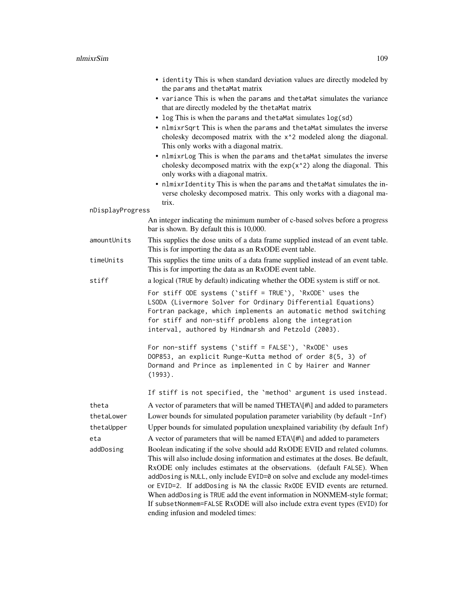|                  | • identity This is when standard deviation values are directly modeled by<br>the params and thetaMat matrix<br>• variance This is when the params and thetaMat simulates the variance<br>that are directly modeled by the thetaMat matrix<br>• log This is when the params and thetaMat simulates log(sd)<br>• nlmixrSqrt This is when the params and thetaMat simulates the inverse<br>cholesky decomposed matrix with the x <sup>1</sup> 2 modeled along the diagonal.<br>This only works with a diagonal matrix.<br>• nlmixrLog This is when the params and thetaMat simulates the inverse<br>cholesky decomposed matrix with the $exp(x^2)$ along the diagonal. This<br>only works with a diagonal matrix.<br>• nlmixrIdentity This is when the params and thetaMat simulates the in-<br>verse cholesky decomposed matrix. This only works with a diagonal ma-<br>trix. |
|------------------|-----------------------------------------------------------------------------------------------------------------------------------------------------------------------------------------------------------------------------------------------------------------------------------------------------------------------------------------------------------------------------------------------------------------------------------------------------------------------------------------------------------------------------------------------------------------------------------------------------------------------------------------------------------------------------------------------------------------------------------------------------------------------------------------------------------------------------------------------------------------------------|
| nDisplayProgress |                                                                                                                                                                                                                                                                                                                                                                                                                                                                                                                                                                                                                                                                                                                                                                                                                                                                             |
|                  | An integer indicating the minimum number of c-based solves before a progress<br>bar is shown. By default this is 10,000.                                                                                                                                                                                                                                                                                                                                                                                                                                                                                                                                                                                                                                                                                                                                                    |
| amountUnits      | This supplies the dose units of a data frame supplied instead of an event table.<br>This is for importing the data as an RxODE event table.                                                                                                                                                                                                                                                                                                                                                                                                                                                                                                                                                                                                                                                                                                                                 |
| timeUnits        | This supplies the time units of a data frame supplied instead of an event table.<br>This is for importing the data as an RxODE event table.                                                                                                                                                                                                                                                                                                                                                                                                                                                                                                                                                                                                                                                                                                                                 |
| stiff            | a logical (TRUE by default) indicating whether the ODE system is stiff or not.                                                                                                                                                                                                                                                                                                                                                                                                                                                                                                                                                                                                                                                                                                                                                                                              |
|                  | For stiff ODE systems ('stiff = TRUE'), 'RxODE' uses the<br>LSODA (Livermore Solver for Ordinary Differential Equations)<br>Fortran package, which implements an automatic method switching<br>for stiff and non-stiff problems along the integration<br>interval, authored by Hindmarsh and Petzold (2003).                                                                                                                                                                                                                                                                                                                                                                                                                                                                                                                                                                |
|                  | For non-stiff systems ('stiff = FALSE'), 'RxODE' uses<br>DOP853, an explicit Runge-Kutta method of order 8(5, 3) of<br>Dormand and Prince as implemented in C by Hairer and Wanner<br>$(1993)$ .                                                                                                                                                                                                                                                                                                                                                                                                                                                                                                                                                                                                                                                                            |
|                  | If stiff is not specified, the 'method' argument is used instead.                                                                                                                                                                                                                                                                                                                                                                                                                                                                                                                                                                                                                                                                                                                                                                                                           |
| theta            | A vector of parameters that will be named THETA\[#\] and added to parameters                                                                                                                                                                                                                                                                                                                                                                                                                                                                                                                                                                                                                                                                                                                                                                                                |
| thetaLower       | Lower bounds for simulated population parameter variability (by default -Inf)                                                                                                                                                                                                                                                                                                                                                                                                                                                                                                                                                                                                                                                                                                                                                                                               |
| thetaUpper       | Upper bounds for simulated population unexplained variability (by default Inf)                                                                                                                                                                                                                                                                                                                                                                                                                                                                                                                                                                                                                                                                                                                                                                                              |
| eta              | A vector of parameters that will be named ETA\[#\] and added to parameters                                                                                                                                                                                                                                                                                                                                                                                                                                                                                                                                                                                                                                                                                                                                                                                                  |
| addDosing        | Boolean indicating if the solve should add RxODE EVID and related columns.<br>This will also include dosing information and estimates at the doses. Be default,<br>RxODE only includes estimates at the observations. (default FALSE). When<br>addDosing is NULL, only include EVID=0 on solve and exclude any model-times<br>or EVID=2. If addDosing is NA the classic RxODE EVID events are returned.<br>When addDosing is TRUE add the event information in NONMEM-style format;<br>If subsetNonmem=FALSE RxODE will also include extra event types (EVID) for<br>ending infusion and modeled times:                                                                                                                                                                                                                                                                     |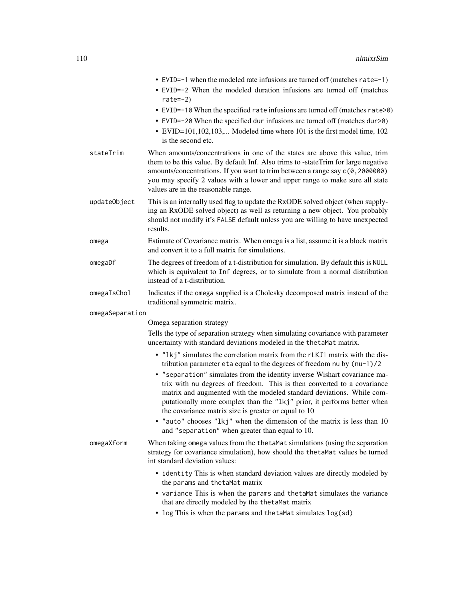|                 | • EVID= $-1$ when the modeled rate infusions are turned off (matches rate= $-1$ )<br>• EVID=-2 When the modeled duration infusions are turned off (matches                                                                                                                                                                                                               |
|-----------------|--------------------------------------------------------------------------------------------------------------------------------------------------------------------------------------------------------------------------------------------------------------------------------------------------------------------------------------------------------------------------|
|                 | rate= $-2$ )<br>• EVID=-10 When the specified rate infusions are turned off (matches rate>0)                                                                                                                                                                                                                                                                             |
|                 | • EVID=-20 When the specified dur infusions are turned off (matches dur>0)                                                                                                                                                                                                                                                                                               |
|                 | • EVID=101,102,103, Modeled time where 101 is the first model time, 102<br>is the second etc.                                                                                                                                                                                                                                                                            |
| stateTrim       | When amounts/concentrations in one of the states are above this value, trim<br>them to be this value. By default Inf. Also trims to -stateTrim for large negative<br>amounts/concentrations. If you want to trim between a range say c(0,2000000)<br>you may specify 2 values with a lower and upper range to make sure all state<br>values are in the reasonable range. |
| updateObject    | This is an internally used flag to update the RxODE solved object (when supply-<br>ing an RxODE solved object) as well as returning a new object. You probably<br>should not modify it's FALSE default unless you are willing to have unexpected<br>results.                                                                                                             |
| omega           | Estimate of Covariance matrix. When omega is a list, assume it is a block matrix<br>and convert it to a full matrix for simulations.                                                                                                                                                                                                                                     |
| omegaDf         | The degrees of freedom of a t-distribution for simulation. By default this is NULL<br>which is equivalent to Inf degrees, or to simulate from a normal distribution<br>instead of a t-distribution.                                                                                                                                                                      |
| omegaIsChol     | Indicates if the omega supplied is a Cholesky decomposed matrix instead of the<br>traditional symmetric matrix.                                                                                                                                                                                                                                                          |
| omegaSeparation |                                                                                                                                                                                                                                                                                                                                                                          |
|                 | Omega separation strategy                                                                                                                                                                                                                                                                                                                                                |
|                 | Tells the type of separation strategy when simulating covariance with parameter<br>uncertainty with standard deviations modeled in the thetaMat matrix.                                                                                                                                                                                                                  |
|                 | • "1kj" simulates the correlation matrix from the rLKJ1 matrix with the dis-<br>tribution parameter eta equal to the degrees of freedom nu by $(nu-1)/2$                                                                                                                                                                                                                 |
|                 | • "separation" simulates from the identity inverse Wishart covariance ma-<br>trix with nu degrees of freedom. This is then converted to a covariance<br>matrix and augmented with the modeled standard deviations. While com-<br>putationally more complex than the "1kj" prior, it performs better when<br>the covariance matrix size is greater or equal to 10         |
|                 | • "auto" chooses "lkj" when the dimension of the matrix is less than 10<br>and "separation" when greater than equal to 10.                                                                                                                                                                                                                                               |
| omegaXform      | When taking omega values from the the taMat simulations (using the separation<br>strategy for covariance simulation), how should the thetaMat values be turned<br>int standard deviation values:                                                                                                                                                                         |
|                 | • identity This is when standard deviation values are directly modeled by<br>the params and thetaMat matrix                                                                                                                                                                                                                                                              |
|                 | • variance This is when the params and the tamat simulates the variance<br>that are directly modeled by the thetaMat matrix                                                                                                                                                                                                                                              |

• log This is when the params and thetaMat simulates log(sd)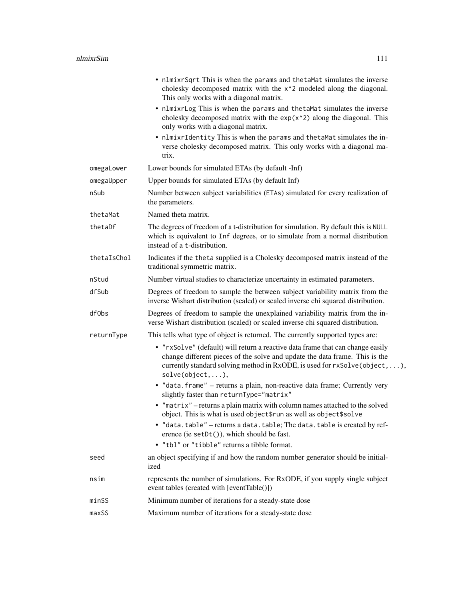|             | • nlmixrSqrt This is when the params and thetaMat simulates the inverse<br>cholesky decomposed matrix with the x <sup>2</sup> modeled along the diagonal.<br>This only works with a diagonal matrix.                                                                    |
|-------------|-------------------------------------------------------------------------------------------------------------------------------------------------------------------------------------------------------------------------------------------------------------------------|
|             | • nlmixrLog This is when the params and thetaMat simulates the inverse<br>cholesky decomposed matrix with the $exp(x^2)$ along the diagonal. This<br>only works with a diagonal matrix.                                                                                 |
|             | • nlmixrIdentity This is when the params and thetaMat simulates the in-<br>verse cholesky decomposed matrix. This only works with a diagonal ma-<br>trix.                                                                                                               |
| omegaLower  | Lower bounds for simulated ETAs (by default -Inf)                                                                                                                                                                                                                       |
| omegaUpper  | Upper bounds for simulated ETAs (by default Inf)                                                                                                                                                                                                                        |
| nSub        | Number between subject variabilities (ETAs) simulated for every realization of<br>the parameters.                                                                                                                                                                       |
| thetaMat    | Named theta matrix.                                                                                                                                                                                                                                                     |
| thetaDf     | The degrees of freedom of a t-distribution for simulation. By default this is NULL<br>which is equivalent to Inf degrees, or to simulate from a normal distribution<br>instead of a t-distribution.                                                                     |
| thetaIsChol | Indicates if the theta supplied is a Cholesky decomposed matrix instead of the<br>traditional symmetric matrix.                                                                                                                                                         |
| nStud       | Number virtual studies to characterize uncertainty in estimated parameters.                                                                                                                                                                                             |
| dfSub       | Degrees of freedom to sample the between subject variability matrix from the<br>inverse Wishart distribution (scaled) or scaled inverse chi squared distribution.                                                                                                       |
| df0bs       | Degrees of freedom to sample the unexplained variability matrix from the in-<br>verse Wishart distribution (scaled) or scaled inverse chi squared distribution.                                                                                                         |
| returnType  | This tells what type of object is returned. The currently supported types are:                                                                                                                                                                                          |
|             | • "rxSolve" (default) will return a reactive data frame that can change easily<br>change different pieces of the solve and update the data frame. This is the<br>currently standard solving method in RxODE, is used for rxSolve(object, ),<br>$solve(object, \ldots),$ |
|             | · "data.frame" - returns a plain, non-reactive data frame; Currently very<br>slightly faster than returnType="matrix"                                                                                                                                                   |
|             | • "matrix" – returns a plain matrix with column names attached to the solved<br>object. This is what is used object frun as well as object \$solve                                                                                                                      |
|             | • "data.table" - returns a data.table; The data.table is created by ref-<br>erence (ie setDt()), which should be fast.                                                                                                                                                  |
|             | • "tbl" or "tibble" returns a tibble format.                                                                                                                                                                                                                            |
| seed        | an object specifying if and how the random number generator should be initial-<br>ized                                                                                                                                                                                  |
| nsim        | represents the number of simulations. For RxODE, if you supply single subject<br>event tables (created with [eventTable()])                                                                                                                                             |
| minSS       | Minimum number of iterations for a steady-state dose                                                                                                                                                                                                                    |
| maxSS       | Maximum number of iterations for a steady-state dose                                                                                                                                                                                                                    |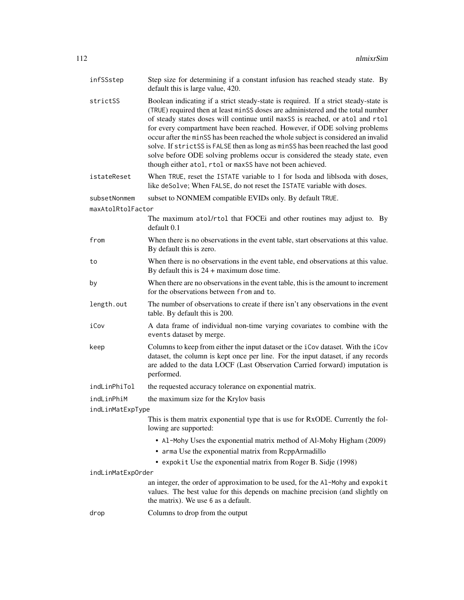| infSSstep         | Step size for determining if a constant infusion has reached steady state. By<br>default this is large value, 420.                                                                                                                                                                                                                                                                                                                                                                                                                                                                                                                                          |
|-------------------|-------------------------------------------------------------------------------------------------------------------------------------------------------------------------------------------------------------------------------------------------------------------------------------------------------------------------------------------------------------------------------------------------------------------------------------------------------------------------------------------------------------------------------------------------------------------------------------------------------------------------------------------------------------|
| strictSS          | Boolean indicating if a strict steady-state is required. If a strict steady-state is<br>(TRUE) required then at least minSS doses are administered and the total number<br>of steady states doses will continue until maxSS is reached, or atol and rtol<br>for every compartment have been reached. However, if ODE solving problems<br>occur after the minSS has been reached the whole subject is considered an invalid<br>solve. If strictSS is FALSE then as long as minSS has been reached the last good<br>solve before ODE solving problems occur is considered the steady state, even<br>though either atol, rtol or maxSS have not been achieved. |
| istateReset       | When TRUE, reset the ISTATE variable to 1 for Isoda and liblsoda with doses,<br>like deSolve; When FALSE, do not reset the ISTATE variable with doses.                                                                                                                                                                                                                                                                                                                                                                                                                                                                                                      |
| subsetNonmem      | subset to NONMEM compatible EVIDs only. By default TRUE.                                                                                                                                                                                                                                                                                                                                                                                                                                                                                                                                                                                                    |
| maxAtolRtolFactor |                                                                                                                                                                                                                                                                                                                                                                                                                                                                                                                                                                                                                                                             |
|                   | The maximum atol/rtol that FOCEi and other routines may adjust to. By<br>default 0.1                                                                                                                                                                                                                                                                                                                                                                                                                                                                                                                                                                        |
| from              | When there is no observations in the event table, start observations at this value.<br>By default this is zero.                                                                                                                                                                                                                                                                                                                                                                                                                                                                                                                                             |
| to                | When there is no observations in the event table, end observations at this value.<br>By default this is $24 +$ maximum dose time.                                                                                                                                                                                                                                                                                                                                                                                                                                                                                                                           |
| by                | When there are no observations in the event table, this is the amount to increment<br>for the observations between from and to.                                                                                                                                                                                                                                                                                                                                                                                                                                                                                                                             |
| length.out        | The number of observations to create if there isn't any observations in the event<br>table. By default this is 200.                                                                                                                                                                                                                                                                                                                                                                                                                                                                                                                                         |
| iCov              | A data frame of individual non-time varying covariates to combine with the<br>events dataset by merge.                                                                                                                                                                                                                                                                                                                                                                                                                                                                                                                                                      |
| keep              | Columns to keep from either the input dataset or the iCov dataset. With the iCov<br>dataset, the column is kept once per line. For the input dataset, if any records<br>are added to the data LOCF (Last Observation Carried forward) imputation is<br>performed.                                                                                                                                                                                                                                                                                                                                                                                           |
| indLinPhiTol      | the requested accuracy tolerance on exponential matrix.                                                                                                                                                                                                                                                                                                                                                                                                                                                                                                                                                                                                     |
| indLinPhiM        | the maximum size for the Krylov basis                                                                                                                                                                                                                                                                                                                                                                                                                                                                                                                                                                                                                       |
| indLinMatExpType  |                                                                                                                                                                                                                                                                                                                                                                                                                                                                                                                                                                                                                                                             |
|                   | This is them matrix exponential type that is use for RxODE. Currently the fol-<br>lowing are supported:                                                                                                                                                                                                                                                                                                                                                                                                                                                                                                                                                     |
|                   | • Al-Mohy Uses the exponential matrix method of Al-Mohy Higham (2009)<br>• arma Use the exponential matrix from RcppArmadillo<br>• expokit Use the exponential matrix from Roger B. Sidje (1998)                                                                                                                                                                                                                                                                                                                                                                                                                                                            |
| indLinMatExpOrder |                                                                                                                                                                                                                                                                                                                                                                                                                                                                                                                                                                                                                                                             |
|                   | an integer, the order of approximation to be used, for the Al-Mohy and expokit<br>values. The best value for this depends on machine precision (and slightly on<br>the matrix). We use 6 as a default.                                                                                                                                                                                                                                                                                                                                                                                                                                                      |
| drop              | Columns to drop from the output                                                                                                                                                                                                                                                                                                                                                                                                                                                                                                                                                                                                                             |
|                   |                                                                                                                                                                                                                                                                                                                                                                                                                                                                                                                                                                                                                                                             |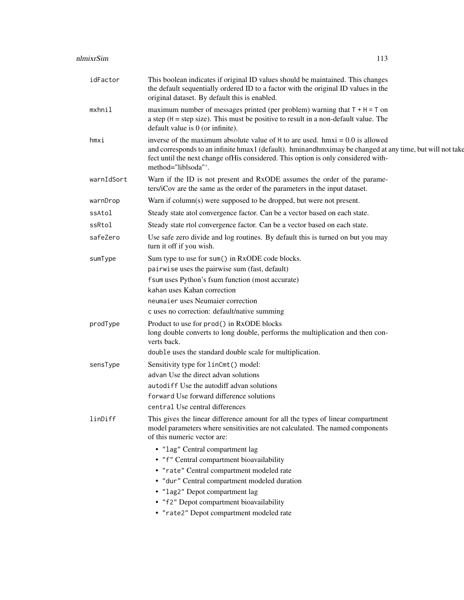| idFactor   | This boolean indicates if original ID values should be maintained. This changes<br>the default sequentially ordered ID to a factor with the original ID values in the<br>original dataset. By default this is enabled.                                                                                   |
|------------|----------------------------------------------------------------------------------------------------------------------------------------------------------------------------------------------------------------------------------------------------------------------------------------------------------|
| mxhnil     | maximum number of messages printed (per problem) warning that $T + H = T$ on<br>a step $(H = step size)$ . This must be positive to result in a non-default value. The<br>default value is 0 (or infinite).                                                                                              |
| hmxi       | inverse of the maximum absolute value of $H$ to are used. hmxi = 0.0 is allowed<br>and corresponds to an infinite hmax1 (default). hminandhmximay be changed at any time, but will not take<br>fect until the next change of His considered. This option is only considered with-<br>method="liblsoda"'. |
| warnIdSort | Warn if the ID is not present and RxODE assumes the order of the parame-<br>ters/iCov are the same as the order of the parameters in the input dataset.                                                                                                                                                  |
| warnDrop   | Warn if column(s) were supposed to be dropped, but were not present.                                                                                                                                                                                                                                     |
| ssAtol     | Steady state atol convergence factor. Can be a vector based on each state.                                                                                                                                                                                                                               |
| ssRtol     | Steady state rtol convergence factor. Can be a vector based on each state.                                                                                                                                                                                                                               |
| safeZero   | Use safe zero divide and log routines. By default this is turned on but you may<br>turn it off if you wish.                                                                                                                                                                                              |
| sumType    | Sum type to use for sum() in RxODE code blocks.<br>pairwise uses the pairwise sum (fast, default)<br>f sum uses Python's fsum function (most accurate)<br>kahan uses Kahan correction<br>neumaier uses Neumaier correction<br>c uses no correction: default/native summing                               |
| prodType   | Product to use for prod() in RxODE blocks<br>long double converts to long double, performs the multiplication and then con-<br>verts back.                                                                                                                                                               |
|            | double uses the standard double scale for multiplication.                                                                                                                                                                                                                                                |
| sensType   | Sensitivity type for linCmt() model:<br>advan Use the direct advan solutions<br>autodiff Use the autodiff advan solutions<br>forward Use forward difference solutions<br>central Use central differences                                                                                                 |
| linDiff    | This gives the linear difference amount for all the types of linear compartment<br>model parameters where sensitivities are not calculated. The named components<br>of this numeric vector are:                                                                                                          |
|            | • "lag" Central compartment lag<br>• "f" Central compartment bioavailability<br>• "rate" Central compartment modeled rate<br>· "dur" Central compartment modeled duration<br>• "lag2" Depot compartment lag                                                                                              |
|            | • "f2" Depot compartment bioavailability<br>• "rate2" Depot compartment modeled rate                                                                                                                                                                                                                     |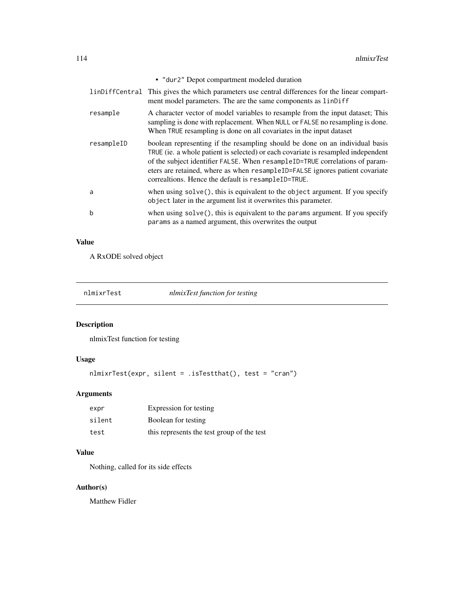|              | • "dur2" Depot compartment modeled duration                                                                                                                                                                                                                                                                                                                                              |
|--------------|------------------------------------------------------------------------------------------------------------------------------------------------------------------------------------------------------------------------------------------------------------------------------------------------------------------------------------------------------------------------------------------|
|              | linDiffCentral This gives the which parameters use central differences for the linear compart-<br>ment model parameters. The are the same components as linDiff                                                                                                                                                                                                                          |
| resample     | A character vector of model variables to resample from the input dataset; This<br>sampling is done with replacement. When NULL or FALSE no resampling is done.<br>When TRUE resampling is done on all covariates in the input dataset                                                                                                                                                    |
| resampleID   | boolean representing if the resampling should be done on an individual basis<br>TRUE (ie. a whole patient is selected) or each covariate is resampled independent<br>of the subject identifier FALSE. When resampleID=TRUE correlations of param-<br>eters are retained, where as when resampleID=FALSE ignores patient covariate<br>correaltions. Hence the default is resampleID=TRUE. |
| a            | when using $solve()$ , this is equivalent to the object argument. If you specify<br>object later in the argument list it overwrites this parameter.                                                                                                                                                                                                                                      |
| <sub>b</sub> | when using $solve()$ , this is equivalent to the params argument. If you specify<br>params as a named argument, this overwrites the output                                                                                                                                                                                                                                               |

# Value

A RxODE solved object

nlmixrTest *nlmixTest function for testing*

# Description

nlmixTest function for testing

# Usage

```
nlmixrTest(expr, silent = .isTestthat(), test = "cran")
```
# Arguments

| expr   | Expression for testing                     |
|--------|--------------------------------------------|
| silent | Boolean for testing                        |
| test   | this represents the test group of the test |

# Value

Nothing, called for its side effects

# Author(s)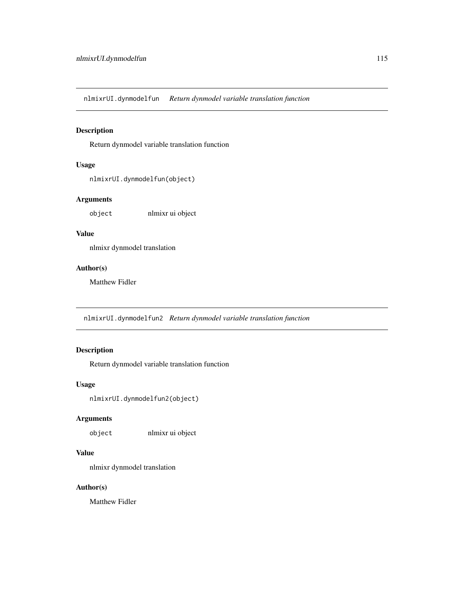nlmixrUI.dynmodelfun *Return dynmodel variable translation function*

# Description

Return dynmodel variable translation function

# Usage

nlmixrUI.dynmodelfun(object)

# Arguments

object nlmixr ui object

# Value

nlmixr dynmodel translation

### Author(s)

Matthew Fidler

nlmixrUI.dynmodelfun2 *Return dynmodel variable translation function*

# Description

Return dynmodel variable translation function

### Usage

nlmixrUI.dynmodelfun2(object)

# Arguments

object nlmixr ui object

# Value

nlmixr dynmodel translation

#### Author(s)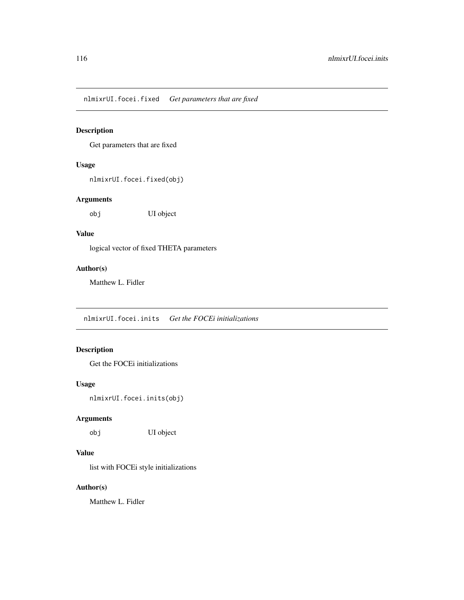nlmixrUI.focei.fixed *Get parameters that are fixed*

# Description

Get parameters that are fixed

# Usage

nlmixrUI.focei.fixed(obj)

# Arguments

obj UI object

# Value

logical vector of fixed THETA parameters

### Author(s)

Matthew L. Fidler

nlmixrUI.focei.inits *Get the FOCEi initializations*

# Description

Get the FOCEi initializations

# Usage

nlmixrUI.focei.inits(obj)

# Arguments

obj UI object

# Value

list with FOCEi style initializations

# Author(s)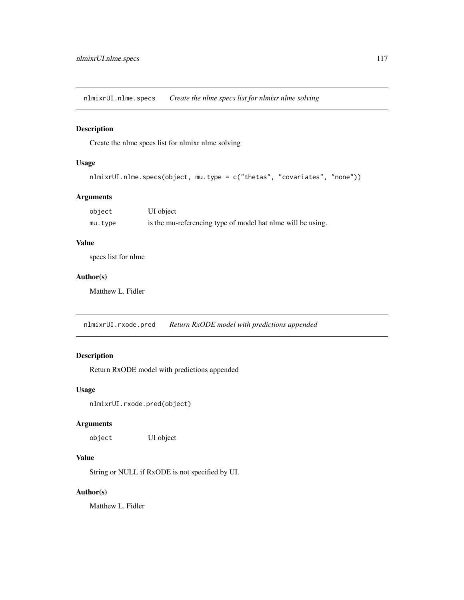nlmixrUI.nlme.specs *Create the nlme specs list for nlmixr nlme solving*

# Description

Create the nlme specs list for nlmixr nlme solving

# Usage

```
nlmixrUI.nlme.specs(object, mu.type = c("thetas", "covariates", "none"))
```
### Arguments

| object  | UI object                                                   |
|---------|-------------------------------------------------------------|
| mu.type | is the mu-referencing type of model hat nime will be using. |

### Value

specs list for nlme

### Author(s)

Matthew L. Fidler

nlmixrUI.rxode.pred *Return RxODE model with predictions appended*

# Description

Return RxODE model with predictions appended

### Usage

nlmixrUI.rxode.pred(object)

# Arguments

object UI object

### Value

String or NULL if RxODE is not specified by UI.

# Author(s)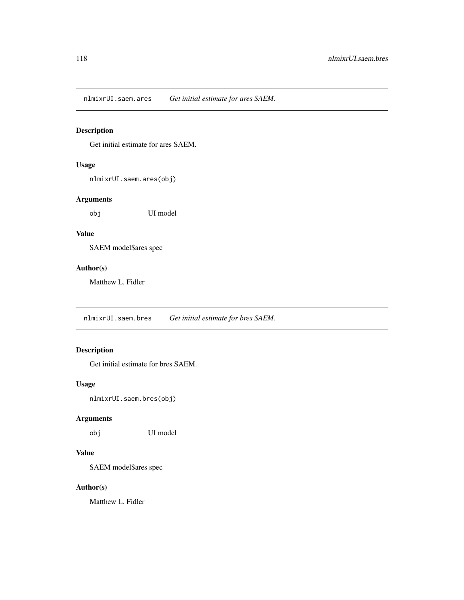nlmixrUI.saem.ares *Get initial estimate for ares SAEM.*

# Description

Get initial estimate for ares SAEM.

# Usage

nlmixrUI.saem.ares(obj)

# Arguments

obj UI model

# Value

SAEM model\$ares spec

#### Author(s)

Matthew L. Fidler

nlmixrUI.saem.bres *Get initial estimate for bres SAEM.*

# Description

Get initial estimate for bres SAEM.

# Usage

nlmixrUI.saem.bres(obj)

# Arguments

obj UI model

# Value

SAEM model\$ares spec

# Author(s)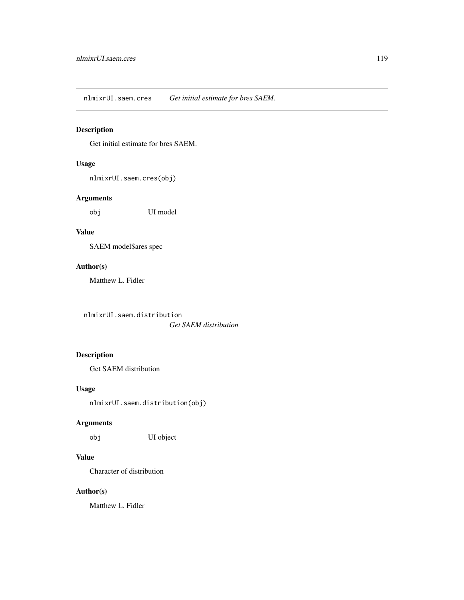nlmixrUI.saem.cres *Get initial estimate for bres SAEM.*

# Description

Get initial estimate for bres SAEM.

# Usage

nlmixrUI.saem.cres(obj)

# Arguments

obj UI model

# Value

SAEM model\$ares spec

### Author(s)

Matthew L. Fidler

nlmixrUI.saem.distribution

*Get SAEM distribution*

# Description

Get SAEM distribution

### Usage

nlmixrUI.saem.distribution(obj)

# Arguments

obj UI object

# Value

Character of distribution

### Author(s)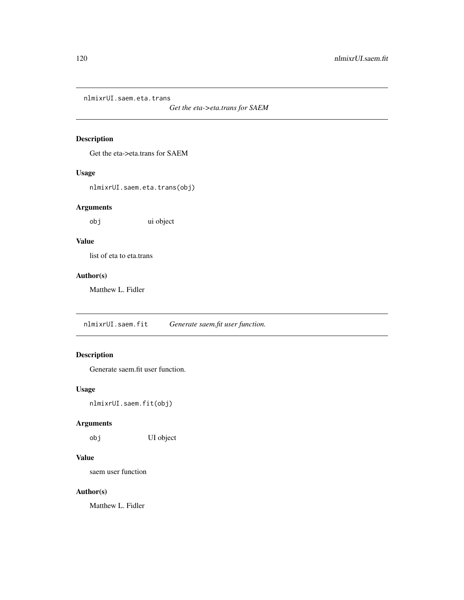nlmixrUI.saem.eta.trans

*Get the eta->eta.trans for SAEM*

# Description

Get the eta->eta.trans for SAEM

### Usage

nlmixrUI.saem.eta.trans(obj)

# Arguments

obj ui object

# Value

list of eta to eta.trans

# Author(s)

Matthew L. Fidler

nlmixrUI.saem.fit *Generate saem.fit user function.*

# Description

Generate saem.fit user function.

### Usage

nlmixrUI.saem.fit(obj)

# Arguments

obj UI object

### Value

saem user function

### Author(s)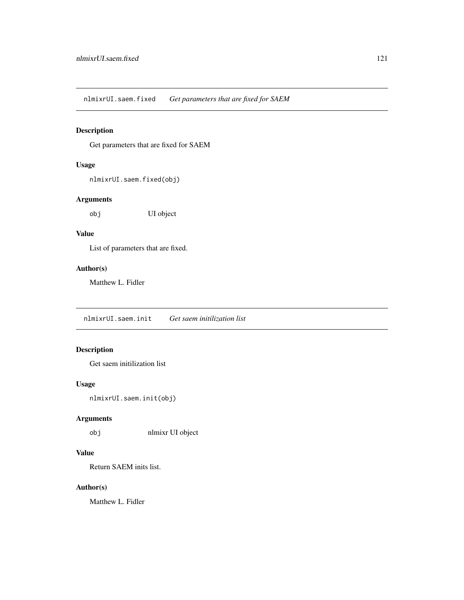nlmixrUI.saem.fixed *Get parameters that are fixed for SAEM*

# Description

Get parameters that are fixed for SAEM

# Usage

```
nlmixrUI.saem.fixed(obj)
```
# Arguments

obj UI object

# Value

List of parameters that are fixed.

### Author(s)

Matthew L. Fidler

nlmixrUI.saem.init *Get saem initilization list*

# Description

Get saem initilization list

# Usage

nlmixrUI.saem.init(obj)

# Arguments

obj nlmixr UI object

# Value

Return SAEM inits list.

# Author(s)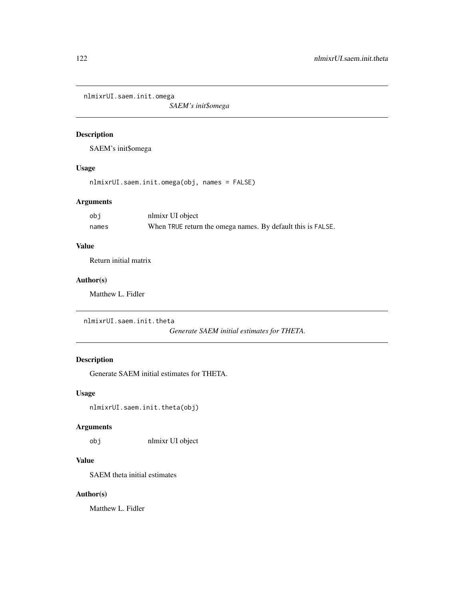nlmixrUI.saem.init.omega

*SAEM's init\$omega*

# Description

SAEM's init\$omega

# Usage

nlmixrUI.saem.init.omega(obj, names = FALSE)

# Arguments

| obj   | nlmixr UI object                                            |
|-------|-------------------------------------------------------------|
| names | When TRUE return the omega names. By default this is FALSE. |

# Value

Return initial matrix

### Author(s)

Matthew L. Fidler

nlmixrUI.saem.init.theta

*Generate SAEM initial estimates for THETA.*

# Description

Generate SAEM initial estimates for THETA.

#### Usage

nlmixrUI.saem.init.theta(obj)

#### Arguments

obj nlmixr UI object

### Value

SAEM theta initial estimates

# Author(s)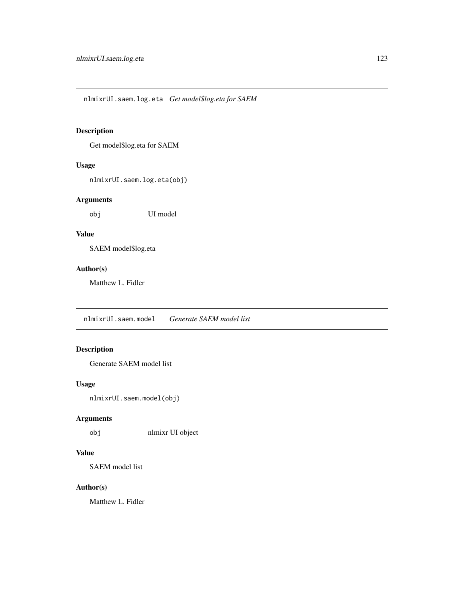nlmixrUI.saem.log.eta *Get model\$log.eta for SAEM*

# Description

Get model\$log.eta for SAEM

# Usage

nlmixrUI.saem.log.eta(obj)

# Arguments

obj UI model

# Value

SAEM model\$log.eta

### Author(s)

Matthew L. Fidler

nlmixrUI.saem.model *Generate SAEM model list*

# Description

Generate SAEM model list

# Usage

nlmixrUI.saem.model(obj)

# Arguments

obj nlmixr UI object

# Value

SAEM model list

# Author(s)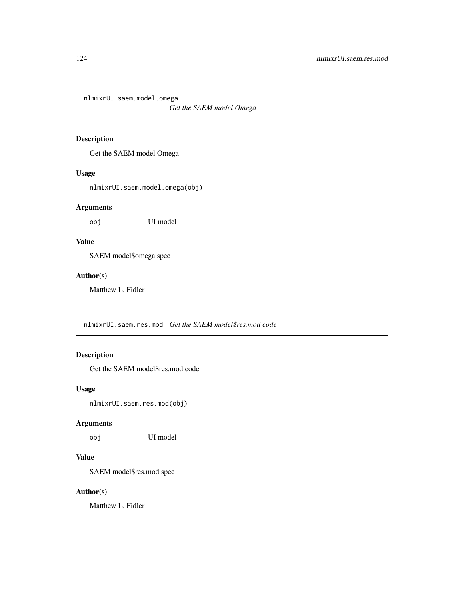nlmixrUI.saem.model.omega

*Get the SAEM model Omega*

# Description

Get the SAEM model Omega

### Usage

nlmixrUI.saem.model.omega(obj)

### Arguments

obj UI model

# Value

SAEM model\$omega spec

# Author(s)

Matthew L. Fidler

nlmixrUI.saem.res.mod *Get the SAEM model\$res.mod code*

# Description

Get the SAEM model\$res.mod code

### Usage

nlmixrUI.saem.res.mod(obj)

### Arguments

obj UI model

# Value

SAEM model\$res.mod spec

# Author(s)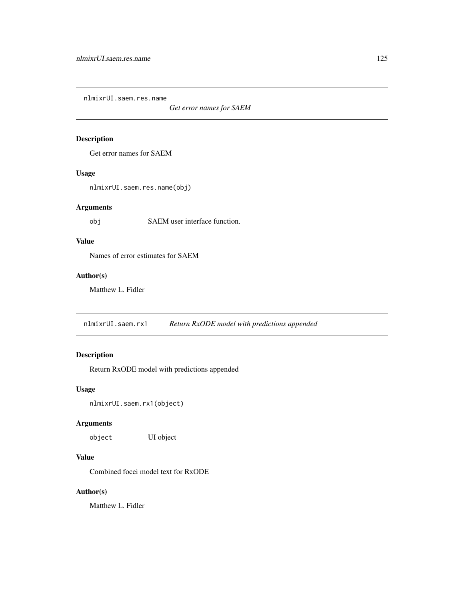nlmixrUI.saem.res.name

*Get error names for SAEM*

# Description

Get error names for SAEM

### Usage

nlmixrUI.saem.res.name(obj)

# Arguments

obj SAEM user interface function.

# Value

Names of error estimates for SAEM

### Author(s)

Matthew L. Fidler

nlmixrUI.saem.rx1 *Return RxODE model with predictions appended*

# Description

Return RxODE model with predictions appended

### Usage

nlmixrUI.saem.rx1(object)

# Arguments

object UI object

# Value

Combined focei model text for RxODE

### Author(s)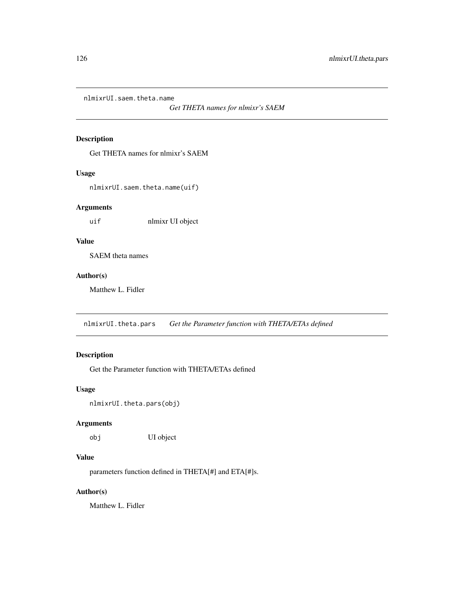nlmixrUI.saem.theta.name

*Get THETA names for nlmixr's SAEM*

# Description

Get THETA names for nlmixr's SAEM

### Usage

nlmixrUI.saem.theta.name(uif)

### Arguments

uif nlmixr UI object

# Value

SAEM theta names

# Author(s)

Matthew L. Fidler

nlmixrUI.theta.pars *Get the Parameter function with THETA/ETAs defined*

# Description

Get the Parameter function with THETA/ETAs defined

### Usage

nlmixrUI.theta.pars(obj)

#### Arguments

obj UI object

# Value

parameters function defined in THETA[#] and ETA[#]s.

# Author(s)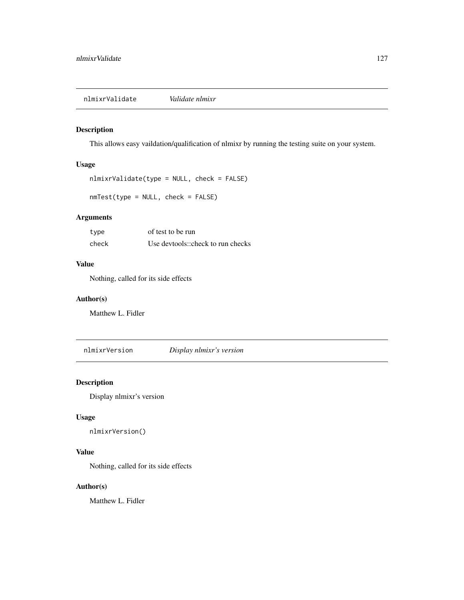nlmixrValidate *Validate nlmixr*

# Description

This allows easy vaildation/qualification of nlmixr by running the testing suite on your system.

# Usage

```
nlmixrValidate(type = NULL, check = FALSE)
```
nmTest(type = NULL, check = FALSE)

# Arguments

| type  | of test to be run                 |
|-------|-----------------------------------|
| check | Use devtools::check to run checks |

#### Value

Nothing, called for its side effects

### Author(s)

Matthew L. Fidler

nlmixrVersion *Display nlmixr's version*

# Description

Display nlmixr's version

### Usage

```
nlmixrVersion()
```
#### Value

Nothing, called for its side effects

#### Author(s)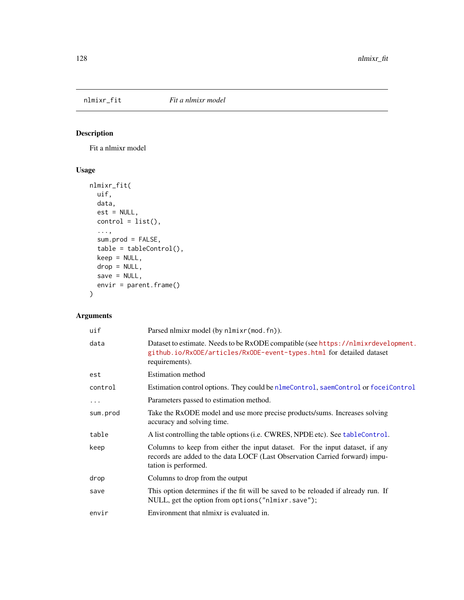# nlmixr\_fit *Fit a nlmixr model*

# Description

Fit a nlmixr model

# Usage

```
nlmixr_fit(
 uif,
 data,
 est = NULL,control = list(),...,
  sum.prod = FALSE,
 table = tableControl(),
 keep = NULL,
 drop = NULL,
 save = NULL,envir = parent.frame()
)
```
# Arguments

| uif      | Parsed nlmixr model (by nlmixr (mod. fn)).                                                                                                                                          |
|----------|-------------------------------------------------------------------------------------------------------------------------------------------------------------------------------------|
| data     | Dataset to estimate. Needs to be RxODE compatible (see https://nlmixrdevelopment.<br>github.io/RxODE/articles/RxODE-event-types.html for detailed dataset<br>requirements).         |
| est      | Estimation method                                                                                                                                                                   |
| control  | Estimation control options. They could be nlmeControl, saemControl or foceiControl                                                                                                  |
| .        | Parameters passed to estimation method.                                                                                                                                             |
| sum.prod | Take the RxODE model and use more precise products/sums. Increases solving<br>accuracy and solving time.                                                                            |
| table    | A list controlling the table options (i.e. CWRES, NPDE etc). See table Control.                                                                                                     |
| keep     | Columns to keep from either the input dataset. For the input dataset, if any<br>records are added to the data LOCF (Last Observation Carried forward) impu-<br>tation is performed. |
| drop     | Columns to drop from the output                                                                                                                                                     |
| save     | This option determines if the fit will be saved to be reloaded if already run. If<br>NULL, get the option from options ("nlmixr.save");                                             |
| envir    | Environment that nlmixr is evaluated in.                                                                                                                                            |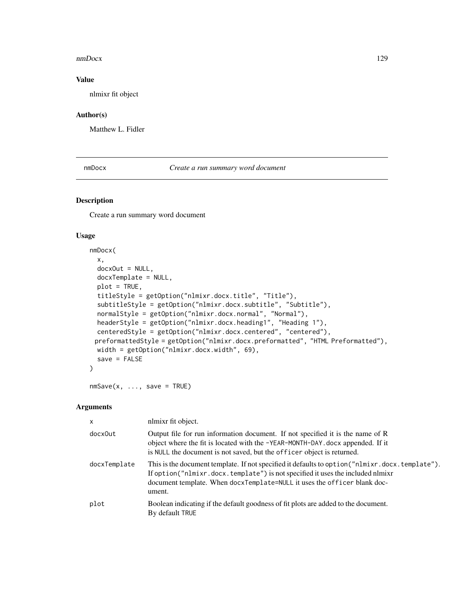#### nmDocx 129

# Value

nlmixr fit object

# Author(s)

Matthew L. Fidler

nmDocx *Create a run summary word document*

# Description

Create a run summary word document

#### Usage

```
nmDocx(
  x,
 docxOut = NULL,docxTemplate = NULL,
 plot = TRUE,
  titleStyle = getOption("nlmixr.docx.title", "Title"),
  subtitleStyle = getOption("nlmixr.docx.subtitle", "Subtitle"),
 normalStyle = getOption("nlmixr.docx.normal", "Normal"),
 headerStyle = getOption("nlmixr.docx.heading1", "Heading 1"),
  centeredStyle = getOption("nlmixr.docx.centered", "centered"),
 preformattedStyle = getOption("nlmixr.docx.preformatted", "HTML Preformatted"),
 width = getOption("nlmixr.docx.width", 69),
  save = FALSE
)
```
 $nmsave(x, ..., save = TRUE)$ 

#### Arguments

| $\mathsf{x}$ | nlmixr fit object.                                                                                                                                                                                                                                                      |
|--------------|-------------------------------------------------------------------------------------------------------------------------------------------------------------------------------------------------------------------------------------------------------------------------|
| docx0ut      | Output file for run information document. If not specified it is the name of R<br>object where the fit is located with the -YEAR-MONTH-DAY. docx appended. If it<br>is NULL the document is not saved, but the officer object is returned.                              |
| docxTemplate | This is the document template. If not specified it defaults to option ("nlmixr.docx.template").<br>If option("nlmixr.docx.template") is not specified it uses the included nlmixr<br>document template. When docxTemplate=NULL it uses the officer blank doc-<br>ument. |
| plot         | Boolean indicating if the default goodness of fit plots are added to the document.<br>By default TRUE                                                                                                                                                                   |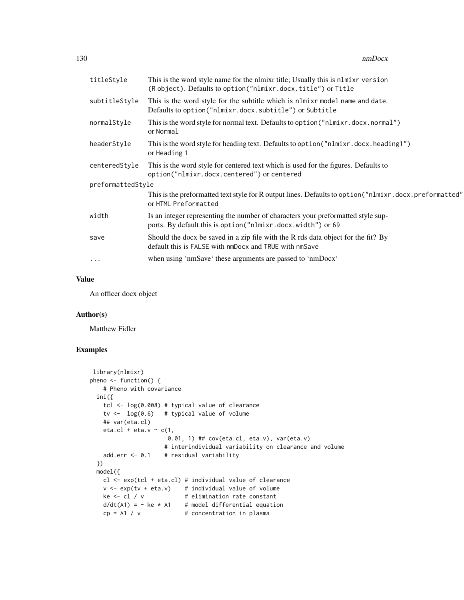| titleStyle        | This is the word style name for the nimixr title; Usually this is nimixr version<br>(Robject). Defaults to option ("nlmixr.docx.title") or Title |
|-------------------|--------------------------------------------------------------------------------------------------------------------------------------------------|
| subtitleStyle     | This is the word style for the subtitle which is nlmixr model name and date.<br>Defaults to option("nlmixr.docx.subtitle") or Subtitle           |
| normalStyle       | This is the word style for normal text. Defaults to option ("nlmixr.docx.normal")<br>or Normal                                                   |
| headerStyle       | This is the word style for heading text. Defaults to option ("nlmixr.docx.heading1")<br>or Heading 1                                             |
| centeredStyle     | This is the word style for centered text which is used for the figures. Defaults to<br>option("nlmixr.docx.centered") or centered                |
| preformattedStyle |                                                                                                                                                  |
|                   | This is the preformatted text style for R output lines. Defaults to option ("nlmixr.docx.preformatted"<br>or HTML Preformatted                   |
| width             | Is an integer representing the number of characters your preformatted style sup-<br>ports. By default this is option ("nlmixr.docx.width") or 69 |
| save              | Should the docx be saved in a zip file with the R rds data object for the fit? By<br>default this is FALSE with nmDocx and TRUE with nmSave      |
| $\cdot$           | when using 'nmSave' these arguments are passed to 'nmDocx'                                                                                       |

# Value

An officer docx object

### Author(s)

Matthew Fidler

# Examples

```
library(nlmixr)
pheno \leq function() {
    # Pheno with covariance
 ini({
   tcl <- log(0.008) # typical value of clearance
   tv <- log(0.6) # typical value of volume
   ## var(eta.cl)
   eta.cl + eta.v \sim c(1,
                      0.01, 1) ## cov(eta.cl, eta.v), var(eta.v)
                     # interindividual variability on clearance and volume
   add.err <- 0.1 # residual variability
 })
 model({
   cl <- exp(tcl + eta.cl) # individual value of clearance
   v \leq -\exp(tv + \epsilon t a.v) # individual value of volume
   ke \leftarrow cl / v \qquad # elimination rate constant
   d/dt(A1) = - ke * A1 # model differential equation
   cp = A1 / v # concentration in plasma
```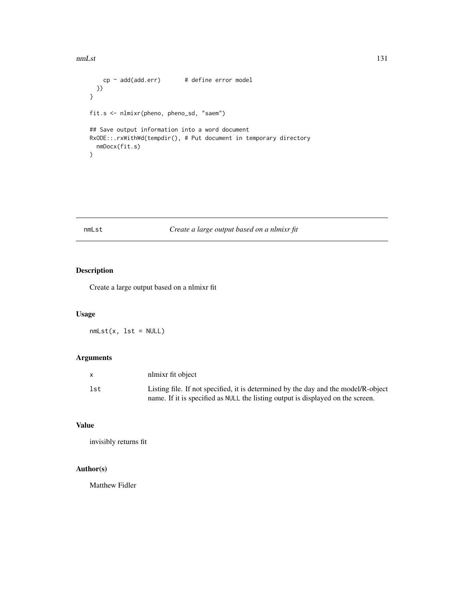#### nmLst 131

```
cp \sim add(add.err) # define error model
 })
}
fit.s <- nlmixr(pheno, pheno_sd, "saem")
## Save output information into a word document
RxODE::.rxWithWd(tempdir(), # Put document in temporary directory
  nmDocx(fit.s)
\mathcal{L}
```
# nmLst *Create a large output based on a nlmixr fit*

# Description

Create a large output based on a nlmixr fit

# Usage

 $nmList(x, 1st = NULL)$ 

# Arguments

| X   | nlmixr fit object                                                                  |
|-----|------------------------------------------------------------------------------------|
| lst | Listing file. If not specified, it is determined by the day and the model/R-object |
|     | name. If it is specified as NULL the listing output is displayed on the screen.    |

# Value

invisibly returns fit

# Author(s)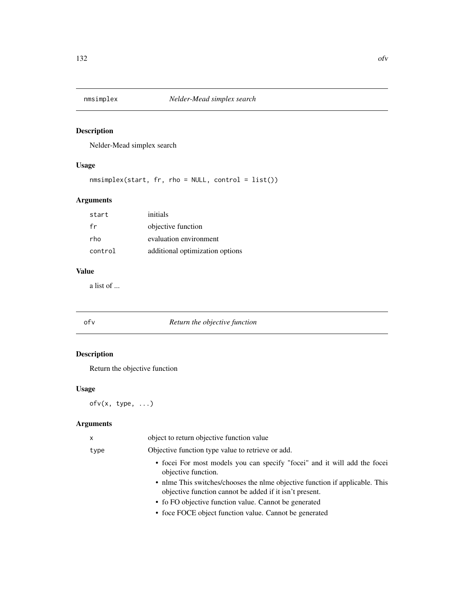Nelder-Mead simplex search

# Usage

nmsimplex(start, fr, rho = NULL, control = list())

# Arguments

| start   | initials                        |
|---------|---------------------------------|
| fr      | objective function              |
| rho     | evaluation environment          |
| control | additional optimization options |

# Value

a list of ...

# ofv *Return the objective function*

# Description

Return the objective function

# Usage

ofv(x, type, ...)

# Arguments

| $\mathsf{x}$ | object to return objective function value                                                                                               |
|--------------|-----------------------------------------------------------------------------------------------------------------------------------------|
| type         | Objective function type value to retrieve or add.                                                                                       |
|              | • focei For most models you can specify "focei" and it will add the focei<br>objective function.                                        |
|              | • nlme This switches/chooses the nlme objective function if applicable. This<br>objective function cannot be added if it isn't present. |
|              | • fo FO objective function value. Cannot be generated                                                                                   |
|              | • foce FOCE object function value. Cannot be generated                                                                                  |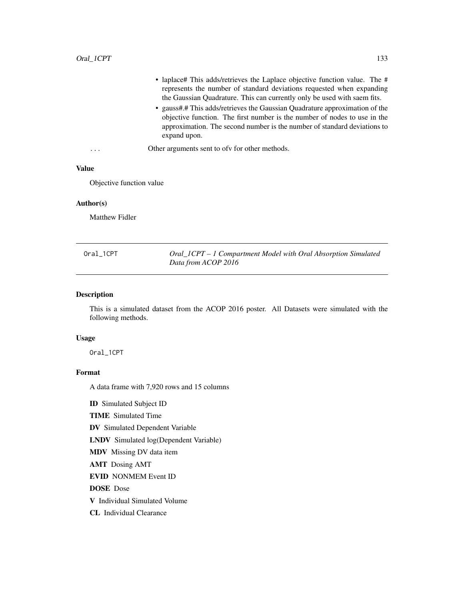|                         | • laplace# This adds/retrieves the Laplace objective function value. The #<br>represents the number of standard deviations requested when expanding<br>the Gaussian Quadrature. This can currently only be used with saem fits.<br>• gauss#.# This adds/retrieves the Gaussian Quadrature approximation of the<br>objective function. The first number is the number of nodes to use in the<br>approximation. The second number is the number of standard deviations to<br>expand upon. |
|-------------------------|-----------------------------------------------------------------------------------------------------------------------------------------------------------------------------------------------------------------------------------------------------------------------------------------------------------------------------------------------------------------------------------------------------------------------------------------------------------------------------------------|
| $\cdot$ $\cdot$ $\cdot$ | Other arguments sent to ofv for other methods.                                                                                                                                                                                                                                                                                                                                                                                                                                          |

# Value

Objective function value

#### Author(s)

Matthew Fidler

<span id="page-132-0"></span>

| Oral_1CPT | Oral_ICPT – 1 Compartment Model with Oral Absorption Simulated |
|-----------|----------------------------------------------------------------|
|           | Data from ACOP 2016                                            |

# Description

This is a simulated dataset from the ACOP 2016 poster. All Datasets were simulated with the following methods.

### Usage

Oral\_1CPT

### Format

A data frame with 7,920 rows and 15 columns

ID Simulated Subject ID

TIME Simulated Time

DV Simulated Dependent Variable

LNDV Simulated log(Dependent Variable)

MDV Missing DV data item

AMT Dosing AMT

EVID NONMEM Event ID

DOSE Dose

V Individual Simulated Volume

CL Individual Clearance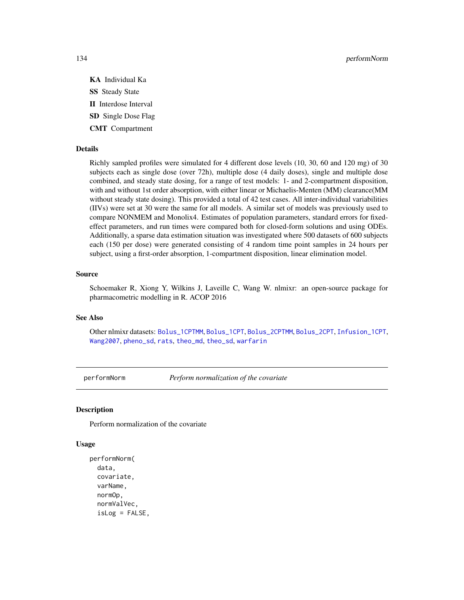134 performNorm

- KA Individual Ka SS Steady State II Interdose Interval SD Single Dose Flag
- CMT Compartment

#### Details

Richly sampled profiles were simulated for 4 different dose levels (10, 30, 60 and 120 mg) of 30 subjects each as single dose (over 72h), multiple dose (4 daily doses), single and multiple dose combined, and steady state dosing, for a range of test models: 1- and 2-compartment disposition, with and without 1st order absorption, with either linear or Michaelis-Menten (MM) clearance(MM without steady state dosing). This provided a total of 42 test cases. All inter-individual variabilities (IIVs) were set at 30 were the same for all models. A similar set of models was previously used to compare NONMEM and Monolix4. Estimates of population parameters, standard errors for fixedeffect parameters, and run times were compared both for closed-form solutions and using ODEs. Additionally, a sparse data estimation situation was investigated where 500 datasets of 600 subjects each (150 per dose) were generated consisting of 4 random time point samples in 24 hours per subject, using a first-order absorption, 1-compartment disposition, linear elimination model.

#### Source

Schoemaker R, Xiong Y, Wilkins J, Laveille C, Wang W. nlmixr: an open-source package for pharmacometric modelling in R. ACOP 2016

# See Also

Other nlmixr datasets: [Bolus\\_1CPTMM](#page-14-0), [Bolus\\_1CPT](#page-13-0), [Bolus\\_2CPTMM](#page-17-0), [Bolus\\_2CPT](#page-15-0), [Infusion\\_1CPT](#page-66-0), [Wang2007](#page-163-0), [pheno\\_sd](#page-134-0), [rats](#page-142-0), [theo\\_md](#page-156-0), [theo\\_sd](#page-157-0), [warfarin](#page-164-0)

performNorm *Perform normalization of the covariate*

#### **Description**

Perform normalization of the covariate

#### Usage

```
performNorm(
  data,
  covariate,
  varName,
  normOp,
  normValVec,
  isLog = FALSE,
```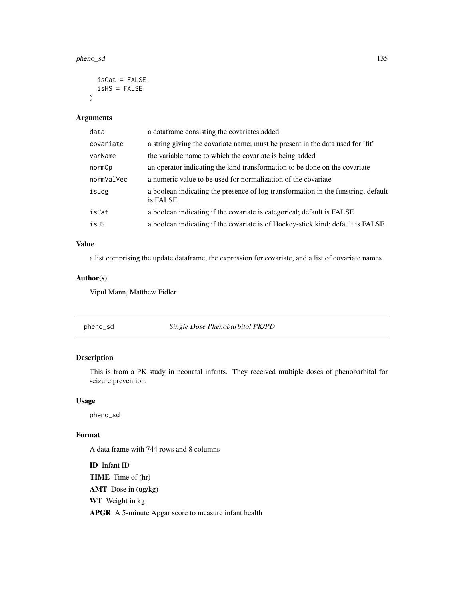#### pheno\_sd 135

```
isCat = FALSE,
  isHS = FALSE
\lambda
```
# Arguments

| a data frame consisting the covariates added                                                  |
|-----------------------------------------------------------------------------------------------|
| a string giving the covariate name; must be present in the data used for 'fit'                |
| the variable name to which the covariate is being added                                       |
| an operator indicating the kind transformation to be done on the covariate                    |
| a numeric value to be used for normalization of the covariate                                 |
| a boolean indicating the presence of log-transformation in the funstring; default<br>is FALSE |
| a boolean indicating if the covariate is categorical; default is FALSE                        |
| a boolean indicating if the covariate is of Hockey-stick kind; default is FALSE               |
|                                                                                               |

### Value

a list comprising the update dataframe, the expression for covariate, and a list of covariate names

#### Author(s)

Vipul Mann, Matthew Fidler

<span id="page-134-0"></span>pheno\_sd *Single Dose Phenobarbitol PK/PD*

# Description

This is from a PK study in neonatal infants. They received multiple doses of phenobarbital for seizure prevention.

#### Usage

pheno\_sd

# Format

A data frame with 744 rows and 8 columns

ID Infant ID TIME Time of (hr) AMT Dose in (ug/kg) WT Weight in kg APGR A 5-minute Apgar score to measure infant health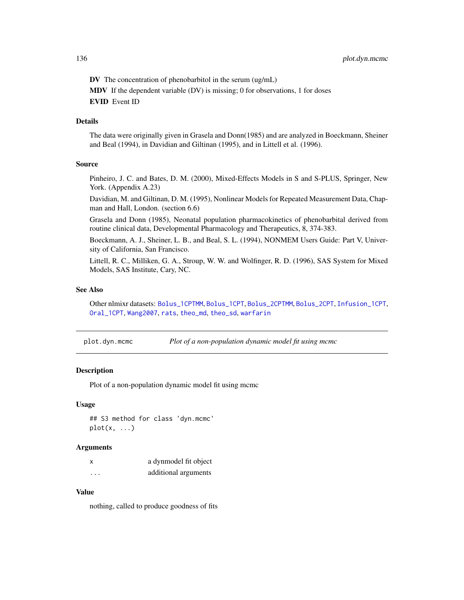DV The concentration of phenobarbitol in the serum (ug/mL) MDV If the dependent variable (DV) is missing; 0 for observations, 1 for doses EVID Event ID

# Details

The data were originally given in Grasela and Donn(1985) and are analyzed in Boeckmann, Sheiner and Beal (1994), in Davidian and Giltinan (1995), and in Littell et al. (1996).

#### Source

Pinheiro, J. C. and Bates, D. M. (2000), Mixed-Effects Models in S and S-PLUS, Springer, New York. (Appendix A.23)

Davidian, M. and Giltinan, D. M. (1995), Nonlinear Models for Repeated Measurement Data, Chapman and Hall, London. (section 6.6)

Grasela and Donn (1985), Neonatal population pharmacokinetics of phenobarbital derived from routine clinical data, Developmental Pharmacology and Therapeutics, 8, 374-383.

Boeckmann, A. J., Sheiner, L. B., and Beal, S. L. (1994), NONMEM Users Guide: Part V, University of California, San Francisco.

Littell, R. C., Milliken, G. A., Stroup, W. W. and Wolfinger, R. D. (1996), SAS System for Mixed Models, SAS Institute, Cary, NC.

#### See Also

Other nlmixr datasets: [Bolus\\_1CPTMM](#page-14-0), [Bolus\\_1CPT](#page-13-0), [Bolus\\_2CPTMM](#page-17-0), [Bolus\\_2CPT](#page-15-0), [Infusion\\_1CPT](#page-66-0), [Oral\\_1CPT](#page-132-0), [Wang2007](#page-163-0), [rats](#page-142-0), [theo\\_md](#page-156-0), [theo\\_sd](#page-157-0), [warfarin](#page-164-0)

plot.dyn.mcmc *Plot of a non-population dynamic model fit using mcmc*

# **Description**

Plot of a non-population dynamic model fit using mcmc

#### Usage

```
## S3 method for class 'dyn.mcmc'
plot(x, \ldots)
```
#### Arguments

| x        | a dynmodel fit object |
|----------|-----------------------|
| $\cdots$ | additional arguments  |

# Value

nothing, called to produce goodness of fits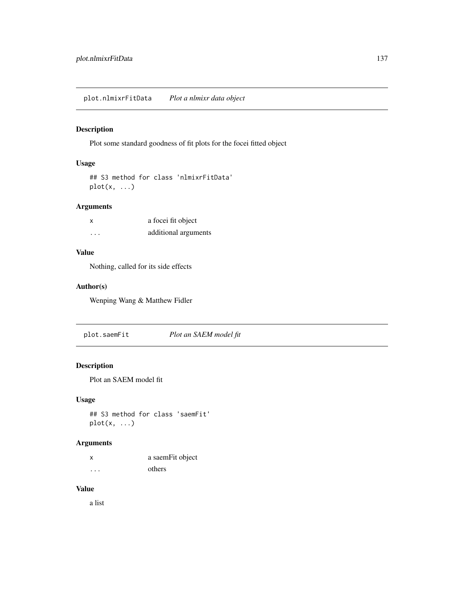Plot some standard goodness of fit plots for the focei fitted object

### Usage

```
## S3 method for class 'nlmixrFitData'
plot(x, ...)
```
# Arguments

| $\boldsymbol{\mathsf{x}}$ | a focei fit object   |
|---------------------------|----------------------|
| .                         | additional arguments |

# Value

Nothing, called for its side effects

# Author(s)

Wenping Wang & Matthew Fidler

plot.saemFit *Plot an SAEM model fit*

# Description

Plot an SAEM model fit

# Usage

```
## S3 method for class 'saemFit'
plot(x, ...)
```
### Arguments

|   | a saemFit object |
|---|------------------|
| . | others           |

# Value

a list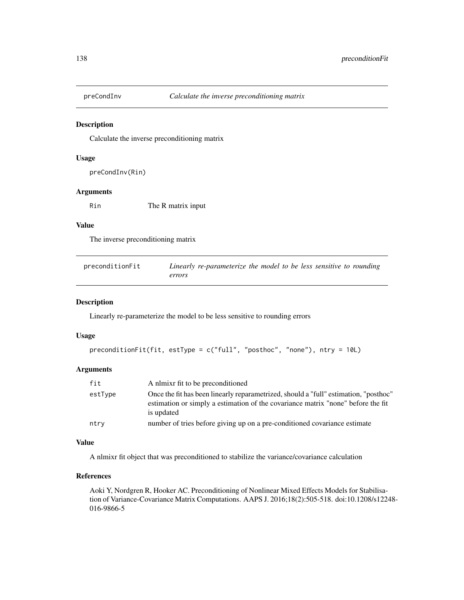Calculate the inverse preconditioning matrix

#### Usage

```
preCondInv(Rin)
```
# Arguments

Rin The R matrix input

# Value

The inverse preconditioning matrix

| preconditionFit | Linearly re-parameterize the model to be less sensitive to rounding |
|-----------------|---------------------------------------------------------------------|
|                 | errors                                                              |

#### Description

Linearly re-parameterize the model to be less sensitive to rounding errors

#### Usage

```
preconditionFit(fit, estType = c("full", "posthoc", "none"), ntry = 10L)
```
# Arguments

| fit     | A nlmixr fit to be preconditioned                                                                                                                                                      |
|---------|----------------------------------------------------------------------------------------------------------------------------------------------------------------------------------------|
| estType | Once the fit has been linearly reparametrized, should a "full" estimation, "posthoc"<br>estimation or simply a estimation of the covariance matrix "none" before the fit<br>is updated |
| ntry    | number of tries before giving up on a pre-conditioned covariance estimate                                                                                                              |

# Value

A nlmixr fit object that was preconditioned to stabilize the variance/covariance calculation

### References

Aoki Y, Nordgren R, Hooker AC. Preconditioning of Nonlinear Mixed Effects Models for Stabilisation of Variance-Covariance Matrix Computations. AAPS J. 2016;18(2):505-518. doi:10.1208/s12248- 016-9866-5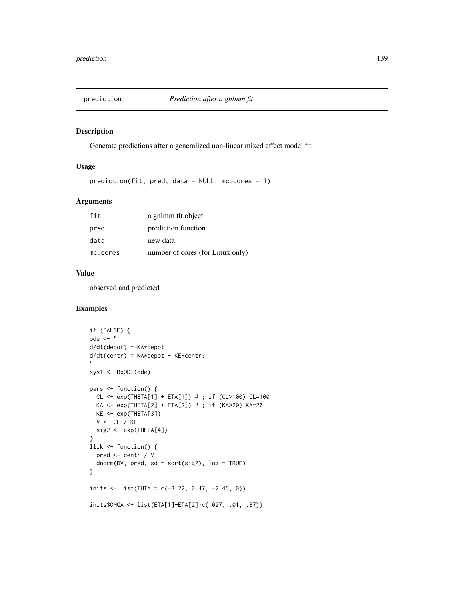Generate predictions after a generalized non-linear mixed effect model fit

# Usage

prediction(fit, pred, data = NULL, mc.cores = 1)

### Arguments

| fit      | a gnlmm fit object               |
|----------|----------------------------------|
| pred     | prediction function              |
| data     | new data                         |
| mc.cores | number of cores (for Linux only) |

### Value

observed and predicted

# Examples

```
if (FALSE) {
ode \leq - "
d/dt(depot) =-KA*depot;
d/dt(centr) = KA*depot - KE*centr;
"
sys1 <- RxODE(ode)
pars <- function() {
  CL <- exp(THETA[1] + ETA[1]) # ; if (CL>100) CL=100
  KA <- exp(THETA[2] + ETA[2]) # ; if (KA>20) KA=20
  KE <- exp(THETA[3])
  V <- CL / KE
  sig2 <- exp(THETA[4])
}
llik <- function() {
  pred <- centr / V
  dnorm(DV, pred, sd = sqrt(sig2), log = TRUE)
}
inits \le list(THTA = c(-3.22, 0.47, -2.45, 0))
inits$OMGA <- list(ETA[1]+ETA[2]~c(.027, .01, .37))
```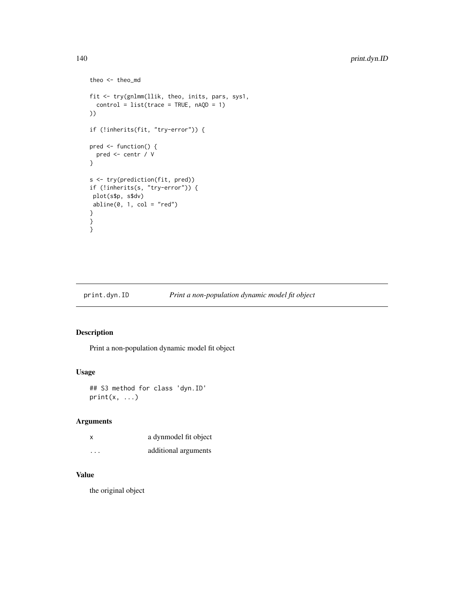```
theo <- theo_md
fit <- try(gnlmm(llik, theo, inits, pars, sys1,
  control = list(true = TRUE, nAQD = 1)))
if (!inherits(fit, "try-error")) {
pred <- function() {
  pred <- centr / V
}
s <- try(prediction(fit, pred))
if (!inherits(s, "try-error")) {
plot(s$p, s$dv)
abline(0, 1, col = "red")}
}
}
```
print.dyn.ID *Print a non-population dynamic model fit object*

# Description

Print a non-population dynamic model fit object

# Usage

```
## S3 method for class 'dyn.ID'
print(x, \ldots)
```
### Arguments

| x         | a dynmodel fit object |
|-----------|-----------------------|
| $\ddotsc$ | additional arguments  |

# Value

the original object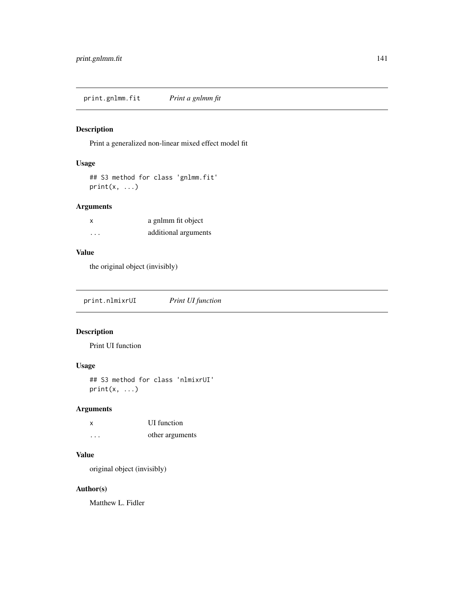print.gnlmm.fit *Print a gnlmm fit*

# Description

Print a generalized non-linear mixed effect model fit

### Usage

```
## S3 method for class 'gnlmm.fit'
print(x, \ldots)
```
# Arguments

| x | a gnlmm fit object   |
|---|----------------------|
| . | additional arguments |

# Value

the original object (invisibly)

print.nlmixrUI *Print UI function*

# Description

Print UI function

# Usage

## S3 method for class 'nlmixrUI'  $print(x, \ldots)$ 

# Arguments

| $\boldsymbol{\mathsf{x}}$ | <b>UI</b> function |
|---------------------------|--------------------|
| .                         | other arguments    |

# Value

original object (invisibly)

#### Author(s)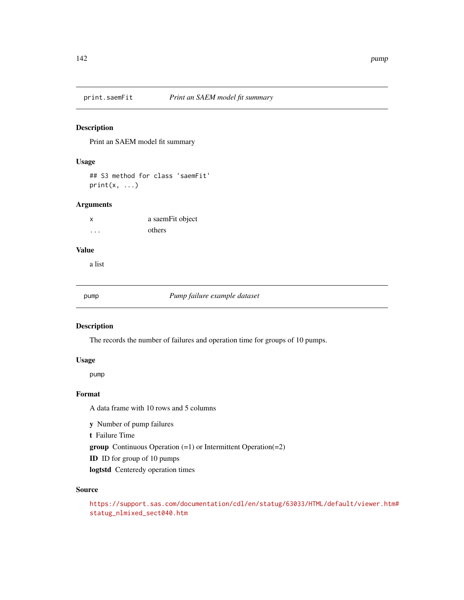Print an SAEM model fit summary

### Usage

## S3 method for class 'saemFit'  $print(x, \ldots)$ 

#### Arguments

| $\boldsymbol{\mathsf{x}}$ | a saemFit object |
|---------------------------|------------------|
| .                         | others           |

#### Value

a list

pump *Pump failure example dataset*

#### Description

The records the number of failures and operation time for groups of 10 pumps.

#### Usage

pump

#### Format

A data frame with 10 rows and 5 columns

y Number of pump failures

t Failure Time

group Continuous Operation (=1) or Intermittent Operation(=2)

ID ID for group of 10 pumps

logtstd Centeredy operation times

#### Source

```
https://support.sas.com/documentation/cdl/en/statug/63033/HTML/default/viewer.htm#
statug_nlmixed_sect040.htm
```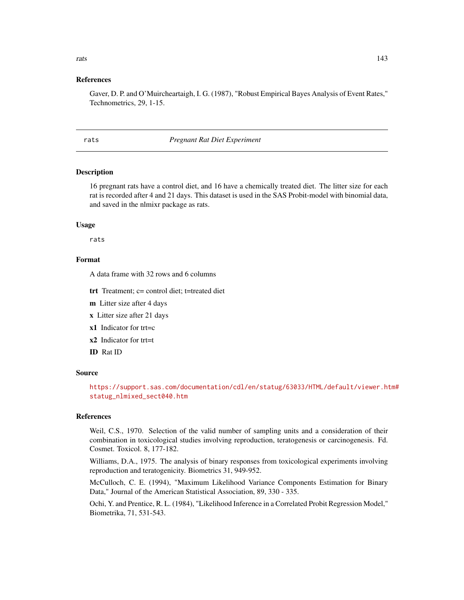#### References

Gaver, D. P. and O'Muircheartaigh, I. G. (1987), "Robust Empirical Bayes Analysis of Event Rates," Technometrics, 29, 1-15.

<span id="page-142-0"></span>rats *Pregnant Rat Diet Experiment*

#### **Description**

16 pregnant rats have a control diet, and 16 have a chemically treated diet. The litter size for each rat is recorded after 4 and 21 days. This dataset is used in the SAS Probit-model with binomial data, and saved in the nlmixr package as rats.

#### Usage

rats

#### Format

A data frame with 32 rows and 6 columns

trt Treatment; c= control diet; t=treated diet

m Litter size after 4 days

x Litter size after 21 days

x1 Indicator for trt=c

x2 Indicator for trt=t

ID Rat ID

#### Source

[https://support.sas.com/documentation/cdl/en/statug/63033/HTML/default/viewer.ht](https://support.sas.com/documentation/cdl/en/statug/63033/HTML/default/viewer.htm#statug_nlmixed_sect040.htm)m# [statug\\_nlmixed\\_sect040.htm](https://support.sas.com/documentation/cdl/en/statug/63033/HTML/default/viewer.htm#statug_nlmixed_sect040.htm)

# References

Weil, C.S., 1970. Selection of the valid number of sampling units and a consideration of their combination in toxicological studies involving reproduction, teratogenesis or carcinogenesis. Fd. Cosmet. Toxicol. 8, 177-182.

Williams, D.A., 1975. The analysis of binary responses from toxicological experiments involving reproduction and teratogenicity. Biometrics 31, 949-952.

McCulloch, C. E. (1994), "Maximum Likelihood Variance Components Estimation for Binary Data," Journal of the American Statistical Association, 89, 330 - 335.

Ochi, Y. and Prentice, R. L. (1984), "Likelihood Inference in a Correlated Probit Regression Model," Biometrika, 71, 531-543.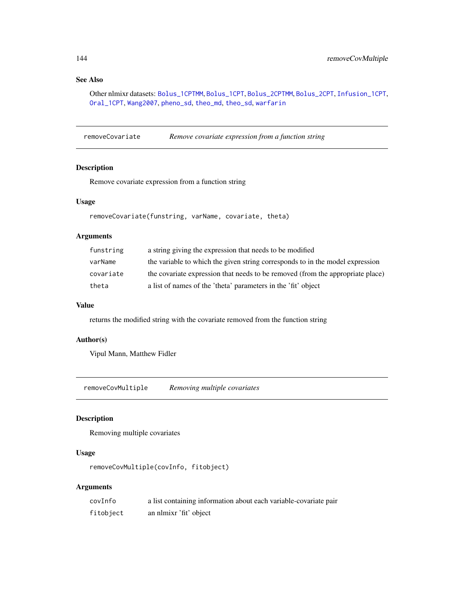# See Also

Other nlmixr datasets: [Bolus\\_1CPTMM](#page-14-0), [Bolus\\_1CPT](#page-13-0), [Bolus\\_2CPTMM](#page-17-0), [Bolus\\_2CPT](#page-15-0), [Infusion\\_1CPT](#page-66-0), [Oral\\_1CPT](#page-132-0), [Wang2007](#page-163-0), [pheno\\_sd](#page-134-0), [theo\\_md](#page-156-0), [theo\\_sd](#page-157-0), [warfarin](#page-164-0)

removeCovariate *Remove covariate expression from a function string*

# Description

Remove covariate expression from a function string

#### Usage

```
removeCovariate(funstring, varName, covariate, theta)
```
#### Arguments

| funstring | a string giving the expression that needs to be modified                       |
|-----------|--------------------------------------------------------------------------------|
| varName   | the variable to which the given string corresponds to in the model expression  |
| covariate | the covariate expression that needs to be removed (from the appropriate place) |
| theta     | a list of names of the 'theta' parameters in the 'fit' object                  |

#### Value

returns the modified string with the covariate removed from the function string

#### Author(s)

Vipul Mann, Matthew Fidler

removeCovMultiple *Removing multiple covariates*

# Description

Removing multiple covariates

# Usage

removeCovMultiple(covInfo, fitobject)

# Arguments

| covInfo   | a list containing information about each variable-covariate pair |
|-----------|------------------------------------------------------------------|
| fitobject | an nlmixr 'fit' object                                           |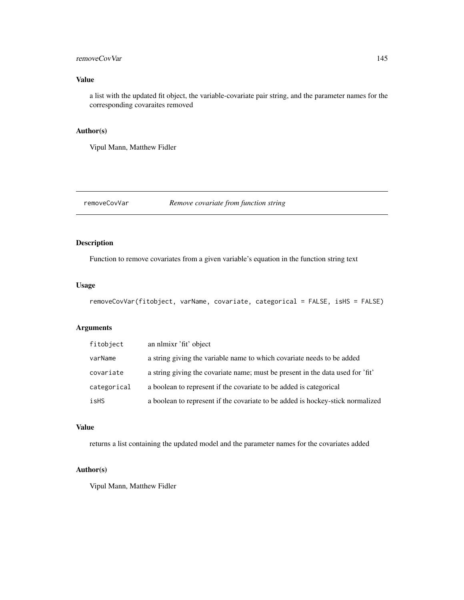#### <span id="page-144-0"></span>removeCovVar 145

### Value

a list with the updated fit object, the variable-covariate pair string, and the parameter names for the corresponding covaraites removed

#### Author(s)

Vipul Mann, Matthew Fidler

removeCovVar *Remove covariate from function string*

#### Description

Function to remove covariates from a given variable's equation in the function string text

#### Usage

```
removeCovVar(fitobject, varName, covariate, categorical = FALSE, isHS = FALSE)
```
#### Arguments

| fitobject   | an nlmixr 'fit' object                                                         |
|-------------|--------------------------------------------------------------------------------|
| varName     | a string giving the variable name to which covariate needs to be added         |
| covariate   | a string giving the covariate name; must be present in the data used for 'fit' |
| categorical | a boolean to represent if the covariate to be added is categorical             |
| isHS        | a boolean to represent if the covariate to be added is hockey-stick normalized |

#### Value

returns a list containing the updated model and the parameter names for the covariates added

#### Author(s)

Vipul Mann, Matthew Fidler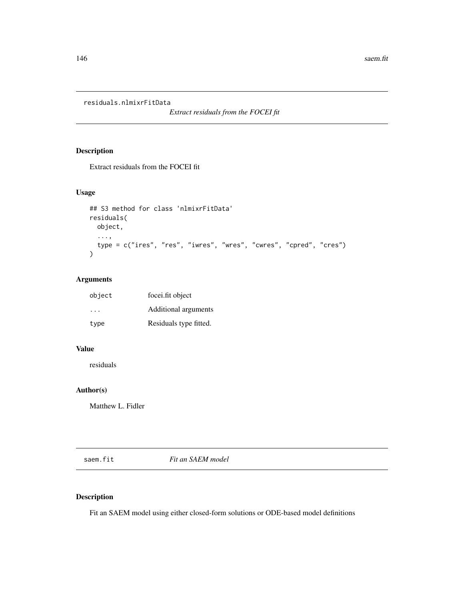<span id="page-145-0"></span>residuals.nlmixrFitData

*Extract residuals from the FOCEI fit*

# Description

Extract residuals from the FOCEI fit

#### Usage

```
## S3 method for class 'nlmixrFitData'
residuals(
 object,
  ...,
 type = c("ires", "res", "iwres", "wres", "cwres", "cpred", "cres")
\mathcal{L}
```
# Arguments

| object   | focei.fit object       |
|----------|------------------------|
| $\cdots$ | Additional arguments   |
| type     | Residuals type fitted. |

#### Value

residuals

#### Author(s)

Matthew L. Fidler

saem.fit *Fit an SAEM model*

# Description

Fit an SAEM model using either closed-form solutions or ODE-based model definitions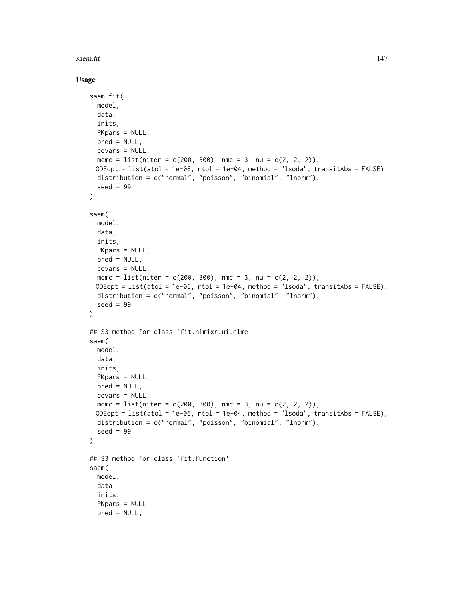saem.fit and the same same of the same same of the same of the same of the same of the same of the same of the same of the same of the same of the same of the same of the same of the same of the same of the same of the sam

#### Usage

```
saem.fit(
 model,
 data,
  inits,
 PKpars = NULL,
 pred = NULL,
 covars = NULL,
  mcmc = list(niter = c(200, 300), nmc = 3, nu = c(2, 2, 2)),
 ODEopt = list(atol = 1e-06, rtol = 1e-04, method = "lsoda", transitAbs = FALSE),
  distribution = c("normal", "poisson", "binomial", "lnorm"),
  seed = 99
\lambdasaem(
  model,
  data,
  inits,
  PKpars = NULL,
 pred = NULL,
  covars = NULL,
 mcmc = list(niter = c(200, 300), nmc = 3, nu = c(2, 2, 2)),ODEopt = list(atol = 1e-06, rtol = 1e-04, method = "lsoda", transitAbs = FALSE),
  distribution = c("normal", "poisson", "binomial", "lnorm"),
  seed = 99)
## S3 method for class 'fit.nlmixr.ui.nlme'
saem(
 model,
  data,
  inits,
 PKpars = NULL,
 pred = NULL,
  covars = NULL,
 mcmc = list(niter = c(200, 300), nmc = 3, nu = c(2, 2, 2)),
 ODEopt = list(atol = 1e-06, rtol = 1e-04, method = "lsoda", transitAbs = FALSE),
 distribution = c("normal", "poisson", "binomial", "lnorm"),
  seed = 99)
## S3 method for class 'fit.function'
saem(
 model,
 data,
  inits,
  PKpars = NULL,
  pred = NULL,
```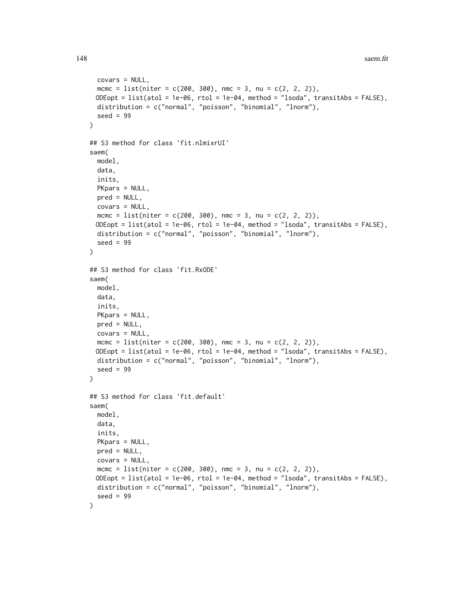```
covars = NULL,
 mcmc = list(niter = c(200, 300), nmc = 3, nu = c(2, 2, 2)),
 ODEopt = list(atol = 1e-06, rtol = 1e-04, method = "lsoda", transitAbs = FALSE),
 distribution = c("normal", "poisson", "binomial", "lnorm"),
  seed = 99)
## S3 method for class 'fit.nlmixrUI'
saem(
 model,
 data,
  inits,
 PKpars = NULL,
 pred = NULL,
 covars = NULL,
 mcmc = list(niter = c(200, 300), nmc = 3, nu = c(2, 2, 2)),
 ODEopt = list(atol = 1e-06, rtol = 1e-04, method = "lsoda", transitAbs = FALSE),
 distribution = c("normal", "poisson", "binomial", "lnorm"),
 seed = 99)
## S3 method for class 'fit.RxODE'
saem(
 model,
 data,
  inits,
 PKpars = NULL,
 pred = NULL,
 covars = NULL,mcmc = list(niter = c(200, 300), nmc = 3, nu = c(2, 2, 2)),
 ODEopt = list(atol = 1e-06, rtol = 1e-04, method = "lsoda", transitAbs = FALSE),
 distribution = c("normal", "poisson", "binomial", "lnorm"),
  seed = 99\lambda## S3 method for class 'fit.default'
saem(
 model,
 data,
  inits,
 PKpars = NULL,
 pred = NULL,
 covars = NULL,
 mcmc = list(niter = c(200, 300), nmc = 3, nu = c(2, 2, 2)),
 ODEopt = list(atol = 1e-06, rtol = 1e-04, method = "lsoda", transitAbs = FALSE),
 distribution = c("normal", "poisson", "binomial", "lnorm"),
  seed = 99
)
```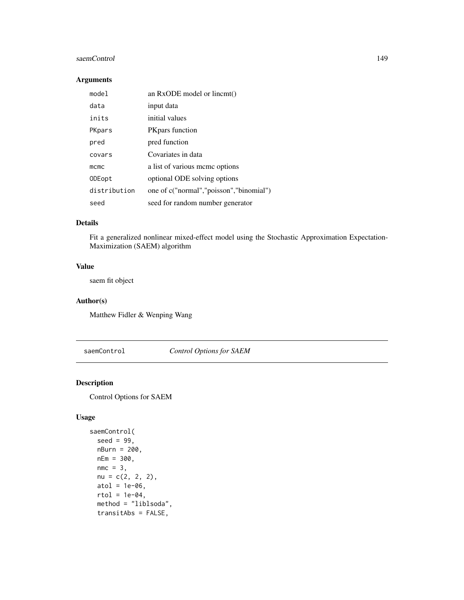#### <span id="page-148-0"></span>saemControl 149

#### Arguments

| mode1        | an RxODE model or lincmt()              |
|--------------|-----------------------------------------|
| data         | input data                              |
| inits        | initial values                          |
| PKpars       | <b>PK</b> pars function                 |
| pred         | pred function                           |
| covars       | Covariates in data                      |
| mcmc         | a list of various meme options          |
| ODEopt       | optional ODE solving options            |
| distribution | one of c("normal","poisson","binomial") |
| seed         | seed for random number generator        |

#### Details

Fit a generalized nonlinear mixed-effect model using the Stochastic Approximation Expectation-Maximization (SAEM) algorithm

#### Value

saem fit object

#### Author(s)

Matthew Fidler & Wenping Wang

saemControl *Control Options for SAEM*

#### Description

Control Options for SAEM

#### Usage

```
saemControl(
  seed = 99,
  nBurn = 200,
 nEm = 300,
  nmc = 3,
 nu = c(2, 2, 2),
  atol = 1e-06,
  rtol = 1e-04,
 method = "liblsoda",
  transitAbs = FALSE,
```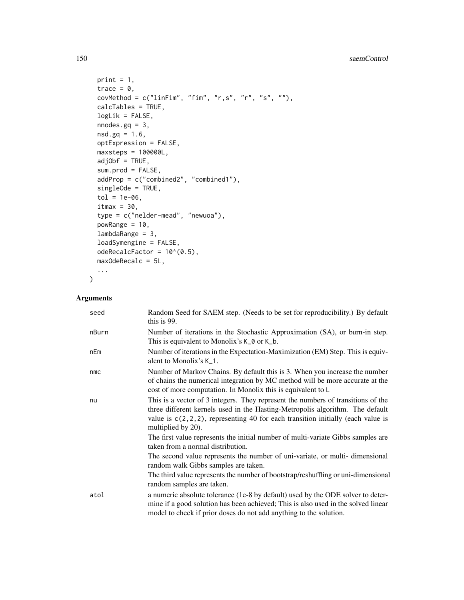```
print = 1,
trace = 0,
covMethod = c("linFim", "fim", "r,s", "r", "s", ""),
calcTables = TRUE,
logLik = FALSE,nnodes.gq = 3,
nsd.gq = 1.6,
optExpression = FALSE,
maxsteps = 100000L,
adjObf = TRUE,sum.prod = FALSE,
addProp = c("combined2", "combined1"),
singleOde = TRUE,
tol = 1e-06,itmax = 30,
type = c("nelder-mead", "newuoa"),
powRange = 10,
lambdaRange = 3,
loadSymengine = FALSE,
odeRecalcFactor = 10^{\circ}(0.5),
maxOdeRecalc = 5L,
...
```
# Arguments

 $\mathcal{L}$ 

| seed  | Random Seed for SAEM step. (Needs to be set for reproducibility.) By default<br>this is 99.                                                                                                                                                                                   |
|-------|-------------------------------------------------------------------------------------------------------------------------------------------------------------------------------------------------------------------------------------------------------------------------------|
| nBurn | Number of iterations in the Stochastic Approximation (SA), or burn-in step.<br>This is equivalent to Monolix's K_0 or K_b.                                                                                                                                                    |
| nEm   | Number of iterations in the Expectation-Maximization (EM) Step. This is equiv-<br>alent to Monolix's K <sub>1</sub> .                                                                                                                                                         |
| nmc   | Number of Markov Chains. By default this is 3. When you increase the number<br>of chains the numerical integration by MC method will be more accurate at the<br>cost of more computation. In Monolix this is equivalent to L                                                  |
| nu    | This is a vector of 3 integers. They represent the numbers of transitions of the<br>three different kernels used in the Hasting-Metropolis algorithm. The default<br>value is $c(2,2,2)$ , representing 40 for each transition initially (each value is<br>multiplied by 20). |
|       | The first value represents the initial number of multi-variate Gibbs samples are<br>taken from a normal distribution.                                                                                                                                                         |
|       | The second value represents the number of uni-variate, or multi-dimensional<br>random walk Gibbs samples are taken.                                                                                                                                                           |
|       | The third value represents the number of bootstrap/reshuffling or uni-dimensional<br>random samples are taken.                                                                                                                                                                |
| atol  | a numeric absolute tolerance (1e-8 by default) used by the ODE solver to deter-<br>mine if a good solution has been achieved; This is also used in the solved linear<br>model to check if prior doses do not add anything to the solution.                                    |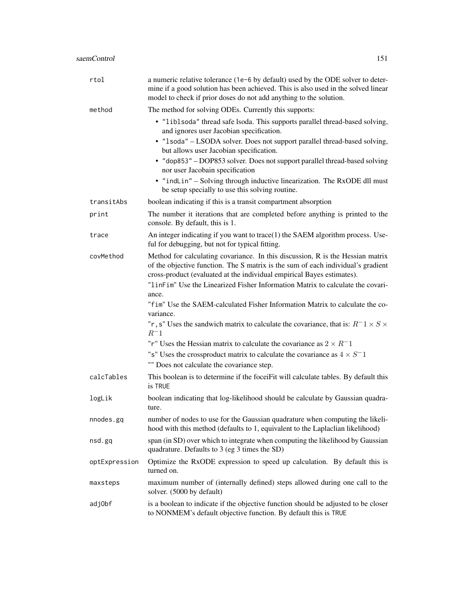| rtol          | a numeric relative tolerance (1e-6 by default) used by the ODE solver to deter-<br>mine if a good solution has been achieved. This is also used in the solved linear<br>model to check if prior doses do not add anything to the solution.   |
|---------------|----------------------------------------------------------------------------------------------------------------------------------------------------------------------------------------------------------------------------------------------|
| method        | The method for solving ODEs. Currently this supports:                                                                                                                                                                                        |
|               | • "liblsoda" thread safe lsoda. This supports parallel thread-based solving,<br>and ignores user Jacobian specification.<br>· "1soda" - LSODA solver. Does not support parallel thread-based solving,                                        |
|               | but allows user Jacobian specification.<br>• "dop853" – DOP853 solver. Does not support parallel thread-based solving                                                                                                                        |
|               | nor user Jacobain specification                                                                                                                                                                                                              |
|               | • "indLin" - Solving through inductive linearization. The RxODE dll must<br>be setup specially to use this solving routine.                                                                                                                  |
| transitAbs    | boolean indicating if this is a transit compartment absorption                                                                                                                                                                               |
| print         | The number it iterations that are completed before anything is printed to the<br>console. By default, this is 1.                                                                                                                             |
| trace         | An integer indicating if you want to trace(1) the SAEM algorithm process. Use-<br>ful for debugging, but not for typical fitting.                                                                                                            |
| covMethod     | Method for calculating covariance. In this discussion, R is the Hessian matrix<br>of the objective function. The S matrix is the sum of each individual's gradient<br>cross-product (evaluated at the individual empirical Bayes estimates). |
|               | "linFim" Use the Linearized Fisher Information Matrix to calculate the covari-<br>ance.                                                                                                                                                      |
|               | "fim" Use the SAEM-calculated Fisher Information Matrix to calculate the co-<br>variance.                                                                                                                                                    |
|               | "r, s" Uses the sandwich matrix to calculate the covariance, that is: $R^-1 \times S \times$<br>$R^-1$                                                                                                                                       |
|               | "r" Uses the Hessian matrix to calculate the covariance as $2 \times R^{-1}$                                                                                                                                                                 |
|               | "s" Uses the crossproduct matrix to calculate the covariance as $4 \times S^{-1}$<br>"" Does not calculate the covariance step.                                                                                                              |
| calcTables    | This boolean is to determine if the foceiFit will calculate tables. By default this<br>is TRUE                                                                                                                                               |
| logLik        | boolean indicating that log-likelihood should be calculate by Gaussian quadra-<br>ture.                                                                                                                                                      |
| nnodes.gq     | number of nodes to use for the Gaussian quadrature when computing the likeli-<br>hood with this method (defaults to 1, equivalent to the Laplaclian likelihood)                                                                              |
| nsd.gq        | span (in SD) over which to integrate when computing the likelihood by Gaussian<br>quadrature. Defaults to 3 (eg 3 times the SD)                                                                                                              |
| optExpression | Optimize the RxODE expression to speed up calculation. By default this is<br>turned on.                                                                                                                                                      |
| maxsteps      | maximum number of (internally defined) steps allowed during one call to the<br>solver. (5000 by default)                                                                                                                                     |
| adj0bf        | is a boolean to indicate if the objective function should be adjusted to be closer<br>to NONMEM's default objective function. By default this is TRUE                                                                                        |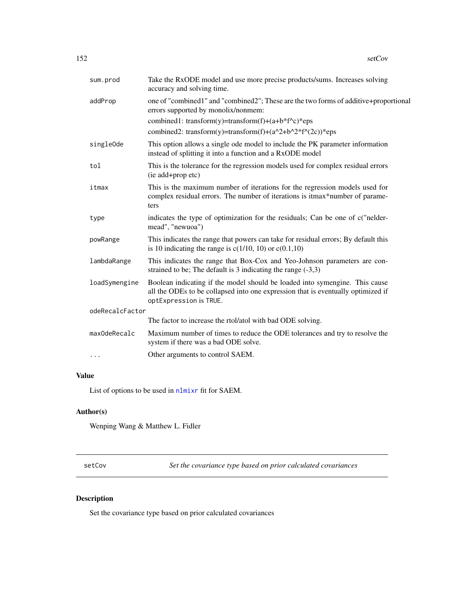<span id="page-151-0"></span>

| sum.prod        | Take the RxODE model and use more precise products/sums. Increases solving<br>accuracy and solving time.                                                                                  |
|-----------------|-------------------------------------------------------------------------------------------------------------------------------------------------------------------------------------------|
| addProp         | one of "combined1" and "combined2"; These are the two forms of additive+proportional<br>errors supported by monolix/nonmem:<br>combined1: transform(y)=transform(f)+(a+b*f^c)*eps         |
|                 | combined2: transform(y)=transform(f)+(a^2+b^2*f^(2c))*eps                                                                                                                                 |
| singleOde       | This option allows a single ode model to include the PK parameter information<br>instead of splitting it into a function and a RxODE model                                                |
| tol             | This is the tolerance for the regression models used for complex residual errors<br>(ie add+prop etc)                                                                                     |
| itmax           | This is the maximum number of iterations for the regression models used for<br>complex residual errors. The number of iterations is itmax*number of parame-<br>ters                       |
| type            | indicates the type of optimization for the residuals; Can be one of c("nelder-<br>mead", "newuoa")                                                                                        |
| powRange        | This indicates the range that powers can take for residual errors; By default this<br>is 10 indicating the range is $c(1/10, 10)$ or $c(0.1, 10)$                                         |
| lambdaRange     | This indicates the range that Box-Cox and Yeo-Johnson parameters are con-<br>strained to be; The default is 3 indicating the range $(-3,3)$                                               |
| loadSymengine   | Boolean indicating if the model should be loaded into symengine. This cause<br>all the ODEs to be collapsed into one expression that is eventually optimized if<br>optExpression is TRUE. |
| odeRecalcFactor |                                                                                                                                                                                           |
|                 | The factor to increase the rtol/atol with bad ODE solving.                                                                                                                                |
| maxOdeRecalc    | Maximum number of times to reduce the ODE tolerances and try to resolve the<br>system if there was a bad ODE solve.                                                                       |
| .               | Other arguments to control SAEM.                                                                                                                                                          |

# Value

List of options to be used in [nlmixr](#page-80-0) fit for SAEM.

#### Author(s)

Wenping Wang & Matthew L. Fidler

setCov *Set the covariance type based on prior calculated covariances*

# Description

Set the covariance type based on prior calculated covariances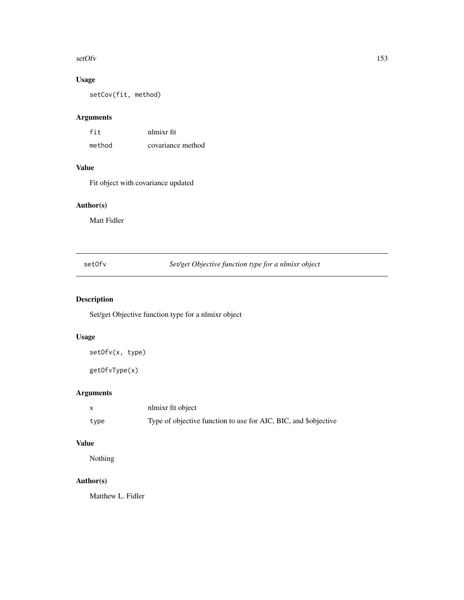#### <span id="page-152-0"></span>setOfv and the set of the set of the set of the set of the set of the set of the set of the set of the set of the set of the set of the set of the set of the set of the set of the set of the set of the set of the set of th

# Usage

setCov(fit, method)

# Arguments

| fit    | nlmixr fit        |
|--------|-------------------|
| method | covariance method |

## Value

Fit object with covariance updated

# Author(s)

Matt Fidler

setOfv *Set/get Objective function type for a nlmixr object*

# Description

Set/get Objective function type for a nlmixr object

#### Usage

setOfv(x, type)

getOfvType(x)

# Arguments

|      | nlmixr fit object                                               |
|------|-----------------------------------------------------------------|
| type | Type of objective function to use for AIC, BIC, and \$objective |

# Value

Nothing

# Author(s)

Matthew L. Fidler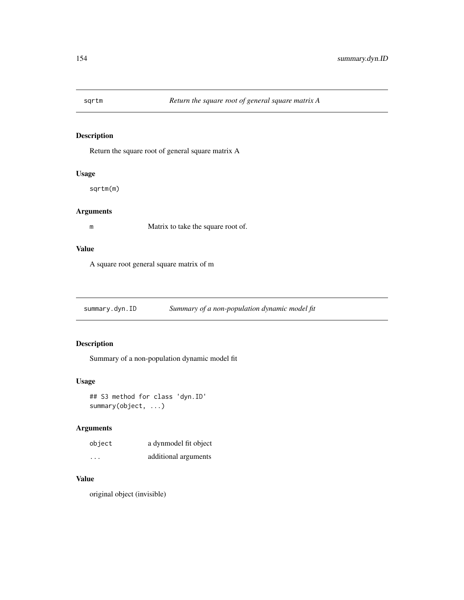<span id="page-153-0"></span>

#### Description

Return the square root of general square matrix A

#### Usage

sqrtm(m)

# Arguments

m Matrix to take the square root of.

#### Value

A square root general square matrix of m

summary.dyn.ID *Summary of a non-population dynamic model fit*

## Description

Summary of a non-population dynamic model fit

#### Usage

## S3 method for class 'dyn.ID' summary(object, ...)

#### Arguments

| object   | a dynmodel fit object |
|----------|-----------------------|
| $\cdots$ | additional arguments  |

# Value

original object (invisible)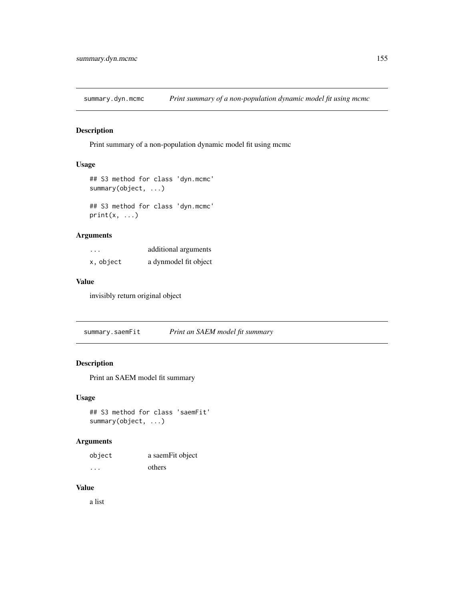<span id="page-154-0"></span>summary.dyn.mcmc *Print summary of a non-population dynamic model fit using mcmc*

#### Description

Print summary of a non-population dynamic model fit using mcmc

#### Usage

```
## S3 method for class 'dyn.mcmc'
summary(object, ...)
```
## S3 method for class 'dyn.mcmc'  $print(x, \ldots)$ 

#### Arguments

| $\cdots$  | additional arguments  |
|-----------|-----------------------|
| x, object | a dynmodel fit object |

#### Value

invisibly return original object

summary.saemFit *Print an SAEM model fit summary*

#### Description

Print an SAEM model fit summary

#### Usage

```
## S3 method for class 'saemFit'
summary(object, ...)
```
#### Arguments

| object | a saemFit object |
|--------|------------------|
| .      | others           |

#### Value

a list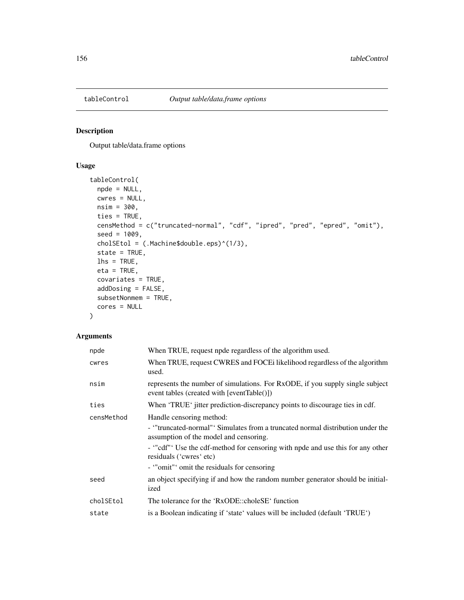<span id="page-155-0"></span>

#### Description

Output table/data.frame options

### Usage

```
tableControl(
 npde = NULL,
 cwres = NULL,
 nsim = 300,
  ties = TRUE,
 censMethod = c("truncated-normal", "cdf", "ipred", "pred", "epred", "omit"),
 seed = 1009,cholSEtol = (.Machine$double.eps)^(1/3),
  state = TRUE,
 \ln s = \text{TRUE},
 eta = TRUE,
  covariates = TRUE,
 addDosing = FALSE,
 subsetNonmem = TRUE,
 cores = NULL
)
```
#### Arguments

| npde       | When TRUE, request npde regardless of the algorithm used.                                                                                                                                                                                                                                                    |
|------------|--------------------------------------------------------------------------------------------------------------------------------------------------------------------------------------------------------------------------------------------------------------------------------------------------------------|
| cwres      | When TRUE, request CWRES and FOCEi likelihood regardless of the algorithm<br>used.                                                                                                                                                                                                                           |
| nsim       | represents the number of simulations. For RxODE, if you supply single subject<br>event tables (created with $[eventTable()])$ )                                                                                                                                                                              |
| ties       | When 'TRUE' jitter prediction-discrepancy points to discourage ties in cdf.                                                                                                                                                                                                                                  |
| censMethod | Handle censoring method:<br>- "truncated-normal" Simulates from a truncated normal distribution under the<br>assumption of the model and censoring.<br>- "cdf" Use the cdf-method for censoring with npde and use this for any other<br>residuals ('cwres' etc)<br>- "omit" omit the residuals for censoring |
| seed       | an object specifying if and how the random number generator should be initial-<br>ized                                                                                                                                                                                                                       |
| cholSEtol  | The tolerance for the 'RxODE::choleSE' function                                                                                                                                                                                                                                                              |
| state      | is a Boolean indicating if 'state' values will be included (default 'TRUE')                                                                                                                                                                                                                                  |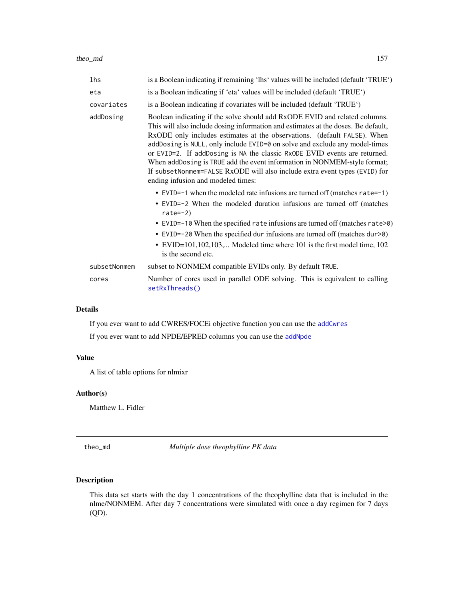<span id="page-156-1"></span>theo\_md 157

| lhs          | is a Boolean indicating if remaining 'lhs' values will be included (default 'TRUE')                                                                                                                                                                                                                                                                                                                                                                                                                                                                                                                     |
|--------------|---------------------------------------------------------------------------------------------------------------------------------------------------------------------------------------------------------------------------------------------------------------------------------------------------------------------------------------------------------------------------------------------------------------------------------------------------------------------------------------------------------------------------------------------------------------------------------------------------------|
| eta          | is a Boolean indicating if 'eta' values will be included (default 'TRUE')                                                                                                                                                                                                                                                                                                                                                                                                                                                                                                                               |
| covariates   | is a Boolean indicating if covariates will be included (default 'TRUE')                                                                                                                                                                                                                                                                                                                                                                                                                                                                                                                                 |
| addDosing    | Boolean indicating if the solve should add RxODE EVID and related columns.<br>This will also include dosing information and estimates at the doses. Be default,<br>RxODE only includes estimates at the observations. (default FALSE). When<br>addDosing is NULL, only include EVID=0 on solve and exclude any model-times<br>or EVID=2. If addDosing is NA the classic RxODE EVID events are returned.<br>When addDosing is TRUE add the event information in NONMEM-style format;<br>If subsetNonmem=FALSE RxODE will also include extra event types (EVID) for<br>ending infusion and modeled times: |
|              | • EVID= $-1$ when the modeled rate infusions are turned off (matches rate= $-1$ )<br>• EVID=-2 When the modeled duration infusions are turned off (matches<br>rate= $-2$ )<br>• EVID=-10 When the specified rate infusions are turned off (matches rate $>0$ )<br>• EVID=-20 When the specified dur infusions are turned off (matches dur>0)<br>• EVID=101,102,103, Modeled time where 101 is the first model time, 102<br>is the second etc.                                                                                                                                                           |
| subsetNonmem | subset to NONMEM compatible EVIDs only. By default TRUE.                                                                                                                                                                                                                                                                                                                                                                                                                                                                                                                                                |
| cores        | Number of cores used in parallel ODE solving. This is equivalent to calling<br>setRxThreads()                                                                                                                                                                                                                                                                                                                                                                                                                                                                                                           |

# Details

If you ever want to add CWRES/FOCEi objective function you can use the [addCwres](#page-6-0)

If you ever want to add NPDE/EPRED columns you can use the [addNpde](#page-7-0)

#### Value

A list of table options for nlmixr

#### Author(s)

Matthew L. Fidler

<span id="page-156-0"></span>theo\_md *Multiple dose theophylline PK data*

#### Description

This data set starts with the day 1 concentrations of the theophylline data that is included in the nlme/NONMEM. After day 7 concentrations were simulated with once a day regimen for 7 days (QD).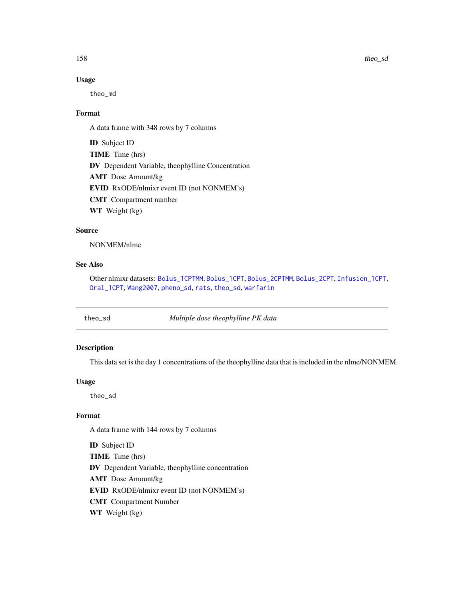#### Usage

theo\_md

#### Format

A data frame with 348 rows by 7 columns

ID Subject ID TIME Time (hrs) DV Dependent Variable, theophylline Concentration AMT Dose Amount/kg EVID RxODE/nlmixr event ID (not NONMEM's) CMT Compartment number WT Weight (kg)

#### Source

NONMEM/nlme

#### See Also

Other nlmixr datasets: [Bolus\\_1CPTMM](#page-14-0), [Bolus\\_1CPT](#page-13-0), [Bolus\\_2CPTMM](#page-17-0), [Bolus\\_2CPT](#page-15-0), [Infusion\\_1CPT](#page-66-0), [Oral\\_1CPT](#page-132-0), [Wang2007](#page-163-0), [pheno\\_sd](#page-134-0), [rats](#page-142-0), [theo\\_sd](#page-157-0), [warfarin](#page-164-0)

<span id="page-157-0"></span>theo\_sd *Multiple dose theophylline PK data*

#### Description

This data set is the day 1 concentrations of the theophylline data that is included in the nlme/NONMEM.

#### Usage

theo\_sd

#### Format

A data frame with 144 rows by 7 columns

ID Subject ID TIME Time (hrs) DV Dependent Variable, theophylline concentration AMT Dose Amount/kg EVID RxODE/nlmixr event ID (not NONMEM's) CMT Compartment Number WT Weight (kg)

<span id="page-157-1"></span>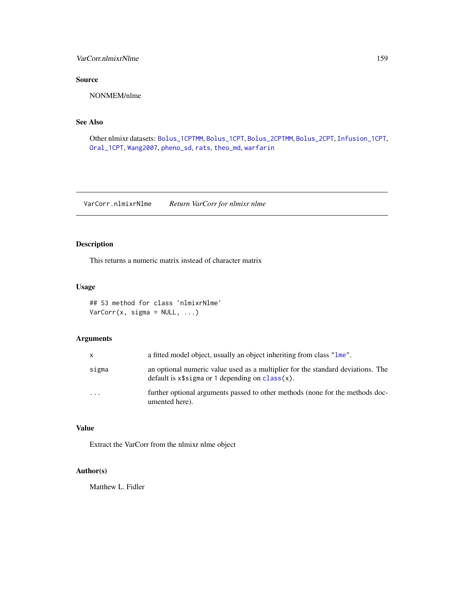#### <span id="page-158-0"></span>VarCorr.nlmixrNlme 159

# Source

NONMEM/nlme

#### See Also

Other nlmixr datasets: [Bolus\\_1CPTMM](#page-14-0), [Bolus\\_1CPT](#page-13-0), [Bolus\\_2CPTMM](#page-17-0), [Bolus\\_2CPT](#page-15-0), [Infusion\\_1CPT](#page-66-0), [Oral\\_1CPT](#page-132-0), [Wang2007](#page-163-0), [pheno\\_sd](#page-134-0), [rats](#page-142-0), [theo\\_md](#page-156-0), [warfarin](#page-164-0)

VarCorr.nlmixrNlme *Return VarCorr for nlmixr nlme*

#### Description

This returns a numeric matrix instead of character matrix

#### Usage

## S3 method for class 'nlmixrNlme' VarCorr(x, sigma = NULL, ...)

#### Arguments

| X       | a fitted model object, usually an object inheriting from class "lme".                                                                 |
|---------|---------------------------------------------------------------------------------------------------------------------------------------|
| sigma   | an optional numeric value used as a multiplier for the standard deviations. The<br>default is $x$ \$sigma or 1 depending on class(x). |
| $\cdot$ | further optional arguments passed to other methods (none for the methods doc-<br>umented here).                                       |

#### Value

Extract the VarCorr from the nlmixr nlme object

# Author(s)

Matthew L. Fidler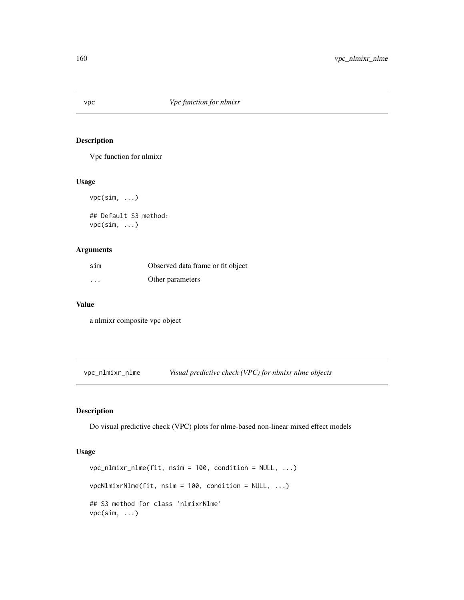<span id="page-159-0"></span>

#### Description

Vpc function for nlmixr

#### Usage

vpc(sim, ...) ## Default S3 method: vpc(sim, ...)

#### Arguments

| sim      | Observed data frame or fit object |
|----------|-----------------------------------|
| $\cdots$ | Other parameters                  |

#### Value

a nlmixr composite vpc object

vpc\_nlmixr\_nlme *Visual predictive check (VPC) for nlmixr nlme objects*

#### Description

Do visual predictive check (VPC) plots for nlme-based non-linear mixed effect models

#### Usage

```
vpc\_nlmix\_nlme(fit, nsim = 100, condition = NULL, ...)vpcNlmixrNlme(fit, nsim = 100, condition = NULL, ...)
## S3 method for class 'nlmixrNlme'
vpc(sim, ...)
```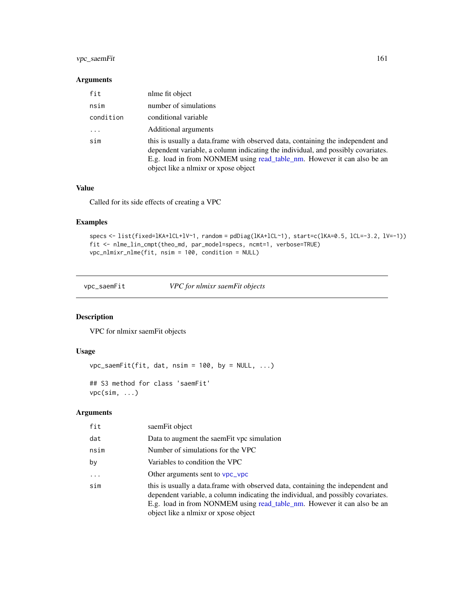#### <span id="page-160-0"></span>vpc\_saemFit 161

#### Arguments

| fit       | nlme fit object                                                                                                                                                                                                                                                                         |
|-----------|-----------------------------------------------------------------------------------------------------------------------------------------------------------------------------------------------------------------------------------------------------------------------------------------|
| nsim      | number of simulations                                                                                                                                                                                                                                                                   |
| condition | conditional variable                                                                                                                                                                                                                                                                    |
| $\cdots$  | Additional arguments                                                                                                                                                                                                                                                                    |
| sim       | this is usually a data. frame with observed data, containing the independent and<br>dependent variable, a column indicating the individual, and possibly covariates.<br>E.g. load in from NONMEM using read_table_nm. However it can also be an<br>object like a nlmixr or xpose object |

#### Value

Called for its side effects of creating a VPC

#### Examples

```
specs <- list(fixed=lKA+lCL+lV~1, random = pdDiag(lKA+lCL~1), start=c(lKA=0.5, lCL=-3.2, lV=-1))
fit <- nlme_lin_cmpt(theo_md, par_model=specs, ncmt=1, verbose=TRUE)
vpc_nlmixr_nlme(fit, nsim = 100, condition = NULL)
```
vpc\_saemFit *VPC for nlmixr saemFit objects*

# Description

VPC for nlmixr saemFit objects

#### Usage

```
vpc_saemFit(fit, dat, nsim = 100, by = NULL, ...)
```
## S3 method for class 'saemFit' vpc(sim, ...)

#### Arguments

| fit      | saemFit object                                                                                                                                                                                                                                                                          |
|----------|-----------------------------------------------------------------------------------------------------------------------------------------------------------------------------------------------------------------------------------------------------------------------------------------|
| dat      | Data to augment the saem Fit vpc simulation                                                                                                                                                                                                                                             |
| nsim     | Number of simulations for the VPC                                                                                                                                                                                                                                                       |
| by       | Variables to condition the VPC                                                                                                                                                                                                                                                          |
| $\cdots$ | Other arguments sent to vpc_vpc                                                                                                                                                                                                                                                         |
| sim      | this is usually a data. frame with observed data, containing the independent and<br>dependent variable, a column indicating the individual, and possibly covariates.<br>E.g. load in from NONMEM using read_table_nm. However it can also be an<br>object like a nlmixr or xpose object |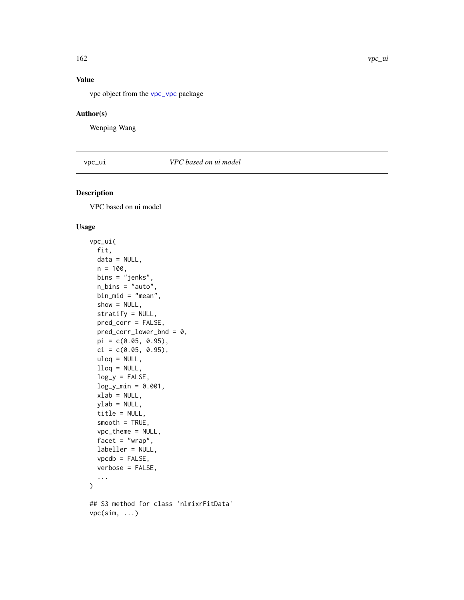# <span id="page-161-0"></span>Value

vpc object from the [vpc\\_vpc](#page-0-0) package

#### Author(s)

Wenping Wang

vpc\_ui *VPC based on ui model*

#### Description

VPC based on ui model

### Usage

```
vpc_ui(
  fit,
 data = NULL,
 n = 100,bins = "jenks",
  n_bins = "auto",
 bin_mid = "mean",
  show = NULL,stratify = NULL,
 pred_corr = FALSE,
 pred_corr_lower_bnd = 0,
 pi = c(0.05, 0.95),
  ci = c(0.05, 0.95),
  uloq = NULL,
  llog = NULL,log_y = FALSE,
  log_y_{min} = 0.001,
  xlab = NULL,
 ylab = NULL,
  title = NULL,
  smooth = TRUE,vpc_theme = NULL,
  facet = "wrap",
  labeller = NULL,
  vpcdb = FALSE,
  verbose = FALSE,
  ...
\mathcal{L}## S3 method for class 'nlmixrFitData'
vpc(sim, ...)
```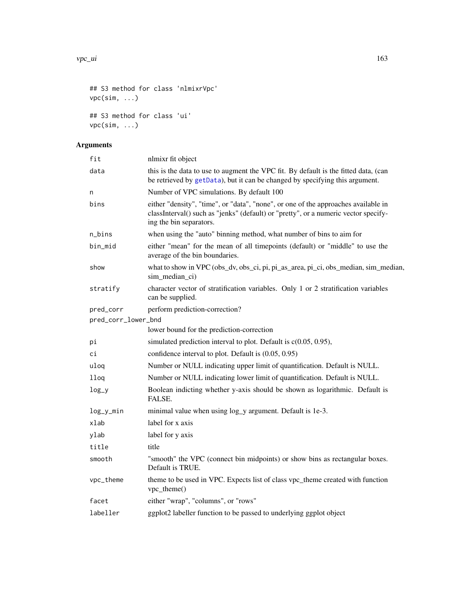#### <span id="page-162-0"></span>vpc\_ui 163

```
## S3 method for class 'nlmixrVpc'
vpc(sim, ...)
## S3 method for class 'ui'
vpc(sim, ...)
```
# Arguments

| fit                 | nlmixr fit object                                                                                                                                                                                    |
|---------------------|------------------------------------------------------------------------------------------------------------------------------------------------------------------------------------------------------|
| data                | this is the data to use to augment the VPC fit. By default is the fitted data, (can<br>be retrieved by getData), but it can be changed by specifying this argument.                                  |
| n                   | Number of VPC simulations. By default 100                                                                                                                                                            |
| bins                | either "density", "time", or "data", "none", or one of the approaches available in<br>classInterval() such as "jenks" (default) or "pretty", or a numeric vector specify-<br>ing the bin separators. |
| n_bins              | when using the "auto" binning method, what number of bins to aim for                                                                                                                                 |
| bin_mid             | either "mean" for the mean of all timepoints (default) or "middle" to use the<br>average of the bin boundaries.                                                                                      |
| show                | what to show in VPC (obs_dv, obs_ci, pi, pi_as_area, pi_ci, obs_median, sim_median,<br>sim_median_ci)                                                                                                |
| stratify            | character vector of stratification variables. Only 1 or 2 stratification variables<br>can be supplied.                                                                                               |
| pred_corr           | perform prediction-correction?                                                                                                                                                                       |
| pred_corr_lower_bnd |                                                                                                                                                                                                      |
|                     | lower bound for the prediction-correction                                                                                                                                                            |
| рi                  | simulated prediction interval to plot. Default is $c(0.05, 0.95)$ ,                                                                                                                                  |
| сi                  | confidence interval to plot. Default is (0.05, 0.95)                                                                                                                                                 |
| uloq                | Number or NULL indicating upper limit of quantification. Default is NULL.                                                                                                                            |
| 11oq                | Number or NULL indicating lower limit of quantification. Default is NULL.                                                                                                                            |
| $log_y$             | Boolean indicting whether y-axis should be shown as logarithmic. Default is<br>FALSE.                                                                                                                |
| $log_y_m$ in        | minimal value when using log_y argument. Default is 1e-3.                                                                                                                                            |
| xlab                | label for x axis                                                                                                                                                                                     |
| ylab                | label for y axis                                                                                                                                                                                     |
| title               | title                                                                                                                                                                                                |
| smooth              | "smooth" the VPC (connect bin midpoints) or show bins as rectangular boxes.<br>Default is TRUE.                                                                                                      |
| vpc_theme           | theme to be used in VPC. Expects list of class vpc_theme created with function<br>vpc_theme()                                                                                                        |
| facet               | either "wrap", "columns", or "rows"                                                                                                                                                                  |
| labeller            | ggplot2 labeller function to be passed to underlying ggplot object                                                                                                                                   |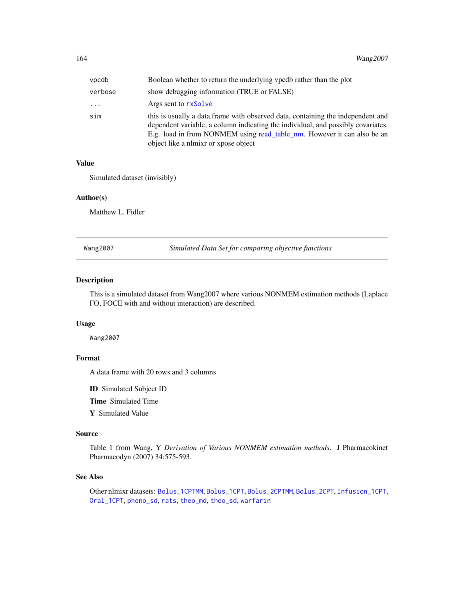<span id="page-163-1"></span>

| vpcdb   | Boolean whether to return the underlying vpcdb rather than the plot                                                                                                                                                                                                                     |
|---------|-----------------------------------------------------------------------------------------------------------------------------------------------------------------------------------------------------------------------------------------------------------------------------------------|
| verbose | show debugging information (TRUE or FALSE)                                                                                                                                                                                                                                              |
| .       | Args sent to rxSolve                                                                                                                                                                                                                                                                    |
| sim     | this is usually a data. frame with observed data, containing the independent and<br>dependent variable, a column indicating the individual, and possibly covariates.<br>E.g. load in from NONMEM using read_table_nm. However it can also be an<br>object like a nlmixr or xpose object |

#### Value

Simulated dataset (invisibly)

#### Author(s)

Matthew L. Fidler

<span id="page-163-0"></span>Wang2007 *Simulated Data Set for comparing objective functions*

#### Description

This is a simulated dataset from Wang2007 where various NONMEM estimation methods (Laplace FO, FOCE with and without interaction) are described.

#### Usage

Wang2007

### Format

A data frame with 20 rows and 3 columns

ID Simulated Subject ID

Time Simulated Time

Y Simulated Value

#### Source

Table 1 from Wang, Y *Derivation of Various NONMEM estimation methods*. J Pharmacokinet Pharmacodyn (2007) 34:575-593.

#### See Also

Other nlmixr datasets: [Bolus\\_1CPTMM](#page-14-0), [Bolus\\_1CPT](#page-13-0), [Bolus\\_2CPTMM](#page-17-0), [Bolus\\_2CPT](#page-15-0), [Infusion\\_1CPT](#page-66-0), [Oral\\_1CPT](#page-132-0), [pheno\\_sd](#page-134-0), [rats](#page-142-0), [theo\\_md](#page-156-0), [theo\\_sd](#page-157-0), [warfarin](#page-164-0)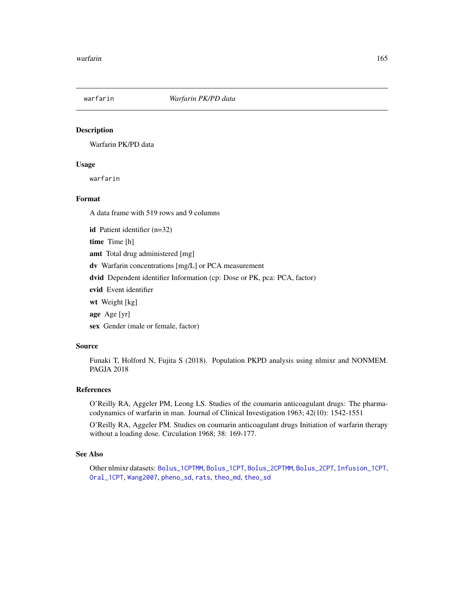<span id="page-164-1"></span><span id="page-164-0"></span>

#### Description

Warfarin PK/PD data

#### Usage

warfarin

#### Format

A data frame with 519 rows and 9 columns

id Patient identifier (n=32)

time Time [h]

amt Total drug administered [mg]

dv Warfarin concentrations [mg/L] or PCA measurement

dvid Dependent identifier Information (cp: Dose or PK, pca: PCA, factor)

evid Event identifier

wt Weight [kg]

age Age [yr]

sex Gender (male or female, factor)

#### Source

Funaki T, Holford N, Fujita S (2018). Population PKPD analysis using nlmixr and NONMEM. PAGJA 2018

#### References

O'Reilly RA, Aggeler PM, Leong LS. Studies of the coumarin anticoagulant drugs: The pharmacodynamics of warfarin in man. Journal of Clinical Investigation 1963; 42(10): 1542-1551

O'Reilly RA, Aggeler PM. Studies on coumarin anticoagulant drugs Initiation of warfarin therapy without a loading dose. Circulation 1968; 38: 169-177.

#### See Also

Other nlmixr datasets: [Bolus\\_1CPTMM](#page-14-0), [Bolus\\_1CPT](#page-13-0), [Bolus\\_2CPTMM](#page-17-0), [Bolus\\_2CPT](#page-15-0), [Infusion\\_1CPT](#page-66-0), [Oral\\_1CPT](#page-132-0), [Wang2007](#page-163-0), [pheno\\_sd](#page-134-0), [rats](#page-142-0), [theo\\_md](#page-156-0), [theo\\_sd](#page-157-0)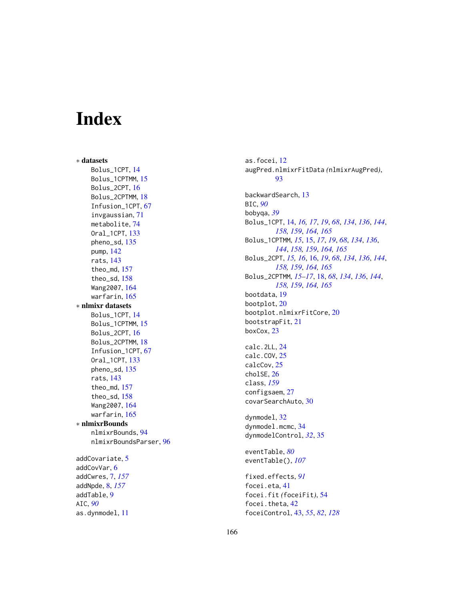# Index

∗ datasets Bolus\_1CPT , [14](#page-13-1) Bolus\_1CPTMM, [15](#page-14-1) Bolus\_2CPT, [16](#page-15-1) Bolus\_2CPTMM, [18](#page-17-1) Infusion\_1CPT , [67](#page-66-1) invgaussian , [71](#page-70-0) metabolite , [74](#page-73-0) Oral\_1CPT , [133](#page-132-1) pheno\_sd , [135](#page-134-1) pump , [142](#page-141-0) rats , [143](#page-142-1) theo\_md , [157](#page-156-1) theo\_sd , [158](#page-157-1) Wang2007 , [164](#page-163-1) warfarin , [165](#page-164-1) ∗ nlmixr datasets Bolus\_1CPT , [14](#page-13-1) Bolus\_1CPTMM, [15](#page-14-1) Bolus\_2CPT, [16](#page-15-1) Bolus\_2CPTMM, [18](#page-17-1) Infusion\_1CPT , [67](#page-66-1) Oral\_1CPT , [133](#page-132-1) pheno\_sd , [135](#page-134-1) rats , [143](#page-142-1) theo\_md , [157](#page-156-1) theo\_sd , [158](#page-157-1) Wang2007 , [164](#page-163-1) warfarin , [165](#page-164-1) ∗ nlmixrBounds nlmixrBounds , [94](#page-93-0) nlmixrBoundsParser , [96](#page-95-0) addCovariate, [5](#page-4-0) addCovVar , [6](#page-5-0) addCwres , [7](#page-6-1) , *[157](#page-156-1)* addNpde , [8](#page-7-1) , *[157](#page-156-1)* addTable , [9](#page-8-0) AIC , *[90](#page-89-0)* as.dynmodel , [11](#page-10-0)

as.focei, [12](#page-11-0) augPred.nlmixrFitData *(*nlmixrAugPred *)* , [93](#page-92-0) backwardSearch , [13](#page-12-0) BIC , *[90](#page-89-0)* bobyqa , *[39](#page-38-0)* Bolus\_1CPT , [14](#page-13-1) , *[16,](#page-15-1) [17](#page-16-0)* , *[19](#page-18-0)* , *[68](#page-67-0)* , *[134](#page-133-0)* , *[136](#page-135-0)* , *[144](#page-143-0)* , *[158](#page-157-1) , [159](#page-158-0)* , *[164](#page-163-1) , [165](#page-164-1)* Bolus\_1CPTMM , *[15](#page-14-1)* , [15](#page-14-1) , *[17](#page-16-0)* , *[19](#page-18-0)* , *[68](#page-67-0)* , *[134](#page-133-0)* , *[136](#page-135-0)* , *[144](#page-143-0)* , *[158](#page-157-1) , [159](#page-158-0)* , *[164](#page-163-1) , [165](#page-164-1)* Bolus\_2CPT , *[15](#page-14-1) , [16](#page-15-1)* , [16](#page-15-1) , *[19](#page-18-0)* , *[68](#page-67-0)* , *[134](#page-133-0)* , *[136](#page-135-0)* , *[144](#page-143-0)* , *[158](#page-157-1) , [159](#page-158-0)* , *[164](#page-163-1) , [165](#page-164-1)* Bolus\_2CPTMM , *[15](#page-14-1) [–17](#page-16-0)* , [18](#page-17-1) , *[68](#page-67-0)* , *[134](#page-133-0)* , *[136](#page-135-0)* , *[144](#page-143-0)* , *[158](#page-157-1) , [159](#page-158-0)* , *[164](#page-163-1) , [165](#page-164-1)* bootdata , [19](#page-18-0) bootplot , [20](#page-19-0) bootplot.nlmixrFitCore , [20](#page-19-0) bootstrapFit , [21](#page-20-0) boxCox , [23](#page-22-0) calc.2LL , [24](#page-23-0) calc.COV , [25](#page-24-0) calcCov , [25](#page-24-0) cholSE , [26](#page-25-0) class , *[159](#page-158-0)* configsaem , [27](#page-26-0) covarSearchAuto , [30](#page-29-0) dynmodel , [32](#page-31-0) dynmodel.mcmc, [34](#page-33-0) dynmodelControl , *[32](#page-31-0)* , [35](#page-34-0) eventTable , *[80](#page-79-0)* eventTable() , *[107](#page-106-0)* fixed.effects , *[91](#page-90-0)* focei.eta , [41](#page-40-0) focei.fit *(*foceiFit *)* , [54](#page-53-0) focei.theta, [42](#page-41-0) foceiControl , [43](#page-42-0) , *[55](#page-54-0)* , *[82](#page-81-0)* , *[128](#page-127-0)*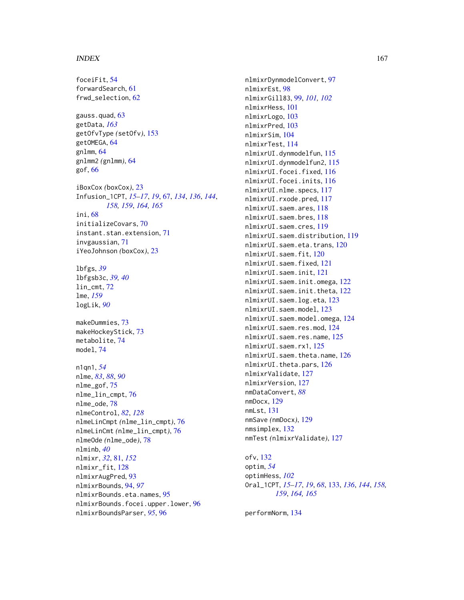#### INDEX  $167$

foceiFit, [54](#page-53-0) forwardSearch, [61](#page-60-0) frwd\_selection, [62](#page-61-0) gauss.quad, [63](#page-62-0) getData, *[163](#page-162-0)* getOfvType *(*setOfv*)*, [153](#page-152-0) getOMEGA, [64](#page-63-0) gnlmm, [64](#page-63-0) gnlmm2 *(*gnlmm*)*, [64](#page-63-0) gof, [66](#page-65-0) iBoxCox *(*boxCox*)*, [23](#page-22-0) Infusion\_1CPT, *[15](#page-14-1)[–17](#page-16-0)*, *[19](#page-18-0)*, [67,](#page-66-1) *[134](#page-133-0)*, *[136](#page-135-0)*, *[144](#page-143-0)*, *[158,](#page-157-1) [159](#page-158-0)*, *[164,](#page-163-1) [165](#page-164-1)* ini, [68](#page-67-0) initializeCovars, [70](#page-69-0) instant.stan.extension, [71](#page-70-0) invgaussian, [71](#page-70-0) iYeoJohnson *(*boxCox*)*, [23](#page-22-0) lbfgs, *[39](#page-38-0)* lbfgsb3c, *[39,](#page-38-0) [40](#page-39-0)* lin\_cmt, [72](#page-71-0) lme, *[159](#page-158-0)* logLik, *[90](#page-89-0)* makeDummies, [73](#page-72-0) makeHockeyStick, [73](#page-72-0) metabolite, [74](#page-73-0) model, [74](#page-73-0) n1qn1, *[54](#page-53-0)* nlme, *[83](#page-82-0)*, *[88](#page-87-0)*, *[90](#page-89-0)* nlme\_gof, [75](#page-74-0) nlme\_lin\_cmpt, [76](#page-75-0) nlme\_ode, [78](#page-77-0) nlmeControl, *[82](#page-81-0)*, *[128](#page-127-0)* nlmeLinCmpt *(*nlme\_lin\_cmpt*)*, [76](#page-75-0) nlmeLinCmt *(*nlme\_lin\_cmpt*)*, [76](#page-75-0) nlmeOde *(*nlme\_ode*)*, [78](#page-77-0) nlminb, *[40](#page-39-0)* nlmixr, *[32](#page-31-0)*, [81,](#page-80-1) *[152](#page-151-0)* nlmixr\_fit, [128](#page-127-0) nlmixrAugPred, [93](#page-92-0) nlmixrBounds, [94,](#page-93-0) *[97](#page-96-0)* nlmixrBounds.eta.names, [95](#page-94-0) nlmixrBounds.focei.upper.lower, [96](#page-95-0) nlmixrBoundsParser, *[95](#page-94-0)*, [96](#page-95-0)

nlmixrDynmodelConvert, [97](#page-96-0) nlmixrEst, [98](#page-97-0) nlmixrGill83, [99,](#page-98-0) *[101,](#page-100-0) [102](#page-101-0)* nlmixrHess, [101](#page-100-0) nlmixrLogo, [103](#page-102-0) nlmixrPred, [103](#page-102-0) nlmixrSim, [104](#page-103-0) nlmixrTest, [114](#page-113-0) nlmixrUI.dynmodelfun, [115](#page-114-0) nlmixrUI.dynmodelfun2, [115](#page-114-0) nlmixrUI.focei.fixed, [116](#page-115-0) nlmixrUI.focei.inits, [116](#page-115-0) nlmixrUI.nlme.specs, [117](#page-116-0) nlmixrUI.rxode.pred, [117](#page-116-0) nlmixrUI.saem.ares, [118](#page-117-0) nlmixrUI.saem.bres, [118](#page-117-0) nlmixrUI.saem.cres, [119](#page-118-0) nlmixrUI.saem.distribution, [119](#page-118-0) nlmixrUI.saem.eta.trans, [120](#page-119-0) nlmixrUI.saem.fit, [120](#page-119-0) nlmixrUI.saem.fixed, [121](#page-120-0) nlmixrUI.saem.init, [121](#page-120-0) nlmixrUI.saem.init.omega, [122](#page-121-0) nlmixrUI.saem.init.theta, [122](#page-121-0) nlmixrUI.saem.log.eta, [123](#page-122-0) nlmixrUI.saem.model, [123](#page-122-0) nlmixrUI.saem.model.omega, [124](#page-123-0) nlmixrUI.saem.res.mod, [124](#page-123-0) nlmixrUI.saem.res.name, [125](#page-124-0) nlmixrUI.saem.rx1, [125](#page-124-0) nlmixrUI.saem.theta.name, [126](#page-125-0) nlmixrUI.theta.pars, [126](#page-125-0) nlmixrValidate, [127](#page-126-0) nlmixrVersion, [127](#page-126-0) nmDataConvert, *[88](#page-87-0)* nmDocx, [129](#page-128-0) nmLst, [131](#page-130-0) nmSave *(*nmDocx*)*, [129](#page-128-0) nmsimplex, [132](#page-131-0) nmTest *(*nlmixrValidate*)*, [127](#page-126-0)

ofv, [132](#page-131-0) optim, *[54](#page-53-0)* optimHess, *[102](#page-101-0)* Oral\_1CPT, *[15](#page-14-1)[–17](#page-16-0)*, *[19](#page-18-0)*, *[68](#page-67-0)*, [133,](#page-132-1) *[136](#page-135-0)*, *[144](#page-143-0)*, *[158,](#page-157-1) [159](#page-158-0)*, *[164,](#page-163-1) [165](#page-164-1)*

performNorm, [134](#page-133-0)